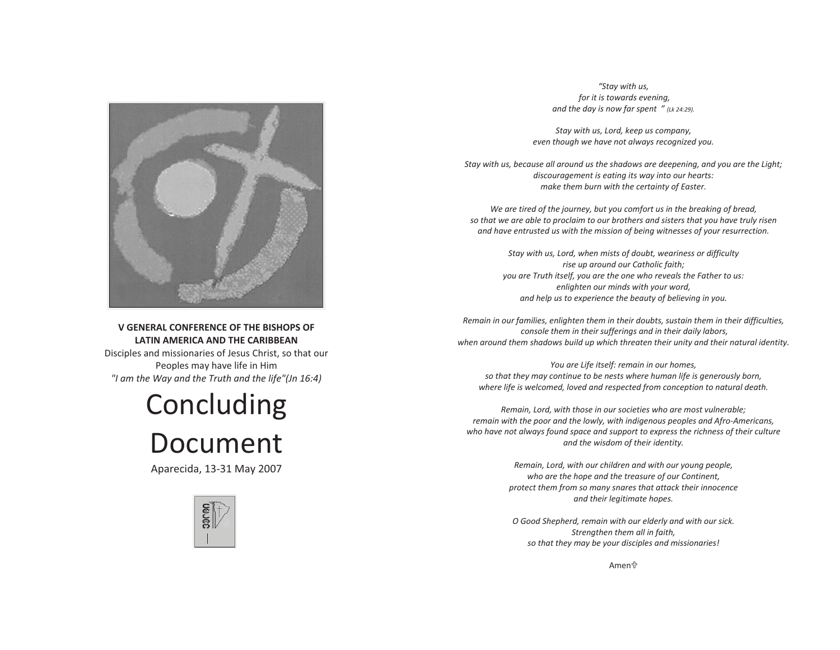

**V GENERAL CONFERENCE OF THE BISHOPS OF LATIN AMERICA AND THE CARIBBEAN** 

Disciples and missionaries of Jesus Christ, so that our Peoples may have life in Him *"I am the Way and the Truth and the life"(Jn 16:4)* 

Concluding

Document

Aparecida, 13-31 May 2007



*"Stay with us, for it is towards evening, and the day is now far spent " (Lk 24:29).* 

*Stay with us, Lord, keep us company, even though we have not always recognized you.* 

*Stay with us, because all around us the shadows are deepening, and you are the Light; discouragement is eating its way into our hearts: make them burn with the certainty of Easter.* 

*We are tired of the journey, but you comfort us in the breaking of bread, so that we are able to proclaim to our brothers and sisters that you have truly risen and have entrusted us with the mission of being witnesses of your resurrection.* 

*Stay with us, Lord, when mists of doubt, weariness or difficulty rise up around our Catholic faith; you are Truth itself, you are the one who reveals the Father to us: enlighten our minds with your word, and help us to experience the beauty of believing in you.* 

*Remain in our families, enlighten them in their doubts, sustain them in their difficulties, console them in their sufferings and in their daily labors, when around them shadows build up which threaten their unity and their natural identity.* 

*You are Life itself: remain in our homes, so that they may continue to be nests where human life is generously born, where life is welcomed, loved and respected from conception to natural death.* 

*Remain, Lord, with those in our societies who are most vulnerable; remain with the poor and the lowly, with indigenous peoples and Afro-Americans, who have not always found space and support to express the richness of their culture and the wisdom of their identity.* 

> *Remain, Lord, with our children and with our young people, who are the hope and the treasure of our Continent, protect them from so many snares that attack their innocence and their legitimate hopes.*

*O Good Shepherd, remain with our elderly and with our sick. Strengthen them all in faith, so that they may be your disciples and missionaries!* 

Amen-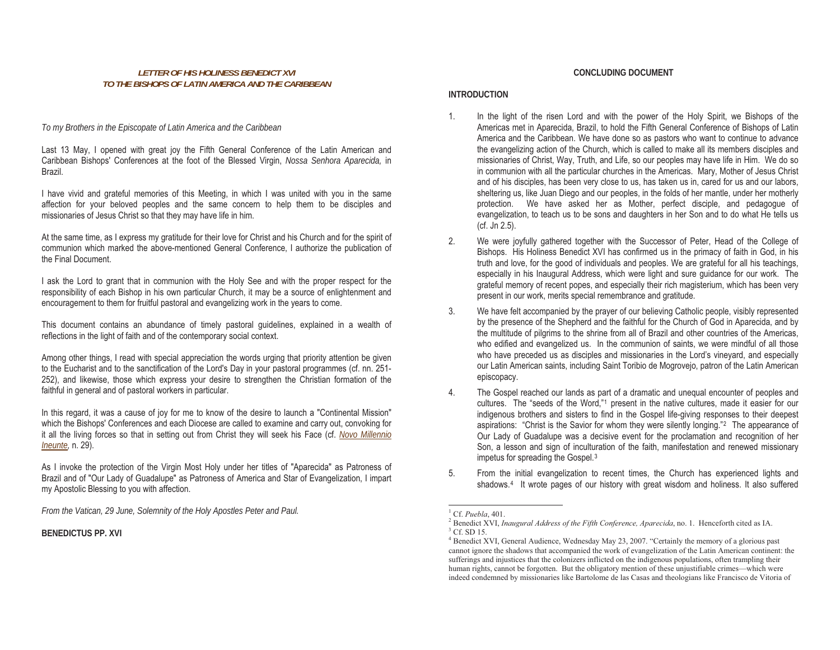#### *LETTER OF HIS HOLINESS BENEDICT XVI TO THE BISHOPS OF LATIN AMERICA AND THE CARIBBEAN*

#### *To my Brothers in the Episcopate of Latin America and the Caribbean*

Last 13 May, I opened with great joy the Fifth General Conference of the Latin American and Caribbean Bishops' Conferences at the foot of the Blessed Virgin, *Nossa Senhora Aparecida,* in Brazil.

I have vivid and grateful memories of this Meeting, in which I was united with you in the same affection for your beloved peoples and the same concern to help them to be disciples and missionaries of Jesus Christ so that they may have life in him.

At the same time, as I express my gratitude for their love for Christ and his Church and for the spirit of communion which marked the above-mentioned General Conference, I authorize the publication of the Final Document.

I ask the Lord to grant that in communion with the Holy See and with the proper respect for the responsibility of each Bishop in his own particular Church, it may be a source of enlightenment and encouragement to them for fruitful pastoral and evangelizing work in the years to come.

This document contains an abundance of timely pastoral guidelines, explained in a wealth of reflections in the light of faith and of the contemporary social context.

Among other things, I read with special appreciation the words urging that priority attention be given to the Eucharist and to the sanctification of the Lord's Day in your pastoral programmes (cf. nn. 251- 252), and likewise, those which express your desire to strengthen the Christian formation of the faithful in general and of pastoral workers in particular.

In this regard, it was a cause of joy for me to know of the desire to launch a "Continental Mission" which the Bishops' Conferences and each Diocese are called to examine and carry out, convoking for it all the living forces so that in setting out from Christ they will seek his Face (cf. *Novo Millennio Ineunte,* n. 29).

As I invoke the protection of the Virgin Most Holy under her titles of "Aparecida" as Patroness of Brazil and of "Our Lady of Guadalupe" as Patroness of America and Star of Evangelization, I impart my Apostolic Blessing to you with affection.

*From the Vatican, 29 June, Solemnity of the Holy Apostles Peter and Paul.* 

**BENEDICTUS PP. XVI**

## **CONCLUDING DOCUMENT**

### **INTRODUCTION**

- 1. In the light of the risen Lord and with the power of the Holy Spirit, we Bishops of the Americas met in Aparecida, Brazil, to hold the Fifth General Conference of Bishops of Latin America and the Caribbean. We have done so as pastors who want to continue to advance the evangelizing action of the Church, which is called to make all its members disciples and missionaries of Christ, Way, Truth, and Life, so our peoples may have life in Him. We do so in communion with all the particular churches in the Americas. Mary, Mother of Jesus Christ and of his disciples, has been very close to us, has taken us in, cared for us and our labors, sheltering us, like Juan Diego and our peoples, in the folds of her mantle, under her motherly protection. We have asked her as Mother, perfect disciple, and pedagogue of evangelization, to teach us to be sons and daughters in her Son and to do what He tells us (cf. Jn 2.5).
- 2. We were joyfully gathered together with the Successor of Peter, Head of the College of Bishops. His Holiness Benedict XVI has confirmed us in the primacy of faith in God, in his truth and love, for the good of individuals and peoples. We are grateful for all his teachings, especially in his Inaugural Address, which were light and sure guidance for our work. The grateful memory of recent popes, and especially their rich magisterium, which has been very present in our work, merits special remembrance and gratitude.
- 3. We have felt accompanied by the prayer of our believing Catholic people, visibly represented by the presence of the Shepherd and the faithful for the Church of God in Aparecida, and by the multitude of pilgrims to the shrine from all of Brazil and other countries of the Americas, who edified and evangelized us. In the communion of saints, we were mindful of all those who have preceded us as disciples and missionaries in the Lord's vineyard, and especially our Latin American saints, including Saint Toribio de Mogrovejo, patron of the Latin American episcopacy.
- 4. The Gospel reached our lands as part of a dramatic and unequal encounter of peoples and cultures. The "seeds of the Word,"1 present in the native cultures, made it easier for our indigenous brothers and sisters to find in the Gospel life-giving responses to their deepest aspirations: "Christ is the Savior for whom they were silently longing."2 The appearance of Our Lady of Guadalupe was a decisive event for the proclamation and recognition of her Son, a lesson and sign of inculturation of the faith, manifestation and renewed missionary impetus for spreading the Gospel.3
- 5. From the initial evangelization to recent times, the Church has experienced lights and shadows.<sup>4</sup> It wrote pages of our history with great wisdom and holiness. It also suffered

<sup>1</sup> Cf. *Puebla*, 401.

<sup>&</sup>lt;sup>2</sup> Benedict XVI, *Inaugural Address of the Fifth Conference, Aparecida*, no. 1. Henceforth cited as IA. <sup>3</sup> Cf. SD 15.

<sup>&</sup>lt;sup>4</sup> Benedict XVI, General Audience, Wednesday May 23, 2007. "Certainly the memory of a glorious past cannot ignore the shadows that accompanied the work of evangelization of the Latin American continent: the sufferings and injustices that the colonizers inflicted on the indigenous populations, often trampling their human rights, cannot be forgotten. But the obligatory mention of these unjustifiable crimes—which were indeed condemned by missionaries like Bartolome de las Casas and theologians like Francisco de Vitoria of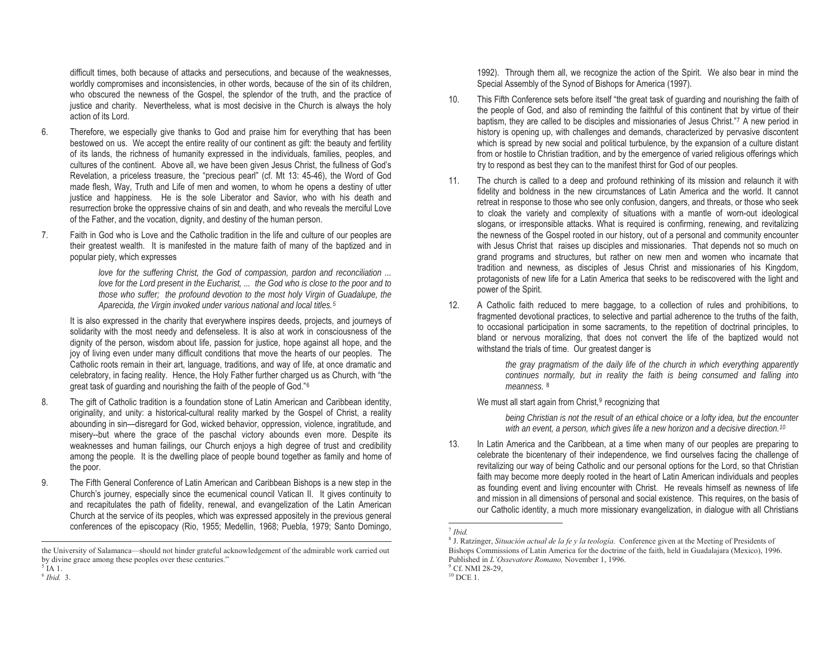difficult times, both because of attacks and persecutions, and because of the weaknesses, worldly compromises and inconsistencies, in other words, because of the sin of its children, who obscured the newness of the Gospel, the splendor of the truth, and the practice of justice and charity. Nevertheless, what is most decisive in the Church is always the holy action of its Lord.

- 6. Therefore, we especially give thanks to God and praise him for everything that has been bestowed on us. We accept the entire reality of our continent as gift: the beauty and fertility of its lands, the richness of humanity expressed in the individuals, families, peoples, and cultures of the continent. Above all, we have been given Jesus Christ, the fullness of God's Revelation, a priceless treasure, the "precious pearl" (cf. Mt 13: 45-46), the Word of God made flesh, Way, Truth and Life of men and women, to whom he opens a destiny of utter justice and happiness. He is the sole Liberator and Savior, who with his death and resurrection broke the oppressive chains of sin and death, and who reveals the merciful Love of the Father, and the vocation, dignity, and destiny of the human person.
- 7. Faith in God who is Love and the Catholic tradition in the life and culture of our peoples are their greatest wealth. It is manifested in the mature faith of many of the baptized and in popular piety, which expresses

*love for the suffering Christ, the God of compassion, pardon and reconciliation ... love for the Lord present in the Eucharist, ... the God who is close to the poor and to those who suffer; the profound devotion to the most holy Virgin of Guadalupe, the Aparecida, the Virgin invoked under various national and local titles.5*

It is also expressed in the charity that everywhere inspires deeds, projects, and journeys of solidarity with the most needy and defenseless. It is also at work in consciousness of the dignity of the person, wisdom about life, passion for justice, hope against all hope, and the joy of living even under many difficult conditions that move the hearts of our peoples. The Catholic roots remain in their art, language, traditions, and way of life, at once dramatic and celebratory, in facing reality. Hence, the Holy Father further charged us as Church, with "the great task of guarding and nourishing the faith of the people of God."6

- 8. The gift of Catholic tradition is a foundation stone of Latin American and Caribbean identity, originality, and unity: a historical-cultural reality marked by the Gospel of Christ, a reality abounding in sin—disregard for God, wicked behavior, oppression, violence, ingratitude, and misery--but where the grace of the paschal victory abounds even more. Despite its weaknesses and human failings, our Church enjoys a high degree of trust and credibility among the people. It is the dwelling place of people bound together as family and home of the poor.
- 9. The Fifth General Conference of Latin American and Caribbean Bishops is a new step in the Church's journey, especially since the ecumenical council Vatican II. It gives continuity to and recapitulates the path of fidelity, renewal, and evangelization of the Latin American Church at the service of its peoples, which was expressed appositely in the previous general conferences of the episcopacy (Rio, 1955; Medellin, 1968; Puebla, 1979; Santo Domingo,

the University of Salamanca—should not hinder grateful acknowledgement of the admirable work carried out by divine grace among these peoples over these centuries."

1992). Through them all, we recognize the action of the Spirit. We also bear in mind the Special Assembly of the Synod of Bishops for America (1997).

- 10. This Fifth Conference sets before itself "the great task of guarding and nourishing the faith of the people of God, and also of reminding the faithful of this continent that by virtue of their baptism, they are called to be disciples and missionaries of Jesus Christ."7 A new period in history is opening up, with challenges and demands, characterized by pervasive discontent which is spread by new social and political turbulence, by the expansion of a culture distant from or hostile to Christian tradition, and by the emergence of varied religious offerings which try to respond as best they can to the manifest thirst for God of our peoples.
- 11. The church is called to a deep and profound rethinking of its mission and relaunch it with fidelity and boldness in the new circumstances of Latin America and the world. It cannot retreat in response to those who see only confusion, dangers, and threats, or those who seek to cloak the variety and complexity of situations with a mantle of worn-out ideological slogans, or irresponsible attacks. What is required is confirming, renewing, and revitalizing the newness of the Gospel rooted in our history, out of a personal and community encounter with Jesus Christ that raises up disciples and missionaries. That depends not so much on grand programs and structures, but rather on new men and women who incarnate that tradition and newness, as disciples of Jesus Christ and missionaries of his Kingdom, protagonists of new life for a Latin America that seeks to be rediscovered with the light and power of the Spirit.
- 12. A Catholic faith reduced to mere baggage, to a collection of rules and prohibitions, to fragmented devotional practices, to selective and partial adherence to the truths of the faith, to occasional participation in some sacraments, to the repetition of doctrinal principles, to bland or nervous moralizing, that does not convert the life of the baptized would not withstand the trials of time. Our greatest danger is

*the gray pragmatism of the daily life of the church in which everything apparently continues normally, but in reality the faith is being consumed and falling into meanness.* <sup>8</sup>

We must all start again from Christ.<sup>9</sup> recognizing that

*being Christian is not the result of an ethical choice or a lofty idea, but the encounter with an event, a person, which gives life a new horizon and a decisive direction.10*

13. In Latin America and the Caribbean, at a time when many of our peoples are preparing to celebrate the bicentenary of their independence, we find ourselves facing the challenge of revitalizing our way of being Catholic and our personal options for the Lord, so that Christian faith may become more deeply rooted in the heart of Latin American individuals and peoples as founding event and living encounter with Christ. He reveals himself as newness of life and mission in all dimensions of personal and social existence. This requires, on the basis of our Catholic identity, a much more missionary evangelization, in dialogue with all Christians

 $5$  IA 1.

6 *Ibid.* 3.

<sup>7</sup> *Ibid.*

8 J. Ratzinger, *Situación actual de la fe y la teología*. Conference given at the Meeting of Presidents of Bishops Commissions of Latin America for the doctrine of the faith, held in Guadalajara (Mexico), 1996. Published in *L'Ossevatore Romano*, November 1, 1996.<br><sup>9</sup> Cf. NMI 28-29.

 $10$  DCE 1.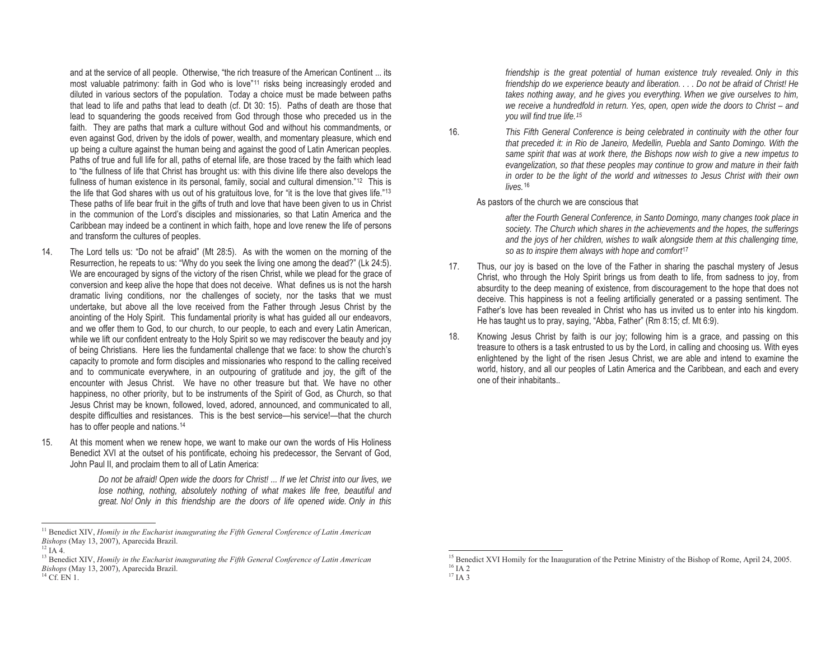and at the service of all people. Otherwise, "the rich treasure of the American Continent ... its most valuable patrimony: faith in God who is love"<sup>11</sup> risks being increasingly eroded and diluted in various sectors of the population. Today a choice must be made between paths that lead to life and paths that lead to death (cf. Dt 30: 15). Paths of death are those that lead to squandering the goods received from God through those who preceded us in the faith. They are paths that mark a culture without God and without his commandments, or even against God, driven by the idols of power, wealth, and momentary pleasure, which end up being a culture against the human being and against the good of Latin American peoples. Paths of true and full life for all, paths of eternal life, are those traced by the faith which lead to "the fullness of life that Christ has brought us: with this divine life there also develops the fullness of human existence in its personal, family, social and cultural dimension."<sup>12</sup> This is the life that God shares with us out of his gratuitous love, for "it is the love that gives life."13 These paths of life bear fruit in the gifts of truth and love that have been given to us in Christ in the communion of the Lord's disciples and missionaries, so that Latin America and the Caribbean may indeed be a continent in which faith, hope and love renew the life of persons and transform the cultures of peoples.

- 14. The Lord tells us: "Do not be afraid" (Mt 28:5). As with the women on the morning of the Resurrection, he repeats to us: "Why do you seek the living one among the dead?" (Lk 24:5). We are encouraged by signs of the victory of the risen Christ, while we plead for the grace of conversion and keep alive the hope that does not deceive. What defines us is not the harsh dramatic living conditions, nor the challenges of society, nor the tasks that we must undertake, but above all the love received from the Father through Jesus Christ by the anointing of the Holy Spirit. This fundamental priority is what has guided all our endeavors, and we offer them to God, to our church, to our people, to each and every Latin American, while we lift our confident entreaty to the Holy Spirit so we may rediscover the beauty and joy of being Christians. Here lies the fundamental challenge that we face: to show the church's capacity to promote and form disciples and missionaries who respond to the calling received and to communicate everywhere, in an outpouring of gratitude and joy, the gift of the encounter with Jesus Christ. We have no other treasure but that. We have no other happiness, no other priority, but to be instruments of the Spirit of God, as Church, so that Jesus Christ may be known, followed, loved, adored, announced, and communicated to all, despite difficulties and resistances. This is the best service—his service!—that the church has to offer people and nations.<sup>14</sup>
- 15. At this moment when we renew hope, we want to make our own the words of His Holiness Benedict XVI at the outset of his pontificate, echoing his predecessor, the Servant of God, John Paul II, and proclaim them to all of Latin America:

*Do not be afraid! Open wide the doors for Christ! ... If we let Christ into our lives, we*  lose nothing, nothing, absolutely nothing of what makes life free, beautiful and *great. No! Only in this friendship are the doors of life opened wide. Only in this* 

*friendship is the great potential of human existence truly revealed. Only in this friendship do we experience beauty and liberation. . . . Do not be afraid of Christ! He takes nothing away, and he gives you everything. When we give ourselves to him, we receive a hundredfold in return. Yes, open, open wide the doors to Christ – and you will find true life.15*

16.

 *This Fifth General Conference is being celebrated in continuity with the other four that preceded it: in Rio de Janeiro, Medellin, Puebla and Santo Domingo. With the same spirit that was at work there, the Bishops now wish to give a new impetus to evangelization, so that these peoples may continue to grow and mature in their faith*  in order to be the light of the world and witnesses to Jesus Christ with their own *lives.*<sup>16</sup>

As pastors of the church we are conscious that

*after the Fourth General Conference, in Santo Domingo, many changes took place in society. The Church which shares in the achievements and the hopes, the sufferings and the joys of her children, wishes to walk alongside them at this challenging time, so as to inspire them always with hope and comfort*<sup>17</sup>

- 17. Thus, our joy is based on the love of the Father in sharing the paschal mystery of Jesus Christ, who through the Holy Spirit brings us from death to life, from sadness to joy, from absurdity to the deep meaning of existence, from discouragement to the hope that does not deceive. This happiness is not a feeling artificially generated or a passing sentiment. The Father's love has been revealed in Christ who has us invited us to enter into his kingdom. He has taught us to pray, saying, "Abba, Father" (Rm 8:15; cf. Mt 6:9).
- 18. Knowing Jesus Christ by faith is our joy; following him is a grace, and passing on this treasure to others is a task entrusted to us by the Lord, in calling and choosing us. With eyes enlightened by the light of the risen Jesus Christ, we are able and intend to examine the world, history, and all our peoples of Latin America and the Caribbean, and each and every one of their inhabitants..

<sup>&</sup>lt;sup>11</sup> Benedict XIV, *Homily in the Eucharist inaugurating the Fifth General Conference of Latin American Bishops* (May 13, 2007), Aparecida Brazil.

 $^{12}$  IA 4.

<sup>&</sup>lt;sup>13</sup> Benedict XIV, *Homily in the Eucharist inaugurating the Fifth General Conference of Latin American Bishops* (May 13, 2007), Aparecida Brazil.

 $^{14}$  Cf. EN 1.

<sup>&</sup>lt;sup>15</sup> Benedict XVI Homily for the Inauguration of the Petrine Ministry of the Bishop of Rome, April 24, 2005.  $16$  IA 2

 $17$  IA 3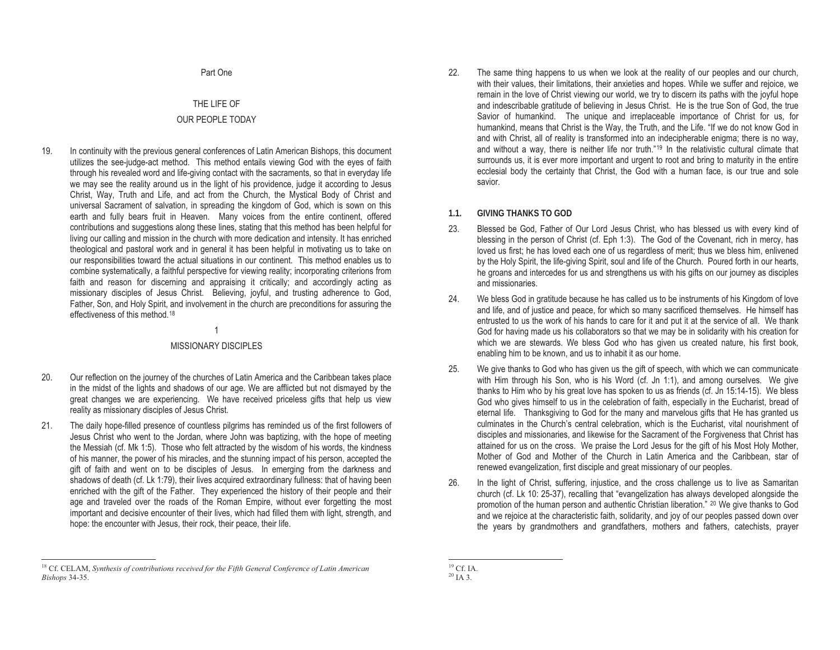# Part One

# THE LIFE OF

#### OUR PEOPLE TODAY

19. In continuity with the previous general conferences of Latin American Bishops, this document utilizes the see-judge-act method. This method entails viewing God with the eyes of faith through his revealed word and life-giving contact with the sacraments, so that in everyday life we may see the reality around us in the light of his providence, judge it according to Jesus Christ, Way, Truth and Life, and act from the Church, the Mystical Body of Christ and universal Sacrament of salvation, in spreading the kingdom of God, which is sown on this earth and fully bears fruit in Heaven. Many voices from the entire continent, offered contributions and suggestions along these lines, stating that this method has been helpful for living our calling and mission in the church with more dedication and intensity. It has enriched theological and pastoral work and in general it has been helpful in motivating us to take on our responsibilities toward the actual situations in our continent. This method enables us to combine systematically, a faithful perspective for viewing reality; incorporating criterions from faith and reason for discerning and appraising it critically; and accordingly acting as missionary disciples of Jesus Christ. Believing, joyful, and trusting adherence to God, Father, Son, and Holy Spirit, and involvement in the church are preconditions for assuring the effectiveness of this method.18

#### 1

#### MISSIONARY DISCIPLES

- 20. Our reflection on the journey of the churches of Latin America and the Caribbean takes place in the midst of the lights and shadows of our age. We are afflicted but not dismayed by the great changes we are experiencing. We have received priceless gifts that help us view reality as missionary disciples of Jesus Christ.
- 21. The daily hope-filled presence of countless pilgrims has reminded us of the first followers of Jesus Christ who went to the Jordan, where John was baptizing, with the hope of meeting the Messiah (cf. Mk 1:5). Those who felt attracted by the wisdom of his words, the kindness of his manner, the power of his miracles, and the stunning impact of his person, accepted the gift of faith and went on to be disciples of Jesus. In emerging from the darkness and shadows of death (cf. Lk 1:79), their lives acquired extraordinary fullness: that of having been enriched with the gift of the Father. They experienced the history of their people and their age and traveled over the roads of the Roman Empire, without ever forgetting the most important and decisive encounter of their lives, which had filled them with light, strength, and hope: the encounter with Jesus, their rock, their peace, their life.

22. The same thing happens to us when we look at the reality of our peoples and our church, with their values, their limitations, their anxieties and hopes. While we suffer and rejoice, we remain in the love of Christ viewing our world, we try to discern its paths with the joyful hope and indescribable gratitude of believing in Jesus Christ. He is the true Son of God, the true Savior of humankind. The unique and irreplaceable importance of Christ for us, for humankind, means that Christ is the Way, the Truth, and the Life. "If we do not know God in and with Christ, all of reality is transformed into an indecipherable enigma; there is no way, and without a way, there is neither life nor truth."19 In the relativistic cultural climate that surrounds us, it is ever more important and urgent to root and bring to maturity in the entire ecclesial body the certainty that Christ, the God with a human face, is our true and sole savior.

#### **1.1. GIVING THANKS TO GOD**

- 23. Blessed be God, Father of Our Lord Jesus Christ, who has blessed us with every kind of blessing in the person of Christ (cf. Eph 1:3). The God of the Covenant, rich in mercy, has loved us first; he has loved each one of us regardless of merit; thus we bless him, enlivened by the Holy Spirit, the life-giving Spirit, soul and life of the Church. Poured forth in our hearts, he groans and intercedes for us and strengthens us with his gifts on our journey as disciples and missionaries.
- 24. We bless God in gratitude because he has called us to be instruments of his Kingdom of love and life, and of justice and peace, for which so many sacrificed themselves. He himself has entrusted to us the work of his hands to care for it and put it at the service of all. We thank God for having made us his collaborators so that we may be in solidarity with his creation for which we are stewards. We bless God who has given us created nature, his first book, enabling him to be known, and us to inhabit it as our home.
- 25. We give thanks to God who has given us the gift of speech, with which we can communicate with Him through his Son, who is his Word (cf. Jn 1:1), and among ourselves. We give thanks to Him who by his great love has spoken to us as friends (cf. Jn 15:14-15). We bless God who gives himself to us in the celebration of faith, especially in the Eucharist, bread of eternal life. Thanksgiving to God for the many and marvelous gifts that He has granted us culminates in the Church's central celebration, which is the Eucharist, vital nourishment of disciples and missionaries, and likewise for the Sacrament of the Forgiveness that Christ has attained for us on the cross. We praise the Lord Jesus for the gift of his Most Holy Mother, Mother of God and Mother of the Church in Latin America and the Caribbean, star of renewed evangelization, first disciple and great missionary of our peoples.
- 26. In the light of Christ, suffering, injustice, and the cross challenge us to live as Samaritan church (cf. Lk 10: 25-37), recalling that "evangelization has always developed alongside the promotion of the human person and authentic Christian liberation." 20 We give thanks to God and we rejoice at the characteristic faith, solidarity, and joy of our peoples passed down over the years by grandmothers and grandfathers, mothers and fathers, catechists, prayer

<sup>18</sup> Cf. CELAM, *Synthesis of contributions received for the Fifth General Conference of Latin American Bishops* 34-35.

 $19$  Cf. IA.  $^{20}$  IA 3.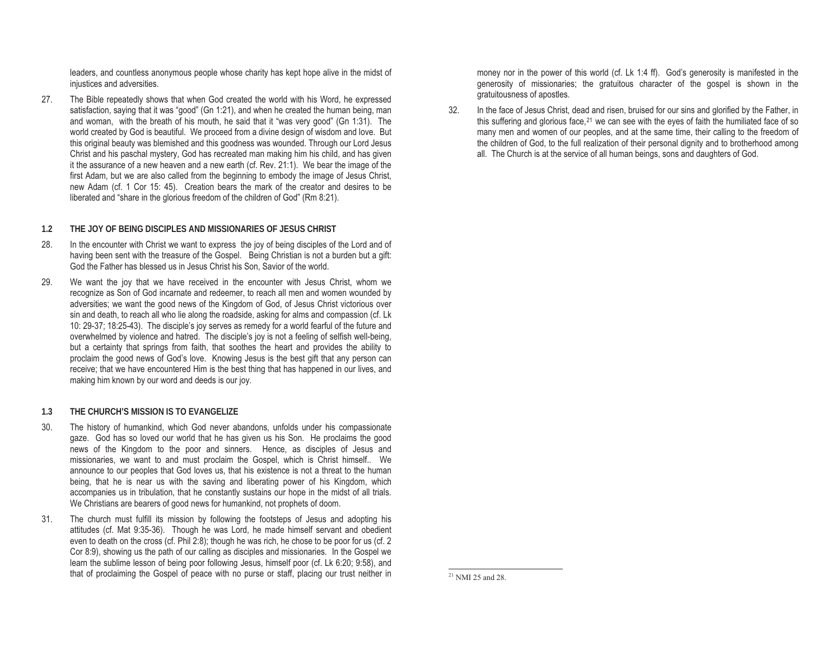leaders, and countless anonymous people whose charity has kept hope alive in the midst of injustices and adversities.

27. The Bible repeatedly shows that when God created the world with his Word, he expressed satisfaction, saying that it was "good" (Gn 1:21), and when he created the human being, man and woman, with the breath of his mouth, he said that it "was very good" (Gn 1:31). The world created by God is beautiful. We proceed from a divine design of wisdom and love. But this original beauty was blemished and this goodness was wounded. Through our Lord Jesus Christ and his paschal mystery, God has recreated man making him his child, and has given it the assurance of a new heaven and a new earth (cf. Rev. 21:1). We bear the image of the first Adam, but we are also called from the beginning to embody the image of Jesus Christ, new Adam (cf. 1 Cor 15: 45). Creation bears the mark of the creator and desires to be liberated and "share in the glorious freedom of the children of God" (Rm 8:21).

#### **1.2 THE JOY OF BEING DISCIPLES AND MISSIONARIES OF JESUS CHRIST**

- 28. In the encounter with Christ we want to express the joy of being disciples of the Lord and of having been sent with the treasure of the Gospel. Being Christian is not a burden but a gift: God the Father has blessed us in Jesus Christ his Son, Savior of the world.
- 29. We want the joy that we have received in the encounter with Jesus Christ, whom we recognize as Son of God incarnate and redeemer, to reach all men and women wounded by adversities; we want the good news of the Kingdom of God, of Jesus Christ victorious over sin and death, to reach all who lie along the roadside, asking for alms and compassion (cf. Lk 10: 29-37; 18:25-43). The disciple's joy serves as remedy for a world fearful of the future and overwhelmed by violence and hatred. The disciple's joy is not a feeling of selfish well-being, but a certainty that springs from faith, that soothes the heart and provides the ability to proclaim the good news of God's love. Knowing Jesus is the best gift that any person can receive; that we have encountered Him is the best thing that has happened in our lives, and making him known by our word and deeds is our joy.

#### **1.3 THE CHURCH'S MISSION IS TO EVANGELIZE**

- 30. The history of humankind, which God never abandons, unfolds under his compassionate gaze. God has so loved our world that he has given us his Son. He proclaims the good news of the Kingdom to the poor and sinners. Hence, as disciples of Jesus and missionaries, we want to and must proclaim the Gospel, which is Christ himself.. We announce to our peoples that God loves us, that his existence is not a threat to the human being, that he is near us with the saving and liberating power of his Kingdom, which accompanies us in tribulation, that he constantly sustains our hope in the midst of all trials. We Christians are bearers of good news for humankind, not prophets of doom.
- 31. The church must fulfill its mission by following the footsteps of Jesus and adopting his attitudes (cf. Mat 9:35-36). Though he was Lord, he made himself servant and obedient even to death on the cross (cf. Phil 2:8); though he was rich, he chose to be poor for us (cf. 2 Cor 8:9), showing us the path of our calling as disciples and missionaries. In the Gospel we learn the sublime lesson of being poor following Jesus, himself poor (cf. Lk 6:20; 9:58), and that of proclaiming the Gospel of peace with no purse or staff, placing our trust neither in

money nor in the power of this world (cf. Lk 1:4 ff). God's generosity is manifested in the generosity of missionaries; the gratuitous character of the gospel is shown in the gratuitousness of apostles.

32. In the face of Jesus Christ, dead and risen, bruised for our sins and glorified by the Father, in this suffering and glorious face, $21$  we can see with the eyes of faith the humiliated face of so many men and women of our peoples, and at the same time, their calling to the freedom of the children of God, to the full realization of their personal dignity and to brotherhood among all. The Church is at the service of all human beings, sons and daughters of God.

 $^{21}$  NMI 25 and 28.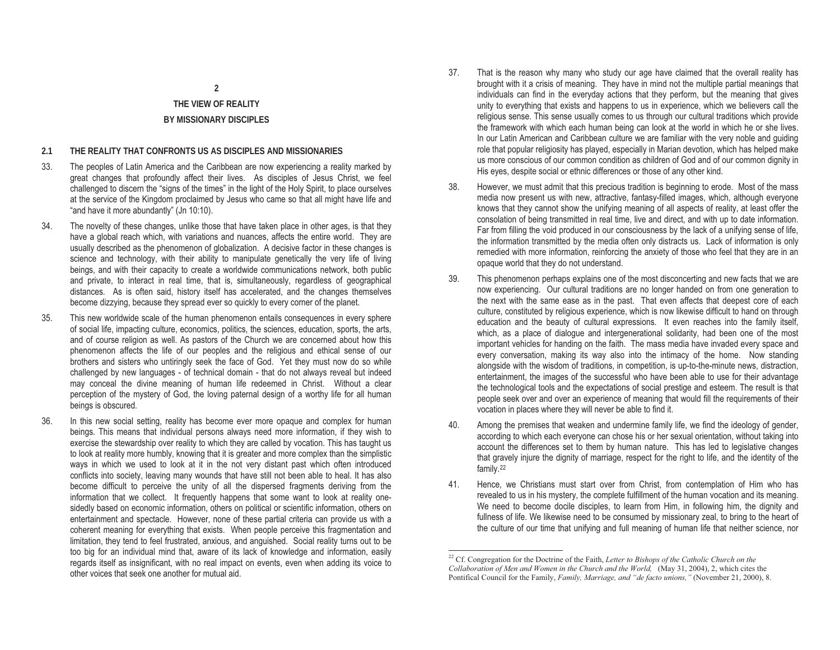# **THE VIEW OF REALITY BY MISSIONARY DISCIPLES**

**2**

## **2.1 THE REALITY THAT CONFRONTS US AS DISCIPLES AND MISSIONARIES**

- 33. The peoples of Latin America and the Caribbean are now experiencing a reality marked by great changes that profoundly affect their lives. As disciples of Jesus Christ, we feel challenged to discern the "signs of the times" in the light of the Holy Spirit, to place ourselves at the service of the Kingdom proclaimed by Jesus who came so that all might have life and "and have it more abundantly" (Jn 10:10).
- 34. The novelty of these changes, unlike those that have taken place in other ages, is that they have a global reach which, with variations and nuances, affects the entire world. They are usually described as the phenomenon of globalization. A decisive factor in these changes is science and technology, with their ability to manipulate genetically the very life of living beings, and with their capacity to create a worldwide communications network, both public and private, to interact in real time, that is, simultaneously, regardless of geographical distances. As is often said, history itself has accelerated, and the changes themselves become dizzying, because they spread ever so quickly to every corner of the planet.
- 35. This new worldwide scale of the human phenomenon entails consequences in every sphere of social life, impacting culture, economics, politics, the sciences, education, sports, the arts, and of course religion as well. As pastors of the Church we are concerned about how this phenomenon affects the life of our peoples and the religious and ethical sense of our brothers and sisters who untiringly seek the face of God. Yet they must now do so while challenged by new languages - of technical domain - that do not always reveal but indeed may conceal the divine meaning of human life redeemed in Christ. Without a clear perception of the mystery of God, the loving paternal design of a worthy life for all human beings is obscured.
- 36. In this new social setting, reality has become ever more opaque and complex for human beings. This means that individual persons always need more information, if they wish to exercise the stewardship over reality to which they are called by vocation. This has taught us to look at reality more humbly, knowing that it is greater and more complex than the simplistic ways in which we used to look at it in the not very distant past which often introduced conflicts into society, leaving many wounds that have still not been able to heal. It has also become difficult to perceive the unity of all the dispersed fragments deriving from the information that we collect. It frequently happens that some want to look at reality onesidedly based on economic information, others on political or scientific information, others on entertainment and spectacle. However, none of these partial criteria can provide us with a coherent meaning for everything that exists. When people perceive this fragmentation and limitation, they tend to feel frustrated, anxious, and anguished. Social reality turns out to be too big for an individual mind that, aware of its lack of knowledge and information, easily regards itself as insignificant, with no real impact on events, even when adding its voice to other voices that seek one another for mutual aid.
- 37. That is the reason why many who study our age have claimed that the overall reality has brought with it a crisis of meaning. They have in mind not the multiple partial meanings that individuals can find in the everyday actions that they perform, but the meaning that gives unity to everything that exists and happens to us in experience, which we believers call the religious sense. This sense usually comes to us through our cultural traditions which provide the framework with which each human being can look at the world in which he or she lives. In our Latin American and Caribbean culture we are familiar with the very noble and guiding role that popular religiosity has played, especially in Marian devotion, which has helped make us more conscious of our common condition as children of God and of our common dignity in His eyes, despite social or ethnic differences or those of any other kind.
- 38. However, we must admit that this precious tradition is beginning to erode. Most of the mass media now present us with new, attractive, fantasy-filled images, which, although everyone knows that they cannot show the unifying meaning of all aspects of reality, at least offer the consolation of being transmitted in real time, live and direct, and with up to date information. Far from filling the void produced in our consciousness by the lack of a unifying sense of life, the information transmitted by the media often only distracts us. Lack of information is only remedied with more information, reinforcing the anxiety of those who feel that they are in an opaque world that they do not understand.
- 39. This phenomenon perhaps explains one of the most disconcerting and new facts that we are now experiencing. Our cultural traditions are no longer handed on from one generation to the next with the same ease as in the past. That even affects that deepest core of each culture, constituted by religious experience, which is now likewise difficult to hand on through education and the beauty of cultural expressions. It even reaches into the family itself, which, as a place of dialogue and intergenerational solidarity, had been one of the most important vehicles for handing on the faith. The mass media have invaded every space and every conversation, making its way also into the intimacy of the home. Now standing alongside with the wisdom of traditions, in competition, is up-to-the-minute news, distraction, entertainment, the images of the successful who have been able to use for their advantage the technological tools and the expectations of social prestige and esteem. The result is that people seek over and over an experience of meaning that would fill the requirements of their vocation in places where they will never be able to find it.
- 40. Among the premises that weaken and undermine family life, we find the ideology of gender, according to which each everyone can chose his or her sexual orientation, without taking into account the differences set to them by human nature. This has led to legislative changes that gravely injure the dignity of marriage, respect for the right to life, and the identity of the family.22
- 41. Hence, we Christians must start over from Christ, from contemplation of Him who has revealed to us in his mystery, the complete fulfillment of the human vocation and its meaning. We need to become docile disciples, to learn from Him, in following him, the dignity and fullness of life. We likewise need to be consumed by missionary zeal, to bring to the heart of the culture of our time that unifying and full meaning of human life that neither science, nor

<sup>&</sup>lt;sup>22</sup> Cf. Congregation for the Doctrine of the Faith, *Letter to Bishops of the Catholic Church on the Collaboration of Men and Women in the Church and the World,* (May 31, 2004), 2, which cites the Pontifical Council for the Family, *Family, Marriage, and "de facto unions,"* (November 21, 2000), 8.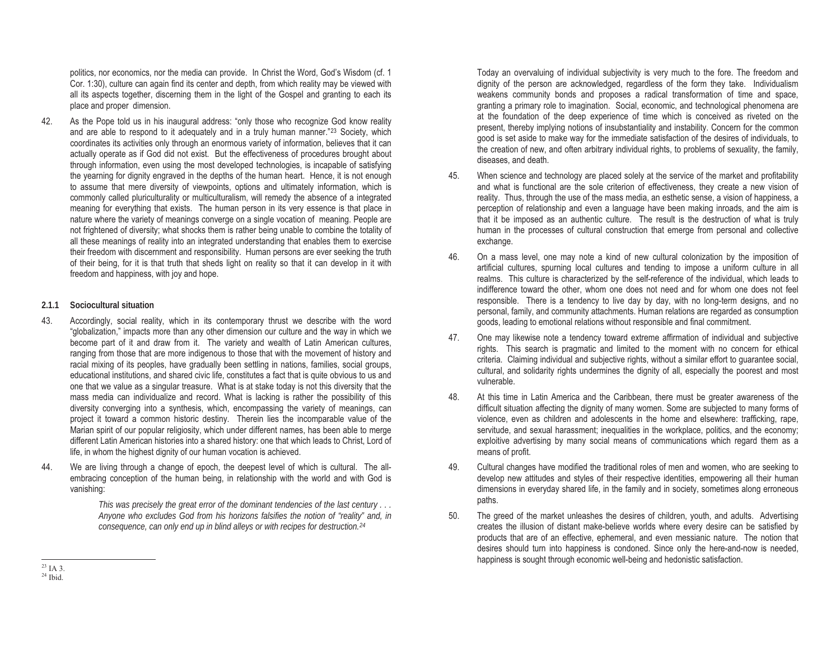politics, nor economics, nor the media can provide. In Christ the Word, God's Wisdom (cf. 1 Cor. 1:30), culture can again find its center and depth, from which reality may be viewed with all its aspects together, discerning them in the light of the Gospel and granting to each its place and proper dimension.

- 42. As the Pope told us in his inaugural address: "only those who recognize God know reality and are able to respond to it adequately and in a truly human manner."<sup>23</sup> Society, which coordinates its activities only through an enormous variety of information, believes that it can actually operate as if God did not exist. But the effectiveness of procedures brought about through information, even using the most developed technologies, is incapable of satisfying the yearning for dignity engraved in the depths of the human heart. Hence, it is not enough to assume that mere diversity of viewpoints, options and ultimately information, which is commonly called pluriculturality or multiculturalism, will remedy the absence of a integrated meaning for everything that exists. The human person in its very essence is that place in nature where the variety of meanings converge on a single vocation of meaning. People are not frightened of diversity; what shocks them is rather being unable to combine the totality of all these meanings of reality into an integrated understanding that enables them to exercise their freedom with discernment and responsibility. Human persons are ever seeking the truth of their being, for it is that truth that sheds light on reality so that it can develop in it with freedom and happiness, with joy and hope.
- **2.1.1 Sociocultural situation**
- 43. Accordingly, social reality, which in its contemporary thrust we describe with the word "globalization," impacts more than any other dimension our culture and the way in which we become part of it and draw from it. The variety and wealth of Latin American cultures, ranging from those that are more indigenous to those that with the movement of history and racial mixing of its peoples, have gradually been settling in nations, families, social groups, educational institutions, and shared civic life, constitutes a fact that is quite obvious to us and one that we value as a singular treasure. What is at stake today is not this diversity that the mass media can individualize and record. What is lacking is rather the possibility of this diversity converging into a synthesis, which, encompassing the variety of meanings, can project it toward a common historic destiny. Therein lies the incomparable value of the Marian spirit of our popular religiosity, which under different names, has been able to merge different Latin American histories into a shared history: one that which leads to Christ, Lord of life, in whom the highest dignity of our human vocation is achieved.
- 44. We are living through a change of epoch, the deepest level of which is cultural. The allembracing conception of the human being, in relationship with the world and with God is vanishing:

*This was precisely the great error of the dominant tendencies of the last century . . . Anyone who excludes God from his horizons falsifies the notion of "reality" and, in consequence, can only end up in blind alleys or with recipes for destruction.24*

Today an overvaluing of individual subjectivity is very much to the fore. The freedom and dignity of the person are acknowledged, regardless of the form they take. Individualism weakens community bonds and proposes a radical transformation of time and space, granting a primary role to imagination. Social, economic, and technological phenomena are at the foundation of the deep experience of time which is conceived as riveted on the present, thereby implying notions of insubstantiality and instability. Concern for the common good is set aside to make way for the immediate satisfaction of the desires of individuals, to the creation of new, and often arbitrary individual rights, to problems of sexuality, the family, diseases, and death.

- 45. When science and technology are placed solely at the service of the market and profitability and what is functional are the sole criterion of effectiveness, they create a new vision of reality. Thus, through the use of the mass media, an esthetic sense, a vision of happiness, a perception of relationship and even a language have been making inroads, and the aim is that it be imposed as an authentic culture. The result is the destruction of what is truly human in the processes of cultural construction that emerge from personal and collective exchange.
- 46. On a mass level, one may note a kind of new cultural colonization by the imposition of artificial cultures, spurning local cultures and tending to impose a uniform culture in all realms. This culture is characterized by the self-reference of the individual, which leads to indifference toward the other, whom one does not need and for whom one does not feel responsible. There is a tendency to live day by day, with no long-term designs, and no personal, family, and community attachments. Human relations are regarded as consumption goods, leading to emotional relations without responsible and final commitment.
- 47. One may likewise note a tendency toward extreme affirmation of individual and subjective rights. This search is pragmatic and limited to the moment with no concern for ethical criteria. Claiming individual and subjective rights, without a similar effort to guarantee social, cultural, and solidarity rights undermines the dignity of all, especially the poorest and most vulnerable.
- 48. At this time in Latin America and the Caribbean, there must be greater awareness of the difficult situation affecting the dignity of many women. Some are subjected to many forms of violence, even as children and adolescents in the home and elsewhere: trafficking, rape, servitude, and sexual harassment; inequalities in the workplace, politics, and the economy; exploitive advertising by many social means of communications which regard them as a means of profit.
- 49. Cultural changes have modified the traditional roles of men and women, who are seeking to develop new attitudes and styles of their respective identities, empowering all their human dimensions in everyday shared life, in the family and in society, sometimes along erroneous paths.
- 50. The greed of the market unleashes the desires of children, youth, and adults. Advertising creates the illusion of distant make-believe worlds where every desire can be satisfied by products that are of an effective, ephemeral, and even messianic nature. The notion that desires should turn into happiness is condoned. Since only the here-and-now is needed, happiness is sought through economic well-being and hedonistic satisfaction.

 $^{23}$  IA 3.  $24$  Ibid.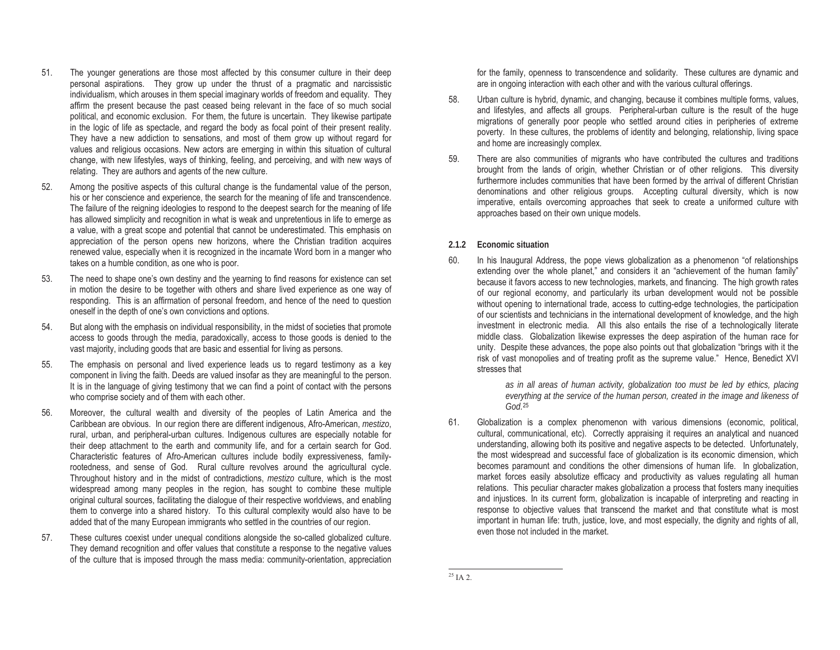- 51. The younger generations are those most affected by this consumer culture in their deep personal aspirations. They grow up under the thrust of a pragmatic and narcissistic individualism, which arouses in them special imaginary worlds of freedom and equality. They affirm the present because the past ceased being relevant in the face of so much social political, and economic exclusion. For them, the future is uncertain. They likewise partipate in the logic of life as spectacle, and regard the body as focal point of their present reality. They have a new addiction to sensations, and most of them grow up without regard for values and religious occasions. New actors are emerging in within this situation of cultural change, with new lifestyles, ways of thinking, feeling, and perceiving, and with new ways of relating. They are authors and agents of the new culture.
- 52. Among the positive aspects of this cultural change is the fundamental value of the person, his or her conscience and experience, the search for the meaning of life and transcendence. The failure of the reigning ideologies to respond to the deepest search for the meaning of life has allowed simplicity and recognition in what is weak and unpretentious in life to emerge as a value, with a great scope and potential that cannot be underestimated. This emphasis on appreciation of the person opens new horizons, where the Christian tradition acquires renewed value, especially when it is recognized in the incarnate Word born in a manger who takes on a humble condition, as one who is poor.
- 53. The need to shape one's own destiny and the yearning to find reasons for existence can set in motion the desire to be together with others and share lived experience as one way of responding. This is an affirmation of personal freedom, and hence of the need to question oneself in the depth of one's own convictions and options.
- 54. But along with the emphasis on individual responsibility, in the midst of societies that promote access to goods through the media, paradoxically, access to those goods is denied to the vast majority, including goods that are basic and essential for living as persons.
- 55. The emphasis on personal and lived experience leads us to regard testimony as a key component in living the faith. Deeds are valued insofar as they are meaningful to the person. It is in the language of giving testimony that we can find a point of contact with the persons who comprise society and of them with each other.
- 56. Moreover, the cultural wealth and diversity of the peoples of Latin America and the Caribbean are obvious. In our region there are different indigenous, Afro-American, *mestizo*, rural, urban, and peripheral-urban cultures. Indigenous cultures are especially notable for their deep attachment to the earth and community life, and for a certain search for God. Characteristic features of Afro-American cultures include bodily expressiveness, familyrootedness, and sense of God. Rural culture revolves around the agricultural cycle. Throughout history and in the midst of contradictions, *mestizo* culture, which is the most widespread among many peoples in the region, has sought to combine these multiple original cultural sources, facilitating the dialogue of their respective worldviews, and enabling them to converge into a shared history. To this cultural complexity would also have to be added that of the many European immigrants who settled in the countries of our region.
- 57. These cultures coexist under unequal conditions alongside the so-called globalized culture. They demand recognition and offer values that constitute a response to the negative values of the culture that is imposed through the mass media: community-orientation, appreciation

for the family, openness to transcendence and solidarity. These cultures are dynamic and are in ongoing interaction with each other and with the various cultural offerings.

- 58. Urban culture is hybrid, dynamic, and changing, because it combines multiple forms, values, and lifestyles, and affects all groups. Peripheral-urban culture is the result of the huge migrations of generally poor people who settled around cities in peripheries of extreme poverty. In these cultures, the problems of identity and belonging, relationship, living space and home are increasingly complex.
- 59. There are also communities of migrants who have contributed the cultures and traditions brought from the lands of origin, whether Christian or of other religions. This diversity furthermore includes communities that have been formed by the arrival of different Christian denominations and other religious groups. Accepting cultural diversity, which is now imperative, entails overcoming approaches that seek to create a uniformed culture with approaches based on their own unique models.

# **2.1.2 Economic situation**

60. In his Inaugural Address, the pope views globalization as a phenomenon "of relationships extending over the whole planet," and considers it an "achievement of the human family" because it favors access to new technologies, markets, and financing. The high growth rates of our regional economy, and particularly its urban development would not be possible without opening to international trade, access to cutting-edge technologies, the participation of our scientists and technicians in the international development of knowledge, and the high investment in electronic media. All this also entails the rise of a technologically literate middle class. Globalization likewise expresses the deep aspiration of the human race for unity. Despite these advances, the pope also points out that globalization "brings with it the risk of vast monopolies and of treating profit as the supreme value." Hence, Benedict XVI stresses that

> as in all areas of human activity, globalization too must be led by ethics, placing *everything at the service of the human person, created in the image and likeness of God*.<sup>25</sup>

61. Globalization is a complex phenomenon with various dimensions (economic, political, cultural, communicational, etc). Correctly appraising it requires an analytical and nuanced understanding, allowing both its positive and negative aspects to be detected. Unfortunately, the most widespread and successful face of globalization is its economic dimension, which becomes paramount and conditions the other dimensions of human life. In globalization, market forces easily absolutize efficacy and productivity as values regulating all human relations. This peculiar character makes globalization a process that fosters many inequities and injustices. In its current form, globalization is incapable of interpreting and reacting in response to objective values that transcend the market and that constitute what is most important in human life: truth, justice, love, and most especially, the dignity and rights of all, even those not included in the market.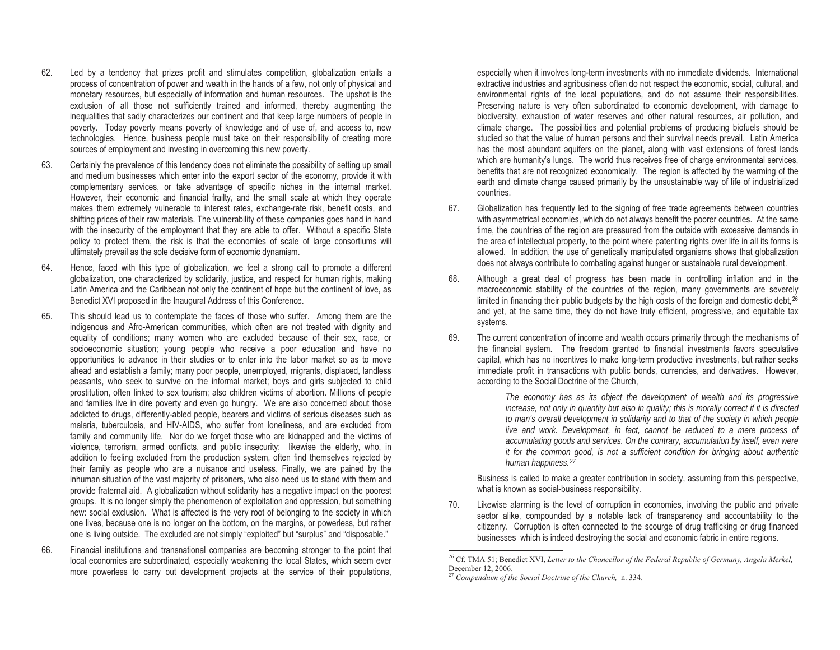- 62. Led by a tendency that prizes profit and stimulates competition, globalization entails a process of concentration of power and wealth in the hands of a few, not only of physical and monetary resources, but especially of information and human resources. The upshot is the exclusion of all those not sufficiently trained and informed, thereby augmenting the inequalities that sadly characterizes our continent and that keep large numbers of people in poverty. Today poverty means poverty of knowledge and of use of, and access to, new technologies. Hence, business people must take on their responsibility of creating more sources of employment and investing in overcoming this new poverty.
- 63. Certainly the prevalence of this tendency does not eliminate the possibility of setting up small and medium businesses which enter into the export sector of the economy, provide it with complementary services, or take advantage of specific niches in the internal market. However, their economic and financial frailty, and the small scale at which they operate makes them extremely vulnerable to interest rates, exchange-rate risk, benefit costs, and shifting prices of their raw materials. The vulnerability of these companies goes hand in hand with the insecurity of the employment that they are able to offer. Without a specific State policy to protect them, the risk is that the economies of scale of large consortiums will ultimately prevail as the sole decisive form of economic dynamism.
- 64. Hence, faced with this type of globalization, we feel a strong call to promote a different globalization, one characterized by solidarity, justice, and respect for human rights, making Latin America and the Caribbean not only the continent of hope but the continent of love, as Benedict XVI proposed in the Inaugural Address of this Conference.
- 65. This should lead us to contemplate the faces of those who suffer. Among them are the indigenous and Afro-American communities, which often are not treated with dignity and equality of conditions; many women who are excluded because of their sex, race, or socioeconomic situation; young people who receive a poor education and have no opportunities to advance in their studies or to enter into the labor market so as to move ahead and establish a family; many poor people, unemployed, migrants, displaced, landless peasants, who seek to survive on the informal market; boys and girls subjected to child prostitution, often linked to sex tourism; also children victims of abortion. Millions of people and families live in dire poverty and even go hungry. We are also concerned about those addicted to drugs, differently-abled people, bearers and victims of serious diseases such as malaria, tuberculosis, and HIV-AIDS, who suffer from loneliness, and are excluded from family and community life. Nor do we forget those who are kidnapped and the victims of violence, terrorism, armed conflicts, and public insecurity; likewise the elderly, who, in addition to feeling excluded from the production system, often find themselves rejected by their family as people who are a nuisance and useless. Finally, we are pained by the inhuman situation of the vast majority of prisoners, who also need us to stand with them and provide fraternal aid. A globalization without solidarity has a negative impact on the poorest groups. It is no longer simply the phenomenon of exploitation and oppression, but something new: social exclusion. What is affected is the very root of belonging to the society in which one lives, because one is no longer on the bottom, on the margins, or powerless, but rather one is living outside. The excluded are not simply "exploited" but "surplus" and "disposable."
- 66. Financial institutions and transnational companies are becoming stronger to the point that local economies are subordinated, especially weakening the local States, which seem ever more powerless to carry out development projects at the service of their populations,

especially when it involves long-term investments with no immediate dividends. International extractive industries and agribusiness often do not respect the economic, social, cultural, and environmental rights of the local populations, and do not assume their responsibilities. Preserving nature is very often subordinated to economic development, with damage to biodiversity, exhaustion of water reserves and other natural resources, air pollution, and climate change. The possibilities and potential problems of producing biofuels should be studied so that the value of human persons and their survival needs prevail. Latin America has the most abundant aquifers on the planet, along with vast extensions of forest lands which are humanity's lungs. The world thus receives free of charge environmental services, benefits that are not recognized economically. The region is affected by the warming of the earth and climate change caused primarily by the unsustainable way of life of industrialized countries.

- 67. Globalization has frequently led to the signing of free trade agreements between countries with asymmetrical economies, which do not always benefit the poorer countries. At the same time, the countries of the region are pressured from the outside with excessive demands in the area of intellectual property, to the point where patenting rights over life in all its forms is allowed. In addition, the use of genetically manipulated organisms shows that globalization does not always contribute to combating against hunger or sustainable rural development.
- 68. Although a great deal of progress has been made in controlling inflation and in the macroeconomic stability of the countries of the region, many governments are severely limited in financing their public budgets by the high costs of the foreign and domestic debt,  $26$ and yet, at the same time, they do not have truly efficient, progressive, and equitable tax systems.
- 69. The current concentration of income and wealth occurs primarily through the mechanisms of the financial system. The freedom granted to financial investments favors speculative capital, which has no incentives to make long-term productive investments, but rather seeks immediate profit in transactions with public bonds, currencies, and derivatives. However, according to the Social Doctrine of the Church,

*The economy has as its object the development of wealth and its progressive increase, not only in quantity but also in quality; this is morally correct if it is directed to man's overall development in solidarity and to that of the society in which people live and work. Development, in fact, cannot be reduced to a mere process of accumulating goods and services. On the contrary, accumulation by itself, even were it for the common good, is not a sufficient condition for bringing about authentic human happiness.27*

Business is called to make a greater contribution in society, assuming from this perspective, what is known as social-business responsibility.

70. Likewise alarming is the level of corruption in economies, involving the public and private sector alike, compounded by a notable lack of transparency and accountability to the citizenry. Corruption is often connected to the scourge of drug trafficking or drug financed businesses which is indeed destroying the social and economic fabric in entire regions.

<sup>26</sup> Cf. TMA 51; Benedict XVI, *Letter to the Chancellor of the Federal Republic of Germany, Angela Merkel,*  December 12, 2006.

<sup>27</sup> *Compendium of the Social Doctrine of the Church,* n. 334.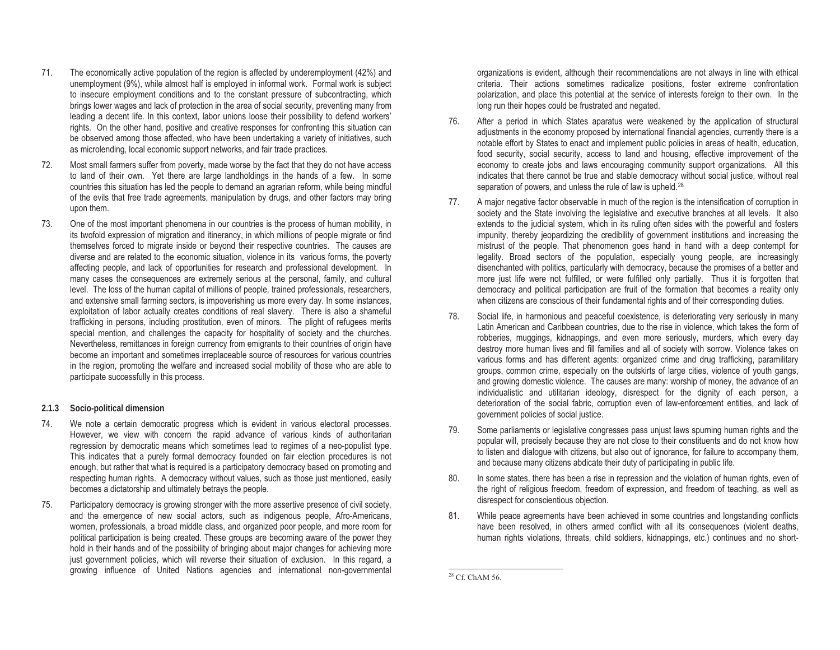- 71. The economically active population of the region is affected by underemployment (42%) and unemployment (9%), while almost half is employed in informal work. Formal work is subject to insecure employment conditions and to the constant pressure of subcontracting, which brings lower wages and lack of protection in the area of social security, preventing many from leading a decent life. In this context, labor unions loose their possibility to defend workers' rights. On the other hand, positive and creative responses for confronting this situation can be observed among those affected, who have been undertaking a variety of initiatives, such as microlending, local economic support networks, and fair trade practices.
- 72. Most small farmers suffer from poverty, made worse by the fact that they do not have access to land of their own. Yet there are large landholdings in the hands of a few. In some countries this situation has led the people to demand an agrarian reform, while being mindful of the evils that free trade agreements, manipulation by drugs, and other factors may bring upon them.
- 73. One of the most important phenomena in our countries is the process of human mobility, in its twofold expression of migration and itinerancy, in which millions of people migrate or find themselves forced to migrate inside or beyond their respective countries. The causes are diverse and are related to the economic situation, violence in its various forms, the poverty affecting people, and lack of opportunities for research and professional development. In many cases the consequences are extremely serious at the personal, family, and cultural level. The loss of the human capital of millions of people, trained professionals, researchers, and extensive small farming sectors, is impoverishing us more every day. In some instances, exploitation of labor actually creates conditions of real slavery. There is also a shameful trafficking in persons, including prostitution, even of minors. The plight of refugees merits special mention, and challenges the capacity for hospitality of society and the churches. Nevertheless, remittances in foreign currency from emigrants to their countries of origin have become an important and sometimes irreplaceable source of resources for various countries in the region, promoting the welfare and increased social mobility of those who are able to participate successfully in this process.
- **2.1.3 Socio-political dimension**
- 74. We note a certain democratic progress which is evident in various electoral processes. However, we view with concern the rapid advance of various kinds of authoritarian regression by democratic means which sometimes lead to regimes of a neo-populist type. This indicates that a purely formal democracy founded on fair election procedures is not enough, but rather that what is required is a participatory democracy based on promoting and respecting human rights. A democracy without values, such as those just mentioned, easily becomes a dictatorship and ultimately betrays the people.
- 75. Participatory democracy is growing stronger with the more assertive presence of civil society, and the emergence of new social actors, such as indigenous people, Afro-Americans, women, professionals, a broad middle class, and organized poor people, and more room for political participation is being created. These groups are becoming aware of the power they hold in their hands and of the possibility of bringing about major changes for achieving more just government policies, which will reverse their situation of exclusion. In this regard, a growing influence of United Nations agencies and international non-governmental

organizations is evident, although their recommendations are not always in line with ethical criteria. Their actions sometimes radicalize positions, foster extreme confrontation polarization, and place this potential at the service of interests foreign to their own. In the long run their hopes could be frustrated and negated.

- 76. After a period in which States aparatus were weakened by the application of structural adjustments in the economy proposed by international financial agencies, currently there is a notable effort by States to enact and implement public policies in areas of health, education, food security, social security, access to land and housing, effective improvement of the economy to create jobs and laws encouraging community support organizations. All this indicates that there cannot be true and stable democracy without social justice, without real separation of powers, and unless the rule of law is upheld.<sup>28</sup>
- 77. A major negative factor observable in much of the region is the intensification of corruption in society and the State involving the legislative and executive branches at all levels. It also extends to the judicial system, which in its ruling often sides with the powerful and fosters impunity, thereby jeopardizing the credibility of government institutions and increasing the mistrust of the people. That phenomenon goes hand in hand with a deep contempt for legality. Broad sectors of the population, especially young people, are increasingly disenchanted with politics, particularly with democracy, because the promises of a better and more just life were not fulfilled, or were fulfilled only partially. Thus it is forgotten that democracy and political participation are fruit of the formation that becomes a reality only when citizens are conscious of their fundamental rights and of their corresponding duties.
- 78. Social life, in harmonious and peaceful coexistence, is deteriorating very seriously in many Latin American and Caribbean countries, due to the rise in violence, which takes the form of robberies, muggings, kidnappings, and even more seriously, murders, which every day destroy more human lives and fill families and all of society with sorrow. Violence takes on various forms and has different agents: organized crime and drug trafficking, paramilitary groups, common crime, especially on the outskirts of large cities, violence of youth gangs, and growing domestic violence. The causes are many: worship of money, the advance of an individualistic and utilitarian ideology, disrespect for the dignity of each person, a deterioration of the social fabric, corruption even of law-enforcement entities, and lack of government policies of social justice.
- 79. Some parliaments or legislative congresses pass unjust laws spurning human rights and the popular will, precisely because they are not close to their constituents and do not know how to listen and dialogue with citizens, but also out of ignorance, for failure to accompany them, and because many citizens abdicate their duty of participating in public life.
- 80. In some states, there has been a rise in repression and the violation of human rights, even of the right of religious freedom, freedom of expression, and freedom of teaching, as well as disrespect for conscientious objection.
- 81. While peace agreements have been achieved in some countries and longstanding conflicts have been resolved, in others armed conflict with all its consequences (violent deaths, human rights violations, threats, child soldiers, kidnappings, etc.) continues and no short-

<sup>28</sup> Cf. ChAM 56.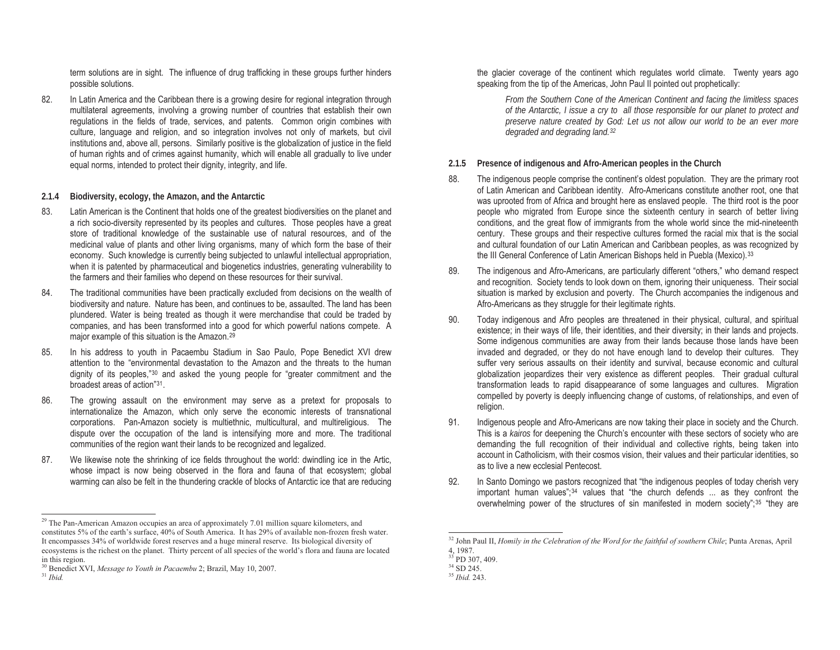term solutions are in sight. The influence of drug trafficking in these groups further hinders possible solutions.

- 82. In Latin America and the Caribbean there is a growing desire for regional integration through multilateral agreements, involving a growing number of countries that establish their own regulations in the fields of trade, services, and patents. Common origin combines with culture, language and religion, and so integration involves not only of markets, but civil institutions and, above all, persons. Similarly positive is the globalization of justice in the field of human rights and of crimes against humanity, which will enable all gradually to live under equal norms, intended to protect their dignity, integrity, and life.
- **2.1.4 Biodiversity, ecology, the Amazon, and the Antarctic**
- 83. Latin American is the Continent that holds one of the greatest biodiversities on the planet and a rich socio-diversity represented by its peoples and cultures. Those peoples have a great store of traditional knowledge of the sustainable use of natural resources, and of the medicinal value of plants and other living organisms, many of which form the base of their economy. Such knowledge is currently being subjected to unlawful intellectual appropriation, when it is patented by pharmaceutical and biogenetics industries, generating vulnerability to the farmers and their families who depend on these resources for their survival.
- 84. The traditional communities have been practically excluded from decisions on the wealth of biodiversity and nature. Nature has been, and continues to be, assaulted. The land has been plundered. Water is being treated as though it were merchandise that could be traded by companies, and has been transformed into a good for which powerful nations compete. A major example of this situation is the Amazon.<sup>29</sup>
- 85. In his address to youth in Pacaembu Stadium in Sao Paulo, Pope Benedict XVI drew attention to the "environmental devastation to the Amazon and the threats to the human dignity of its peoples,"30 and asked the young people for "greater commitment and the broadest areas of action"31.
- 86. The growing assault on the environment may serve as a pretext for proposals to internationalize the Amazon, which only serve the economic interests of transnational corporations. Pan-Amazon society is multiethnic, multicultural, and multireligious. The dispute over the occupation of the land is intensifying more and more. The traditional communities of the region want their lands to be recognized and legalized.
- 87. We likewise note the shrinking of ice fields throughout the world: dwindling ice in the Artic, whose impact is now being observed in the flora and fauna of that ecosystem; global warming can also be felt in the thundering crackle of blocks of Antarctic ice that are reducing

the glacier coverage of the continent which regulates world climate. Twenty years ago speaking from the tip of the Americas, John Paul II pointed out prophetically:

*From the Southern Cone of the American Continent and facing the limitless spaces of the Antarctic, I issue a cry to all those responsible for our planet to protect and preserve nature created by God: Let us not allow our world to be an ever more degraded and degrading land.32*

- **2.1.5 Presence of indigenous and Afro-American peoples in the Church**
- 88. The indigenous people comprise the continent's oldest population. They are the primary root of Latin American and Caribbean identity. Afro-Americans constitute another root, one that was uprooted from of Africa and brought here as enslaved people. The third root is the poor people who migrated from Europe since the sixteenth century in search of better living conditions, and the great flow of immigrants from the whole world since the mid-nineteenth century. These groups and their respective cultures formed the racial mix that is the social and cultural foundation of our Latin American and Caribbean peoples, as was recognized by the III General Conference of Latin American Bishops held in Puebla (Mexico).<sup>33</sup>
- 89. The indigenous and Afro-Americans, are particularly different "others," who demand respect and recognition. Society tends to look down on them, ignoring their uniqueness. Their social situation is marked by exclusion and poverty. The Church accompanies the indigenous and Afro-Americans as they struggle for their legitimate rights.
- 90. Today indigenous and Afro peoples are threatened in their physical, cultural, and spiritual existence; in their ways of life, their identities, and their diversity; in their lands and projects. Some indigenous communities are away from their lands because those lands have been invaded and degraded, or they do not have enough land to develop their cultures. They suffer very serious assaults on their identity and survival, because economic and cultural globalization jeopardizes their very existence as different peoples. Their gradual cultural transformation leads to rapid disappearance of some languages and cultures. Migration compelled by poverty is deeply influencing change of customs, of relationships, and even of religion.
- 91. Indigenous people and Afro-Americans are now taking their place in society and the Church. This is a *kairos* for deepening the Church's encounter with these sectors of society who are demanding the full recognition of their individual and collective rights, being taken into account in Catholicism, with their cosmos vision, their values and their particular identities, so as to live a new ecclesial Pentecost.
- 92. In Santo Domingo we pastors recognized that "the indigenous peoples of today cherish very important human values";<sup>34</sup> values that "the church defends ... as they confront the overwhelming power of the structures of sin manifested in modern society";<sup>35</sup> "they are

<sup>&</sup>lt;sup>29</sup> The Pan-American Amazon occupies an area of approximately 7.01 million square kilometers, and constitutes 5% of the earth's surface, 40% of South America. It has 29% of available non-frozen fresh water. It encompasses 34% of worldwide forest reserves and a huge mineral reserve. Its biological diversity of ecosystems is the richest on the planet. Thirty percent of all species of the world's flora and fauna are located in this region.

<sup>30</sup> Benedict XVI, *Message to Youth in Pacaembu* 2; Brazil, May 10, 2007.

<sup>31</sup> *Ibid.*

<sup>32</sup> John Paul II, *Homily in the Celebration of the Word for the faithful of southern Chile*; Punta Arenas, April 4, 1987.

 $33$  PD 307, 409.

 $34$  SD 245.

35 *Ibid.* 243.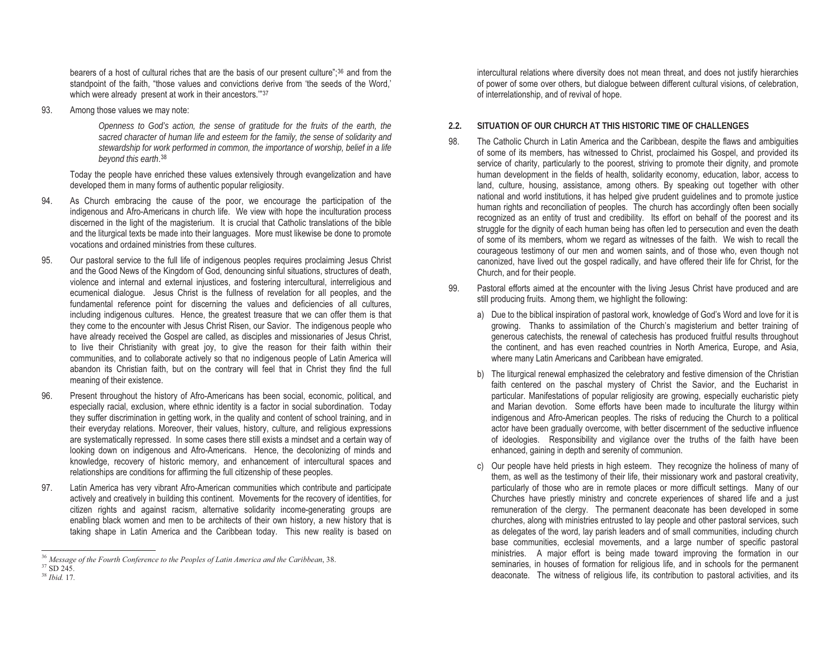bearers of a host of cultural riches that are the basis of our present culture";36 and from the standpoint of the faith, "those values and convictions derive from 'the seeds of the Word,' which were already present at work in their ancestors."37

93. Among those values we may note:

*Openness to God's action, the sense of gratitude for the fruits of the earth, the sacred character of human life and esteem for the family, the sense of solidarity and stewardship for work performed in common, the importance of worship, belief in a life beyond this earth*.<sup>38</sup>

Today the people have enriched these values extensively through evangelization and have developed them in many forms of authentic popular religiosity.

- 94. As Church embracing the cause of the poor, we encourage the participation of the indigenous and Afro-Americans in church life. We view with hope the inculturation process discerned in the light of the magisterium. It is crucial that Catholic translations of the bible and the liturgical texts be made into their languages. More must likewise be done to promote vocations and ordained ministries from these cultures.
- 95. Our pastoral service to the full life of indigenous peoples requires proclaiming Jesus Christ and the Good News of the Kingdom of God, denouncing sinful situations, structures of death, violence and internal and external injustices, and fostering intercultural, interreligious and ecumenical dialogue. Jesus Christ is the fullness of revelation for all peoples, and the fundamental reference point for discerning the values and deficiencies of all cultures, including indigenous cultures. Hence, the greatest treasure that we can offer them is that they come to the encounter with Jesus Christ Risen, our Savior. The indigenous people who have already received the Gospel are called, as disciples and missionaries of Jesus Christ, to live their Christianity with great joy, to give the reason for their faith within their communities, and to collaborate actively so that no indigenous people of Latin America will abandon its Christian faith, but on the contrary will feel that in Christ they find the full meaning of their existence.
- 96. Present throughout the history of Afro-Americans has been social, economic, political, and especially racial, exclusion, where ethnic identity is a factor in social subordination. Today they suffer discrimination in getting work, in the quality and content of school training, and in their everyday relations. Moreover, their values, history, culture, and religious expressions are systematically repressed. In some cases there still exists a mindset and a certain way of looking down on indigenous and Afro-Americans. Hence, the decolonizing of minds and knowledge, recovery of historic memory, and enhancement of intercultural spaces and relationships are conditions for affirming the full citizenship of these peoples.
- 97. Latin America has very vibrant Afro-American communities which contribute and participate actively and creatively in building this continent. Movements for the recovery of identities, for citizen rights and against racism, alternative solidarity income-generating groups are enabling black women and men to be architects of their own history, a new history that is taking shape in Latin America and the Caribbean today. This new reality is based on

intercultural relations where diversity does not mean threat, and does not justify hierarchies of power of some over others, but dialogue between different cultural visions, of celebration, of interrelationship, and of revival of hope.

#### **2.2. SITUATION OF OUR CHURCH AT THIS HISTORIC TIME OF CHALLENGES**

- 98. The Catholic Church in Latin America and the Caribbean, despite the flaws and ambiguities of some of its members, has witnessed to Christ, proclaimed his Gospel, and provided its service of charity, particularly to the poorest, striving to promote their dignity, and promote human development in the fields of health, solidarity economy, education, labor, access to land, culture, housing, assistance, among others. By speaking out together with other national and world institutions, it has helped give prudent guidelines and to promote justice human rights and reconciliation of peoples. The church has accordingly often been socially recognized as an entity of trust and credibility. Its effort on behalf of the poorest and its struggle for the dignity of each human being has often led to persecution and even the death of some of its members, whom we regard as witnesses of the faith. We wish to recall the courageous testimony of our men and women saints, and of those who, even though not canonized, have lived out the gospel radically, and have offered their life for Christ, for the Church, and for their people.
- 99. Pastoral efforts aimed at the encounter with the living Jesus Christ have produced and are still producing fruits. Among them, we highlight the following:
	- a) Due to the biblical inspiration of pastoral work, knowledge of God's Word and love for it is growing. Thanks to assimilation of the Church's magisterium and better training of generous catechists, the renewal of catechesis has produced fruitful results throughout the continent, and has even reached countries in North America, Europe, and Asia, where many Latin Americans and Caribbean have emigrated.
	- b) The liturgical renewal emphasized the celebratory and festive dimension of the Christian faith centered on the paschal mystery of Christ the Savior, and the Eucharist in particular. Manifestations of popular religiosity are growing, especially eucharistic piety and Marian devotion. Some efforts have been made to inculturate the liturgy within indigenous and Afro-American peoples. The risks of reducing the Church to a political actor have been gradually overcome, with better discernment of the seductive influence of ideologies. Responsibility and vigilance over the truths of the faith have been enhanced, gaining in depth and serenity of communion.
	- c) Our people have held priests in high esteem. They recognize the holiness of many of them, as well as the testimony of their life, their missionary work and pastoral creativity, particularly of those who are in remote places or more difficult settings. Many of our Churches have priestly ministry and concrete experiences of shared life and a just remuneration of the clergy. The permanent deaconate has been developed in some churches, along with ministries entrusted to lay people and other pastoral services, such as delegates of the word, lay parish leaders and of small communities, including church base communities, ecclesial movements, and a large number of specific pastoral ministries. A major effort is being made toward improving the formation in our seminaries, in houses of formation for religious life, and in schools for the permanent deaconate. The witness of religious life, its contribution to pastoral activities, and its

<sup>36</sup> *Message of the Fourth Conference to the Peoples of Latin America and the Caribbean*, 38.

 $37$  SD 245.

<sup>38</sup> *Ibid.* 17*.*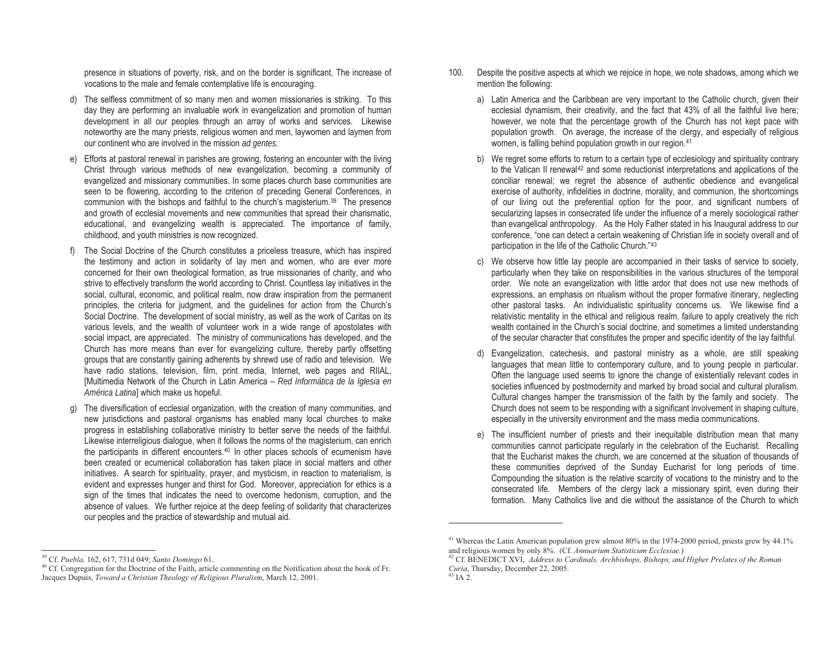presence in situations of poverty, risk, and on the border is significant. The increase of vocations to the male and female contemplative life is encouraging.

- d) The selfless commitment of so many men and women missionaries is striking. To this day they are performing an invaluable work in evangelization and promotion of human development in all our peoples through an array of works and services. Likewise noteworthy are the many priests, religious women and men, laywomen and laymen from our continent who are involved in the mission *ad gentes.*
- e) Efforts at pastoral renewal in parishes are growing, fostering an encounter with the living Christ through various methods of new evangelization, becoming a community of evangelized and missionary communities. In some places church base communities are seen to be flowering, according to the criterion of preceding General Conferences, in communion with the bishops and faithful to the church's magisterium.39 The presence and growth of ecclesial movements and new communities that spread their charismatic, educational, and evangelizing wealth is appreciated. The importance of family, childhood, and youth ministries is now recognized.
- f) The Social Doctrine of the Church constitutes a priceless treasure, which has inspired the testimony and action in solidarity of lay men and women, who are ever more concerned for their own theological formation, as true missionaries of charity, and who strive to effectively transform the world according to Christ. Countless lay initiatives in the social, cultural, economic, and political realm, now draw inspiration from the permanent principles, the criteria for judgment, and the guidelines for action from the Church's Social Doctrine. The development of social ministry, as well as the work of Caritas on its various levels, and the wealth of volunteer work in a wide range of apostolates with social impact, are appreciated. The ministry of communications has developed, and the Church has more means than ever for evangelizing culture, thereby partly offsetting groups that are constantly gaining adherents by shrewd use of radio and television. We have radio stations, television, film, print media, Internet, web pages and RIIAL, [Multimedia Network of the Church in Latin America – *Red Informática de la Iglesia en América Latina*] which make us hopeful.
- g) The diversification of ecclesial organization, with the creation of many communities, and new jurisdictions and pastoral organisms has enabled many local churches to make progress in establishing collaborative ministry to better serve the needs of the faithful. Likewise interreligious dialogue, when it follows the norms of the magisterium, can enrich the participants in different encounters.40 In other places schools of ecumenism have been created or ecumenical collaboration has taken place in social matters and other initiatives. A search for spirituality, prayer, and mysticism, in reaction to materialism, is evident and expresses hunger and thirst for God. Moreover, appreciation for ethics is a sign of the times that indicates the need to overcome hedonism, corruption, and the absence of values. We further rejoice at the deep feeling of solidarity that characterizes our peoples and the practice of stewardship and mutual aid.
- 100. Despite the positive aspects at which we rejoice in hope, we note shadows, among which we mention the following:
	- a) Latin America and the Caribbean are very important to the Catholic church, given their ecclesial dynamism, their creativity, and the fact that 43% of all the faithful live here; however, we note that the percentage growth of the Church has not kept pace with population growth. On average, the increase of the clergy, and especially of religious women, is falling behind population growth in our region.<sup>41</sup>
	- b) We regret some efforts to return to a certain type of ecclesiology and spirituality contrary to the Vatican II renewal<sup>42</sup> and some reductionist interpretations and applications of the conciliar renewal; we regret the absence of authentic obedience and evangelical exercise of authority, infidelities in doctrine, morality, and communion, the shortcomings of our living out the preferential option for the poor, and significant numbers of secularizing lapses in consecrated life under the influence of a merely sociological rather than evangelical anthropology. As the Holy Father stated in his Inaugural address to our conference, "one can detect a certain weakening of Christian life in society overall and of participation in the life of the Catholic Church."43
	- c) We observe how little lay people are accompanied in their tasks of service to society, particularly when they take on responsibilities in the various structures of the temporal order. We note an evangelization with little ardor that does not use new methods of expressions, an emphasis on ritualism without the proper formative itinerary, neglecting other pastoral tasks. An individualistic spirituality concerns us. We likewise find a relativistic mentality in the ethical and religious realm, failure to apply creatively the rich wealth contained in the Church's social doctrine, and sometimes a limited understanding of the secular character that constitutes the proper and specific identity of the lay faithful.
	- d) Evangelization, catechesis, and pastoral ministry as a whole, are still speaking languages that mean little to contemporary culture, and to young people in particular. Often the language used seems to ignore the change of existentially relevant codes in societies influenced by postmodernity and marked by broad social and cultural pluralism. Cultural changes hamper the transmission of the faith by the family and society. The Church does not seem to be responding with a significant involvement in shaping culture, especially in the university environment and the mass media communications.
	- e) The insufficient number of priests and their inequitable distribution mean that many communities cannot participate regularly in the celebration of the Eucharist. Recalling that the Eucharist makes the church, we are concerned at the situation of thousands of these communities deprived of the Sunday Eucharist for long periods of time. Compounding the situation is the relative scarcity of vocations to the ministry and to the consecrated life. Members of the clergy lack a missionary spirit, even during their formation. Many Catholics live and die without the assistance of the Church to which

<sup>39</sup> Cf. *Puebla,* 162, 617, 731d 049; *Santo Domingo* 61.

<sup>&</sup>lt;sup>40</sup> Cf. Congregation for the Doctrine of the Faith, article commenting on the Notification about the book of Fr. Jacques Dupuis, *Toward a Christian Theology of Religious Pluralism*, March 12, 2001.

<sup>&</sup>lt;sup>41</sup> Whereas the Latin American population grew almost 80% in the 1974-2000 period, priests grew by 44.1% and religious women by only 8%. (Cf. *Annuarium Statisticum Ecclesiae.*)

<sup>42</sup> Cf. BENEDICT XVI, *Address to Cardinals, Archbishops, Bishops, and Higher Prelates of the Roman Curia*, Thursday, December 22, 2005.

 $43$  IA 2.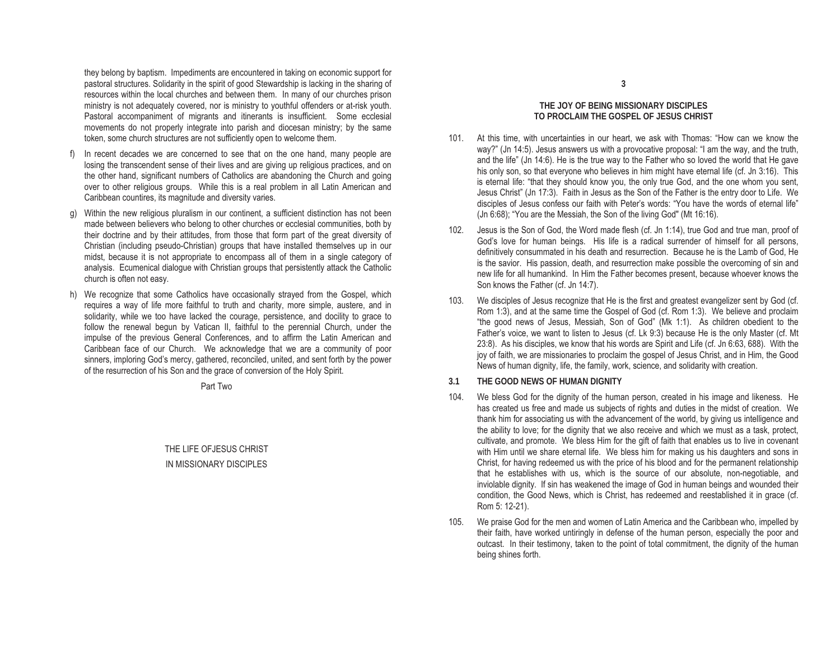they belong by baptism. Impediments are encountered in taking on economic support for pastoral structures. Solidarity in the spirit of good Stewardship is lacking in the sharing of resources within the local churches and between them. In many of our churches prison ministry is not adequately covered, nor is ministry to youthful offenders or at-risk youth. Pastoral accompaniment of migrants and itinerants is insufficient. Some ecclesial movements do not properly integrate into parish and diocesan ministry; by the same token, some church structures are not sufficiently open to welcome them.

- f) In recent decades we are concerned to see that on the one hand, many people are losing the transcendent sense of their lives and are giving up religious practices, and on the other hand, significant numbers of Catholics are abandoning the Church and going over to other religious groups. While this is a real problem in all Latin American and Caribbean countires, its magnitude and diversity varies.
- g) Within the new religious pluralism in our continent, a sufficient distinction has not been made between believers who belong to other churches or ecclesial communities, both by their doctrine and by their attitudes, from those that form part of the great diversity of Christian (including pseudo-Christian) groups that have installed themselves up in our midst, because it is not appropriate to encompass all of them in a single category of analysis. Ecumenical dialogue with Christian groups that persistently attack the Catholic church is often not easy.
- h) We recognize that some Catholics have occasionally strayed from the Gospel, which requires a way of life more faithful to truth and charity, more simple, austere, and in solidarity, while we too have lacked the courage, persistence, and docility to grace to follow the renewal begun by Vatican II, faithful to the perennial Church, under the impulse of the previous General Conferences, and to affirm the Latin American and Caribbean face of our Church. We acknowledge that we are a community of poor sinners, imploring God's mercy, gathered, reconciled, united, and sent forth by the power of the resurrection of his Son and the grace of conversion of the Holy Spirit.

Part Two

THE LIFE OFJESUS CHRIST IN MISSIONARY DISCIPLES

# **THE JOY OF BEING MISSIONARY DISCIPLES TO PROCLAIM THE GOSPEL OF JESUS CHRIST**

- 101. At this time, with uncertainties in our heart, we ask with Thomas: "How can we know the way?" (Jn 14:5). Jesus answers us with a provocative proposal: "I am the way, and the truth, and the life" (Jn 14:6). He is the true way to the Father who so loved the world that He gave his only son, so that everyone who believes in him might have eternal life (cf. Jn 3:16). This is eternal life: "that they should know you, the only true God, and the one whom you sent, Jesus Christ" (Jn 17:3). Faith in Jesus as the Son of the Father is the entry door to Life. We disciples of Jesus confess our faith with Peter's words: "You have the words of eternal life" (Jn 6:68); "You are the Messiah, the Son of the living God" (Mt 16:16).
- 102. Jesus is the Son of God, the Word made flesh (cf. Jn 1:14), true God and true man, proof of God's love for human beings. His life is a radical surrender of himself for all persons, definitively consummated in his death and resurrection. Because he is the Lamb of God, He is the savior. His passion, death, and resurrection make possible the overcoming of sin and new life for all humankind. In Him the Father becomes present, because whoever knows the Son knows the Father (cf. Jn 14:7).
- 103. We disciples of Jesus recognize that He is the first and greatest evangelizer sent by God (cf. Rom 1:3), and at the same time the Gospel of God (cf. Rom 1:3). We believe and proclaim "the good news of Jesus, Messiah, Son of God" (Mk 1:1). As children obedient to the Father's voice, we want to listen to Jesus (cf. Lk 9:3) because He is the only Master (cf. Mt 23:8). As his disciples, we know that his words are Spirit and Life (cf. Jn 6:63, 688). With the joy of faith, we are missionaries to proclaim the gospel of Jesus Christ, and in Him, the Good News of human dignity, life, the family, work, science, and solidarity with creation.
- **3.1 THE GOOD NEWS OF HUMAN DIGNITY**
- 104. We bless God for the dignity of the human person, created in his image and likeness. He has created us free and made us subjects of rights and duties in the midst of creation. We thank him for associating us with the advancement of the world, by giving us intelligence and the ability to love; for the dignity that we also receive and which we must as a task, protect, cultivate, and promote. We bless Him for the gift of faith that enables us to live in covenant with Him until we share eternal life. We bless him for making us his daughters and sons in Christ, for having redeemed us with the price of his blood and for the permanent relationship that he establishes with us, which is the source of our absolute, non-negotiable, and inviolable dignity. If sin has weakened the image of God in human beings and wounded their condition, the Good News, which is Christ, has redeemed and reestablished it in grace (cf. Rom 5: 12-21).
- 105. We praise God for the men and women of Latin America and the Caribbean who, impelled by their faith, have worked untiringly in defense of the human person, especially the poor and outcast. In their testimony, taken to the point of total commitment, the dignity of the human being shines forth.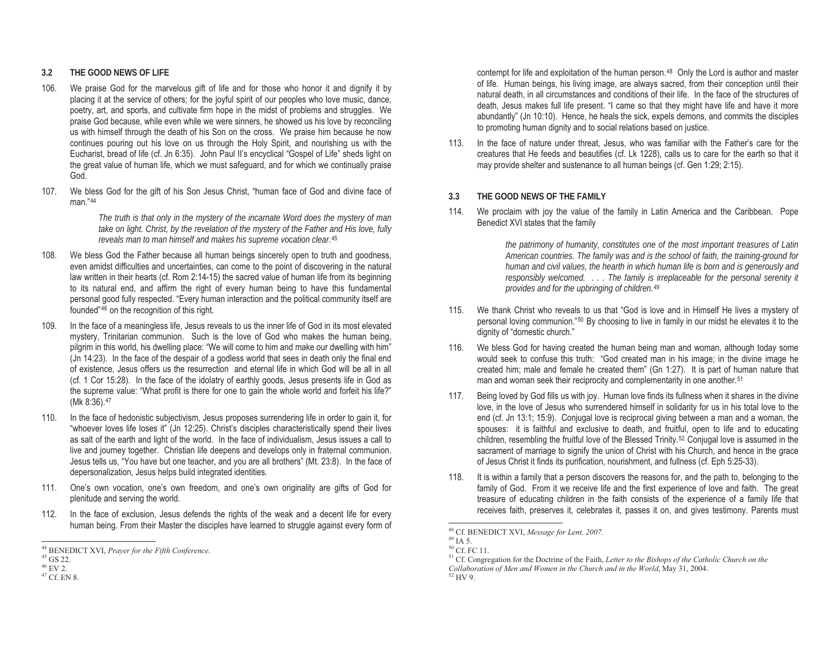## **3.2 THE GOOD NEWS OF LIFE**

- 106. We praise God for the marvelous gift of life and for those who honor it and dignify it by placing it at the service of others; for the joyful spirit of our peoples who love music, dance, poetry, art, and sports, and cultivate firm hope in the midst of problems and struggles. We praise God because, while even while we were sinners, he showed us his love by reconciling us with himself through the death of his Son on the cross. We praise him because he now continues pouring out his love on us through the Holy Spirit, and nourishing us with the Eucharist, bread of life (cf. Jn 6:35). John Paul II's encyclical "Gospel of Life" sheds light on the great value of human life, which we must safeguard, and for which we continually praise God.
- 107. We bless God for the gift of his Son Jesus Christ, "human face of God and divine face of man."44

*The truth is that only in the mystery of the incarnate Word does the mystery of man*  take on light. Christ, by the revelation of the mystery of the Father and His love, fully *reveals man to man himself and makes his supreme vocation clear*.<sup>45</sup>

- 108. We bless God the Father because all human beings sincerely open to truth and goodness, even amidst difficulties and uncertainties, can come to the point of discovering in the natural law written in their hearts (cf. Rom 2:14-15) the sacred value of human life from its beginning to its natural end, and affirm the right of every human being to have this fundamental personal good fully respected. "Every human interaction and the political community itself are founded"46 on the recognition of this right.
- 109. In the face of a meaningless life, Jesus reveals to us the inner life of God in its most elevated mystery, Trinitarian communion. Such is the love of God who makes the human being, pilgrim in this world, his dwelling place: "We will come to him and make our dwelling with him" (Jn 14:23). In the face of the despair of a godless world that sees in death only the final end of existence, Jesus offers us the resurrection and eternal life in which God will be all in all (cf. 1 Cor 15:28). In the face of the idolatry of earthly goods, Jesus presents life in God as the supreme value: "What profit is there for one to gain the whole world and forfeit his life?" (Mk 8:36).47
- 110. In the face of hedonistic subjectivism, Jesus proposes surrendering life in order to gain it, for "whoever loves life loses it" (Jn 12:25). Christ's disciples characteristically spend their lives as salt of the earth and light of the world. In the face of individualism, Jesus issues a call to live and journey together. Christian life deepens and develops only in fraternal communion. Jesus tells us, "You have but one teacher, and you are all brothers" (Mt. 23:8). In the face of depersonalization, Jesus helps build integrated identities.
- 111. One's own vocation, one's own freedom, and one's own originality are gifts of God for plenitude and serving the world.
- 112. In the face of exclusion, Jesus defends the rights of the weak and a decent life for every human being. From their Master the disciples have learned to struggle against every form of

contempt for life and exploitation of the human person.48 Only the Lord is author and master of life. Human beings, his living image, are always sacred, from their conception until their natural death, in all circumstances and conditions of their life. In the face of the structures of death, Jesus makes full life present. "I came so that they might have life and have it more abundantly" (Jn 10:10). Hence, he heals the sick, expels demons, and commits the disciples to promoting human dignity and to social relations based on justice.

113. In the face of nature under threat, Jesus, who was familiar with the Father's care for the creatures that He feeds and beautifies (cf. Lk 1228), calls us to care for the earth so that it may provide shelter and sustenance to all human beings (cf. Gen 1:29; 2:15).

## **3.3 THE GOOD NEWS OF THE FAMILY**

114. We proclaim with joy the value of the family in Latin America and the Caribbean. Pope Benedict XVI states that the family

> *the patrimony of humanity, constitutes one of the most important treasures of Latin American countries. The family was and is the school of faith, the training-ground for human and civil values, the hearth in which human life is born and is generously and responsibly welcomed. ...* The family is irreplaceable for the personal serenity it *provides and for the upbringing of children.49*

- 115. We thank Christ who reveals to us that "God is love and in Himself He lives a mystery of personal loving communion."50 By choosing to live in family in our midst he elevates it to the dignity of "domestic church."
- 116. We bless God for having created the human being man and woman, although today some would seek to confuse this truth: "God created man in his image; in the divine image he created him; male and female he created them" (Gn 1:27). It is part of human nature that man and woman seek their reciprocity and complementarity in one another.<sup>51</sup>
- 117. Being loved by God fills us with joy. Human love finds its fullness when it shares in the divine love, in the love of Jesus who surrendered himself in solidarity for us in his total love to the end (cf. Jn 13:1; 15:9). Conjugal love is reciprocal giving between a man and a woman, the spouses: it is faithful and exclusive to death, and fruitful, open to life and to educating children, resembling the fruitful love of the Blessed Trinity.52 Conjugal love is assumed in the sacrament of marriage to signify the union of Christ with his Church, and hence in the grace of Jesus Christ it finds its purification, nourishment, and fullness (cf. Eph 5:25-33).
- 118. It is within a family that a person discovers the reasons for, and the path to, belonging to the family of God. From it we receive life and the first experience of love and faith. The great treasure of educating children in the faith consists of the experience of a family life that receives faith, preserves it, celebrates it, passes it on, and gives testimony. Parents must

<sup>44</sup> BENEDICT XVI, *Prayer for the Fifth Conference.*

 $45$  GS 22.

 $46$  EV 2.

 $47$  Cf. EN 8.

<sup>48</sup> Cf. BENEDICT XVI, *Message for Lent, 2007.*

 $49$  IA 5.

50 Cf. FC 11.

<sup>51</sup> Cf. Congregation for the Doctrine of the Faith, *Letter to the Bishops of the Catholic Church on the Collaboration of Men and Women in the Church and in the World*, May 31, 2004.

 $52$  HV 9.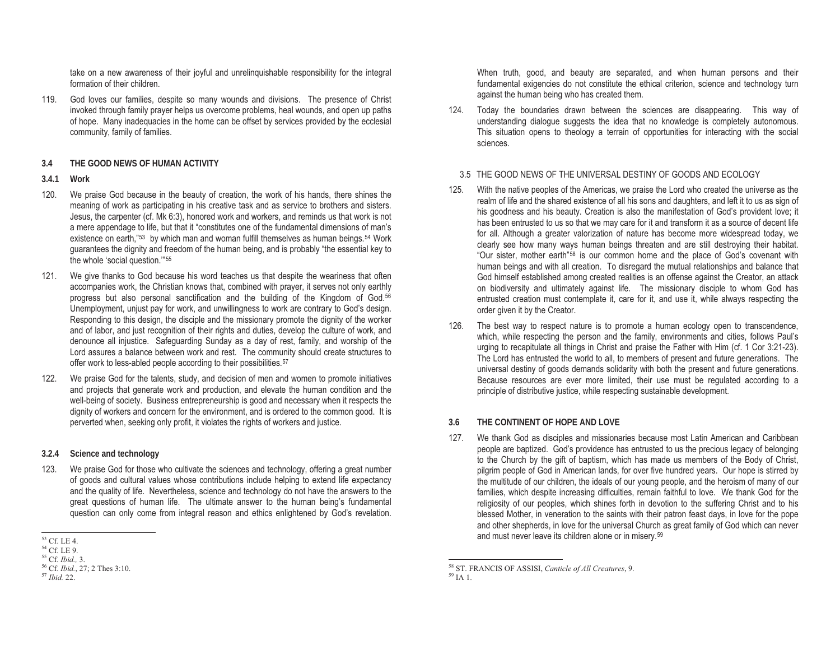take on a new awareness of their joyful and unrelinquishable responsibility for the integral formation of their children.

119. God loves our families, despite so many wounds and divisions. The presence of Christ invoked through family prayer helps us overcome problems, heal wounds, and open up paths of hope. Many inadequacies in the home can be offset by services provided by the ecclesial community, family of families.

#### **3.4 THE GOOD NEWS OF HUMAN ACTIVITY**

- **3.4.1 Work**
- 120. We praise God because in the beauty of creation, the work of his hands, there shines the meaning of work as participating in his creative task and as service to brothers and sisters. Jesus, the carpenter (cf. Mk 6:3), honored work and workers, and reminds us that work is not a mere appendage to life, but that it "constitutes one of the fundamental dimensions of man's existence on earth,"53 by which man and woman fulfill themselves as human beings.<sup>54</sup> Work guarantees the dignity and freedom of the human being, and is probably "the essential key to the whole 'social question.'"55
- 121. We give thanks to God because his word teaches us that despite the weariness that often accompanies work, the Christian knows that, combined with prayer, it serves not only earthly progress but also personal sanctification and the building of the Kingdom of God.56 Unemployment, unjust pay for work, and unwillingness to work are contrary to God's design. Responding to this design, the disciple and the missionary promote the dignity of the worker and of labor, and just recognition of their rights and duties, develop the culture of work, and denounce all injustice. Safeguarding Sunday as a day of rest, family, and worship of the Lord assures a balance between work and rest. The community should create structures to offer work to less-abled people according to their possibilities.57
- 122. We praise God for the talents, study, and decision of men and women to promote initiatives and projects that generate work and production, and elevate the human condition and the well-being of society. Business entrepreneurship is good and necessary when it respects the dignity of workers and concern for the environment, and is ordered to the common good. It is perverted when, seeking only profit, it violates the rights of workers and justice.
- **3.2.4 Science and technology**
- 123. We praise God for those who cultivate the sciences and technology, offering a great number of goods and cultural values whose contributions include helping to extend life expectancy and the quality of life. Nevertheless, science and technology do not have the answers to the great questions of human life. The ultimate answer to the human being's fundamental question can only come from integral reason and ethics enlightened by God's revelation.

When truth, good, and beauty are separated, and when human persons and their fundamental exigencies do not constitute the ethical criterion, science and technology turn against the human being who has created them.

124. Today the boundaries drawn between the sciences are disappearing. This way of understanding dialogue suggests the idea that no knowledge is completely autonomous. This situation opens to theology a terrain of opportunities for interacting with the social sciences.

#### 3.5 THE GOOD NEWS OF THE UNIVERSAL DESTINY OF GOODS AND ECOLOGY

- 125. With the native peoples of the Americas, we praise the Lord who created the universe as the realm of life and the shared existence of all his sons and daughters, and left it to us as sign of his goodness and his beauty. Creation is also the manifestation of God's provident love; it has been entrusted to us so that we may care for it and transform it as a source of decent life for all. Although a greater valorization of nature has become more widespread today, we clearly see how many ways human beings threaten and are still destroying their habitat. "Our sister, mother earth"58 is our common home and the place of God's covenant with human beings and with all creation. To disregard the mutual relationships and balance that God himself established among created realities is an offense against the Creator, an attack on biodiversity and ultimately against life. The missionary disciple to whom God has entrusted creation must contemplate it, care for it, and use it, while always respecting the order given it by the Creator.
- 126. The best way to respect nature is to promote a human ecology open to transcendence, which, while respecting the person and the family, environments and cities, follows Paul's urging to recapitulate all things in Christ and praise the Father with Him (cf. 1 Cor 3:21-23). The Lord has entrusted the world to all, to members of present and future generations. The universal destiny of goods demands solidarity with both the present and future generations. Because resources are ever more limited, their use must be regulated according to a principle of distributive justice, while respecting sustainable development.

#### **3.6 THE CONTINENT OF HOPE AND LOVE**

127. We thank God as disciples and missionaries because most Latin American and Caribbean people are baptized. God's providence has entrusted to us the precious legacy of belonging to the Church by the gift of baptism, which has made us members of the Body of Christ, pilgrim people of God in American lands, for over five hundred years. Our hope is stirred by the multitude of our children, the ideals of our young people, and the heroism of many of our families, which despite increasing difficulties, remain faithful to love. We thank God for the religiosity of our peoples, which shines forth in devotion to the suffering Christ and to his blessed Mother, in veneration to the saints with their patron feast days, in love for the pope and other shepherds, in love for the universal Church as great family of God which can never and must never leave its children alone or in misery.59

<sup>53</sup> Cf. LE 4.

 $54$  Cf. LE 9.

55 Cf. *Ibid.,* 3.

<sup>56</sup> Cf. *Ibid.*, 27; 2 Thes 3:10.

<sup>57</sup> *Ibid.* 22.

<sup>58</sup> ST. FRANCIS OF ASSISI, *Canticle of All Creatures*, 9.

 $59$  IA 1.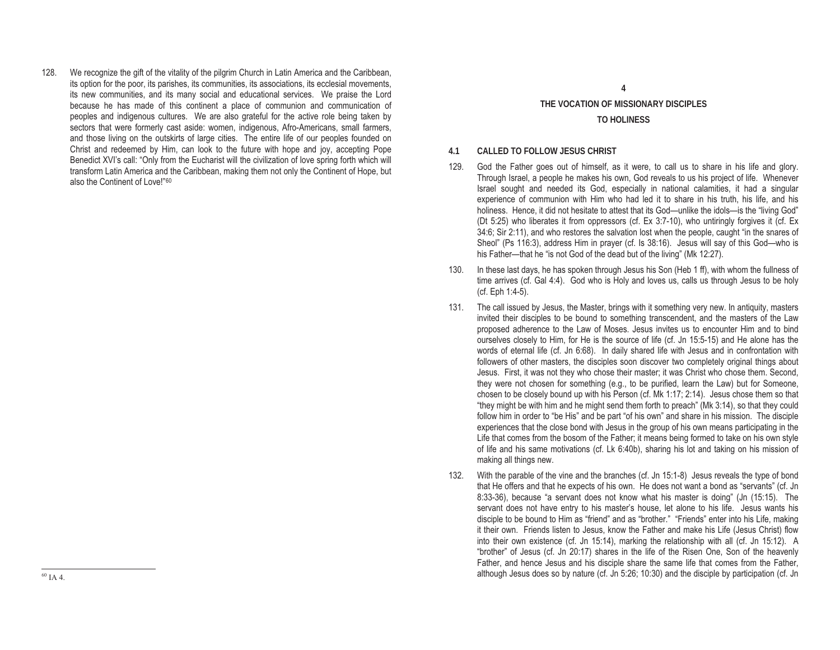128. We recognize the gift of the vitality of the pilgrim Church in Latin America and the Caribbean, its option for the poor, its parishes, its communities, its associations, its ecclesial movements, its new communities, and its many social and educational services. We praise the Lord because he has made of this continent a place of communion and communication of peoples and indigenous cultures. We are also grateful for the active role being taken by sectors that were formerly cast aside: women, indigenous, Afro-Americans, small farmers, and those living on the outskirts of large cities. The entire life of our peoples founded on Christ and redeemed by Him, can look to the future with hope and joy, accepting Pope Benedict XVI's call: "Only from the Eucharist will the civilization of love spring forth which will transform Latin America and the Caribbean, making them not only the Continent of Hope, but also the Continent of Love!"60

# **4THE VOCATION OF MISSIONARY DISCIPLES TO HOLINESS**

#### **4.1 CALLED TO FOLLOW JESUS CHRIST**

- 129. God the Father goes out of himself, as it were, to call us to share in his life and glory. Through Israel, a people he makes his own, God reveals to us his project of life. Whenever Israel sought and needed its God, especially in national calamities, it had a singular experience of communion with Him who had led it to share in his truth, his life, and his holiness. Hence, it did not hesitate to attest that its God—unlike the idols—is the "living God" (Dt 5:25) who liberates it from oppressors (cf. Ex 3:7-10), who untiringly forgives it (cf. Ex 34:6; Sir 2:11), and who restores the salvation lost when the people, caught "in the snares of Sheol" (Ps 116:3), address Him in prayer (cf. Is 38:16). Jesus will say of this God—who is his Father—that he "is not God of the dead but of the living" (Mk 12:27).
- 130. In these last days, he has spoken through Jesus his Son (Heb 1 ff), with whom the fullness of time arrives (cf. Gal 4:4). God who is Holy and loves us, calls us through Jesus to be holy (cf. Eph 1:4-5).
- 131. The call issued by Jesus, the Master, brings with it something very new. In antiquity, masters invited their disciples to be bound to something transcendent, and the masters of the Law proposed adherence to the Law of Moses. Jesus invites us to encounter Him and to bind ourselves closely to Him, for He is the source of life (cf. Jn 15:5-15) and He alone has the words of eternal life (cf. Jn 6:68). In daily shared life with Jesus and in confrontation with followers of other masters, the disciples soon discover two completely original things about Jesus. First, it was not they who chose their master; it was Christ who chose them. Second, they were not chosen for something (e.g., to be purified, learn the Law) but for Someone, chosen to be closely bound up with his Person (cf. Mk 1:17; 2:14). Jesus chose them so that "they might be with him and he might send them forth to preach" (Mk 3:14), so that they could follow him in order to "be His" and be part "of his own" and share in his mission. The disciple experiences that the close bond with Jesus in the group of his own means participating in the Life that comes from the bosom of the Father; it means being formed to take on his own style of life and his same motivations (cf. Lk 6:40b), sharing his lot and taking on his mission of making all things new.
- 132. With the parable of the vine and the branches (cf. Jn 15:1-8) Jesus reveals the type of bond that He offers and that he expects of his own. He does not want a bond as "servants" (cf. Jn 8:33-36), because "a servant does not know what his master is doing" (Jn (15:15). The servant does not have entry to his master's house, let alone to his life. Jesus wants his disciple to be bound to Him as "friend" and as "brother." "Friends" enter into his Life, making it their own. Friends listen to Jesus, know the Father and make his Life (Jesus Christ) flow into their own existence (cf. Jn 15:14), marking the relationship with all (cf. Jn 15:12). A "brother" of Jesus (cf. Jn 20:17) shares in the life of the Risen One, Son of the heavenly Father, and hence Jesus and his disciple share the same life that comes from the Father, although Jesus does so by nature (cf. Jn 5:26; 10:30) and the disciple by participation (cf. Jn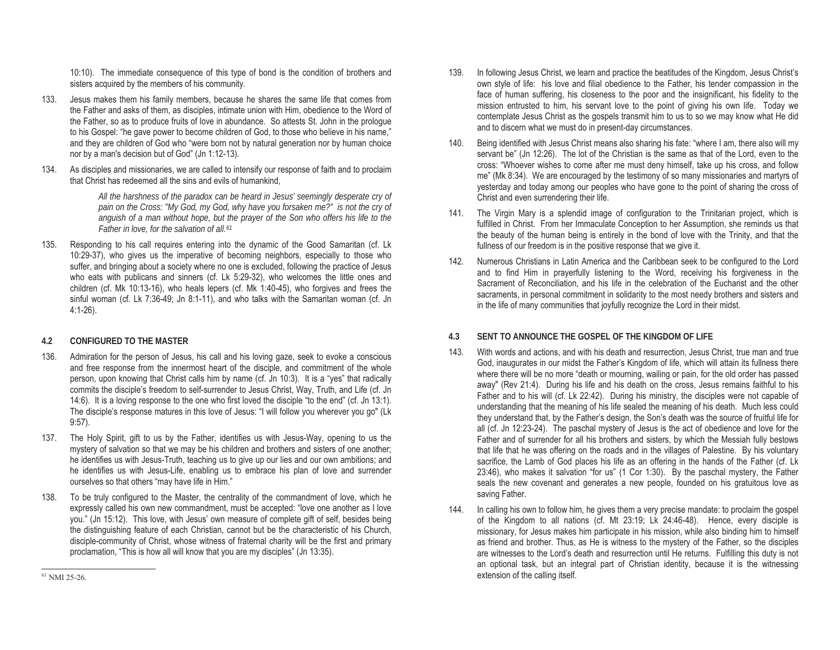10:10). The immediate consequence of this type of bond is the condition of brothers and sisters acquired by the members of his community.

- 133. Jesus makes them his family members, because he shares the same life that comes from the Father and asks of them, as disciples, intimate union with Him, obedience to the Word of the Father, so as to produce fruits of love in abundance. So attests St. John in the prologue to his Gospel: "he gave power to become children of God, to those who believe in his name," and they are children of God who "were born not by natural generation nor by human choice nor by a man's decision but of God" (Jn 1:12-13).
- 134. As disciples and missionaries, we are called to intensify our response of faith and to proclaim that Christ has redeemed all the sins and evils of humankind,

*All the harshness of the paradox can be heard in Jesus' seemingly desperate cry of*  pain on the Cross: "My God, my God, why have you forsaken me?" is not the cry of *anguish of a man without hope, but the prayer of the Son who offers his life to the Father in love, for the salvation of all.61*

135. Responding to his call requires entering into the dynamic of the Good Samaritan (cf. Lk 10:29-37), who gives us the imperative of becoming neighbors, especially to those who suffer, and bringing about a society where no one is excluded, following the practice of Jesus who eats with publicans and sinners (cf. Lk 5:29-32), who welcomes the little ones and children (cf. Mk 10:13-16), who heals lepers (cf. Mk 1:40-45), who forgives and frees the sinful woman (cf. Lk 7:36-49; Jn 8:1-11), and who talks with the Samaritan woman (cf. Jn 4:1-26).

# **4.2 CONFIGURED TO THE MASTER**

- 136. Admiration for the person of Jesus, his call and his loving gaze, seek to evoke a conscious and free response from the innermost heart of the disciple, and commitment of the whole person, upon knowing that Christ calls him by name (cf. Jn 10:3). It is a "yes" that radically commits the disciple's freedom to self-surrender to Jesus Christ, Way, Truth, and Life (cf. Jn 14:6). It is a loving response to the one who first loved the disciple "to the end" (cf. Jn 13:1). The disciple's response matures in this love of Jesus: "I will follow you wherever you go" (Lk 9:57).
- 137. The Holy Spirit, gift to us by the Father, identifies us with Jesus-Way, opening to us the mystery of salvation so that we may be his children and brothers and sisters of one another; he identifies us with Jesus-Truth, teaching us to give up our lies and our own ambitions; and he identifies us with Jesus-Life, enabling us to embrace his plan of love and surrender ourselves so that others "may have life in Him."
- 138. To be truly configured to the Master, the centrality of the commandment of love, which he expressly called his own new commandment, must be accepted: "love one another as I love you." (Jn 15:12). This love, with Jesus' own measure of complete gift of self, besides being the distinguishing feature of each Christian, cannot but be the characteristic of his Church, disciple-community of Christ, whose witness of fraternal charity will be the first and primary proclamation, "This is how all will know that you are my disciples" (Jn 13:35).
- 139. In following Jesus Christ, we learn and practice the beatitudes of the Kingdom, Jesus Christ's own style of life: his love and filial obedience to the Father, his tender compassion in the face of human suffering, his closeness to the poor and the insignificant, his fidelity to the mission entrusted to him, his servant love to the point of giving his own life. Today we contemplate Jesus Christ as the gospels transmit him to us to so we may know what He did and to discern what we must do in present-day circumstances.
- 140. Being identified with Jesus Christ means also sharing his fate: "where I am, there also will my servant be" (Jn 12:26). The lot of the Christian is the same as that of the Lord, even to the cross: "Whoever wishes to come after me must deny himself, take up his cross, and follow me" (Mk 8:34). We are encouraged by the testimony of so many missionaries and martyrs of yesterday and today among our peoples who have gone to the point of sharing the cross of Christ and even surrendering their life.
- 141. The Virgin Mary is a splendid image of configuration to the Trinitarian project, which is fulfilled in Christ. From her Immaculate Conception to her Assumption, she reminds us that the beauty of the human being is entirely in the bond of love with the Trinity, and that the fullness of our freedom is in the positive response that we give it.
- 142. Numerous Christians in Latin America and the Caribbean seek to be configured to the Lord and to find Him in prayerfully listening to the Word, receiving his forgiveness in the Sacrament of Reconciliation, and his life in the celebration of the Eucharist and the other sacraments, in personal commitment in solidarity to the most needy brothers and sisters and in the life of many communities that joyfully recognize the Lord in their midst.

# **4.3 SENT TO ANNOUNCE THE GOSPEL OF THE KINGDOM OF LIFE**

- 143. With words and actions, and with his death and resurrection, Jesus Christ, true man and true God, inaugurates in our midst the Father's Kingdom of life, which will attain its fullness there where there will be no more "death or mourning, wailing or pain, for the old order has passed away" (Rev 21:4). During his life and his death on the cross, Jesus remains faithful to his Father and to his will (cf. Lk 22:42). During his ministry, the disciples were not capable of understanding that the meaning of his life sealed the meaning of his death. Much less could they understand that, by the Father's design, the Son's death was the source of fruitful life for all (cf. Jn 12:23-24). The paschal mystery of Jesus is the act of obedience and love for the Father and of surrender for all his brothers and sisters, by which the Messiah fully bestows that life that he was offering on the roads and in the villages of Palestine. By his voluntary sacrifice, the Lamb of God places his life as an offering in the hands of the Father (cf. Lk 23:46), who makes it salvation "for us" (1 Cor 1:30). By the paschal mystery, the Father seals the new covenant and generates a new people, founded on his gratuitous love as saving Father.
- 144. In calling his own to follow him, he gives them a very precise mandate: to proclaim the gospel of the Kingdom to all nations (cf. Mt 23:19; Lk 24:46-48). Hence, every disciple is missionary, for Jesus makes him participate in his mission, while also binding him to himself as friend and brother. Thus, as He is witness to the mystery of the Father, so the disciples are witnesses to the Lord's death and resurrection until He returns. Fulfilling this duty is not an optional task, but an integral part of Christian identity, because it is the witnessing extension of the calling itself.

 $61$  NMI 25-26.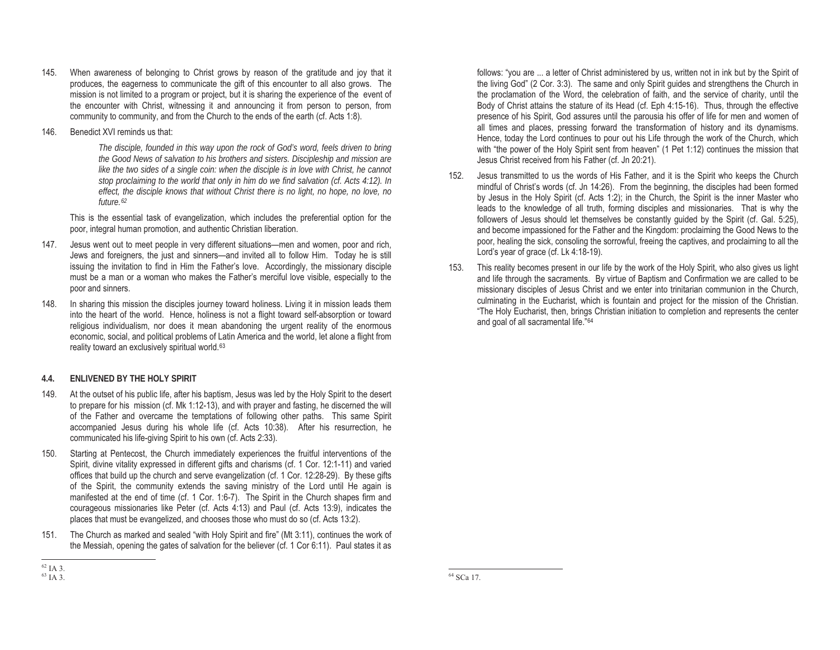- 145. When awareness of belonging to Christ grows by reason of the gratitude and joy that it produces, the eagerness to communicate the gift of this encounter to all also grows. The mission is not limited to a program or project, but it is sharing the experience of the event of the encounter with Christ, witnessing it and announcing it from person to person, from community to community, and from the Church to the ends of the earth (cf. Acts 1:8).
- 146. Benedict XVI reminds us that:

The disciple, founded in this way upon the rock of God's word, feels driven to bring *the Good News of salvation to his brothers and sisters. Discipleship and mission are*  like the two sides of a single coin: when the disciple is in love with Christ, he cannot *stop proclaiming to the world that only in him do we find salvation (cf. Acts 4:12). In effect, the disciple knows that without Christ there is no light, no hope, no love, no future.62*

This is the essential task of evangelization, which includes the preferential option for the poor, integral human promotion, and authentic Christian liberation.

- 147. Jesus went out to meet people in very different situations—men and women, poor and rich, Jews and foreigners, the just and sinners—and invited all to follow Him. Today he is still issuing the invitation to find in Him the Father's love. Accordingly, the missionary disciple must be a man or a woman who makes the Father's merciful love visible, especially to the poor and sinners.
- 148. In sharing this mission the disciples journey toward holiness. Living it in mission leads them into the heart of the world. Hence, holiness is not a flight toward self-absorption or toward religious individualism, nor does it mean abandoning the urgent reality of the enormous economic, social, and political problems of Latin America and the world, let alone a flight from reality toward an exclusively spiritual world.<sup>63</sup>

# **4.4. ENLIVENED BY THE HOLY SPIRIT**

- 149. At the outset of his public life, after his baptism, Jesus was led by the Holy Spirit to the desert to prepare for his mission (cf. Mk 1:12-13), and with prayer and fasting, he discerned the will of the Father and overcame the temptations of following other paths. This same Spirit accompanied Jesus during his whole life (cf. Acts 10:38). After his resurrection, he communicated his life-giving Spirit to his own (cf. Acts 2:33).
- 150. Starting at Pentecost, the Church immediately experiences the fruitful interventions of the Spirit, divine vitality expressed in different gifts and charisms (cf. 1 Cor. 12:1-11) and varied offices that build up the church and serve evangelization (cf. 1 Cor. 12:28-29). By these gifts of the Spirit, the community extends the saving ministry of the Lord until He again is manifested at the end of time (cf. 1 Cor. 1:6-7). The Spirit in the Church shapes firm and courageous missionaries like Peter (cf. Acts 4:13) and Paul (cf. Acts 13:9), indicates the places that must be evangelized, and chooses those who must do so (cf. Acts 13:2).
- 151. The Church as marked and sealed "with Holy Spirit and fire" (Mt 3:11), continues the work of the Messiah, opening the gates of salvation for the believer (cf. 1 Cor 6:11). Paul states it as

follows: "you are ... a letter of Christ administered by us, written not in ink but by the Spirit of the living God" (2 Cor. 3:3). The same and only Spirit guides and strengthens the Church in the proclamation of the Word, the celebration of faith, and the service of charity, until the Body of Christ attains the stature of its Head (cf. Eph 4:15-16). Thus, through the effective presence of his Spirit, God assures until the parousia his offer of life for men and women of all times and places, pressing forward the transformation of history and its dynamisms. Hence, today the Lord continues to pour out his Life through the work of the Church, which with "the power of the Holy Spirit sent from heaven" (1 Pet 1:12) continues the mission that Jesus Christ received from his Father (cf. Jn 20:21).

- 152. Jesus transmitted to us the words of His Father, and it is the Spirit who keeps the Church mindful of Christ's words (cf. Jn 14:26). From the beginning, the disciples had been formed by Jesus in the Holy Spirit (cf. Acts 1:2); in the Church, the Spirit is the inner Master who leads to the knowledge of all truth, forming disciples and missionaries. That is why the followers of Jesus should let themselves be constantly quided by the Spirit (cf. Gal. 5:25). and become impassioned for the Father and the Kingdom: proclaiming the Good News to the poor, healing the sick, consoling the sorrowful, freeing the captives, and proclaiming to all the Lord's year of grace (cf. Lk 4:18-19).
- 153. This reality becomes present in our life by the work of the Holy Spirit, who also gives us light and life through the sacraments. By virtue of Baptism and Confirmation we are called to be missionary disciples of Jesus Christ and we enter into trinitarian communion in the Church, culminating in the Eucharist, which is fountain and project for the mission of the Christian. "The Holy Eucharist, then, brings Christian initiation to completion and represents the center and goal of all sacramental life."64

 $62$  IA 3.

63 IA 3.

<sup>64</sup> SCa 17.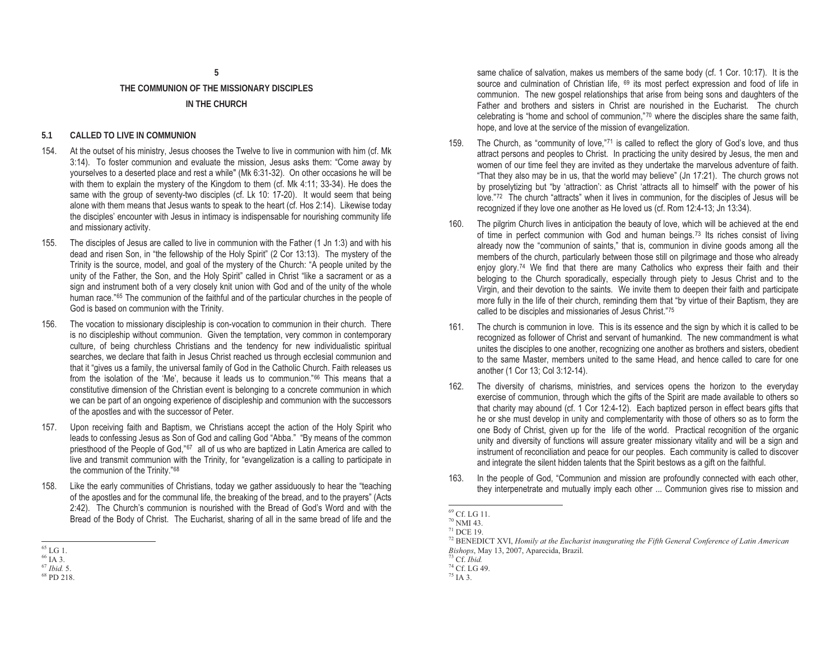# **5THE COMMUNION OF THE MISSIONARY DISCIPLES IN THE CHURCH**

#### **5.1 CALLED TO LIVE IN COMMUNION**

- 154. At the outset of his ministry, Jesus chooses the Twelve to live in communion with him (cf. Mk 3:14). To foster communion and evaluate the mission, Jesus asks them: "Come away by yourselves to a deserted place and rest a while" (Mk 6:31-32). On other occasions he will be with them to explain the mystery of the Kingdom to them (cf. Mk 4:11; 33-34). He does the same with the group of seventy-two disciples (cf. Lk 10: 17-20). It would seem that being alone with them means that Jesus wants to speak to the heart (cf. Hos 2:14). Likewise today the disciples' encounter with Jesus in intimacy is indispensable for nourishing community life and missionary activity.
- 155. The disciples of Jesus are called to live in communion with the Father (1 Jn 1:3) and with his dead and risen Son, in "the fellowship of the Holy Spirit" (2 Cor 13:13). The mystery of the Trinity is the source, model, and goal of the mystery of the Church: "A people united by the unity of the Father, the Son, and the Holy Spirit" called in Christ "like a sacrament or as a sign and instrument both of a very closely knit union with God and of the unity of the whole human race."<sup>65</sup> The communion of the faithful and of the particular churches in the people of God is based on communion with the Trinity.
- 156. The vocation to missionary discipleship is con-vocation to communion in their church. There is no discipleship without communion. Given the temptation, very common in contemporary culture, of being churchless Christians and the tendency for new individualistic spiritual searches, we declare that faith in Jesus Christ reached us through ecclesial communion and that it "gives us a family, the universal family of God in the Catholic Church. Faith releases us from the isolation of the 'Me', because it leads us to communion."66 This means that a constitutive dimension of the Christian event is belonging to a concrete communion in which we can be part of an ongoing experience of discipleship and communion with the successors of the apostles and with the successor of Peter.
- 157. Upon receiving faith and Baptism, we Christians accept the action of the Holy Spirit who leads to confessing Jesus as Son of God and calling God "Abba." "By means of the common priesthood of the People of God,"<sup>67</sup> all of us who are baptized in Latin America are called to live and transmit communion with the Trinity, for "evangelization is a calling to participate in the communion of the Trinity."68
- 158. Like the early communities of Christians, today we gather assiduously to hear the "teaching of the apostles and for the communal life, the breaking of the bread, and to the prayers" (Acts 2:42). The Church's communion is nourished with the Bread of God's Word and with the Bread of the Body of Christ. The Eucharist, sharing of all in the same bread of life and the

same chalice of salvation, makes us members of the same body (cf. 1 Cor. 10:17). It is the source and culmination of Christian life, <sup>69</sup> its most perfect expression and food of life in communion. The new gospel relationships that arise from being sons and daughters of the Father and brothers and sisters in Christ are nourished in the Eucharist. The church celebrating is "home and school of communion,"70 where the disciples share the same faith, hope, and love at the service of the mission of evangelization.

- 159. The Church, as "community of love,"71 is called to reflect the glory of God's love, and thus attract persons and peoples to Christ. In practicing the unity desired by Jesus, the men and women of our time feel they are invited as they undertake the marvelous adventure of faith. "That they also may be in us, that the world may believe" (Jn 17:21). The church grows not by proselytizing but "by 'attraction': as Christ 'attracts all to himself' with the power of his love."72 The church "attracts" when it lives in communion, for the disciples of Jesus will be recognized if they love one another as He loved us (cf. Rom 12:4-13; Jn 13:34).
- 160. The pilgrim Church lives in anticipation the beauty of love, which will be achieved at the end of time in perfect communion with God and human beings.73 Its riches consist of living already now the "communion of saints," that is, communion in divine goods among all the members of the church, particularly between those still on pilgrimage and those who already enjoy glory.<sup>74</sup> We find that there are many Catholics who express their faith and their beloging to the Church sporadically, especially through piety to Jesus Christ and to the Virgin, and their devotion to the saints. We invite them to deepen their faith and participate more fully in the life of their church, reminding them that "by virtue of their Baptism, they are called to be disciples and missionaries of Jesus Christ."75
- 161. The church is communion in love. This is its essence and the sign by which it is called to be recognized as follower of Christ and servant of humankind. The new commandment is what unites the disciples to one another, recognizing one another as brothers and sisters, obedient to the same Master, members united to the same Head, and hence called to care for one another (1 Cor 13; Col 3:12-14).
- 162. The diversity of charisms, ministries, and services opens the horizon to the everyday exercise of communion, through which the gifts of the Spirit are made available to others so that charity may abound (cf. 1 Cor 12:4-12). Each baptized person in effect bears gifts that he or she must develop in unity and complementarity with those of others so as to form the one Body of Christ, given up for the life of the world. Practical recognition of the organic unity and diversity of functions will assure greater missionary vitality and will be a sign and instrument of reconciliation and peace for our peoples. Each community is called to discover and integrate the silent hidden talents that the Spirit bestows as a gift on the faithful.
- 163. In the people of God, "Communion and mission are profoundly connected with each other, they interpenetrate and mutually imply each other ... Communion gives rise to mission and
- <sup>69</sup> Cf. LG 11.

 $65$  LG 1.

 $66$  IA 3.

67 *Ibid.* 5.

<sup>68</sup> PD 218.

 $70$  NMI 43.

 $71$  DCE 19.

72 BENEDICT XVI, *Homily at the Eucharist inaugurating the Fifth General Conference of Latin American Bishops*, May 13, 2007, Aparecida, Brazil.

 $73 \text{ Cf}$ *<i>Ibid*.

74 Cf. LG 49.

 $^{75}$  IA 3.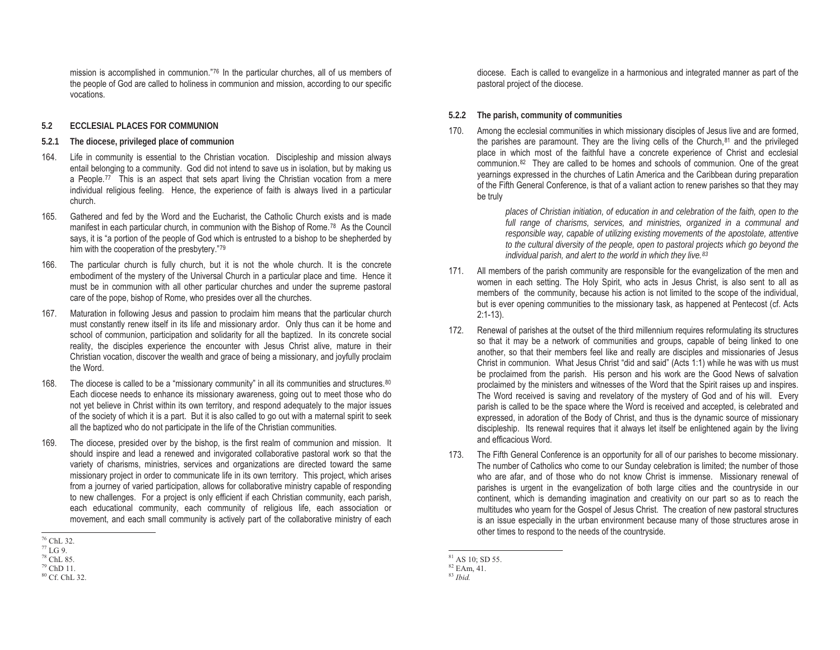mission is accomplished in communion."76 In the particular churches, all of us members of the people of God are called to holiness in communion and mission, according to our specific vocations.

- **5.2 ECCLESIAL PLACES FOR COMMUNION**
- **5.2.1 The diocese, privileged place of communion**
- 164. Life in community is essential to the Christian vocation. Discipleship and mission always entail belonging to a community. God did not intend to save us in isolation, but by making us a People.77 This is an aspect that sets apart living the Christian vocation from a mere individual religious feeling. Hence, the experience of faith is always lived in a particular church.
- 165. Gathered and fed by the Word and the Eucharist, the Catholic Church exists and is made manifest in each particular church, in communion with the Bishop of Rome.<sup>78</sup> As the Council says, it is "a portion of the people of God which is entrusted to a bishop to be shepherded by him with the cooperation of the presbytery."79
- 166. The particular church is fully church, but it is not the whole church. It is the concrete embodiment of the mystery of the Universal Church in a particular place and time. Hence it must be in communion with all other particular churches and under the supreme pastoral care of the pope, bishop of Rome, who presides over all the churches.
- 167. Maturation in following Jesus and passion to proclaim him means that the particular church must constantly renew itself in its life and missionary ardor. Only thus can it be home and school of communion, participation and solidarity for all the baptized. In its concrete social reality, the disciples experience the encounter with Jesus Christ alive, mature in their Christian vocation, discover the wealth and grace of being a missionary, and joyfully proclaim the Word.
- 168. The diocese is called to be a "missionary community" in all its communities and structures.80 Each diocese needs to enhance its missionary awareness, going out to meet those who do not yet believe in Christ within its own territory, and respond adequately to the major issues of the society of which it is a part. But it is also called to go out with a maternal spirit to seek all the baptized who do not participate in the life of the Christian communities.
- 169. The diocese, presided over by the bishop, is the first realm of communion and mission. It should inspire and lead a renewed and invigorated collaborative pastoral work so that the variety of charisms, ministries, services and organizations are directed toward the same missionary project in order to communicate life in its own territory. This project, which arises from a journey of varied participation, allows for collaborative ministry capable of responding to new challenges. For a project is only efficient if each Christian community, each parish, each educational community, each community of religious life, each association or movement, and each small community is actively part of the collaborative ministry of each

diocese. Each is called to evangelize in a harmonious and integrated manner as part of the pastoral project of the diocese.

- **5.2.2 The parish, community of communities**
- 170. Among the ecclesial communities in which missionary disciples of Jesus live and are formed, the parishes are paramount. They are the living cells of the Church, $81$  and the privileged place in which most of the faithful have a concrete experience of Christ and ecclesial communion.82 They are called to be homes and schools of communion. One of the great yearnings expressed in the churches of Latin America and the Caribbean during preparation of the Fifth General Conference, is that of a valiant action to renew parishes so that they may be truly

*places of Christian initiation, of education in and celebration of the faith, open to the full range of charisms, services, and ministries, organized in a communal and responsible way, capable of utilizing existing movements of the apostolate, attentive*  to the cultural diversity of the people, open to pastoral projects which go beyond the *individual parish, and alert to the world in which they live.83*

- 171. All members of the parish community are responsible for the evangelization of the men and women in each setting. The Holy Spirit, who acts in Jesus Christ, is also sent to all as members of the community, because his action is not limited to the scope of the individual, but is ever opening communities to the missionary task, as happened at Pentecost (cf. Acts 2:1-13).
- 172. Renewal of parishes at the outset of the third millennium requires reformulating its structures so that it may be a network of communities and groups, capable of being linked to one another, so that their members feel like and really are disciples and missionaries of Jesus Christ in communion. What Jesus Christ "did and said" (Acts 1:1) while he was with us must be proclaimed from the parish. His person and his work are the Good News of salvation proclaimed by the ministers and witnesses of the Word that the Spirit raises up and inspires. The Word received is saving and revelatory of the mystery of God and of his will. Every parish is called to be the space where the Word is received and accepted, is celebrated and expressed, in adoration of the Body of Christ, and thus is the dynamic source of missionary discipleship. Its renewal requires that it always let itself be enlightened again by the living and efficacious Word.
- 173. The Fifth General Conference is an opportunity for all of our parishes to become missionary. The number of Catholics who come to our Sunday celebration is limited; the number of those who are afar, and of those who do not know Christ is immense. Missionary renewal of parishes is urgent in the evangelization of both large cities and the countryside in our continent, which is demanding imagination and creativity on our part so as to reach the multitudes who yearn for the Gospel of Jesus Christ. The creation of new pastoral structures is an issue especially in the urban environment because many of those structures arose in other times to respond to the needs of the countryside.

<sup>76</sup> ChL 32.

 $^{77}$  LG 9.

 $78$  ChI  $85$ .

 $79$  ChD 11.

80 Cf. ChL 32.

 $81$  AS 10; SD 55.

<sup>82</sup> EAm, 41.

<sup>83</sup> *Ibid.*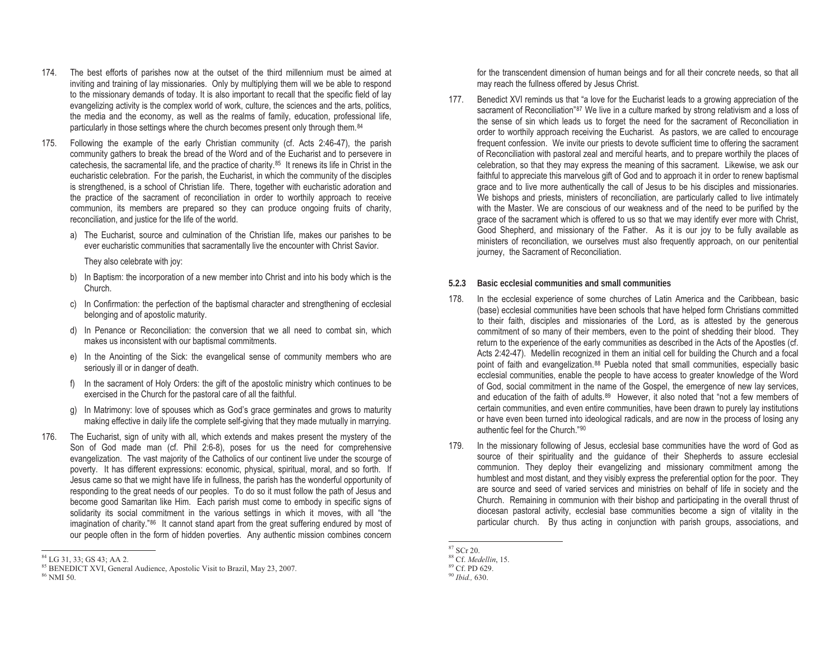- 174. The best efforts of parishes now at the outset of the third millennium must be aimed at inviting and training of lay missionaries. Only by multiplying them will we be able to respond to the missionary demands of today. It is also important to recall that the specific field of lay evangelizing activity is the complex world of work, culture, the sciences and the arts, politics, the media and the economy, as well as the realms of family, education, professional life, particularly in those settings where the church becomes present only through them.84
- 175. Following the example of the early Christian community (cf. Acts 2:46-47), the parish community gathers to break the bread of the Word and of the Eucharist and to persevere in catechesis, the sacramental life, and the practice of charity.<sup>85</sup> It renews its life in Christ in the eucharistic celebration. For the parish, the Eucharist, in which the community of the disciples is strengthened, is a school of Christian life. There, together with eucharistic adoration and the practice of the sacrament of reconciliation in order to worthily approach to receive communion, its members are prepared so they can produce ongoing fruits of charity, reconciliation, and justice for the life of the world.
	- a) The Eucharist, source and culmination of the Christian life, makes our parishes to be ever eucharistic communities that sacramentally live the encounter with Christ Savior.

They also celebrate with joy:

- b) In Baptism: the incorporation of a new member into Christ and into his body which is the Church.
- c) In Confirmation: the perfection of the baptismal character and strengthening of ecclesial belonging and of apostolic maturity.
- d) In Penance or Reconciliation: the conversion that we all need to combat sin, which makes us inconsistent with our baptismal commitments.
- e) In the Anointing of the Sick: the evangelical sense of community members who are seriously ill or in danger of death.
- f) In the sacrament of Holy Orders: the gift of the apostolic ministry which continues to be exercised in the Church for the pastoral care of all the faithful.
- g) In Matrimony: love of spouses which as God's grace germinates and grows to maturity making effective in daily life the complete self-giving that they made mutually in marrying.
- 176. The Eucharist, sign of unity with all, which extends and makes present the mystery of the Son of God made man (cf. Phil 2:6-8), poses for us the need for comprehensive evangelization. The vast majority of the Catholics of our continent live under the scourge of poverty. It has different expressions: economic, physical, spiritual, moral, and so forth. If Jesus came so that we might have life in fullness, the parish has the wonderful opportunity of responding to the great needs of our peoples. To do so it must follow the path of Jesus and become good Samaritan like Him. Each parish must come to embody in specific signs of solidarity its social commitment in the various settings in which it moves, with all "the imagination of charity."<sup>86</sup> It cannot stand apart from the great suffering endured by most of our people often in the form of hidden poverties. Any authentic mission combines concern

for the transcendent dimension of human beings and for all their concrete needs, so that all may reach the fullness offered by Jesus Christ.

- 177. Benedict XVI reminds us that "a love for the Eucharist leads to a growing appreciation of the sacrament of Reconciliation"<sup>87</sup> We live in a culture marked by strong relativism and a loss of the sense of sin which leads us to forget the need for the sacrament of Reconciliation in order to worthily approach receiving the Eucharist. As pastors, we are called to encourage frequent confession. We invite our priests to devote sufficient time to offering the sacrament of Reconciliation with pastoral zeal and merciful hearts, and to prepare worthily the places of celebration, so that they may express the meaning of this sacrament. Likewise, we ask our faithful to appreciate this marvelous gift of God and to approach it in order to renew baptismal grace and to live more authentically the call of Jesus to be his disciples and missionaries. We bishops and priests, ministers of reconciliation, are particularly called to live intimately with the Master. We are conscious of our weakness and of the need to be purified by the grace of the sacrament which is offered to us so that we may identify ever more with Christ, Good Shepherd, and missionary of the Father. As it is our joy to be fully available as ministers of reconciliation, we ourselves must also frequently approach, on our penitential journey, the Sacrament of Reconciliation.
- **5.2.3 Basic ecclesial communities and small communities**
- 178. In the ecclesial experience of some churches of Latin America and the Caribbean, basic (base) ecclesial communities have been schools that have helped form Christians committed to their faith, disciples and missionaries of the Lord, as is attested by the generous commitment of so many of their members, even to the point of shedding their blood. They return to the experience of the early communities as described in the Acts of the Apostles (cf. Acts 2:42-47). Medellin recognized in them an initial cell for building the Church and a focal point of faith and evangelization.<sup>88</sup> Puebla noted that small communities, especially basic ecclesial communities, enable the people to have access to greater knowledge of the Word of God, social commitment in the name of the Gospel, the emergence of new lay services, and education of the faith of adults.<sup>89</sup> However, it also noted that "not a few members of certain communities, and even entire communities, have been drawn to purely lay institutions or have even been turned into ideological radicals, and are now in the process of losing any authentic feel for the Church."90
- 179. In the missionary following of Jesus, ecclesial base communities have the word of God as source of their spirituality and the quidance of their Shepherds to assure ecclesial communion. They deploy their evangelizing and missionary commitment among the humblest and most distant, and they visibly express the preferential option for the poor. They are source and seed of varied services and ministries on behalf of life in society and the Church. Remaining in communion with their bishop and participating in the overall thrust of diocesan pastoral activity, ecclesial base communities become a sign of vitality in the particular church. By thus acting in conjunction with parish groups, associations, and

<sup>84</sup> LG 31, 33; GS 43; AA 2.

<sup>&</sup>lt;sup>85</sup> BENEDICT XVI, General Audience, Apostolic Visit to Brazil, May 23, 2007.

<sup>86</sup> NMI 50.

<sup>87</sup> SCr 20.

88 Cf. *Medellin*, 15.

<sup>89</sup> Cf. PD 629.

<sup>90</sup> *Ibid.,* 630.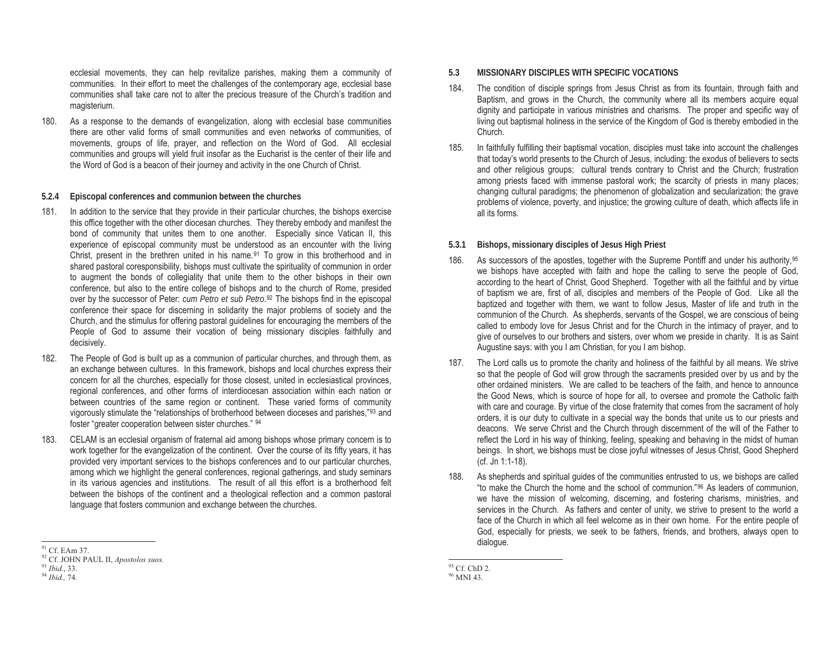ecclesial movements, they can help revitalize parishes, making them a community of communities. In their effort to meet the challenges of the contemporary age, ecclesial base communities shall take care not to alter the precious treasure of the Church's tradition and magisterium.

- 180. As a response to the demands of evangelization, along with ecclesial base communities there are other valid forms of small communities and even networks of communities, of movements, groups of life, prayer, and reflection on the Word of God. All ecclesial communities and groups will yield fruit insofar as the Eucharist is the center of their life and the Word of God is a beacon of their journey and activity in the one Church of Christ.
- **5.2.4 Episcopal conferences and communion between the churches**
- 181. In addition to the service that they provide in their particular churches, the bishops exercise this office together with the other diocesan churches. They thereby embody and manifest the bond of community that unites them to one another. Especially since Vatican II, this experience of episcopal community must be understood as an encounter with the living Christ, present in the brethren united in his name.<sup>91</sup> To grow in this brotherhood and in shared pastoral coresponsibility, bishops must cultivate the spirituality of communion in order to augment the bonds of collegiality that unite them to the other bishops in their own conference, but also to the entire college of bishops and to the church of Rome, presided over by the successor of Peter: *cum Petro et sub Petro*.92 The bishops find in the episcopal conference their space for discerning in solidarity the major problems of society and the Church, and the stimulus for offering pastoral guidelines for encouraging the members of the People of God to assume their vocation of being missionary disciples faithfully and decisively.
- 182. The People of God is built up as a communion of particular churches, and through them, as an exchange between cultures. In this framework, bishops and local churches express their concern for all the churches, especially for those closest, united in ecclesiastical provinces, regional conferences, and other forms of interdiocesan association within each nation or between countries of the same region or continent. These varied forms of community vigorously stimulate the "relationships of brotherhood between dioceses and parishes,"93 and foster "greater cooperation between sister churches." 94
- 183. CELAM is an ecclesial organism of fraternal aid among bishops whose primary concern is to work together for the evangelization of the continent. Over the course of its fifty years, it has provided very important services to the bishops conferences and to our particular churches, among which we highlight the general conferences, regional gatherings, and study seminars in its various agencies and institutions. The result of all this effort is a brotherhood felt between the bishops of the continent and a theological reflection and a common pastoral language that fosters communion and exchange between the churches.
- **5.3 MISSIONARY DISCIPLES WITH SPECIFIC VOCATIONS**
- 184. The condition of disciple springs from Jesus Christ as from its fountain, through faith and Baptism, and grows in the Church, the community where all its members acquire equal dignity and participate in various ministries and charisms. The proper and specific way of living out baptismal holiness in the service of the Kingdom of God is thereby embodied in the Church.
- 185. In faithfully fulfilling their baptismal vocation, disciples must take into account the challenges that today's world presents to the Church of Jesus, including: the exodus of believers to sects and other religious groups; cultural trends contrary to Christ and the Church; frustration among priests faced with immense pastoral work; the scarcity of priests in many places; changing cultural paradigms; the phenomenon of globalization and secularization; the grave problems of violence, poverty, and injustice; the growing culture of death, which affects life in all its forms.
- **5.3.1 Bishops, missionary disciples of Jesus High Priest**
- 186. As successors of the apostles, together with the Supreme Pontiff and under his authority, 95 we bishops have accepted with faith and hope the calling to serve the people of God, according to the heart of Christ, Good Shepherd. Together with all the faithful and by virtue of baptism we are, first of all, disciples and members of the People of God. Like all the baptized and together with them, we want to follow Jesus, Master of life and truth in the communion of the Church. As shepherds, servants of the Gospel, we are conscious of being called to embody love for Jesus Christ and for the Church in the intimacy of prayer, and to give of ourselves to our brothers and sisters, over whom we preside in charity. It is as Saint Augustine says: with you I am Christian, for you I am bishop.
- 187. The Lord calls us to promote the charity and holiness of the faithful by all means. We strive so that the people of God will grow through the sacraments presided over by us and by the other ordained ministers. We are called to be teachers of the faith, and hence to announce the Good News, which is source of hope for all, to oversee and promote the Catholic faith with care and courage. By virtue of the close fraternity that comes from the sacrament of holy orders, it is our duty to cultivate in a special way the bonds that unite us to our priests and deacons. We serve Christ and the Church through discernment of the will of the Father to reflect the Lord in his way of thinking, feeling, speaking and behaving in the midst of human beings. In short, we bishops must be close joyful witnesses of Jesus Christ, Good Shepherd (cf. Jn 1:1-18).
- 188. As shepherds and spiritual guides of the communities entrusted to us, we bishops are called "to make the Church the home and the school of communion."96 As leaders of communion, we have the mission of welcoming, discerning, and fostering charisms, ministries, and services in the Church. As fathers and center of unity, we strive to present to the world a face of the Church in which all feel welcome as in their own home. For the entire people of God, especially for priests, we seek to be fathers, friends, and brothers, always open to dialogue.

<sup>&</sup>lt;sup>91</sup> Cf. EAm 37.

92 Cf. JOHN PAUL II, *Apostolos suos.* 

<sup>93</sup> *Ibid.*, 33.

<sup>94</sup> *Ibid.,* 74.

 $95$  Cf. ChD 2. 96 MNI 43.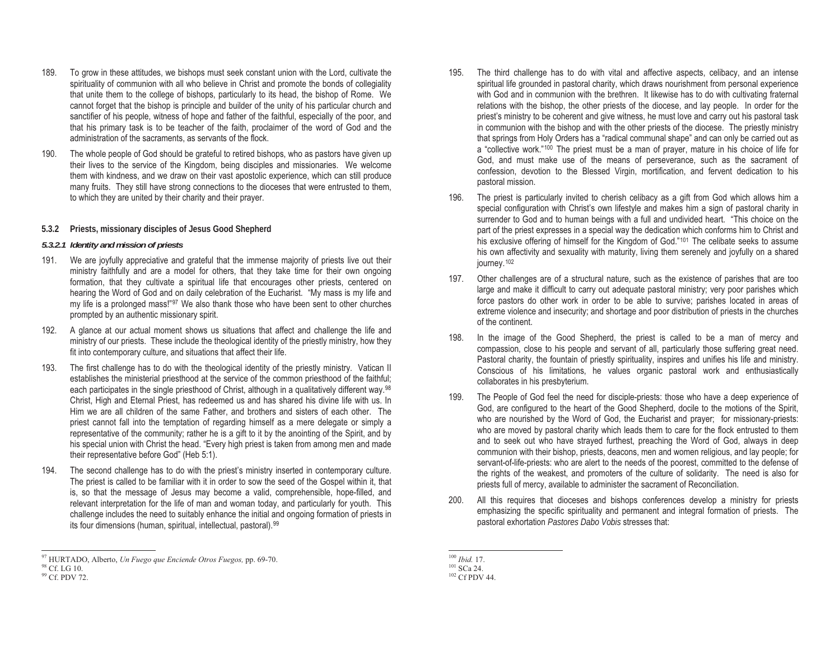- 189. To grow in these attitudes, we bishops must seek constant union with the Lord, cultivate the spirituality of communion with all who believe in Christ and promote the bonds of collegiality that unite them to the college of bishops, particularly to its head, the bishop of Rome. We cannot forget that the bishop is principle and builder of the unity of his particular church and sanctifier of his people, witness of hope and father of the faithful, especially of the poor, and that his primary task is to be teacher of the faith, proclaimer of the word of God and the administration of the sacraments, as servants of the flock.
- 190. The whole people of God should be grateful to retired bishops, who as pastors have given up their lives to the service of the Kingdom, being disciples and missionaries. We welcome them with kindness, and we draw on their vast apostolic experience, which can still produce many fruits. They still have strong connections to the dioceses that were entrusted to them, to which they are united by their charity and their prayer.
- **5.3.2 Priests, missionary disciples of Jesus Good Shepherd**
- *5.3.2.1 Identity and mission of priests*
- 191. We are joyfully appreciative and grateful that the immense majority of priests live out their ministry faithfully and are a model for others, that they take time for their own ongoing formation, that they cultivate a spiritual life that encourages other priests, centered on hearing the Word of God and on daily celebration of the Eucharist. "My mass is my life and my life is a prolonged mass!"97 We also thank those who have been sent to other churches prompted by an authentic missionary spirit.
- 192. A glance at our actual moment shows us situations that affect and challenge the life and ministry of our priests. These include the theological identity of the priestly ministry, how they fit into contemporary culture, and situations that affect their life.
- 193. The first challenge has to do with the theological identity of the priestly ministry. Vatican II establishes the ministerial priesthood at the service of the common priesthood of the faithful; each participates in the single priesthood of Christ, although in a qualitatively different way.<sup>98</sup> Christ, High and Eternal Priest, has redeemed us and has shared his divine life with us. In Him we are all children of the same Father, and brothers and sisters of each other. The priest cannot fall into the temptation of regarding himself as a mere delegate or simply a representative of the community; rather he is a gift to it by the anointing of the Spirit, and by his special union with Christ the head. "Every high priest is taken from among men and made their representative before God" (Heb 5:1).
- 194. The second challenge has to do with the priest's ministry inserted in contemporary culture. The priest is called to be familiar with it in order to sow the seed of the Gospel within it, that is, so that the message of Jesus may become a valid, comprehensible, hope-filled, and relevant interpretation for the life of man and woman today, and particularly for youth. This challenge includes the need to suitably enhance the initial and ongoing formation of priests in its four dimensions (human, spiritual, intellectual, pastoral).<sup>99</sup>
- 195. The third challenge has to do with vital and affective aspects, celibacy, and an intense spiritual life grounded in pastoral charity, which draws nourishment from personal experience with God and in communion with the brethren. It likewise has to do with cultivating fraternal relations with the bishop, the other priests of the diocese, and lay people. In order for the priest's ministry to be coherent and give witness, he must love and carry out his pastoral task in communion with the bishop and with the other priests of the diocese. The priestly ministry that springs from Holy Orders has a "radical communal shape" and can only be carried out as <sup>a</sup>"collective work."100 The priest must be a man of prayer, mature in his choice of life for God, and must make use of the means of perseverance, such as the sacrament of confession, devotion to the Blessed Virgin, mortification, and fervent dedication to his pastoral mission.
- 196. The priest is particularly invited to cherish celibacy as a gift from God which allows him a his own affectivity and sexuality with maturity, living them serenely and joyfully on a shared special configuration with Christ's own lifestyle and makes him a sign of pastoral charity in surrender to God and to human beings with a full and undivided heart. "This choice on the part of the priest expresses in a special way the dedication which conforms him to Christ and his exclusive offering of himself for the Kingdom of God."<sup>101</sup> The celibate seeks to assume journey.<sup>102</sup>
- 197.extreme violence and insecurity; and shortage and poor distribution of priests in the churches Other challenges are of a structural nature, such as the existence of parishes that are too large and make it difficult to carry out adequate pastoral ministry; very poor parishes which force pastors do other work in order to be able to survive; parishes located in areas of of the continent.
- 198.Conscious of his limitations, he values organic pastoral work and enthusiastically In the image of the Good Shepherd, the priest is called to be a man of mercy and compassion, close to his people and servant of all, particularly those suffering great need. Pastoral charity, the fountain of priestly spirituality, inspires and unifies his life and ministry. collaborates in his presbyterium.
- 199. The People of God feel the need for disciple-priests: those who have a deep experience of the rights of the weakest, and promoters of the culture of solidarity. The need is also for God, are configured to the heart of the Good Shepherd, docile to the motions of the Spirit, who are nourished by the Word of God, the Eucharist and prayer; for missionary-priests: who are moved by pastoral charity which leads them to care for the flock entrusted to them and to seek out who have strayed furthest, preaching the Word of God, always in deep communion with their bishop, priests, deacons, men and women religious, and lay people; for servant-of-life-priests: who are alert to the needs of the poorest, committed to the defense of priests full of mercy, available to administer the sacrament of Reconciliation.
- 200. All this requires that dioceses and bishops conferences develop a ministry for priests emphasizing the specific spirituality and permanent and integral formation of priests. The pastoral exhortation *Pastores Dabo Vobis* stresses that:

100 *Ibid.* 17.

<sup>97</sup> HURTADO, Alberto, *Un Fuego que Enciende Otros Fuegos,* pp. 69-70.

<sup>&</sup>lt;sup>98</sup> Cf. LG 10.

 $99$  Cf. PDV 72.

 $101$  SCa 24.

 $102$  Cf PDV 44.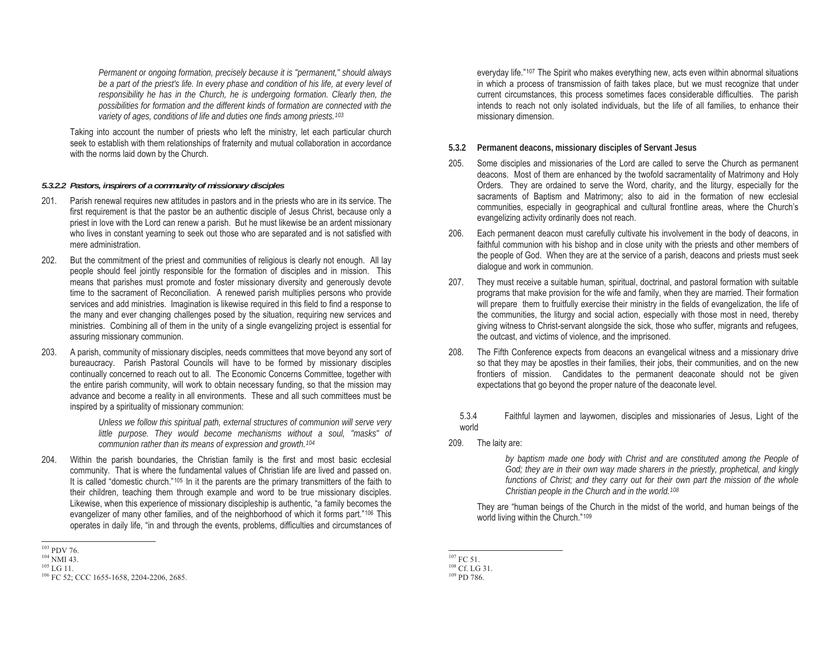*Permanent or ongoing formation, precisely because it is "permanent," should always*  be a part of the priest's life. In every phase and condition of his life, at every level of responsibility he has in the Church, he is undergoing formation. Clearly then, the *possibilities for formation and the different kinds of formation are connected with the variety of ages, conditions of life and duties one finds among priests.103*

Taking into account the number of priests who left the ministry, let each particular church seek to establish with them relationships of fraternity and mutual collaboration in accordance with the norms laid down by the Church.

## *2 5.3.2. Pastors, inspirers of a community of missionary disciples*

- 201. Parish renewal requires new attitudes in pastors and in the priests who are in its service. The priest in love with the Lord can renew a parish. But he must likewise be an ardent missionary first requirement is that the pastor be an authentic disciple of Jesus Christ, because only a who lives in constant yearning to seek out those who are separated and is not satisfied with mere administration.
- 202.the many and ever changing challenges posed by the situation, requiring new services and But the commitment of the priest and communities of religious is clearly not enough. All lay people should feel jointly responsible for the formation of disciples and in mission. This means that parishes must promote and foster missionary diversity and generously devote time to the sacrament of Reconciliation. A renewed parish multiplies persons who provide services and add ministries. Imagination is likewise required in this field to find a response to ministries. Combining all of them in the unity of a single evangelizing project is essential for assuring missionary communion.
- 203. A parish, community of missionary disciples, needs committees that move beyond any sort of the entire parish community, will work to obtain necessary funding, so that the mission may advance and become a reality in all environments. These and all such committees must be inspired by a spirituality of missionary communion: bureaucracy. Parish Pastoral Councils will have to be formed by missionary disciples continually concerned to reach out to all. The Economic Concerns Committee, together with

Unless we follow this spiritual path, external structures of communion will serve very *little purpose. They would become mechanisms without a soul, "masks" of communion rather than its means of expression and growth.104*

204.operates in daily life, "in and through the events, problems, difficulties and circumstances of Within the parish boundaries, the Christian family is the first and most basic ecclesial community. That is where the fundamental values of Christian life are lived and passed on. It is called "domestic church."<sup>105</sup> In it the parents are the primary transmitters of the faith to their children, teaching them through example and word to be true missionary disciples. Likewise, when this experience of missionary discipleship is authentic, "a family becomes the evangelizer of many other families, and of the neighborhood of which it forms part."<sup>106</sup> This

everyday life."107 The Spirit who makes everything new, acts even within abnormal situations in which a process of transmission of faith takes place, but we must recognize that under current circumstances, this process sometimes faces considerable difficulties. The parish intends to reach not only isolated individuals, but the life of all families, to enhance their missionary dimension.

## **5.3.2 Permanent deacons, missionary disciples of Servant Jesus**

- 205. communities, especially in geographical and cultural frontline areas, where the Church's Some disciples and missionaries of the Lord are called to serve the Church as permanent deacons. Most of them are enhanced by the twofold sacramentality of Matrimony and Holy Orders. They are ordained to serve the Word, charity, and the liturgy, especially for the sacraments of Baptism and Matrimony; also to aid in the formation of new ecclesial evangelizing activity ordinarily does not reach.
- 206.the people of God. When they are at the service of a parish, deacons and priests must seek Each permanent deacon must carefully cultivate his involvement in the body of deacons, in faithful communion with his bishop and in close unity with the priests and other members of dialogue and work in communion.
- 207. They must receive a suitable human, spiritual, doctrinal, and pastoral formation with suitable giving witness to Christ-servant alongside the sick, those who suffer, migrants and refugees, programs that make provision for the wife and family, when they are married. Their formation will prepare them to fruitfully exercise their ministry in the fields of evangelization, the life of the communities, the liturgy and social action, especially with those most in need, thereby the outcast, and victims of violence, and the imprisoned.
- 208. The Fifth Conference expects from deacons an evangelical witness and a missionary drive frontiers of mission. Candidates to the permanent deaconate should not be given expectations that go beyond the proper nature of the deaconate level. so that they may be apostles in their families, their jobs, their communities, and on the new

Faithful laymen and laywomen, disciples and missionaries of Jesus, Light of the 5.3.4world

209. The laity are:

functions of Christ; and they carry out for their own part the mission of the whole by baptism made one body with Christ and are constituted among the People of *God; they are in their own way made sharers in the priestly, prophetical, and kingly Christian people in the Church and in the world.108*

They are "human beings of the Church in the midst of the world, and human beings of the world living within the Church."109

 $107$  FC 51. 108 Cf. LG 31.  $109$  PD 786.

<sup>&</sup>lt;sup>103</sup> PDV 76.

<sup>&</sup>lt;sup>104</sup> NMI 43.

 $105$  LG 11.

<sup>&</sup>lt;sup>106</sup> FC 52; CCC 1655-1658, 2204-2206, 2685.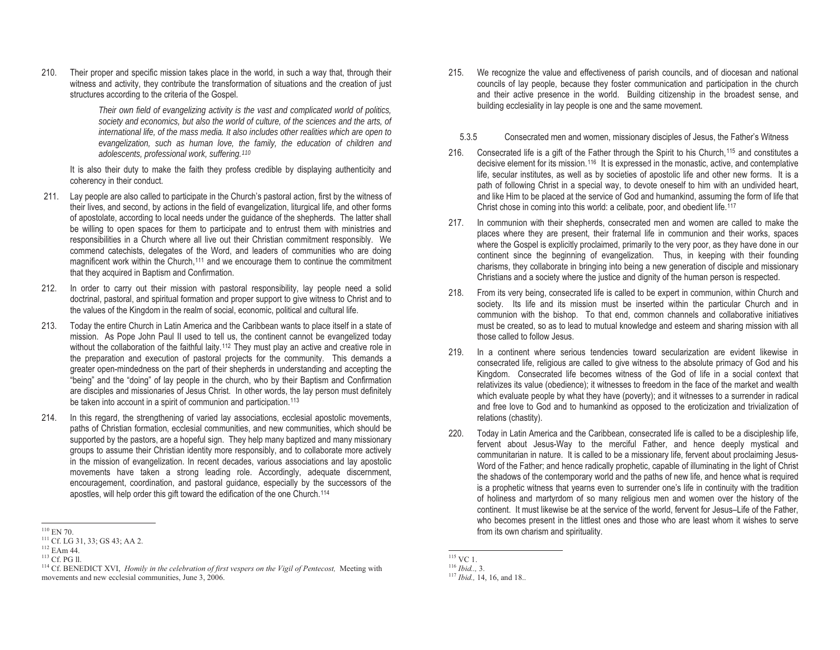210. Their pr oper and specific mission takes place in the world, in such a way that, through their witness and activity, they contribute the transformation of situations and the creation of just structures according to the criteria of the Gospel.

> society and economics, but also the world of culture, of the sciences and the arts, of evangelization, such as human love, the family, the education of children and *Their own field of evangelizing activity is the vast and complicated world of politics, international life, of the mass media. It also includes other realities which are open to adolescents, professional work, suffering.110*

It is also their duty to make the faith they profess credible by displaying authenticity and coherency in their conduct.

- 211. Lay people are also called to participate in the Church's pastoral action, first by the witness of responsibilities in a Church where all live out their Christian commitment responsibly. We their lives, and second, by actions in the field of evangelization, liturgical life, and other forms of apostolate, according to local needs under the guidance of the shepherds. The latter shall be willing to open spaces for them to participate and to entrust them with ministries and commend catechists, delegates of the Word, and leaders of communities who are doing magnificent work within the Church,<sup>111</sup> and we encourage them to continue the commitment that they acquired in Baptism and Confirmation.
- 212. In order to carry out their mission with pastoral responsibility, lay people need a solid doctrinal, pastoral, and spiritual formation and proper support to give witness to Christ and to the values of the Kingdom in the realm of social, economic, political and cultural life.
- 213.greater open-mindedness on the part of their shepherds in understanding and accepting the Today the entire Church in Latin America and the Caribbean wants to place itself in a state of mission. As Pope John Paul II used to tell us, the continent cannot be evangelized today without the collaboration of the faithful laity.<sup>112</sup> They must play an active and creative role in the preparation and execution of pastoral projects for the community. This demands a "being" and the "doing" of lay people in the church, who by their Baptism and Confirmation are disciples and missionaries of Jesus Christ. In other words, the lay person must definitely be taken into account in a spirit of communion and participation.<sup>113</sup>
- 214.in the mission of evangelization. In recent decades, various associations and lay apostolic In this regard, the strengthening of varied lay associations, ecclesial apostolic movements, paths of Christian formation, ecclesial communities, and new communities, which should be supported by the pastors, are a hopeful sign. They help many baptized and many missionary groups to assume their Christian identity more responsibly, and to collaborate more actively movements have taken a strong leading role. Accordingly, adequate discernment, encouragement, coordination, and pastoral guidance, especially by the successors of the apostles, will help order this gift toward the edification of the one Church.114
- 215. We recognize the value and effectiveness of parish councils, and of diocesan and national councils of lay people, because they foster communication and participation in the church and their active presence in the world. Building citizenship in the broadest sense, and building ecclesiality in lay people is one and the same movement.
- 5.3.5Consecrated men and women, missionary disciples of Jesus, the Father's Witness
- 216. Consecrated life is a gift of the Father through the Spirit to his Church,115 and constitutes a decisive element for its mission.<sup>116</sup> It is expressed in the monastic, active, and contemplative life, secular institutes, as well as by societies of apostolic life and other new forms. It is a path of following Christ in a special way, to devote oneself to him with an undivided heart, and like Him to be placed at the service of God and humankind, assuming the form of life that Christ chose in coming into this world: a celibate, poor, and obedient life.117
- 217. In communion with their shepherds, consecrated men and women are called to make the places where they are present, their fraternal life in communion and their works, spaces where the Gospel is explicitly proclaimed, primarily to the very poor, as they have done in our continent since the beginning of evangelization. Thus, in keeping with their founding charisms, they collaborate in bringing into being a new generation of disciple and missionary Christians and a society where the justice and dignity of the human person is respected.
- 218. From its very being, consecrated life is called to be expert in communion, within Church and society. Its life and its mission must be inserted within the particular Church and in communion with the bishop. To that end, common channels and collaborative initiatives must be created, so as to lead to mutual knowledge and esteem and sharing mission with all those called to follow Jesus.
- 219. In a continent where serious tendencies toward secularization are evident likewise in Kingdom. Consecrated life becomes witness of the God of life in a social context that consecrated life, religious are called to give witness to the absolute primacy of God and his relativizes its value (obedience); it witnesses to freedom in the face of the market and wealth which evaluate people by what they have (poverty); and it witnesses to a surrender in radical and free love to God and to humankind as opposed to the eroticization and trivialization of relations (chastity).
- 220. Today in Latin America and the Caribbean, consecrated life is called to be a discipleship life, is a prophetic witness that yearns even to surrender one's life in continuity with the tradition continent. It must likewise be at the service of the world, fervent for Jesus–Life of the Father, who becomes present in the littlest ones and those who are least whom it wishes to serve from its own charism and spirituality. fervent about Jesus-Way to the merciful Father, and hence deeply mystical and communitarian in nature. It is called to be a missionary life, fervent about proclaiming Jesus-Word of the Father; and hence radically prophetic, capable of illuminating in the light of Christ the shadows of the contemporary world and the paths of new life, and hence what is required of holiness and martyrdom of so many religious men and women over the history of the

<sup>&</sup>lt;sup>110</sup> EN 70.

111 Cf. LG 31, 33; GS 43; AA 2.

 $^{112}$  EAm 44.

 $^{113}$  Cf. PG II.

114 Cf. BENEDICT XVI, *Homily in the celebration of first vespers on the Vigil of Pentecost,* Meeting with movements and new ecclesial communities, June 3, 2006.

 $115 \text{ VC} 1.$ 

116 *Ibid..,* 3.

<sup>117</sup> *Ibid.,* 14, 16, and 18..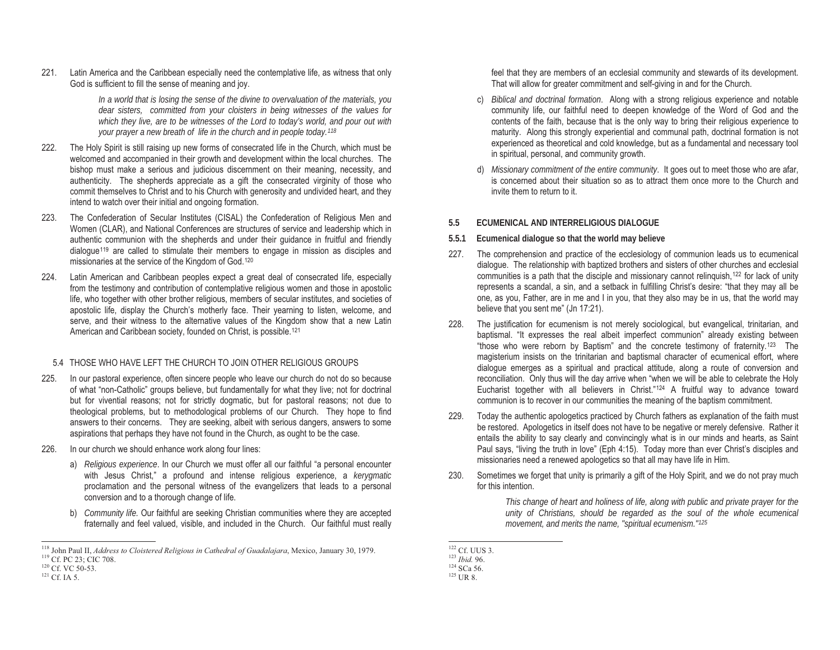221. Latin Am erica and the Caribbean especially need the contemplative life, as witness that only God is sufficient to fill the sense of meaning and joy.

> *In a world that is losing the sense of the divine to overvaluation of the materials, you dear sisters, committed from your cloisters in being witnesses of the values for which they live, are to be witnesses of the Lord to today's world, and pour out with your prayer a new breath of life in the church and in people today.118*

- 222.welcomed and accompanied in their growth and development within the local churches. The The Holy Spirit is still raising up new forms of consecrated life in the Church, which must be bishop must make a serious and judicious discernment on their meaning, necessity, and authenticity. The shepherds appreciate as a gift the consecrated virginity of those who commit themselves to Christ and to his Church with generosity and undivided heart, and they intend to watch over their initial and ongoing formation.
- 223. The Confederation of Secular Institutes (CISAL) the Confederation of Religious Men and Women (CLAR), and National Conferences are structures of service and leadership which in authentic communion with the shepherds and under their guidance in fruitful and friendly dialogue<sup>119</sup> are called to stimulate their members to engage in mission as disciples and missionaries at the service of the Kingdom of God.120
- 224. Latin American and Caribbean peoples expect a great deal of consecrated life, especially from the testimony and contribution of contemplative religious women and those in apostolic life, who together with other brother religious, members of secular institutes, and societies of apostolic life, display the Church's motherly face. Their yearning to listen, welcome, and serve, and their witness to the alternative values of the Kingdom show that a new Latin American and Caribbean society, founded on Christ, is possible.<sup>121</sup>

#### 5.4THOSE WHO HAVE LEFT THE CHURCH TO JOIN OTHER RELIGIOUS GROUPS

- 225.of what "non-Catholic" groups believe, but fundamentally for what they live; not for doctrinal but for vivential reasons; not for strictly dogmatic, but for pastoral reasons; not due to In our pastoral experience, often sincere people who leave our church do not do so because theological problems, but to methodological problems of our Church. They hope to find answers to their concerns. They are seeking, albeit with serious dangers, answers to some aspirations that perhaps they have not found in the Church, as ought to be the case.
- 226. In our church we should enhance work along four lines:
	- a) *Religious experience*. In our Church we must offer all our faithful "a personal encounter with Jesus Christ," a profound and intense religious experience, a *kerygmatic* proclamation and the personal witness of the evangelizers that leads to a personal conversion and to a thorough change of life.
	- b) *Community life.* Our faithful are seeking Christian communities where they are accepted fraternally and feel valued, visible, and included in the Church. Our faithful must really

feel that they are members of an ecclesial community and stewards of its development. That will allow for greater commitment and self-giving in and for the Church.

- c) *Biblical and doctrinal formation*. Along with a strong religious experience and notable community life, our faithful need to deepen knowledge of the Word of God and the experienced as theoretical and cold knowledge, but as a fundamental and necessary tool in spiritual, personal, and community growth. contents of the faith, because that is the only way to bring their religious experience to maturity. Along this strongly experiential and communal path, doctrinal formation is not
- d) Missionary commitment of the entire community. It goes out to meet those who are afar, is concerned about their situation so as to attract them once more to the Church and invite them to return to it.

#### **5.5ECUMENICAL AND INTERRELIGIOUS DIALOGUE**

- **5.5.1 Ecumenical dialogue so that the world may believe**
- 227.dialogue. The relationship with baptized brothers and sisters of other churches and ecclesial The comprehension and practice of the ecclesiology of communion leads us to ecumenical communities is a path that the disciple and missionary cannot relinquish,122 for lack of unity represents a scandal, a sin, and a setback in fulfilling Christ's desire: "that they may all be one, as you, Father, are in me and I in you, that they also may be in us, that the world may believe that you sent me" (Jn 17:21).
- 228.magisterium insists on the trinitarian and baptismal character of ecumenical effort, where The justification for ecumenism is not merely sociological, but evangelical, trinitarian, and baptismal. "It expresses the real albeit imperfect communion" already existing between "those who were reborn by Baptism" and the concrete testimony of fraternity.123 The dialogue emerges as a spiritual and practical attitude, along a route of conversion and reconciliation. Only thus will the day arrive when "when we will be able to celebrate the Holy Eucharist together with all believers in Christ."124 A fruitful way to advance toward communion is to recover in our communities the meaning of the baptism commitment.
- 229. Today the authentic apologetics practiced by Church fathers as explanation of the faith must entails the ability to say clearly and convincingly what is in our minds and hearts, as Saint Paul sa ys, "living the truth in love" (Eph 4:15). Today more than ever Christ's disciples and missionaries need a renewed apologetics so that all may have life in Him. be restored. Apologetics in itself does not have to be negative or merely defensive. Rather it
- 230. Sometimes we forget that unity is primarily a gift of the Holy Spirit, and we do not pray much for this intention.

*This change of heart and holiness of life, along with public and private prayer for the*  unity of Christians, should be regarded as the soul of the whole ecumenical *movement, and merits the name, "spiritual ecumenism."125*

<sup>118</sup> John Paul II, *Address to Cloistered Religious in Cathedral of Guadalajara*, Mexico, January 30, 1979.

<sup>119</sup> Cf. PC 23; CIC 708.

 $120$  Cf. VC 50-53.

 $^{121}$  Cf. IA 5.

 $122 \text{ Cf}$  UUS 3.

<sup>123</sup> *Ibid.* 96.

 $124$  SCa 56.

 $125$  UR 8.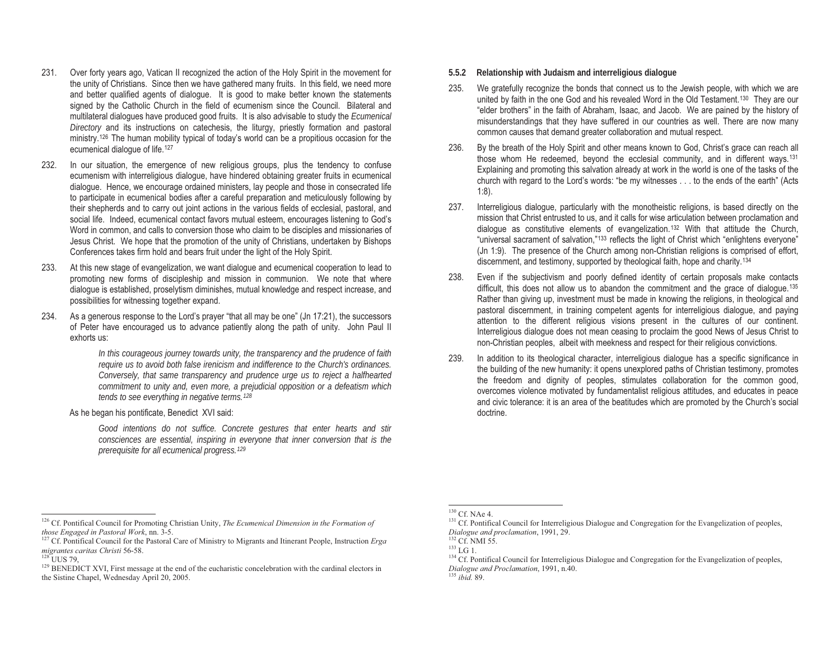- 231. Over forty years ago, Vatican II recognized the action of the Holy Spirit in the movement for signed by the Catholic Church in the field of ecumenism since the Council. Bilateral and the unity of Christians. Since then we have gathered many fruits. In this field, we need more and better qualified agents of dialogue. It is good to make better known the statements multilateral dialogues have produced good fruits. It is also advisable to study the *Ecumenical Directory* and its instructions on catechesis, the liturgy, priestly formation and pastoral ministry.<sup>126</sup> The human mobility typical of today's world can be a propitious occasion for the ecumenical dialogue of life.<sup>127</sup>
- 232.their shepherds and to carry out joint actions in the various fields of ecclesial, pastoral, and In our situation, the emergence of new religious groups, plus the tendency to confuse ecumenism with interreligious dialogue, have hindered obtaining greater fruits in ecumenical dialogue. Hence, we encourage ordained ministers, lay people and those in consecrated life to participate in ecumenical bodies after a careful preparation and meticulously following by social life. Indeed, ecumenical contact favors mutual esteem, encourages listening to God's Word in common, and calls to conversion those who claim to be disciples and missionaries of Jesus Christ. We hope that the promotion of the unity of Christians, undertaken by Bishops Conferences takes firm hold and bears fruit under the light of the Holy Spirit.
- possibilities for witnessing together expand. 233. At this new stage of evangelization, we want dialogue and ecumenical cooperation to lead to promoting new forms of discipleship and mission in communion. We note that where dialogue is established, proselytism diminishes, mutual knowledge and respect increase, and
- 234. As a ge nerous response to the Lord's prayer "that all may be one" (Jn 17:21), the successors of Peter have encouraged us to advance patiently along the path of unity. John Paul II exhorts us:

In this courageous journey towards unity, the transparency and the prudence of faith require us to avoid both false irenicism and indifference to the Church's ordinances. Conversely, that same transparency and prudence urge us to reject a halfhearted *commitment to unity and, even more, a prejudicial opposition or a defeatism which tends to see everything in negative terms.128*

As he be gan his pontificate, Benedict XVI said:

Good intentions do not suffice. Concrete gestures that enter hearts and stir *consciences are essential, inspiring in everyone that inner conversion that is the prerequisite for all ecumenical progress.129*

- **5.5.2 Relationship with Judaism and interreligious dialogue**
- 235. We gratefully recognize the bonds that connect us to the Jewish people, with which we are united by faith in the one God and his revealed Word in the Old Testament.<sup>130</sup> They are our "elder brothers" in the faith of Abraham, Isaac, and Jacob. We are pained by the history of misunderstandings that they have suffered in our countries as well. There are now many common causes that demand greater collaboration and mutual respect.
- 236. By the breath of the Holy Spirit and other means known to God, Christ's grace can reach all those whom He redeemed, beyond the ecclesial community, and in different ways.131 Explaining and promoting this salvation already at work in the world is one of the tasks of the church with regard to the Lord's words: "be my witnesses . . . to the ends of the earth" (Acts 1:8).
- 237. Interreligious dialogue, particularly with the monotheistic religions, is based directly on the mission that Christ entrusted to us, and it calls for wise articulation between proclamation and dialogue as constitutive elements of evangelization.132 With that attitude the Church, "universal sacrament of salvation,"133 reflects the light of Christ which "enlightens everyone" (Jn 1:9). The presence of the Church among non-Christian religions is comprised of effort, discernment, and testimony, supported by theological faith, hope and charity.134
- 238. Even if the subjectivism and poorly defined identity of certain proposals make contacts difficult, this does not allow us to abandon the commitment and the grace of dialogue.<sup>135</sup> Rather than giving up, investment must be made in knowing the religions, in theological and pastoral discernment, in training competent agents for interreligious dialogue, and paying attention to the different religious visions present in the cultures of our continent. Interreligious dialogue does not mean ceasing to proclaim the good News of Jesus Christ to non-Christian peoples, albeit with meekness and respect for their religious convictions.
- 239. In addition to its theological character, interreligious dialogue has a specific significance in the building of the new humanity: it opens unexplored paths of Christian testimony, promotes the freedom and dignity of peoples, stimulates collaboration for the common good, overcomes violence motivated by fundamentalist religious attitudes, and educates in peace and civic tolerance: it is an area of the beatitudes which are promoted by the Church's social doctrine.

<sup>126</sup> Cf. Pontifical Council for Promoting Christian Unity, *The Ecumenical Dimension in the Formation of those Engaged in Pastoral Work*, nn. 3-5.

<sup>127</sup> Cf. Pontifical Council for the Pastoral Care of Ministry to Migrants and Itinerant People, Instruction *Erga migrantes caritas Christi* 56-58. 128 UUS 79,

 $129$  BENEDICT XVI, First message at the end of the eucharistic concelebration with the cardinal electors in the Sistine Chapel, Wednesday April 20, 2005.

<sup>&</sup>lt;sup>130</sup> Cf. NAe 4.

<sup>&</sup>lt;sup>131</sup> Cf. Pontifical Council for Interreligious Dialogue and Congregation for the Evangelization of peoples, *Dialogue and proclamation*, 1991, 29.

 $^{132}$  Cf. NMI 55.

 $^{133}$  LG 1.

<sup>&</sup>lt;sup>134</sup> Cf. Pontifical Council for Interreligious Dialogue and Congregation for the Evangelization of peoples, *Dialogue and Proclamation*, 1991, n.40.

<sup>135</sup> *ibid.* 89.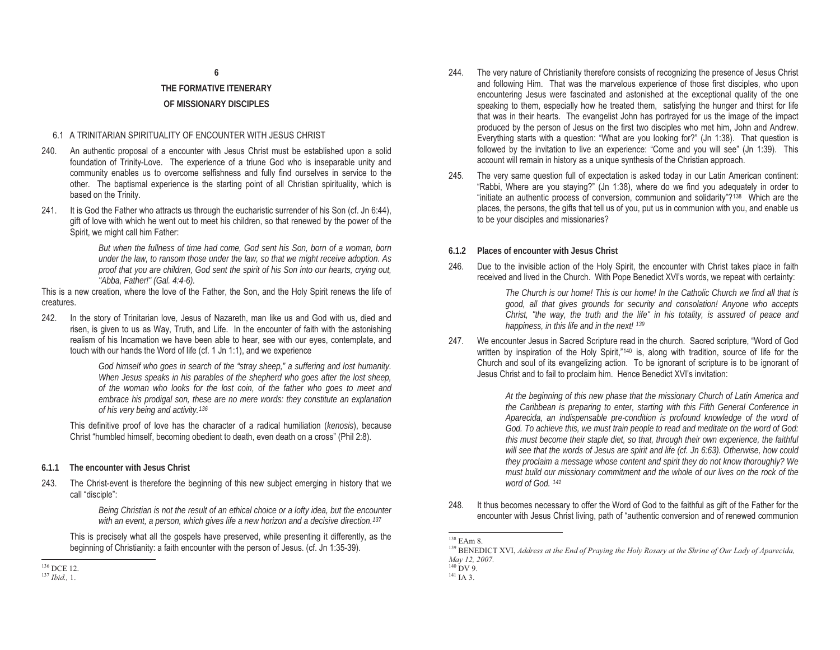# **6THE FORMATIVE ITENERARY OF MISSIONARY DISCIPLES**

# 6.1 A TRINITARIAN SPIRITUALITY OF ENCOUNTER WITH JESUS CHRIST

- 240. An authentic proposal of a encounter with Jesus Christ must be established upon a solid foundation of Trinity-Love. The experience of a triune God who is inseparable unity and community enables us to overcome selfishness and fully find ourselves in service to the other. The baptismal experience is the starting point of all Christian spirituality, which is based on the Trinity.
- 241. It is God the Father who attracts us through the eucharistic surrender of his Son (cf. Jn 6:44), gift of love with which he went out to meet his children, so that renewed by the power of the Spirit, we might call him Father:

*But when the fullness of time had come, God sent his Son, born of a woman, born under the law, to ransom those under the law, so that we might receive adoption. As proof that you are children, God sent the spirit of his Son into our hearts, crying out, "Abba, Father!" (Gal. 4:4-6).* 

This is a new creation, where the love of the Father, the Son, and the Holy Spirit renews the life of creatures.

242. In the story of Trinitarian love, Jesus of Nazareth, man like us and God with us, died and risen, is given to us as Way, Truth, and Life. In the encounter of faith with the astonishing realism of his Incarnation we have been able to hear, see with our eyes, contemplate, and touch with our hands the Word of life (cf. 1 Jn 1:1), and we experience

> *God himself who goes in search of the "stray sheep," a suffering and lost humanity. When Jesus speaks in his parables of the shepherd who goes after the lost sheep, of the woman who looks for the lost coin, of the father who goes to meet and embrace his prodigal son, these are no mere words: they constitute an explanation of his very being and activity.136*

This definitive proof of love has the character of a radical humiliation (*kenosis*), because Christ "humbled himself, becoming obedient to death, even death on a cross" (Phil 2:8).

- **6.1.1 The encounter with Jesus Christ**
- 243. The Christ-event is therefore the beginning of this new subject emerging in history that we call "disciple":

*Being Christian is not the result of an ethical choice or a lofty idea, but the encounter with an event, a person, which gives life a new horizon and a decisive direction.137*

This is precisely what all the gospels have preserved, while presenting it differently, as the beginning of Christianity: a faith encounter with the person of Jesus. (cf. Jn 1:35-39).

- 244. The very nature of Christianity therefore consists of recognizing the presence of Jesus Christ and following Him. That was the marvelous experience of those first disciples, who upon encountering Jesus were fascinated and astonished at the exceptional quality of the one speaking to them, especially how he treated them, satisfying the hunger and thirst for life that was in their hearts. The evangelist John has portrayed for us the image of the impact produced by the person of Jesus on the first two disciples who met him, John and Andrew. Everything starts with a question: "What are you looking for?" (Jn 1:38). That question is followed by the invitation to live an experience: "Come and you will see" (Jn 1:39). This account will remain in history as a unique synthesis of the Christian approach.
- 245. The very same question full of expectation is asked today in our Latin American continent: "Rabbi, Where are you staying?" (Jn 1:38), where do we find you adequately in order to "initiate an authentic process of conversion, communion and solidarity"?138 Which are the places, the persons, the gifts that tell us of you, put us in communion with you, and enable us to be your disciples and missionaries?
- **6.1.2 Places of encounter with Jesus Christ**
- 246. Due to the invisible action of the Holy Spirit, the encounter with Christ takes place in faith received and lived in the Church. With Pope Benedict XVI's words, we repeat with certainty:

*The Church is our home! This is our home! In the Catholic Church we find all that is good, all that gives grounds for security and consolation! Anyone who accepts Christ, "the way, the truth and the life" in his totality, is assured of peace and happiness, in this life and in the next! 139*

247. We encounter Jesus in Sacred Scripture read in the church. Sacred scripture, "Word of God written by inspiration of the Holy Spirit,"<sup>140</sup> is, along with tradition, source of life for the Church and soul of its evangelizing action. To be ignorant of scripture is to be ignorant of Jesus Christ and to fail to proclaim him. Hence Benedict XVI's invitation:

> *At the beginning of this new phase that the missionary Church of Latin America and the Caribbean is preparing to enter, starting with this Fifth General Conference in*  Aparecida, an indispensable pre-condition is profound knowledge of the word of *God. To achieve this, we must train people to read and meditate on the word of God: this must become their staple diet, so that, through their own experience, the faithful will see that the words of Jesus are spirit and life (cf. Jn 6:63). Otherwise, how could they proclaim a message whose content and spirit they do not know thoroughly? We must build our missionary commitment and the whole of our lives on the rock of the word of God. 141*

248. It thus becomes necessary to offer the Word of God to the faithful as gift of the Father for the encounter with Jesus Christ living, path of "authentic conversion and of renewed communion

 $136$  DCE 12.

<sup>137</sup> *Ibid.,* 1.

<sup>138</sup> EAm 8.

139 BENEDICT XVI, *Address at the End of Praying the Holy Rosary at the Shrine of Our Lady of Aparecida, May 12, 2007.* 

 $140$  DV 9.

<sup>&</sup>lt;sup>141</sup> IA 3.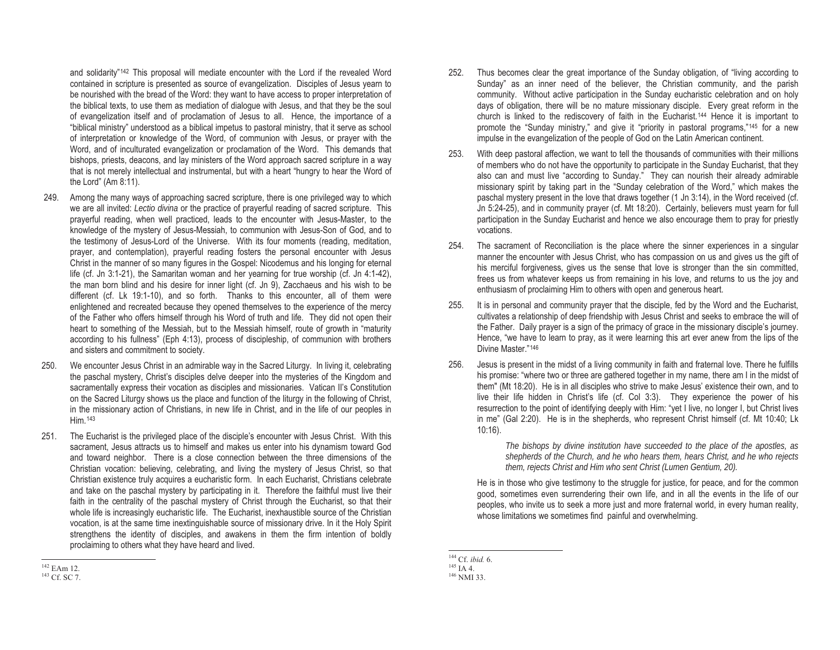and solidarity"142 This proposal will mediate encounter with the Lord if the revealed Word contained in scripture is presented as source of evangelization. Disciples of Jesus yearn to be nourished with the bread of the Word: they want to have access to proper interpretation of the biblical texts, to use them as mediation of dialogue with Jesus, and that they be the soul of evangelization itself and of proclamation of Jesus to all. Hence, the importance of a "biblical ministry" understood as a biblical impetus to pastoral ministry, that it serve as school of interpretation or knowledge of the Word, of communion with Jesus, or prayer with the Word, and of inculturated evangelization or proclamation of the Word. This demands that bishops, priests, deacons, and lay ministers of the Word approach sacred scripture in a way that is not merely intellectual and instrumental, but with a heart "hungry to hear the Word of the Lord" (Am 8:11).

- 249. Among the many ways of approaching sacred scripture, there is one privileged way to which we are all invited: *Lectio divina* or the practice of prayerful reading of sacred scripture. This prayerful reading, when well practiced, leads to the encounter with Jesus-Master, to the knowledge of the mystery of Jesus-Messiah, to communion with Jesus-Son of God, and to the testimony of Jesus-Lord of the Universe. With its four moments (reading, meditation, prayer, and contemplation), prayerful reading fosters the personal encounter with Jesus Christ in the manner of so many figures in the Gospel: Nicodemus and his longing for eternal life (cf. Jn 3:1-21), the Samaritan woman and her yearning for true worship (cf. Jn 4:1-42), the man born blind and his desire for inner light (cf. Jn 9), Zacchaeus and his wish to be different (cf. Lk 19:1-10), and so forth. Thanks to this encounter, all of them were enlightened and recreated because they opened themselves to the experience of the mercy of the Father who offers himself through his Word of truth and life. They did not open their heart to something of the Messiah, but to the Messiah himself, route of growth in "maturity according to his fullness" (Eph 4:13), process of discipleship, of communion with brothers and sisters and commitment to society.
- 250. We encounter Jesus Christ in an admirable way in the Sacred Liturgy. In living it, celebrating the paschal mystery, Christ's disciples delve deeper into the mysteries of the Kingdom and sacramentally express their vocation as disciples and missionaries. Vatican II's Constitution on the Sacred Liturgy shows us the place and function of the liturgy in the following of Christ, in the missionary action of Christians, in new life in Christ, and in the life of our peoples in Him.143
- 251. The Eucharist is the privileged place of the disciple's encounter with Jesus Christ. With this sacrament, Jesus attracts us to himself and makes us enter into his dynamism toward God and toward neighbor. There is a close connection between the three dimensions of the Christian vocation: believing, celebrating, and living the mystery of Jesus Christ, so that Christian existence truly acquires a eucharistic form. In each Eucharist, Christians celebrate and take on the paschal mystery by participating in it. Therefore the faithful must live their faith in the centrality of the paschal mystery of Christ through the Eucharist, so that their whole life is increasingly eucharistic life. The Eucharist, inexhaustible source of the Christian vocation, is at the same time inextinguishable source of missionary drive. In it the Holy Spirit strengthens the identity of disciples, and awakens in them the firm intention of boldly proclaiming to others what they have heard and lived.
- 252. Thus becomes clear the great importance of the Sunday obligation, of "living according to Sunday" as an inner need of the believer, the Christian community, and the parish community. Without active participation in the Sunday eucharistic celebration and on holy days of obligation, there will be no mature missionary disciple. Every great reform in the church is linked to the rediscovery of faith in the Eucharist.144 Hence it is important to promote the "Sunday ministry," and give it "priority in pastoral programs,"145 for a new impulse in the evangelization of the people of God on the Latin American continent.
- 253. With deep pastoral affection, we want to tell the thousands of communities with their millions of members who do not have the opportunity to participate in the Sunday Eucharist, that they also can and must live "according to Sunday." They can nourish their already admirable missionary spirit by taking part in the "Sunday celebration of the Word," which makes the paschal mystery present in the love that draws together (1 Jn 3:14), in the Word received (cf. Jn 5:24-25), and in community prayer (cf. Mt 18:20). Certainly, believers must yearn for full participation in the Sunday Eucharist and hence we also encourage them to pray for priestly vocations.
- 254. The sacrament of Reconciliation is the place where the sinner experiences in a singular manner the encounter with Jesus Christ, who has compassion on us and gives us the gift of his merciful forgiveness, gives us the sense that love is stronger than the sin committed, frees us from whatever keeps us from remaining in his love, and returns to us the joy and enthusiasm of proclaiming Him to others with open and generous heart.
- 255. It is in personal and community prayer that the disciple, fed by the Word and the Eucharist, cultivates a relationship of deep friendship with Jesus Christ and seeks to embrace the will of the Father. Daily prayer is a sign of the primacy of grace in the missionary disciple's journey. Hence, "we have to learn to pray, as it were learning this art ever anew from the lips of the Divine Master<sup>"146</sup>
- 256. Jesus is present in the midst of a living community in faith and fraternal love. There he fulfills his promise: "where two or three are gathered together in my name, there am I in the midst of them" (Mt 18:20). He is in all disciples who strive to make Jesus' existence their own, and to live their life hidden in Christ's life (cf. Col 3:3). They experience the power of his resurrection to the point of identifying deeply with Him: "yet I live, no longer I, but Christ lives in me" (Gal 2:20). He is in the shepherds, who represent Christ himself (cf. Mt 10:40; Lk 10:16).

*The bishops by divine institution have succeeded to the place of the apostles, as shepherds of the Church, and he who hears them, hears Christ, and he who rejects them, rejects Christ and Him who sent Christ (Lumen Gentium, 20).* 

He is in those who give testimony to the struggle for justice, for peace, and for the common good, sometimes even surrendering their own life, and in all the events in the life of our peoples, who invite us to seek a more just and more fraternal world, in every human reality, whose limitations we sometimes find painful and overwhelming.

<sup>&</sup>lt;sup>142</sup> EAm 12.

143 Cf. SC 7.

<sup>144</sup> Cf. *ibid.* 6.

 $145$  IA 4.

<sup>&</sup>lt;sup>146</sup> NMI 33.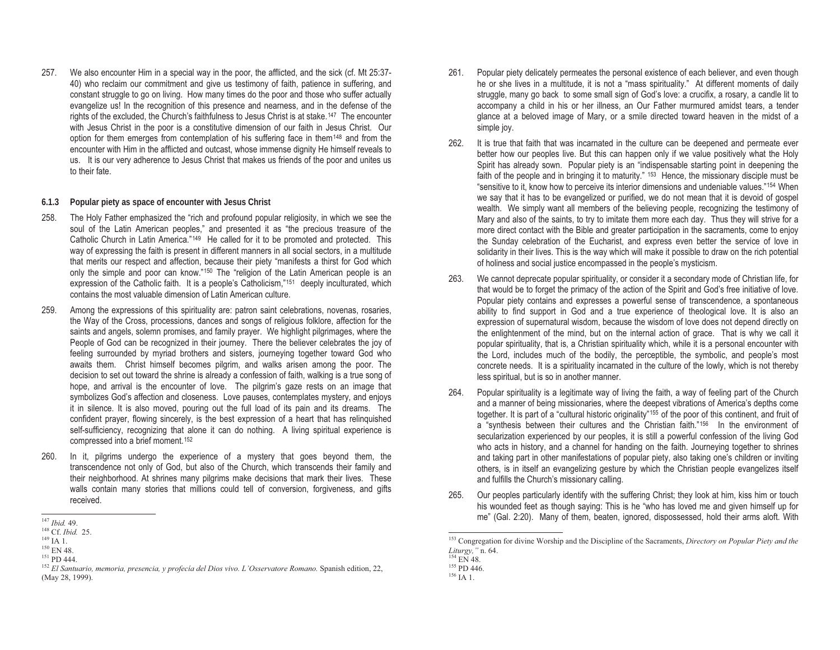- 257. We also encounter Him in a special way in the poor, the afflicted, and the sick (cf. Mt 25:37- 40) who reclaim our commitment and give us testimony of faith, patience in suffering, and constant struggle to go on living. How many times do the poor and those who suffer actually evangelize us! In the recognition of this presence and nearness, and in the defense of the rights of the excluded, the Church's faithfulness to Jesus Christ is at stake.147 The encounter with Jesus Christ in the poor is a constitutive dimension of our faith in Jesus Christ. Our option for them emerges from contemplation of his suffering face in them148 and from the encounter with Him in the afflicted and outcast, whose immense dignity He himself reveals to us. It is our very adherence to Jesus Christ that makes us friends of the poor and unites us to their fate.
- **6.1.3 Popular piety as space of encounter with Jesus Christ**
- 258. The Holy Father emphasized the "rich and profound popular religiosity, in which we see the soul of the Latin American peoples," and presented it as "the precious treasure of the Catholic Church in Latin America."149 He called for it to be promoted and protected. This way of expressing the faith is present in different manners in all social sectors, in a multitude that merits our respect and affection, because their piety "manifests a thirst for God which only the simple and poor can know."150 The "religion of the Latin American people is an expression of the Catholic faith. It is a people's Catholicism,"<sup>151</sup> deeply inculturated, which contains the most valuable dimension of Latin American culture.
- 259. Among the expressions of this spirituality are: patron saint celebrations, novenas, rosaries, the Way of the Cross, processions, dances and songs of religious folklore, affection for the saints and angels, solemn promises, and family prayer. We highlight pilgrimages, where the People of God can be recognized in their journey. There the believer celebrates the joy of feeling surrounded by myriad brothers and sisters, journeying together toward God who awaits them. Christ himself becomes pilgrim, and walks arisen among the poor. The decision to set out toward the shrine is already a confession of faith, walking is a true song of hope, and arrival is the encounter of love. The pilgrim's gaze rests on an image that symbolizes God's affection and closeness. Love pauses, contemplates mystery, and enjoys it in silence. It is also moved, pouring out the full load of its pain and its dreams. The confident prayer, flowing sincerely, is the best expression of a heart that has relinquished self-sufficiency, recognizing that alone it can do nothing. A living spiritual experience is compressed into a brief moment.152
- 260. In it, pilgrims undergo the experience of a mystery that goes beyond them, the transcendence not only of God, but also of the Church, which transcends their family and their neighborhood. At shrines many pilgrims make decisions that mark their lives. These walls contain many stories that millions could tell of conversion, forgiveness, and gifts received.
- 261. Popular piety delicately permeates the personal existence of each believer, and even though he or she lives in a multitude, it is not a "mass spirituality." At different moments of daily struggle, many go back to some small sign of God's love: a crucifix, a rosary, a candle lit to accompany a child in his or her illness, an Our Father murmured amidst tears, a tender glance at a beloved image of Mary, or a smile directed toward heaven in the midst of a simple joy.
- 262. It is true that faith that was incarnated in the culture can be deepened and permeate ever better how our peoples live. But this can happen only if we value positively what the Holy Spirit has already sown. Popular piety is an "indispensable starting point in deepening the faith of the people and in bringing it to maturity." <sup>153</sup> Hence, the missionary disciple must be "sensitive to it, know how to perceive its interior dimensions and undeniable values."154 When we say that it has to be evangelized or purified, we do not mean that it is devoid of gospel wealth. We simply want all members of the believing people, recognizing the testimony of Mary and also of the saints, to try to imitate them more each day. Thus they will strive for a more direct contact with the Bible and greater participation in the sacraments, come to enjoy the Sunday celebration of the Eucharist, and express even better the service of love in solidarity in their lives. This is the way which will make it possible to draw on the rich potential of holiness and social justice encompassed in the people's mysticism.
- 263. We cannot deprecate popular spirituality, or consider it a secondary mode of Christian life, for that would be to forget the primacy of the action of the Spirit and God's free initiative of love. Popular piety contains and expresses a powerful sense of transcendence, a spontaneous ability to find support in God and a true experience of theological love. It is also an expression of supernatural wisdom, because the wisdom of love does not depend directly on the enlightenment of the mind, but on the internal action of grace. That is why we call it popular spirituality, that is, a Christian spirituality which, while it is a personal encounter with the Lord, includes much of the bodily, the perceptible, the symbolic, and people's most concrete needs. It is a spirituality incarnated in the culture of the lowly, which is not thereby less spiritual, but is so in another manner.
- 264. Popular spirituality is a legitimate way of living the faith, a way of feeling part of the Church and a manner of being missionaries, where the deepest vibrations of America's depths come together. It is part of a "cultural historic originality"155 of the poor of this continent, and fruit of <sup>a</sup>"synthesis between their cultures and the Christian faith."156 In the environment of secularization experienced by our peoples, it is still a powerful confession of the living God who acts in history, and a channel for handing on the faith. Journeying together to shrines and taking part in other manifestations of popular piety, also taking one's children or inviting others, is in itself an evangelizing gesture by which the Christian people evangelizes itself and fulfills the Church's missionary calling.
- 265. Our peoples particularly identify with the suffering Christ; they look at him, kiss him or touch his wounded feet as though saying: This is he "who has loved me and given himself up for me" (Gal. 2:20). Many of them, beaten, ignored, dispossessed, hold their arms aloft. With

<sup>147</sup> *Ibid.* 49.

148 Cf. *Ibid.* 25.

 $149$  IA 1.

 $150$  EN 48.

 $^{151}$  PD 444.

152 *El Santuario, memoria, presencia, y profecía del Dios vivo. L'Osservatore Romano.* Spanish edition, 22, (May 28, 1999).

<sup>153</sup> Congregation for divine Worship and the Discipline of the Sacraments, *Directory on Popular Piety and the Liturgy,"* n. 64.

 $154$  FN 48.

 $155$  PD 446.

 $156$  IA 1.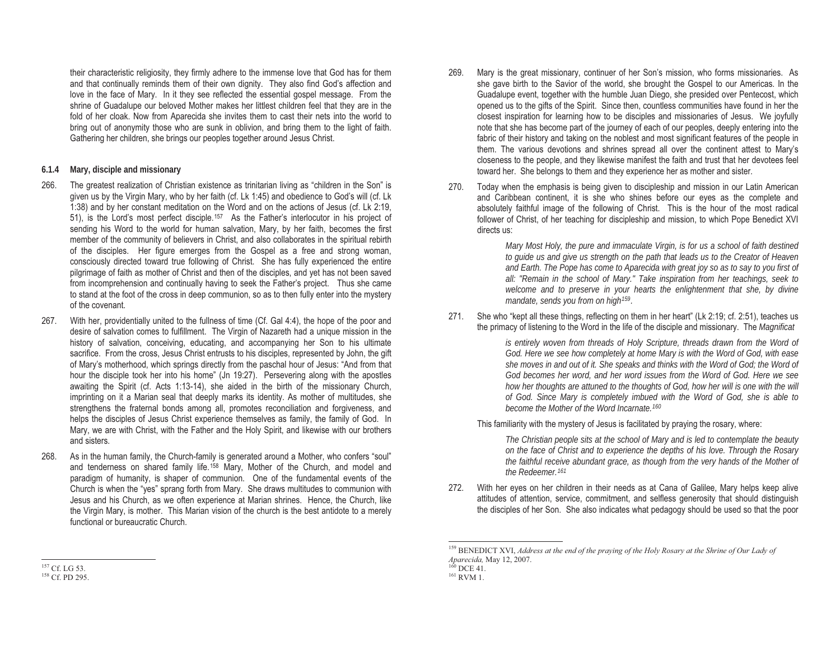their characteristic religiosity, they firmly adhere to the immense love that God has for them and that continually reminds them of their own dignity. They also find God's affection and love in the face of Mary. In it they see reflected the essential gospel message. From the shrine of Guadalupe our beloved Mother makes her littlest children feel that they are in the fold of her cloak. Now from Aparecida she invites them to cast their nets into the world to bring out of anonymity those who are sunk in oblivion, and bring them to the light of faith. Gathering her children, she brings our peoples together around Jesus Christ.

- **6.1.4 Mary, disciple and missionary**
- 266. The greatest realization of Christian existence as trinitarian living as "children in the Son" is given us by the Virgin Mary, who by her faith (cf. Lk 1:45) and obedience to God's will (cf. Lk 1:38) and by her constant meditation on the Word and on the actions of Jesus (cf. Lk 2:19, 51), is the Lord's most perfect disciple.157 As the Father's interlocutor in his project of sending his Word to the world for human salvation, Mary, by her faith, becomes the first member of the community of believers in Christ, and also collaborates in the spiritual rebirth of the disciples. Her figure emerges from the Gospel as a free and strong woman, consciously directed toward true following of Christ. She has fully experienced the entire pilgrimage of faith as mother of Christ and then of the disciples, and yet has not been saved from incomprehension and continually having to seek the Father's project. Thus she came to stand at the foot of the cross in deep communion, so as to then fully enter into the mystery of the covenant.
- 267. With her, providentially united to the fullness of time (Cf. Gal 4:4), the hope of the poor and desire of salvation comes to fulfillment. The Virgin of Nazareth had a unique mission in the history of salvation, conceiving, educating, and accompanying her Son to his ultimate sacrifice. From the cross, Jesus Christ entrusts to his disciples, represented by John, the gift of Mary's motherhood, which springs directly from the paschal hour of Jesus: "And from that hour the disciple took her into his home" (Jn 19:27). Persevering along with the apostles awaiting the Spirit (cf. Acts 1:13-14), she aided in the birth of the missionary Church, imprinting on it a Marian seal that deeply marks its identity. As mother of multitudes, she strengthens the fraternal bonds among all, promotes reconciliation and forgiveness, and helps the disciples of Jesus Christ experience themselves as family, the family of God. In Mary, we are with Christ, with the Father and the Holy Spirit, and likewise with our brothers and sisters.
- 268. As in the human family, the Church-family is generated around a Mother, who confers "soul" and tenderness on shared family life.158 Mary, Mother of the Church, and model and paradigm of humanity, is shaper of communion. One of the fundamental events of the Church is when the "yes" sprang forth from Mary. She draws multitudes to communion with Jesus and his Church, as we often experience at Marian shrines. Hence, the Church, like the Virgin Mary, is mother. This Marian vision of the church is the best antidote to a merely functional or bureaucratic Church.
- 269. Mary is the great missionary, continuer of her Son's mission, who forms missionaries. As she gave birth to the Savior of the world, she brought the Gospel to our Americas. In the Guadalupe event, together with the humble Juan Diego, she presided over Pentecost, which opened us to the gifts of the Spirit. Since then, countless communities have found in her the closest inspiration for learning how to be disciples and missionaries of Jesus. We joyfully note that she has become part of the journey of each of our peoples, deeply entering into the fabric of their history and taking on the noblest and most significant features of the people in them. The various devotions and shrines spread all over the continent attest to Mary's closeness to the people, and they likewise manifest the faith and trust that her devotees feel toward her. She belongs to them and they experience her as mother and sister.
- 270. Today when the emphasis is being given to discipleship and mission in our Latin American and Caribbean continent, it is she who shines before our eyes as the complete and absolutely faithful image of the following of Christ. This is the hour of the most radical follower of Christ, of her teaching for discipleship and mission, to which Pope Benedict XVI directs us:

*Mary Most Holy, the pure and immaculate Virgin, is for us a school of faith destined to guide us and give us strength on the path that leads us to the Creator of Heaven and Earth. The Pope has come to Aparecida with great joy so as to say to you first of all: "Remain in the school of Mary." Take inspiration from her teachings, seek to*  welcome and to preserve in your hearts the enlightenment that she, by divine *mandate, sends you from on high159.*

271. She who "kept all these things, reflecting on them in her heart" (Lk 2:19; cf. 2:51), teaches us the primacy of listening to the Word in the life of the disciple and missionary. The *Magnificat*

> *is entirely woven from threads of Holy Scripture, threads drawn from the Word of God. Here we see how completely at home Mary is with the Word of God, with ease*  she moves in and out of it. She speaks and thinks with the Word of God; the Word of *God becomes her word, and her word issues from the Word of God. Here we see how her thoughts are attuned to the thoughts of God, how her will is one with the will of God. Since Mary is completely imbued with the Word of God, she is able to become the Mother of the Word Incarnate.160*

This familiarity with the mystery of Jesus is facilitated by praying the rosary, where:

*The Christian people sits at the school of Mary and is led to contemplate the beauty on the face of Christ and to experience the depths of his love. Through the Rosary*  the faithful receive abundant grace, as though from the very hands of the Mother of *the Redeemer.161*

272. With her eyes on her children in their needs as at Cana of Galilee, Mary helps keep alive attitudes of attention, service, commitment, and selfless generosity that should distinguish the disciples of her Son. She also indicates what pedagogy should be used so that the poor

<sup>159</sup> BENEDICT XVI, *Address at the end of the praying of the Holy Rosary at the Shrine of Our Lady of Aparecida,* May 12, 2007.

 $60$  DCE 41.

 $^{161}$  RVM 1.

<sup>&</sup>lt;sup>157</sup> Cf. LG 53.

<sup>&</sup>lt;sup>158</sup> Cf. PD 295.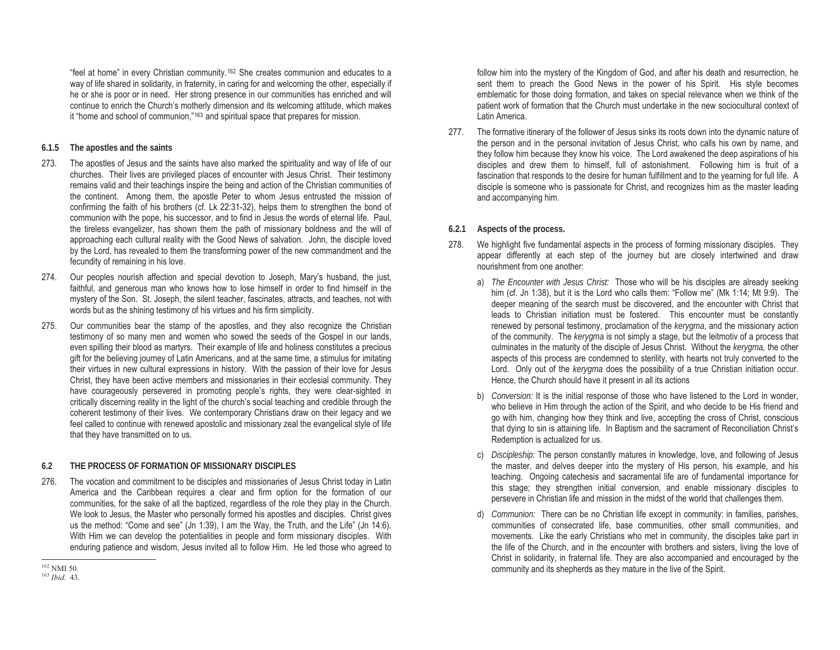"feel at home" in every Christian community.162 She creates communion and educates to a way of life shared in solidarity, in fraternity, in caring for and welcoming the other, especially if he or she is poor or in need. Her strong presence in our communities has enriched and will continue to enrich the Church's motherly dimension and its welcoming attitude, which makes it "home and school of communion,"<sup>163</sup> and spiritual space that prepares for mission.

- **6.1.5 The apostles and the saints**
- 273. The apostles of Jesus and the saints have also marked the spirituality and way of life of our churches. Their lives are privileged places of encounter with Jesus Christ. Their testimony remains valid and their teachings inspire the being and action of the Christian communities of the continent. Among them, the apostle Peter to whom Jesus entrusted the mission of confirming the faith of his brothers (cf. Lk 22:31-32), helps them to strengthen the bond of communion with the pope, his successor, and to find in Jesus the words of eternal life. Paul, the tireless evangelizer, has shown them the path of missionary boldness and the will of approaching each cultural reality with the Good News of salvation. John, the disciple loved by the Lord, has revealed to them the transforming power of the new commandment and the fecundity of remaining in his love.
- 274. Our peoples nourish affection and special devotion to Joseph, Mary's husband, the just, faithful, and generous man who knows how to lose himself in order to find himself in the mystery of the Son. St. Joseph, the silent teacher, fascinates, attracts, and teaches, not with words but as the shining testimony of his virtues and his firm simplicity.
- 275. Our communities bear the stamp of the apostles, and they also recognize the Christian testimony of so many men and women who sowed the seeds of the Gospel in our lands, even spilling their blood as martyrs. Their example of life and holiness constitutes a precious gift for the believing journey of Latin Americans, and at the same time, a stimulus for imitating their virtues in new cultural expressions in history. With the passion of their love for Jesus Christ, they have been active members and missionaries in their ecclesial community. They have courageously persevered in promoting people's rights, they were clear-sighted in critically discerning reality in the light of the church's social teaching and credible through the coherent testimony of their lives. We contemporary Christians draw on their legacy and we feel called to continue with renewed apostolic and missionary zeal the evangelical style of life that they have transmitted on to us.

# **6.2 THE PROCESS OF FORMATION OF MISSIONARY DISCIPLES**

276. The vocation and commitment to be disciples and missionaries of Jesus Christ today in Latin America and the Caribbean requires a clear and firm option for the formation of our communities, for the sake of all the baptized, regardless of the role they play in the Church. We look to Jesus, the Master who personally formed his apostles and disciples. Christ gives us the method: "Come and see" (Jn 1:39), I am the Way, the Truth, and the Life" (Jn 14:6). With Him we can develop the potentialities in people and form missionary disciples. With enduring patience and wisdom, Jesus invited all to follow Him. He led those who agreed to

follow him into the mystery of the Kingdom of God, and after his death and resurrection, he sent them to preach the Good News in the power of his Spirit. His style becomes emblematic for those doing formation, and takes on special relevance when we think of the patient work of formation that the Church must undertake in the new sociocultural context of Latin America.

277. The formative itinerary of the follower of Jesus sinks its roots down into the dynamic nature of the person and in the personal invitation of Jesus Christ, who calls his own by name, and they follow him because they know his voice. The Lord awakened the deep aspirations of his disciples and drew them to himself, full of astonishment. Following him is fruit of a fascination that responds to the desire for human fulfillment and to the yearning for full life. A disciple is someone who is passionate for Christ, and recognizes him as the master leading and accompanying him.

# **6.2.1 Aspects of the process.**

- 278. We highlight five fundamental aspects in the process of forming missionary disciples. They appear differently at each step of the journey but are closely intertwined and draw nourishment from one another:
	- a) *The Encounter with Jesus Christ:* Those who will be his disciples are already seeking him (cf. Jn 1:38), but it is the Lord who calls them: "Follow me" (Mk 1:14; Mt 9:9). The deeper meaning of the search must be discovered, and the encounter with Christ that leads to Christian initiation must be fostered. This encounter must be constantly renewed by personal testimony, proclamation of the *kerygma*, and the missionary action of the community. The *kerygma* is not simply a stage, but the leitmotiv of a process that culminates in the maturity of the disciple of Jesus Christ. Without the *kerygma,* the other aspects of this process are condemned to sterility, with hearts not truly converted to the Lord. Only out of the *kerygma* does the possibility of a true Christian initiation occur. Hence, the Church should have it present in all its actions
	- b) *Conversion:* It is the initial response of those who have listened to the Lord in wonder, who believe in Him through the action of the Spirit, and who decide to be His friend and go with him, changing how they think and live, accepting the cross of Christ, conscious that dying to sin is attaining life. In Baptism and the sacrament of Reconciliation Christ's Redemption is actualized for us.
	- c) *Discipleship:* The person constantly matures in knowledge, love, and following of Jesus the master, and delves deeper into the mystery of His person, his example, and his teaching. Ongoing catechesis and sacramental life are of fundamental importance for this stage; they strengthen initial conversion, and enable missionary disciples to persevere in Christian life and mission in the midst of the world that challenges them.
	- d) *Communion:* There can be no Christian life except in community: in families, parishes, communities of consecrated life, base communities, other small communities, and movements. Like the early Christians who met in community, the disciples take part in the life of the Church, and in the encounter with brothers and sisters, living the love of Christ in solidarity, in fraternal life. They are also accompanied and encouraged by the community and its shepherds as they mature in the live of the Spirit.

<sup>&</sup>lt;sup>162</sup> NMI 50.

163 *Ibid.* 43.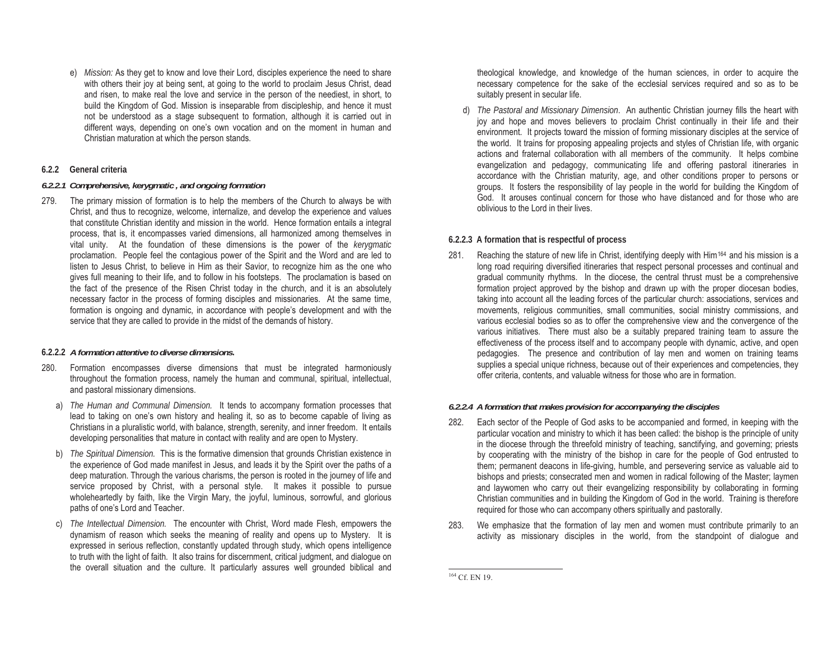- e) *Mission:* As they get to know and love their Lord, disciples experience the need to share with others their joy at being sent, at going to the world to proclaim Jesus Christ, dead and risen, to make real the love and service in the person of the neediest, in short, to build the Kingdom of God. Mission is inseparable from discipleship, and hence it must not be understood as a stage subsequent to formation, although it is carried out in different ways, depending on one's own vocation and on the moment in human and Christian maturation at which the person stands.
- **6.2.2 General criteria**
- *6.2.2.1 Comprehensive, kerygmatic , and ongoing formation*
- 279. The primary mission of formation is to help the members of the Church to always be with Christ, and thus to recognize, welcome, internalize, and develop the experience and values that constitute Christian identity and mission in the world. Hence formation entails a integral process, that is, it encompasses varied dimensions, all harmonized among themselves in vital unity. At the foundation of these dimensions is the power of the *kerygmatic* proclamation. People feel the contagious power of the Spirit and the Word and are led to listen to Jesus Christ, to believe in Him as their Savior, to recognize him as the one who gives full meaning to their life, and to follow in his footsteps. The proclamation is based on the fact of the presence of the Risen Christ today in the church, and it is an absolutely necessary factor in the process of forming disciples and missionaries. At the same time, formation is ongoing and dynamic, in accordance with people's development and with the service that they are called to provide in the midst of the demands of history.

# **6.2.2.2** *A formation attentive to diverse dimensions***.**

- 280. Formation encompasses diverse dimensions that must be integrated harmoniously throughout the formation process, namely the human and communal, spiritual, intellectual, and pastoral missionary dimensions.
	- a) *The Human and Communal Dimension.* It tends to accompany formation processes that lead to taking on one's own history and healing it, so as to become capable of living as Christians in a pluralistic world, with balance, strength, serenity, and inner freedom. It entails developing personalities that mature in contact with reality and are open to Mystery.
	- b) *The Spiritual Dimension.* This is the formative dimension that grounds Christian existence in the experience of God made manifest in Jesus, and leads it by the Spirit over the paths of a deep maturation. Through the various charisms, the person is rooted in the journey of life and service proposed by Christ, with a personal style. It makes it possible to pursue wholeheartedly by faith, like the Virgin Mary, the joyful, luminous, sorrowful, and glorious paths of one's Lord and Teacher.
	- c) *The Intellectual Dimension.* The encounter with Christ, Word made Flesh, empowers the dynamism of reason which seeks the meaning of reality and opens up to Mystery. It is expressed in serious reflection, constantly updated through study, which opens intelligence to truth with the light of faith. It also trains for discernment, critical judgment, and dialogue on the overall situation and the culture. It particularly assures well grounded biblical and

theological knowledge, and knowledge of the human sciences, in order to acquire the necessary competence for the sake of the ecclesial services required and so as to be suitably present in secular life.

d) *The Pastoral and Missionary Dimension*. An authentic Christian journey fills the heart with joy and hope and moves believers to proclaim Christ continually in their life and their environment. It projects toward the mission of forming missionary disciples at the service of the world. It trains for proposing appealing projects and styles of Christian life, with organic actions and fraternal collaboration with all members of the community. It helps combine evangelization and pedagogy, communicating life and offering pastoral itineraries in accordance with the Christian maturity, age, and other conditions proper to persons or groups. It fosters the responsibility of lay people in the world for building the Kingdom of God. It arouses continual concern for those who have distanced and for those who are oblivious to the Lord in their lives.

# **6.2.2.3 A formation that is respectful of process**

281. Reaching the stature of new life in Christ, identifying deeply with Him164 and his mission is a long road requiring diversified itineraries that respect personal processes and continual and gradual community rhythms. In the diocese, the central thrust must be a comprehensive formation project approved by the bishop and drawn up with the proper diocesan bodies, taking into account all the leading forces of the particular church: associations, services and movements, religious communities, small communities, social ministry commissions, and various ecclesial bodies so as to offer the comprehensive view and the convergence of the various initiatives. There must also be a suitably prepared training team to assure the effectiveness of the process itself and to accompany people with dynamic, active, and open pedagogies. The presence and contribution of lay men and women on training teams supplies a special unique richness, because out of their experiences and competencies, they offer criteria, contents, and valuable witness for those who are in formation.

# *6.2.2.4 A formation that makes provision for accompanying the disciples*

- 282. Each sector of the People of God asks to be accompanied and formed, in keeping with the particular vocation and ministry to which it has been called: the bishop is the principle of unity in the diocese through the threefold ministry of teaching, sanctifying, and governing; priests by cooperating with the ministry of the bishop in care for the people of God entrusted to them; permanent deacons in life-giving, humble, and persevering service as valuable aid to bishops and priests; consecrated men and women in radical following of the Master; laymen and laywomen who carry out their evangelizing responsibility by collaborating in forming Christian communities and in building the Kingdom of God in the world. Training is therefore required for those who can accompany others spiritually and pastorally.
- 283. We emphasize that the formation of lay men and women must contribute primarily to an activity as missionary disciples in the world, from the standpoint of dialogue and

<sup>164</sup> Cf. EN 19.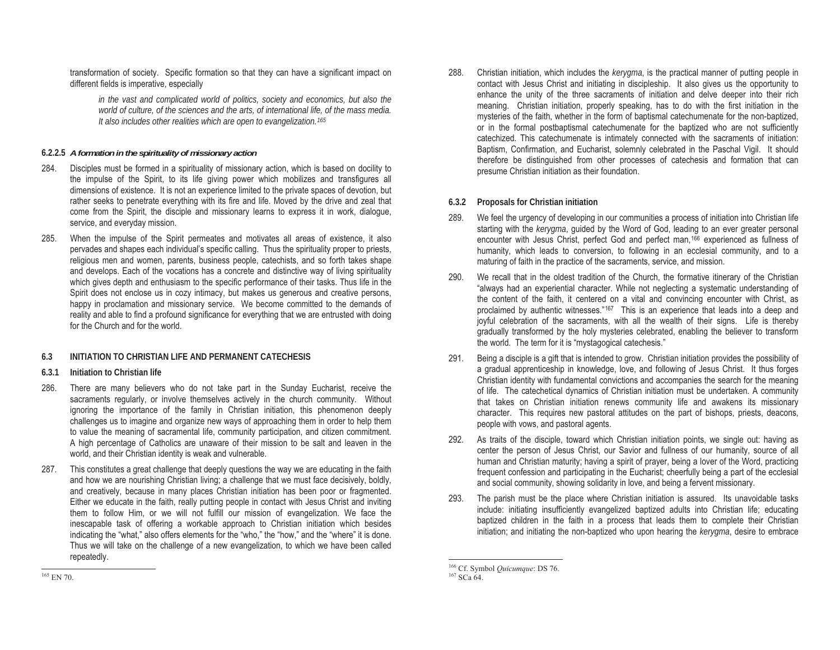transformation of society. Specific formation so that they can have a significant impact on different fields is imperative, especially

*in the vast and complicated world of politics, society and economics, but also the world of culture, of the sciences and the arts, of international life, of the mass media. It also includes other realities which are open to evangelization.165*

# **6.2.2.5** *A formation in the spirituality of missionary action*

- 284. Disciples must be formed in a spirituality of missionary action, which is based on docility to the impulse of the Spirit, to its life giving power which mobilizes and transfigures all dimensions of existence. It is not an experience limited to the private spaces of devotion, but rather seeks to penetrate everything with its fire and life. Moved by the drive and zeal that come from the Spirit, the disciple and missionary learns to express it in work, dialogue, service, and everyday mission.
- 285. When the impulse of the Spirit permeates and motivates all areas of existence, it also pervades and shapes each individual's specific calling. Thus the spirituality proper to priests, religious men and women, parents, business people, catechists, and so forth takes shape and develops. Each of the vocations has a concrete and distinctive way of living spirituality which gives depth and enthusiasm to the specific performance of their tasks. Thus life in the Spirit does not enclose us in cozy intimacy, but makes us generous and creative persons, happy in proclamation and missionary service. We become committed to the demands of reality and able to find a profound significance for everything that we are entrusted with doing for the Church and for the world.

# **6.3 INITIATION TO CHRISTIAN LIFE AND PERMANENT CATECHESIS**

- **6.3.1 Initiation to Christian life**
- 286. There are many believers who do not take part in the Sunday Eucharist, receive the sacraments regularly, or involve themselves actively in the church community. Without ignoring the importance of the family in Christian initiation, this phenomenon deeply challenges us to imagine and organize new ways of approaching them in order to help them to value the meaning of sacramental life, community participation, and citizen commitment. A high percentage of Catholics are unaware of their mission to be salt and leaven in the world, and their Christian identity is weak and vulnerable.
- 287. This constitutes a great challenge that deeply questions the way we are educating in the faith and how we are nourishing Christian living; a challenge that we must face decisively, boldly, and creatively, because in many places Christian initiation has been poor or fragmented. Either we educate in the faith, really putting people in contact with Jesus Christ and inviting them to follow Him, or we will not fulfill our mission of evangelization. We face the inescapable task of offering a workable approach to Christian initiation which besides indicating the "what," also offers elements for the "who," the "how," and the "where" it is done. Thus we will take on the challenge of a new evangelization, to which we have been called repeatedly.

288. Christian initiation, which includes the *kerygma*, is the practical manner of putting people in contact with Jesus Christ and initiating in discipleship. It also gives us the opportunity to enhance the unity of the three sacraments of initiation and delve deeper into their rich meaning. Christian initiation, properly speaking, has to do with the first initiation in the mysteries of the faith, whether in the form of baptismal catechumenate for the non-baptized, or in the formal postbaptismal catechumenate for the baptized who are not sufficiently catechized. This catechumenate is intimately connected with the sacraments of initiation: Baptism, Confirmation, and Eucharist, solemnly celebrated in the Paschal Vigil. It should therefore be distinguished from other processes of catechesis and formation that can presume Christian initiation as their foundation.

#### **6.3.2 Proposals for Christian initiation**

- 289. We feel the urgency of developing in our communities a process of initiation into Christian life starting with the *kerygma*, guided by the Word of God, leading to an ever greater personal encounter with Jesus Christ, perfect God and perfect man,166 experienced as fullness of humanity, which leads to conversion, to following in an ecclesial community, and to a maturing of faith in the practice of the sacraments, service, and mission.
- 290. We recall that in the oldest tradition of the Church, the formative itinerary of the Christian "always had an experiential character. While not neglecting a systematic understanding of the content of the faith, it centered on a vital and convincing encounter with Christ, as proclaimed by authentic witnesses."167 This is an experience that leads into a deep and joyful celebration of the sacraments, with all the wealth of their signs. Life is thereby gradually transformed by the holy mysteries celebrated, enabling the believer to transform the world. The term for it is "mystagogical catechesis."
- 291. Being a disciple is a gift that is intended to grow. Christian initiation provides the possibility of a gradual apprenticeship in knowledge, love, and following of Jesus Christ. It thus forges Christian identity with fundamental convictions and accompanies the search for the meaning of life. The catechetical dynamics of Christian initiation must be undertaken. A community that takes on Christian initiation renews community life and awakens its missionary character. This requires new pastoral attitudes on the part of bishops, priests, deacons, people with vows, and pastoral agents.
- 292. As traits of the disciple, toward which Christian initiation points, we single out: having as center the person of Jesus Christ, our Savior and fullness of our humanity, source of all human and Christian maturity; having a spirit of prayer, being a lover of the Word, practicing frequent confession and participating in the Eucharist; cheerfully being a part of the ecclesial and social community, showing solidarity in love, and being a fervent missionary.
- 293. The parish must be the place where Christian initiation is assured. Its unavoidable tasks include: initiating insufficiently evangelized baptized adults into Christian life; educating baptized children in the faith in a process that leads them to complete their Christian initiation; and initiating the non-baptized who upon hearing the *kerygma*, desire to embrace

<sup>166</sup> Cf. Symbol *Quicumque*: DS 76.

<sup>167</sup> SCa 64.

<sup>165</sup> EN 70.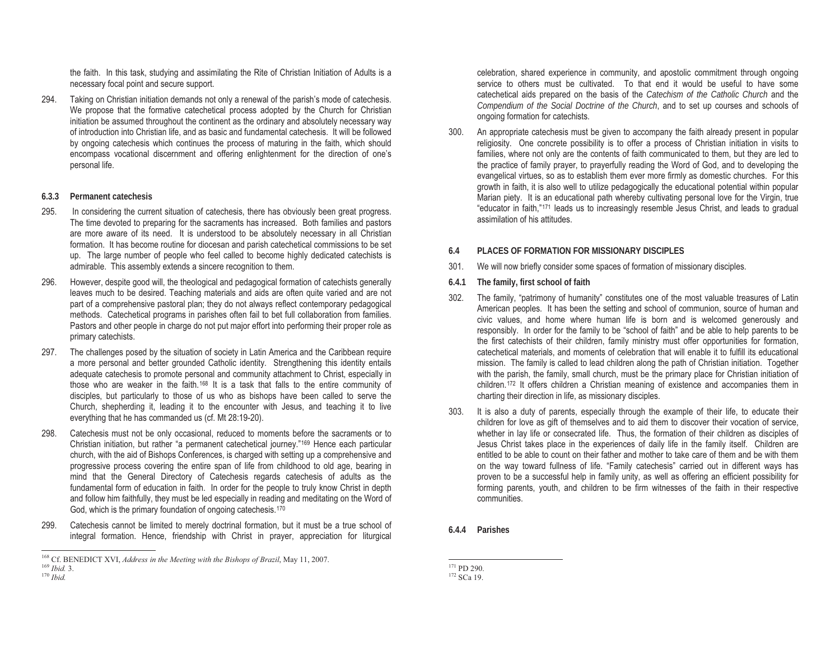the faith. In this task, studying and assimilating the Rite of Christian Initiation of Adults is a necessary focal point and secure support.

- 294. Taking on Christian initiation demands not only a renewal of the parish's mode of catechesis. We propose that the formative catechetical process adopted by the Church for Christian initiation be assumed throughout the continent as the ordinary and absolutely necessary way of introduction into Christian life, and as basic and fundamental catechesis. It will be followed by ongoing catechesis which continues the process of maturing in the faith, which should encompass vocational discernment and offering enlightenment for the direction of one's personal life.
- **6.3.3 Permanent catechesis**
- 295. In considering the current situation of catechesis, there has obviously been great progress. The time devoted to preparing for the sacraments has increased. Both families and pastors are more aware of its need. It is understood to be absolutely necessary in all Christian formation. It has become routine for diocesan and parish catechetical commissions to be set up. The large number of people who feel called to become highly dedicated catechists is admirable. This assembly extends a sincere recognition to them.
- 296. However, despite good will, the theological and pedagogical formation of catechists generally leaves much to be desired. Teaching materials and aids are often quite varied and are not part of a comprehensive pastoral plan; they do not always reflect contemporary pedagogical methods. Catechetical programs in parishes often fail to bet full collaboration from families. Pastors and other people in charge do not put major effort into performing their proper role as primary catechists.
- 297. The challenges posed by the situation of society in Latin America and the Caribbean require a more personal and better grounded Catholic identity. Strengthening this identity entails adequate catechesis to promote personal and community attachment to Christ, especially in those who are weaker in the faith.168 It is a task that falls to the entire community of disciples, but particularly to those of us who as bishops have been called to serve the Church, shepherding it, leading it to the encounter with Jesus, and teaching it to live everything that he has commanded us (cf. Mt 28:19-20).
- 298. Catechesis must not be only occasional, reduced to moments before the sacraments or to Christian initiation, but rather "a permanent catechetical journey."169 Hence each particular church, with the aid of Bishops Conferences, is charged with setting up a comprehensive and progressive process covering the entire span of life from childhood to old age, bearing in mind that the General Directory of Catechesis regards catechesis of adults as the fundamental form of education in faith. In order for the people to truly know Christ in depth and follow him faithfully, they must be led especially in reading and meditating on the Word of God, which is the primary foundation of ongoing catechesis.<sup>170</sup>
- 299. Catechesis cannot be limited to merely doctrinal formation, but it must be a true school of integral formation. Hence, friendship with Christ in prayer, appreciation for liturgical

celebration, shared experience in community, and apostolic commitment through ongoing service to others must be cultivated. To that end it would be useful to have some catechetical aids prepared on the basis of the *Catechism of the Catholic Church* and the *Compendium of the Social Doctrine of the Church*, and to set up courses and schools of ongoing formation for catechists.

300. An appropriate catechesis must be given to accompany the faith already present in popular religiosity. One concrete possibility is to offer a process of Christian initiation in visits to families, where not only are the contents of faith communicated to them, but they are led to the practice of family prayer, to prayerfully reading the Word of God, and to developing the evangelical virtues, so as to establish them ever more firmly as domestic churches. For this growth in faith, it is also well to utilize pedagogically the educational potential within popular Marian piety. It is an educational path whereby cultivating personal love for the Virgin, true "educator in faith,"171 leads us to increasingly resemble Jesus Christ, and leads to gradual assimilation of his attitudes.

# **6.4 PLACES OF FORMATION FOR MISSIONARY DISCIPLES**

- 301. We will now briefly consider some spaces of formation of missionary disciples.
- **6.4.1 The family, first school of faith**
- 302. The family, "patrimony of humanity" constitutes one of the most valuable treasures of Latin American peoples. It has been the setting and school of communion, source of human and civic values, and home where human life is born and is welcomed generously and responsibly. In order for the family to be "school of faith" and be able to help parents to be the first catechists of their children, family ministry must offer opportunities for formation, catechetical materials, and moments of celebration that will enable it to fulfill its educational mission. The family is called to lead children along the path of Christian initiation. Together with the parish, the family, small church, must be the primary place for Christian initiation of children.172 It offers children a Christian meaning of existence and accompanies them in charting their direction in life, as missionary disciples.
- 303. It is also a duty of parents, especially through the example of their life, to educate their children for love as gift of themselves and to aid them to discover their vocation of service, whether in lay life or consecrated life. Thus, the formation of their children as disciples of Jesus Christ takes place in the experiences of daily life in the family itself. Children are entitled to be able to count on their father and mother to take care of them and be with them on the way toward fullness of life. "Family catechesis" carried out in different ways has proven to be a successful help in family unity, as well as offering an efficient possibility for forming parents, youth, and children to be firm witnesses of the faith in their respective communities.
- **6.4.4 Parishes**

<sup>168</sup> Cf. BENEDICT XVI, *Address in the Meeting with the Bishops of Brazil*, May 11, 2007.

<sup>169</sup> *Ibid.* 3.

<sup>170</sup> *Ibid.* 

 $171$  PD 290.  $172$  SCa 19.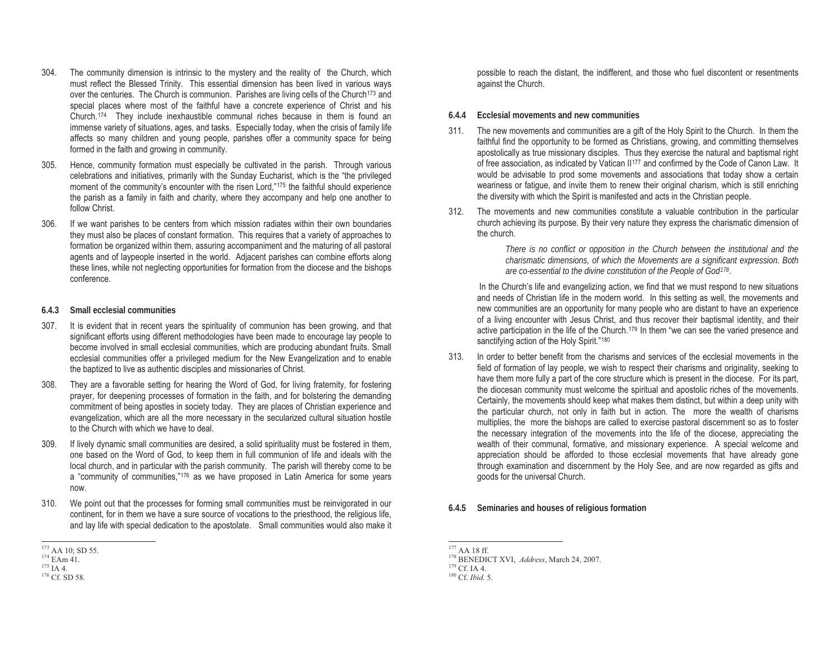- 304. The community dimension is intrinsic to the mystery and the reality of the Church, which must reflect the Blessed Trinity. This essential dimension has been lived in various ways over the centuries. The Church is communion. Parishes are living cells of the Church<sup>173</sup> and special places where most of the faithful have a concrete experience of Christ and his Church.174 They include inexhaustible communal riches because in them is found an immense variety of situations, ages, and tasks. Especially today, when the crisis of family life affects so many children and young people, parishes offer a community space for being formed in the faith and growing in community.
- 305. Hence, community formation must especially be cultivated in the parish. Through various celebrations and initiatives, primarily with the Sunday Eucharist, which is the "the privileged moment of the community's encounter with the risen Lord,"175 the faithful should experience the parish as a family in faith and charity, where they accompany and help one another to follow Christ.
- 306. If we want parishes to be centers from which mission radiates within their own boundaries they must also be places of constant formation. This requires that a variety of approaches to formation be organized within them, assuring accompaniment and the maturing of all pastoral agents and of laypeople inserted in the world. Adjacent parishes can combine efforts along these lines, while not neglecting opportunities for formation from the diocese and the bishops conference.
- **6.4.3 Small ecclesial communities**
- 307. It is evident that in recent years the spirituality of communion has been growing, and that significant efforts using different methodologies have been made to encourage lay people to become involved in small ecclesial communities, which are producing abundant fruits. Small ecclesial communities offer a privileged medium for the New Evangelization and to enable the baptized to live as authentic disciples and missionaries of Christ.
- 308. They are a favorable setting for hearing the Word of God, for living fraternity, for fostering prayer, for deepening processes of formation in the faith, and for bolstering the demanding commitment of being apostles in society today. They are places of Christian experience and evangelization, which are all the more necessary in the secularized cultural situation hostile to the Church with which we have to deal.
- 309. If lively dynamic small communities are desired, a solid spirituality must be fostered in them, one based on the Word of God, to keep them in full communion of life and ideals with the local church, and in particular with the parish community. The parish will thereby come to be a "community of communities,"176 as we have proposed in Latin America for some years now.
- We point out that the processes for forming small communities must be reinvigorated in our continent, for in them we have a sure source of vocations to the priesthood, the religious life, 310.and lay life with special dedication to the apostolate. Small communities would also make it

possible to reach the distant, the indifferent, and those who fuel discontent or resentments against the Church.

- **6.4.4 Ecclesial movements and new communities**
- 311. The new movements and communities are a gift of the Holy Spirit to the Church. In them the faithful find the opportunity to be formed as Christians, growing, and committing themselves apostolically as true missionary disciples. Thus they exercise the natural and baptismal right of free association, as indicated by Vatican II<sup>177</sup> and confirmed by the Code of Canon Law. It would be advisable to prod some movements and associations that today show a certain weariness or fatigue, and invite them to renew their original charism, which is still enriching the diversity with which the Spirit is manifested and acts in the Christian people.
- 312. The movements and new communities constitute a valuable contribution in the particular church achieving its purpose. By their very nature they express the charismatic dimension of the church.

*There is no conflict or opposition in the Church between the institutional and the charismatic dimensions, of which the Movements are a significant expression. Both are co-essential to the divine constitution of the People of God178.*

 In the Church's life and evangelizing action, we find that we must respond to new situations and needs of Christian life in the modern world. In this setting as well, the movements and new communities are an opportunity for many people who are distant to have an experience of a living encounter with Jesus Christ, and thus recover their baptismal identity, and their active participation in the life of the Church.<sup>179</sup> In them "we can see the varied presence and sanctifying action of the Holy Spirit."<sup>180</sup>

- 313. In order to better benefit from the charisms and services of the ecclesial movements in the field of formation of lay people, we wish to respect their charisms and originality, seeking to have them more fully a part of the core structure which is present in the diocese. For its part, the diocesan community must welcome the spiritual and apostolic riches of the movements. Certainly, the movements should keep what makes them distinct, but within a deep unity with the particular church, not only in faith but in action. The more the wealth of charisms multiplies, the more the bishops are called to exercise pastoral discernment so as to foster the necessary integration of the movements into the life of the diocese, appreciating the wealth of their communal, formative, and missionary experience. A special welcome and appreciation should be afforded to those ecclesial movements that have already gone through examination and discernment by the Holy See, and are now regarded as gifts and goods for the universal Church.
- **6.4.5 Seminaries and houses of religious formation**

<sup>&</sup>lt;sup>173</sup> AA 10; SD 55.

 $174$  EAm 41.

 $^{175}$  IA 4.

<sup>&</sup>lt;sup>176</sup> Cf. SD 58.

 $177$  AA 18 ff.

178 BENEDICT XVI, *Address*, March 24, 2007.

<sup>179</sup> Cf. IA 4.

180 Cf. *Ibid.* 5.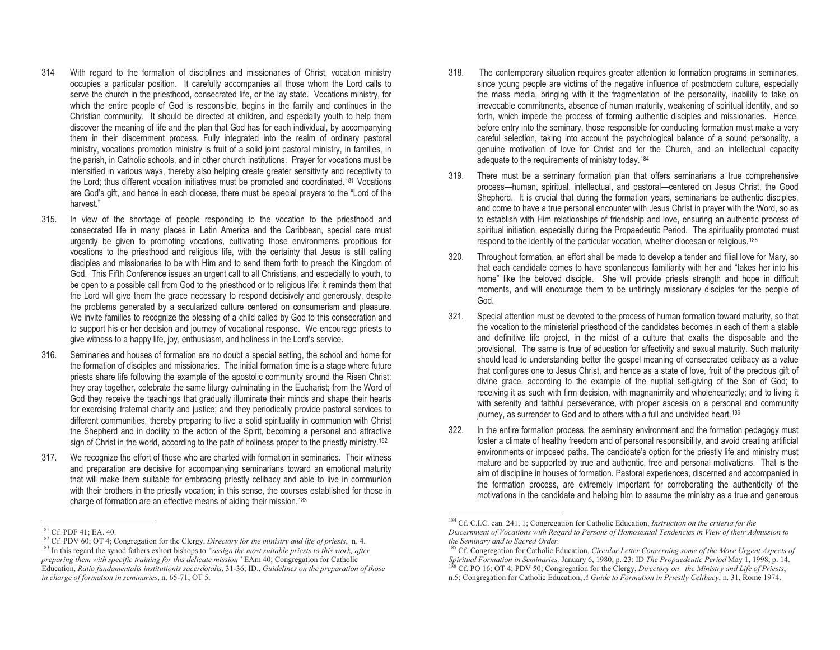- 314 With regard to the formation of disciplines and missionaries of Christ, vocation ministry occupies a particular position. It carefully accompanies all those whom the Lord calls to serve the church in the priesthood, consecrated life, or the lay state. Vocations ministry, for which the entire people of God is responsible, begins in the family and continues in the Christian community. It should be directed at children, and especially youth to help them discover the meaning of life and the plan that God has for each individual, by accompanying them in their discernment process. Fully integrated into the realm of ordinary pastoral ministry, vocations promotion ministry is fruit of a solid joint pastoral ministry, in families, in the parish, in Catholic schools, and in other church institutions. Prayer for vocations must be intensified in various ways, thereby also helping create greater sensitivity and receptivity to the Lord; thus different vocation initiatives must be promoted and coordinated.<sup>181</sup> Vocations are God's gift, and hence in each diocese, there must be special prayers to the "Lord of the harvest."
- 315. In view of the shortage of people responding to the vocation to the priesthood and consecrated life in many places in Latin America and the Caribbean, special care must urgently be given to promoting vocations, cultivating those environments propitious for vocations to the priesthood and religious life, with the certainty that Jesus is still calling disciples and missionaries to be with Him and to send them forth to preach the Kingdom of God. This Fifth Conference issues an urgent call to all Christians, and especially to youth, to be open to a possible call from God to the priesthood or to religious life; it reminds them that the Lord will give them the grace necessary to respond decisively and generously, despite the problems generated by a secularized culture centered on consumerism and pleasure. We invite families to recognize the blessing of a child called by God to this consecration and to support his or her decision and journey of vocational response. We encourage priests to give witness to a happy life, joy, enthusiasm, and holiness in the Lord's service.
- 316. Seminaries and houses of formation are no doubt a special setting, the school and home for the formation of disciples and missionaries. The initial formation time is a stage where future priests share life following the example of the apostolic community around the Risen Christ: they pray together, celebrate the same liturgy culminating in the Eucharist; from the Word of God they receive the teachings that gradually illuminate their minds and shape their hearts for exercising fraternal charity and justice; and they periodically provide pastoral services to different communities, thereby preparing to live a solid spirituality in communion with Christ the Shepherd and in docility to the action of the Spirit, becoming a personal and attractive sign of Christ in the world, according to the path of holiness proper to the priestly ministry.<sup>182</sup>
- 317. We recognize the effort of those who are charted with formation in seminaries. Their witness and preparation are decisive for accompanying seminarians toward an emotional maturity that will make them suitable for embracing priestly celibacy and able to live in communion with their brothers in the priestly vocation; in this sense, the courses established for those in charge of formation are an effective means of aiding their mission.183
- 318. The contemporary situation requires greater attention to formation programs in seminaries, since young people are victims of the negative influence of postmodern culture, especially the mass media, bringing with it the fragmentation of the personality, inability to take on irrevocable commitments, absence of human maturity, weakening of spiritual identity, and so forth, which impede the process of forming authentic disciples and missionaries. Hence, before entry into the seminary, those responsible for conducting formation must make a very careful selection, taking into account the psychological balance of a sound personality, a genuine motivation of love for Christ and for the Church, and an intellectual capacity adequate to the requirements of ministry today.184
- 319. There must be a seminary formation plan that offers seminarians a true comprehensive process—human, spiritual, intellectual, and pastoral—centered on Jesus Christ, the Good Shepherd. It is crucial that during the formation years, seminarians be authentic disciples, and come to have a true personal encounter with Jesus Christ in prayer with the Word, so as to establish with Him relationships of friendship and love, ensuring an authentic process of spiritual initiation, especially during the Propaedeutic Period. The spirituality promoted must respond to the identity of the particular vocation, whether diocesan or religious.185
- 320. Throughout formation, an effort shall be made to develop a tender and filial love for Mary, so that each candidate comes to have spontaneous familiarity with her and "takes her into his home" like the beloved disciple. She will provide priests strength and hope in difficult moments, and will encourage them to be untiringly missionary disciples for the people of God.
- 321. Special attention must be devoted to the process of human formation toward maturity, so that the vocation to the ministerial priesthood of the candidates becomes in each of them a stable and definitive life project, in the midst of a culture that exalts the disposable and the provisional. The same is true of education for affectivity and sexual maturity. Such maturity should lead to understanding better the gospel meaning of consecrated celibacy as a value that configures one to Jesus Christ, and hence as a state of love, fruit of the precious gift of divine grace, according to the example of the nuptial self-giving of the Son of God; to receiving it as such with firm decision, with magnanimity and wholeheartedly; and to living it with serenity and faithful perseverance, with proper ascesis on a personal and community journey, as surrender to God and to others with a full and undivided heart.<sup>186</sup>
- 322. In the entire formation process, the seminary environment and the formation pedagogy must foster a climate of healthy freedom and of personal responsibility, and avoid creating artificial environments or imposed paths. The candidate's option for the priestly life and ministry must mature and be supported by true and authentic, free and personal motivations. That is the aim of discipline in houses of formation. Pastoral experiences, discerned and accompanied in the formation process, are extremely important for corroborating the authenticity of the motivations in the candidate and helping him to assume the ministry as a true and generous

<sup>181</sup> Cf. PDF 41; EA. 40.

<sup>182</sup> Cf. PDV 60; OT 4; Congregation for the Clergy, *Directory for the ministry and life of priests*, n. 4. <sup>183</sup> In this regard the synod fathers exhort bishops to *"assign the most suitable priests to this work, after preparing them with specific training for this delicate mission"* EAm 40; Congregation for Catholic Education, *Ratio fundamentalis institutionis sacerdotalis*, 31-36; ID., *Guidelines on the preparation of those in charge of formation in seminaries*, n. 65-71; OT 5.

<sup>184</sup> Cf. C.I.C. can. 241, 1; Congregation for Catholic Education, *Instruction on the criteria for the Discernment of Vocations with Regard to Persons of Homosexual Tendencies in View of their Admission to the Seminary and to Sacred Order.*

<sup>185</sup> Cf. Congregation for Catholic Education, *Circular Letter Concerning some of the More Urgent Aspects of Spiritual Formation in Seminaries,* January 6, 1980, p. 23: ID *The Propaedeutic Period* May 1, 1998, p. 14. 186 Cf. PO 16; OT 4; PDV 50; Congregation for the Clergy, *Directory on the Ministry and Life of Priests*;

n.5; Congregation for Catholic Education, *A Guide to Formation in Priestly Celibacy*, n. 31, Rome 1974.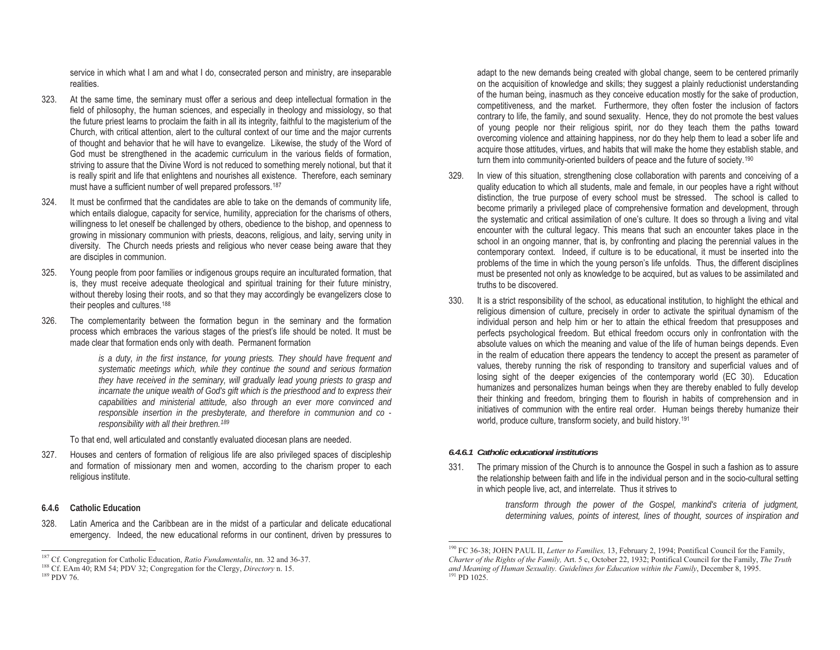service in which what I am and what I do, consecrated person and ministry, are inseparable realities.

- 323. At the same time, the seminary must offer a serious and deep intellectual formation in the field of philosophy, the human sciences, and especially in theology and missiology, so that the future priest learns to proclaim the faith in all its integrity, faithful to the magisterium of the Church, with critical attention, alert to the cultural context of our time and the major currents of thought and behavior that he will have to evangelize. Likewise, the study of the Word of God must be strengthened in the academic curriculum in the various fields of formation, striving to assure that the Divine Word is not reduced to something merely notional, but that it is really spirit and life that enlightens and nourishes all existence. Therefore, each seminary must have a sufficient number of well prepared professors.187
- 324. It must be confirmed that the candidates are able to take on the demands of community life, which entails dialogue, capacity for service, humility, appreciation for the charisms of others, willingness to let oneself be challenged by others, obedience to the bishop, and openness to growing in missionary communion with priests, deacons, religious, and laity, serving unity in diversity. The Church needs priests and religious who never cease being aware that they are disciples in communion.
- 325. Young people from poor families or indigenous groups require an inculturated formation, that is, they must receive adequate theological and spiritual training for their future ministry, without thereby losing their roots, and so that they may accordingly be evangelizers close to their peoples and cultures.188
- 326. The complementarity between the formation begun in the seminary and the formation process which embraces the various stages of the priest's life should be noted. It must be made clear that formation ends only with death. Permanent formation

*is a duty, in the first instance, for young priests. They should have frequent and systematic meetings which, while they continue the sound and serious formation they have received in the seminary, will gradually lead young priests to grasp and incarnate the unique wealth of God's gift which is the priesthood and to express their capabilities and ministerial attitude, also through an ever more convinced and responsible insertion in the presbyterate, and therefore in communion and co responsibility with all their brethren.189*

To that end, well articulated and constantly evaluated diocesan plans are needed.

- 327. Houses and centers of formation of religious life are also privileged spaces of discipleship and formation of missionary men and women, according to the charism proper to each religious institute.
- **6.4.6 Catholic Education**
- 328. Latin America and the Caribbean are in the midst of a particular and delicate educational emergency. Indeed, the new educational reforms in our continent, driven by pressures to

adapt to the new demands being created with global change, seem to be centered primarily on the acquisition of knowledge and skills; they suggest a plainly reductionist understanding of the human being, inasmuch as they conceive education mostly for the sake of production, competitiveness, and the market. Furthermore, they often foster the inclusion of factors contrary to life, the family, and sound sexuality. Hence, they do not promote the best values of young people nor their religious spirit, nor do they teach them the paths toward overcoming violence and attaining happiness, nor do they help them to lead a sober life and acquire those attitudes, virtues, and habits that will make the home they establish stable, and turn them into community-oriented builders of peace and the future of society.<sup>190</sup>

- 329. In view of this situation, strengthening close collaboration with parents and conceiving of a quality education to which all students, male and female, in our peoples have a right without distinction, the true purpose of every school must be stressed. The school is called to become primarily a privileged place of comprehensive formation and development, through the systematic and critical assimilation of one's culture. It does so through a living and vital encounter with the cultural legacy. This means that such an encounter takes place in the school in an ongoing manner, that is, by confronting and placing the perennial values in the contemporary context. Indeed, if culture is to be educational, it must be inserted into the problems of the time in which the young person's life unfolds. Thus, the different disciplines must be presented not only as knowledge to be acquired, but as values to be assimilated and truths to be discovered.
- 330. It is a strict responsibility of the school, as educational institution, to highlight the ethical and religious dimension of culture, precisely in order to activate the spiritual dynamism of the individual person and help him or her to attain the ethical freedom that presupposes and perfects psychological freedom. But ethical freedom occurs only in confrontation with the absolute values on which the meaning and value of the life of human beings depends. Even in the realm of education there appears the tendency to accept the present as parameter of values, thereby running the risk of responding to transitory and superficial values and of losing sight of the deeper exigencies of the contemporary world (EC 30). Education humanizes and personalizes human beings when they are thereby enabled to fully develop their thinking and freedom, bringing them to flourish in habits of comprehension and in initiatives of communion with the entire real order. Human beings thereby humanize their world, produce culture, transform society, and build history.191

#### *6.4.6.1 Catholic educational institutions*

331. The primary mission of the Church is to announce the Gospel in such a fashion as to assure the relationship between faith and life in the individual person and in the socio-cultural setting in which people live, act, and interrelate. Thus it strives to

> *transform through the power of the Gospel, mankind's criteria of judgment, determining values, points of interest, lines of thought, sources of inspiration and*

<sup>187</sup> Cf. Congregation for Catholic Education, *Ratio Fundamentalis*, nn. 32 and 36-37.

<sup>188</sup> Cf. EAm 40; RM 54; PDV 32; Congregation for the Clergy, *Directory* n. 15.

 $189$  PDV 76.

<sup>190</sup> FC 36-38; JOHN PAUL II, *Letter to Families,* 13, February 2, 1994; Pontifical Council for the Family, *Charter of the Rights of the Family,* Art. 5 c, October 22, 1932; Pontifical Council for the Family, *The Truth and Meaning of Human Sexuality. Guidelines for Education within the Family*, December 8, 1995. <sup>191</sup> PD 1025.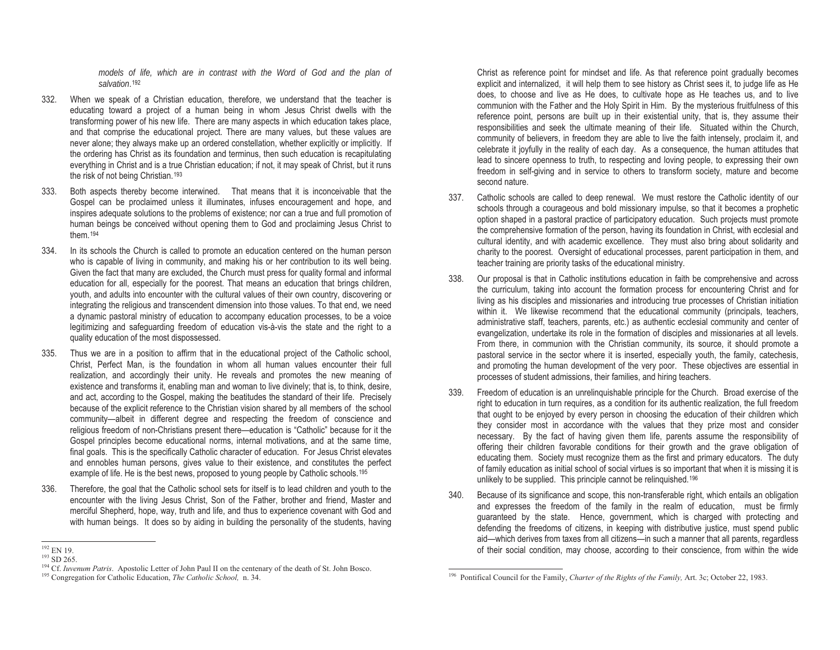models of life, which are in contrast with the Word of God and the plan of *salvation*.<sup>192</sup>

- 332. When we speak of a Christian education, therefore, we understand that the teacher is educating toward a project of a human being in whom Jesus Christ dwells with the transforming power of his new life. There are many aspects in which education takes place, and that comprise the educational project. There are many values, but these values are never alone; they always make up an ordered constellation, whether explicitly or implicitly. If the ordering has Christ as its foundation and terminus, then such education is recapitulating everything in Christ and is a true Christian education; if not, it may speak of Christ, but it runs the risk of not being Christian.<sup>193</sup>
- 333. Both aspects thereby become interwined. That means that it is inconceivable that the Gospel can be proclaimed unless it illuminates, infuses encouragement and hope, and inspires adequate solutions to the problems of existence; nor can a true and full promotion of human beings be conceived without opening them to God and proclaiming Jesus Christ to them 194
- 334. In its schools the Church is called to promote an education centered on the human person who is capable of living in community, and making his or her contribution to its well being. Given the fact that many are excluded, the Church must press for quality formal and informal education for all, especially for the poorest. That means an education that brings children, youth, and adults into encounter with the cultural values of their own country, discovering or integrating the religious and transcendent dimension into those values. To that end, we need a dynamic pastoral ministry of education to accompany education processes, to be a voice legitimizing and safeguarding freedom of education vis-à-vis the state and the right to a quality education of the most dispossessed.
- 335. Thus we are in a position to affirm that in the educational project of the Catholic school, Christ, Perfect Man, is the foundation in whom all human values encounter their full realization, and accordingly their unity. He reveals and promotes the new meaning of existence and transforms it, enabling man and woman to live divinely; that is, to think, desire, and act, according to the Gospel, making the beatitudes the standard of their life. Precisely because of the explicit reference to the Christian vision shared by all members of the school community—albeit in different degree and respecting the freedom of conscience and religious freedom of non-Christians present there—education is "Catholic" because for it the Gospel principles become educational norms, internal motivations, and at the same time, final goals. This is the specifically Catholic character of education. For Jesus Christ elevates and ennobles human persons, gives value to their existence, and constitutes the perfect example of life. He is the best news, proposed to young people by Catholic schools.<sup>195</sup>
- 336. Therefore, the goal that the Catholic school sets for itself is to lead children and youth to the encounter with the living Jesus Christ, Son of the Father, brother and friend, Master and merciful Shepherd, hope, way, truth and life, and thus to experience covenant with God and with human beings. It does so by aiding in building the personality of the students, having

Christ as reference point for mindset and life. As that reference point gradually becomes explicit and internalized, it will help them to see history as Christ sees it, to judge life as He does, to choose and live as He does, to cultivate hope as He teaches us, and to live communion with the Father and the Holy Spirit in Him. By the mysterious fruitfulness of this reference point, persons are built up in their existential unity, that is, they assume their responsibilities and seek the ultimate meaning of their life. Situated within the Church, community of believers, in freedom they are able to live the faith intensely, proclaim it, and celebrate it joyfully in the reality of each day. As a consequence, the human attitudes that lead to sincere openness to truth, to respecting and loving people, to expressing their own freedom in self-giving and in service to others to transform society, mature and become second nature.

- 337. Catholic schools are called to deep renewal. We must restore the Catholic identity of our schools through a courageous and bold missionary impulse, so that it becomes a prophetic option shaped in a pastoral practice of participatory education. Such projects must promote the comprehensive formation of the person, having its foundation in Christ, with ecclesial and cultural identity, and with academic excellence. They must also bring about solidarity and charity to the poorest. Oversight of educational processes, parent participation in them, and teacher training are priority tasks of the educational ministry.
- 338. Our proposal is that in Catholic institutions education in faith be comprehensive and across the curriculum, taking into account the formation process for encountering Christ and for living as his disciples and missionaries and introducing true processes of Christian initiation within it. We likewise recommend that the educational community (principals, teachers, administrative staff, teachers, parents, etc.) as authentic ecclesial community and center of evangelization, undertake its role in the formation of disciples and missionaries at all levels. From there, in communion with the Christian community, its source, it should promote a pastoral service in the sector where it is inserted, especially youth, the family, catechesis, and promoting the human development of the very poor. These objectives are essential in processes of student admissions, their families, and hiring teachers.
- 339. Freedom of education is an unrelinquishable principle for the Church. Broad exercise of the right to education in turn requires, as a condition for its authentic realization, the full freedom that ought to be enjoyed by every person in choosing the education of their children which they consider most in accordance with the values that they prize most and consider necessary. By the fact of having given them life, parents assume the responsibility of offering their children favorable conditions for their growth and the grave obligation of educating them. Society must recognize them as the first and primary educators. The duty of family education as initial school of social virtues is so important that when it is missing it is unlikely to be supplied. This principle cannot be relinquished.<sup>196</sup>
- 340. Because of its significance and scope, this non-transferable right, which entails an obligation and expresses the freedom of the family in the realm of education, must be firmly guaranteed by the state. Hence, government, which is charged with protecting and defending the freedoms of citizens, in keeping with distributive justice, must spend public aid—which derives from taxes from all citizens—in such a manner that all parents, regardless of their social condition, may choose, according to their conscience, from within the wide

<sup>192</sup> EN 19.

 $193$  SD 265.

194 Cf. *Iuvenum Patris*. Apostolic Letter of John Paul II on the centenary of the death of St. John Bosco.

<sup>195</sup> Congregation for Catholic Education, *The Catholic School,* n. 34.

<sup>196</sup> Pontifical Council for the Family, *Charter of the Rights of the Family,* Art. 3c; October 22, 1983.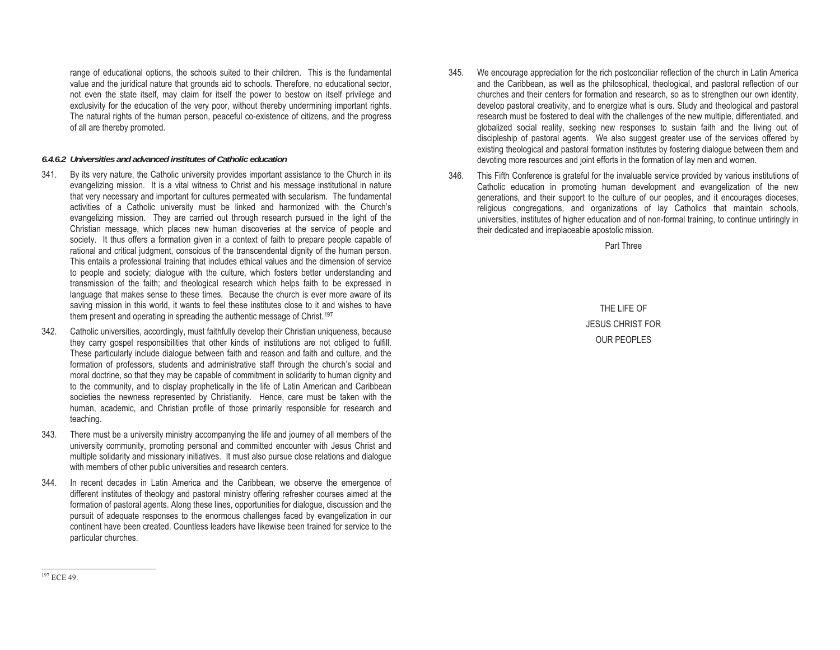range of educational options, the schools suited to their children. This is the fundamental value and the juridical nature that grounds aid to schools. Therefore, no educational sector, not even the state itself, may claim for itself the power to bestow on itself privilege and exclusivity for the education of the very poor, without thereby undermining important rights. The natural rights of the human person, peaceful co-existence of citizens, and the progress of all are thereby promoted.

# *6.4.6.2 Universities and advanced institutes of Catholic education*

- 341. By its very nature, the Catholic university provides important assistance to the Church in its evangelizing mission. It is a vital witness to Christ and his message institutional in nature that very necessary and important for cultures permeated with secularism. The fundamental activities of a Catholic university must be linked and harmonized with the Church's evangelizing mission. They are carried out through research pursued in the light of the Christian message, which places new human discoveries at the service of people and society. It thus offers a formation given in a context of faith to prepare people capable of rational and critical judgment, conscious of the transcendental dignity of the human person. This entails a professional training that includes ethical values and the dimension of service to people and society; dialogue with the culture, which fosters better understanding and transmission of the faith; and theological research which helps faith to be expressed in language that makes sense to these times. Because the church is ever more aware of its saving mission in this world, it wants to feel these institutes close to it and wishes to have them present and operating in spreading the authentic message of Christ.<sup>197</sup>
- 342. Catholic universities, accordingly, must faithfully develop their Christian uniqueness, because they carry gospel responsibilities that other kinds of institutions are not obliged to fulfill. These particularly include dialogue between faith and reason and faith and culture, and the formation of professors, students and administrative staff through the church's social and moral doctrine, so that they may be capable of commitment in solidarity to human dignity and to the community, and to display prophetically in the life of Latin American and Caribbean societies the newness represented by Christianity. Hence, care must be taken with the human, academic, and Christian profile of those primarily responsible for research and teaching.
- 343. There must be a university ministry accompanying the life and journey of all members of the university community, promoting personal and committed encounter with Jesus Christ and multiple solidarity and missionary initiatives. It must also pursue close relations and dialogue with members of other public universities and research centers.
- 344. In recent decades in Latin America and the Caribbean, we observe the emergence of different institutes of theology and pastoral ministry offering refresher courses aimed at the formation of pastoral agents. Along these lines, opportunities for dialogue, discussion and the pursuit of adequate responses to the enormous challenges faced by evangelization in our continent have been created. Countless leaders have likewise been trained for service to the particular churches.
- 345. We encourage appreciation for the rich postconciliar reflection of the church in Latin America and the Caribbean, as well as the philosophical, theological, and pastoral reflection of our churches and their centers for formation and research, so as to strengthen our own identity, develop pastoral creativity, and to energize what is ours. Study and theological and pastoral research must be fostered to deal with the challenges of the new multiple, differentiated, and globalized social reality, seeking new responses to sustain faith and the living out of discipleship of pastoral agents. We also suggest greater use of the services offered by existing theological and pastoral formation institutes by fostering dialogue between them and devoting more resources and joint efforts in the formation of lay men and women.
- 346. This Fifth Conference is grateful for the invaluable service provided by various institutions of Catholic education in promoting human development and evangelization of the new generations, and their support to the culture of our peoples, and it encourages dioceses, religious congregations, and organizations of lay Catholics that maintain schools, universities, institutes of higher education and of non-formal training, to continue untiringly in their dedicated and irreplaceable apostolic mission.

Part Three

THE LIFE OF JESUS CHRIST FOR OUR PEOPLES

<sup>197</sup> ECE 49.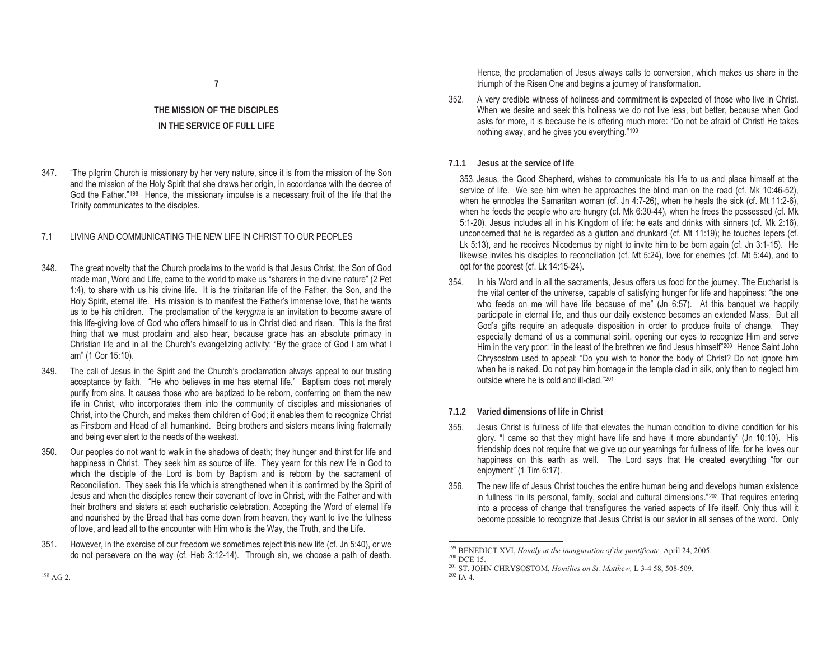# **7**

# **THE MISSION OF THE DISCIPLES IN THE SERVICE OF FULL LIFE**

347. "The pilgrim Church is missionary by her very nature, since it is from the mission of the Son and the mission of the Holy Spirit that she draws her origin, in accordance with the decree of God the Father."198 Hence, the missionary impulse is a necessary fruit of the life that the Trinity communicates to the disciples.

# 7.1 LIVING AND COMMUNICATING THE NEW LIFE IN CHRIST TO OUR PEOPLES

- 348. The great novelty that the Church proclaims to the world is that Jesus Christ, the Son of God made man, Word and Life, came to the world to make us "sharers in the divine nature" (2 Pet 1:4), to share with us his divine life. It is the trinitarian life of the Father, the Son, and the Holy Spirit, eternal life. His mission is to manifest the Father's immense love, that he wants us to be his children. The proclamation of the *kerygma* is an invitation to become aware of this life-giving love of God who offers himself to us in Christ died and risen. This is the first thing that we must proclaim and also hear, because grace has an absolute primacy in Christian life and in all the Church's evangelizing activity: "By the grace of God I am what I am" (1 Cor 15:10).
- 349. The call of Jesus in the Spirit and the Church's proclamation always appeal to our trusting acceptance by faith. "He who believes in me has eternal life." Baptism does not merely purify from sins. It causes those who are baptized to be reborn, conferring on them the new life in Christ, who incorporates them into the community of disciples and missionaries of Christ, into the Church, and makes them children of God; it enables them to recognize Christ as Firstborn and Head of all humankind. Being brothers and sisters means living fraternally and being ever alert to the needs of the weakest.
- 350. Our peoples do not want to walk in the shadows of death; they hunger and thirst for life and happiness in Christ. They seek him as source of life. They yearn for this new life in God to which the disciple of the Lord is born by Baptism and is reborn by the sacrament of Reconciliation. They seek this life which is strengthened when it is confirmed by the Spirit of Jesus and when the disciples renew their covenant of love in Christ, with the Father and with their brothers and sisters at each eucharistic celebration. Accepting the Word of eternal life and nourished by the Bread that has come down from heaven, they want to live the fullness of love, and lead all to the encounter with Him who is the Way, the Truth, and the Life.
- 351. However, in the exercise of our freedom we sometimes reject this new life (cf. Jn 5:40), or we do not persevere on the way (cf. Heb 3:12-14). Through sin, we choose a path of death.

Hence, the proclamation of Jesus always calls to conversion, which makes us share in the triumph of the Risen One and begins a journey of transformation.

352. A very credible witness of holiness and commitment is expected of those who live in Christ. When we desire and seek this holiness we do not live less, but better, because when God asks for more, it is because he is offering much more: "Do not be afraid of Christ! He takes nothing away, and he gives you everything."199

# **7.1.1 Jesus at the service of life**

353. Jesus, the Good Shepherd, wishes to communicate his life to us and place himself at the service of life. We see him when he approaches the blind man on the road (cf. Mk 10:46-52), when he ennobles the Samaritan woman (cf. Jn 4:7-26), when he heals the sick (cf. Mt 11:2-6), when he feeds the people who are hungry (cf. Mk 6:30-44), when he frees the possessed (cf. Mk 5:1-20). Jesus includes all in his Kingdom of life: he eats and drinks with sinners (cf. Mk 2:16), unconcerned that he is regarded as a glutton and drunkard (cf. Mt 11:19); he touches lepers (cf. Lk 5:13), and he receives Nicodemus by night to invite him to be born again (cf. Jn 3:1-15). He likewise invites his disciples to reconciliation (cf. Mt 5:24), love for enemies (cf. Mt 5:44), and to opt for the poorest (cf. Lk 14:15-24).

- 354. In his Word and in all the sacraments, Jesus offers us food for the journey. The Eucharist is the vital center of the universe, capable of satisfying hunger for life and happiness: "the one who feeds on me will have life because of me" (Jn 6:57). At this banquet we happily participate in eternal life, and thus our daily existence becomes an extended Mass. But all God's gifts require an adequate disposition in order to produce fruits of change. They especially demand of us a communal spirit, opening our eyes to recognize Him and serve Him in the very poor: "in the least of the brethren we find Jesus himself"<sup>200</sup> Hence Saint John Chrysostom used to appeal: "Do you wish to honor the body of Christ? Do not ignore him when he is naked. Do not pay him homage in the temple clad in silk, only then to neglect him outside where he is cold and ill-clad."201
- **7.1.2 Varied dimensions of life in Christ**
- 355. Jesus Christ is fullness of life that elevates the human condition to divine condition for his glory. "I came so that they might have life and have it more abundantly" (Jn 10:10). His friendship does not require that we give up our yearnings for fullness of life, for he loves our happiness on this earth as well. The Lord says that He created everything "for our enjoyment" (1 Tim 6:17).
- 356. The new life of Jesus Christ touches the entire human being and develops human existence in fullness "in its personal, family, social and cultural dimensions."<sup>202</sup> That requires entering into a process of change that transfigures the varied aspects of life itself. Only thus will it become possible to recognize that Jesus Christ is our savior in all senses of the word. Only

<sup>199</sup> BENEDICT XVI, *Homily at the inauguration of the pontificate,* April 24, 2005.  $200$  DCE 15.

201 ST. JOHN CHRYSOSTOM, *Homilies on St. Matthew,* L 3-4 58, 508-509.

 $202$  IA 4.

 $198$  AG 2.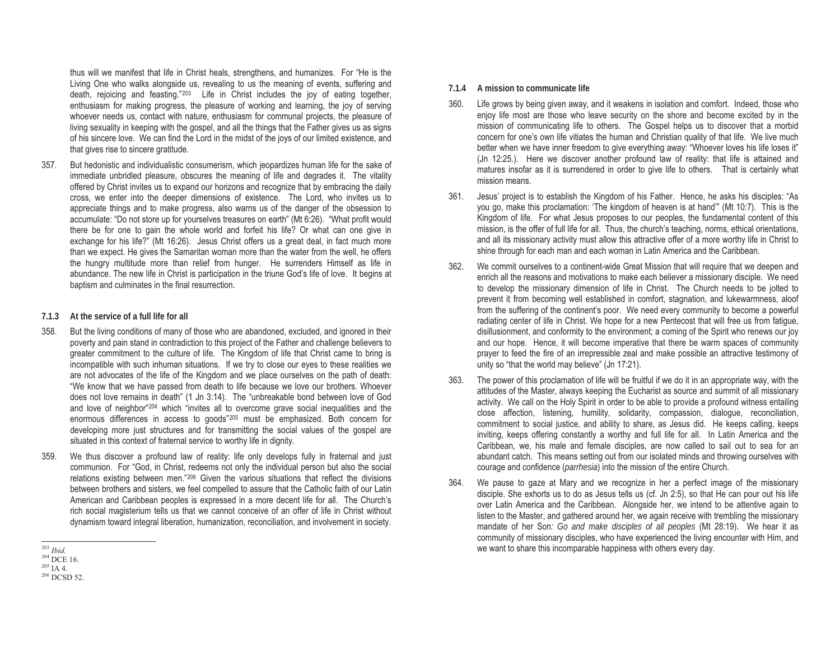thus will we manifest that life in Christ heals, strengthens, and humanizes. For "He is the Living One who walks alongside us, revealing to us the meaning of events, suffering and death, rejoicing and feasting."203 Life in Christ includes the joy of eating together, enthusiasm for making progress, the pleasure of working and learning, the joy of serving whoever needs us, contact with nature, enthusiasm for communal projects, the pleasure of living sexuality in keeping with the gospel, and all the things that the Father gives us as signs of his sincere love. We can find the Lord in the midst of the joys of our limited existence, and that gives rise to sincere gratitude.

- 357. But hedonistic and individualistic consumerism, which jeopardizes human life for the sake of immediate unbridled pleasure, obscures the meaning of life and degrades it. The vitality offered by Christ invites us to expand our horizons and recognize that by embracing the daily cross, we enter into the deeper dimensions of existence. The Lord, who invites us to appreciate things and to make progress, also warns us of the danger of the obsession to accumulate: "Do not store up for yourselves treasures on earth" (Mt 6:26). "What profit would there be for one to gain the whole world and forfeit his life? Or what can one give in exchange for his life?" (Mt 16:26). Jesus Christ offers us a great deal, in fact much more than we expect. He gives the Samaritan woman more than the water from the well, he offers the hungry multitude more than relief from hunger. He surrenders Himself as life in abundance. The new life in Christ is participation in the triune God's life of love. It begins at baptism and culminates in the final resurrection.
- **7.1.3 At the service of a full life for all**
- 358. But the living conditions of many of those who are abandoned, excluded, and ignored in their poverty and pain stand in contradiction to this project of the Father and challenge believers to greater commitment to the culture of life. The Kingdom of life that Christ came to bring is incompatible with such inhuman situations. If we try to close our eyes to these realities we are not advocates of the life of the Kingdom and we place ourselves on the path of death: "We know that we have passed from death to life because we love our brothers. Whoever does not love remains in death" (1 Jn 3:14). The "unbreakable bond between love of God and love of neighbor"204 which "invites all to overcome grave social inequalities and the enormous differences in access to goods"205 must be emphasized. Both concern for developing more just structures and for transmitting the social values of the gospel are situated in this context of fraternal service to worthy life in dignity.
- 359. We thus discover a profound law of reality: life only develops fully in fraternal and just communion. For "God, in Christ, redeems not only the individual person but also the social relations existing between men."206 Given the various situations that reflect the divisions between brothers and sisters, we feel compelled to assure that the Catholic faith of our Latin American and Caribbean peoples is expressed in a more decent life for all. The Church's rich social magisterium tells us that we cannot conceive of an offer of life in Christ without dynamism toward integral liberation, humanization, reconciliation, and involvement in society.

#### **7.1.4 A mission to communicate life**

- 360. Life grows by being given away, and it weakens in isolation and comfort. Indeed, those who enjoy life most are those who leave security on the shore and become excited by in the mission of communicating life to others. The Gospel helps us to discover that a morbid concern for one's own life vitiates the human and Christian quality of that life. We live much better when we have inner freedom to give everything away: "Whoever loves his life loses it" (Jn 12:25.). Here we discover another profound law of reality: that life is attained and matures insofar as it is surrendered in order to give life to others. That is certainly what mission means.
- 361. Jesus' project is to establish the Kingdom of his Father. Hence, he asks his disciples: "As you go, make this proclamation: 'The kingdom of heaven is at hand'" (Mt 10:7). This is the Kingdom of life. For what Jesus proposes to our peoples, the fundamental content of this mission, is the offer of full life for all. Thus, the church's teaching, norms, ethical orientations, and all its missionary activity must allow this attractive offer of a more worthy life in Christ to shine through for each man and each woman in Latin America and the Caribbean.
- 362. We commit ourselves to a continent-wide Great Mission that will require that we deepen and enrich all the reasons and motivations to make each believer a missionary disciple. We need to develop the missionary dimension of life in Christ. The Church needs to be jolted to prevent it from becoming well established in comfort, stagnation, and lukewarmness, aloof from the suffering of the continent's poor. We need every community to become a powerful radiating center of life in Christ. We hope for a new Pentecost that will free us from fatigue, disillusionment, and conformity to the environment; a coming of the Spirit who renews our joy and our hope. Hence, it will become imperative that there be warm spaces of community prayer to feed the fire of an irrepressible zeal and make possible an attractive testimony of unity so "that the world may believe" (Jn 17:21).
- 363. The power of this proclamation of life will be fruitful if we do it in an appropriate way, with the attitudes of the Master, always keeping the Eucharist as source and summit of all missionary activity. We call on the Holy Spirit in order to be able to provide a profound witness entailing close affection, listening, humility, solidarity, compassion, dialogue, reconciliation, commitment to social justice, and ability to share, as Jesus did. He keeps calling, keeps inviting, keeps offering constantly a worthy and full life for all. In Latin America and the Caribbean, we, his male and female disciples, are now called to sail out to sea for an abundant catch. This means setting out from our isolated minds and throwing ourselves with courage and confidence (*parrhesia*) into the mission of the entire Church.
- 364. We pause to gaze at Mary and we recognize in her a perfect image of the missionary disciple. She exhorts us to do as Jesus tells us (cf. Jn 2:5), so that He can pour out his life over Latin America and the Caribbean. Alongside her, we intend to be attentive again to listen to the Master, and gathered around her, we again receive with trembling the missionary mandate of her Son*: Go and make disciples of all peoples* (Mt 28:19). We hear it as community of missionary disciples, who have experienced the living encounter with Him, and we want to share this incomparable happiness with others every day.

<sup>203</sup> *Ibid.*

 $204$  DCE 16.

 $205$  IA 4.

 $206$  DCSD 52.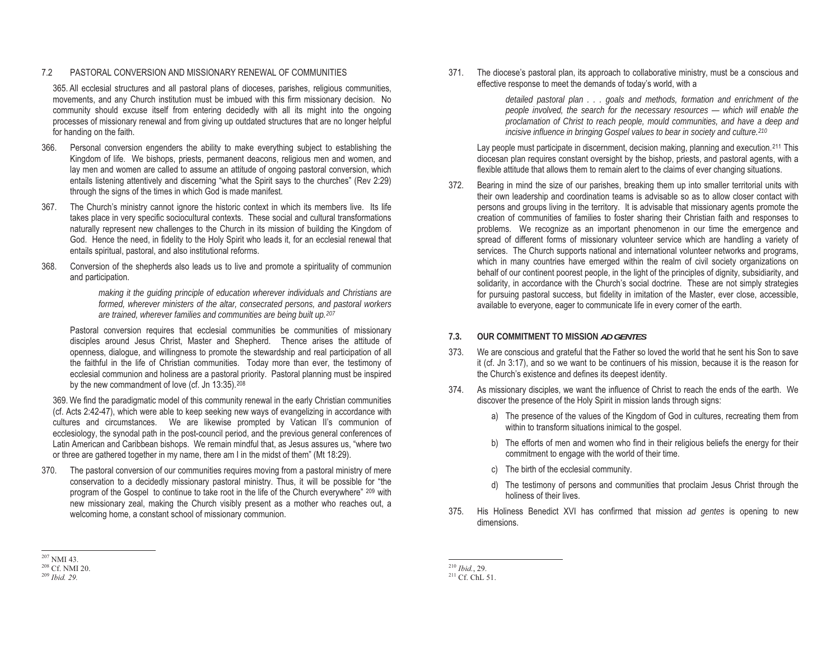# 7.2 PASTORAL CONVERSION AND MISSIONARY RENEWAL OF COMMUNITIES

365. All ecclesial structures and all pastoral plans of dioceses, parishes, religious communities, movements, and any Church institution must be imbued with this firm missionary decision. No community should excuse itself from entering decidedly with all its might into the ongoing processes of missionary renewal and from giving up outdated structures that are no longer helpful for handing on the faith.

- 366. Personal conversion engenders the ability to make everything subject to establishing the Kingdom of life. We bishops, priests, permanent deacons, religious men and women, and lay men and women are called to assume an attitude of ongoing pastoral conversion, which entails listening attentively and discerning "what the Spirit says to the churches" (Rev 2:29) through the signs of the times in which God is made manifest.
- 367. The Church's ministry cannot ignore the historic context in which its members live. Its life takes place in very specific sociocultural contexts. These social and cultural transformations naturally represent new challenges to the Church in its mission of building the Kingdom of God. Hence the need, in fidelity to the Holy Spirit who leads it, for an ecclesial renewal that entails spiritual, pastoral, and also institutional reforms.
- 368. Conversion of the shepherds also leads us to live and promote a spirituality of communion and participation.

*making it the quiding principle of education wherever individuals and Christians are formed, wherever ministers of the altar, consecrated persons, and pastoral workers are trained, wherever families and communities are being built up.207*

Pastoral conversion requires that ecclesial communities be communities of missionary disciples around Jesus Christ, Master and Shepherd. Thence arises the attitude of openness, dialogue, and willingness to promote the stewardship and real participation of all the faithful in the life of Christian communities. Today more than ever, the testimony of ecclesial communion and holiness are a pastoral priority. Pastoral planning must be inspired by the new commandment of love (cf. Jn 13:35).208

369. We find the paradigmatic model of this community renewal in the early Christian communities (cf. Acts 2:42-47), which were able to keep seeking new ways of evangelizing in accordance with cultures and circumstances. We are likewise prompted by Vatican II's communion of ecclesiology, the synodal path in the post-council period, and the previous general conferences of Latin American and Caribbean bishops. We remain mindful that, as Jesus assures us, "where two or three are gathered together in my name, there am I in the midst of them" (Mt 18:29).

370. The pastoral conversion of our communities requires moving from a pastoral ministry of mere conservation to a decidedly missionary pastoral ministry. Thus, it will be possible for "the program of the Gospel to continue to take root in the life of the Church everywhere" 209 with new missionary zeal, making the Church visibly present as a mother who reaches out, a welcoming home, a constant school of missionary communion.

*detailed pastoral plan . . . goals and methods, formation and enrichment of the people involved, the search for the necessary resources — which will enable the proclamation of Christ to reach people, mould communities, and have a deep and incisive influence in bringing Gospel values to bear in society and culture.210*

Lay people must participate in discernment, decision making, planning and execution.<sup>211</sup> This diocesan plan requires constant oversight by the bishop, priests, and pastoral agents, with a flexible attitude that allows them to remain alert to the claims of ever changing situations.

372. Bearing in mind the size of our parishes, breaking them up into smaller territorial units with their own leadership and coordination teams is advisable so as to allow closer contact with persons and groups living in the territory. It is advisable that missionary agents promote the creation of communities of families to foster sharing their Christian faith and responses to problems. We recognize as an important phenomenon in our time the emergence and spread of different forms of missionary volunteer service which are handling a variety of services. The Church supports national and international volunteer networks and programs, which in many countries have emerged within the realm of civil society organizations on behalf of our continent poorest people, in the light of the principles of dignity, subsidiarity, and solidarity, in accordance with the Church's social doctrine. These are not simply strategies for pursuing pastoral success, but fidelity in imitation of the Master, ever close, accessible, available to everyone, eager to communicate life in every corner of the earth.

# **7.3. OUR COMMITMENT TO MISSION** *AD GENTES*

- 373. We are conscious and grateful that the Father so loved the world that he sent his Son to save it (cf. Jn 3:17), and so we want to be continuers of his mission, because it is the reason for the Church's existence and defines its deepest identity.
- 374. As missionary disciples, we want the influence of Christ to reach the ends of the earth. We discover the presence of the Holy Spirit in mission lands through signs:
	- a) The presence of the values of the Kingdom of God in cultures, recreating them from within to transform situations inimical to the gospel.
	- b) The efforts of men and women who find in their religious beliefs the energy for their commitment to engage with the world of their time.
	- c) The birth of the ecclesial community.
	- d) The testimony of persons and communities that proclaim Jesus Christ through the holiness of their lives.
- 375. His Holiness Benedict XVI has confirmed that mission *ad gentes* is opening to new dimensions.

210 *Ibid.*, 29. <sup>211</sup> Cf. ChL 51.

<sup>371.</sup> The diocese's pastoral plan, its approach to collaborative ministry, must be a conscious and effective response to meet the demands of today's world, with a

<sup>207</sup> NMI 43.

208 Cf. NMI 20.

<sup>209</sup> *Ibid. 29.*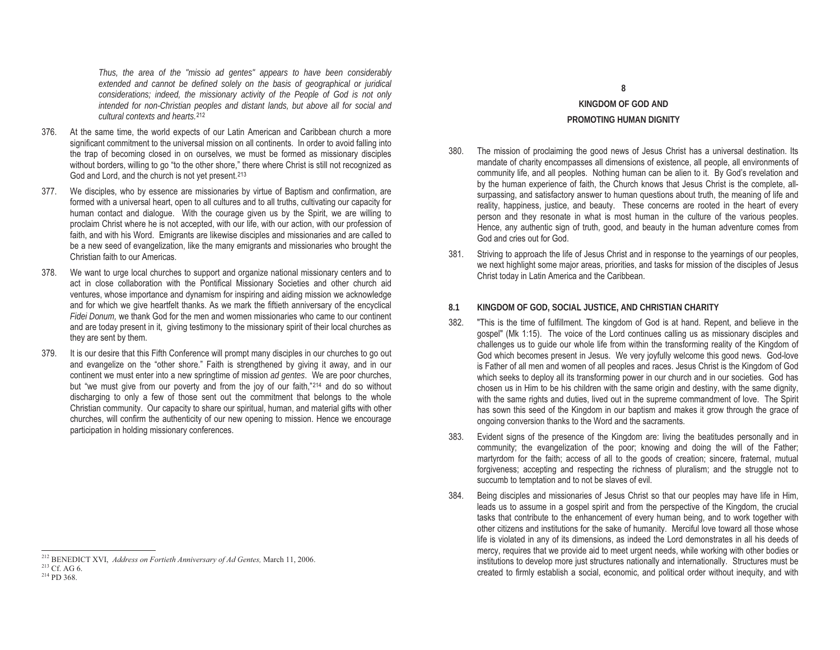*Thus, the area of the "missio ad gentes" appears to have been considerably*  extended and cannot be defined solely on the basis of geographical or juridical *considerations; indeed, the missionary activity of the People of God is not only intended for non-Christian peoples and distant lands, but above all for social and cultural contexts and hearts.*<sup>212</sup>

- 376. At the same time, the world expects of our Latin American and Caribbean church a more significant commitment to the universal mission on all continents. In order to avoid falling into the trap of becoming closed in on ourselves, we must be formed as missionary disciples without borders, willing to go "to the other shore," there where Christ is still not recognized as God and Lord, and the church is not yet present.<sup>213</sup>
- 377. We disciples, who by essence are missionaries by virtue of Baptism and confirmation, are formed with a universal heart, open to all cultures and to all truths, cultivating our capacity for human contact and dialogue. With the courage given us by the Spirit, we are willing to proclaim Christ where he is not accepted, with our life, with our action, with our profession of faith, and with his Word. Emigrants are likewise disciples and missionaries and are called to be a new seed of evangelization, like the many emigrants and missionaries who brought the Christian faith to our Americas.
- 378. We want to urge local churches to support and organize national missionary centers and to act in close collaboration with the Pontifical Missionary Societies and other church aid ventures, whose importance and dynamism for inspiring and aiding mission we acknowledge and for which we give heartfelt thanks. As we mark the fiftieth anniversary of the encyclical *Fidei Donum,* we thank God for the men and women missionaries who came to our continent and are today present in it, giving testimony to the missionary spirit of their local churches as they are sent by them.
- 379. It is our desire that this Fifth Conference will prompt many disciples in our churches to go out and evangelize on the "other shore." Faith is strengthened by giving it away, and in our continent we must enter into a new springtime of mission *ad gentes*. We are poor churches, but "we must give from our poverty and from the joy of our faith,"<sup>214</sup> and do so without discharging to only a few of those sent out the commitment that belongs to the whole Christian community. Our capacity to share our spiritual, human, and material gifts with other churches, will confirm the authenticity of our new opening to mission. Hence we encourage participation in holding missionary conferences.

# **8KINGDOM OF GOD AND PROMOTING HUMAN DIGNITY**

- 380. The mission of proclaiming the good news of Jesus Christ has a universal destination. Its mandate of charity encompasses all dimensions of existence, all people, all environments of community life, and all peoples. Nothing human can be alien to it. By God's revelation and by the human experience of faith, the Church knows that Jesus Christ is the complete, allsurpassing, and satisfactory answer to human questions about truth, the meaning of life and reality, happiness, justice, and beauty. These concerns are rooted in the heart of every person and they resonate in what is most human in the culture of the various peoples. Hence, any authentic sign of truth, good, and beauty in the human adventure comes from God and cries out for God.
- 381. Striving to approach the life of Jesus Christ and in response to the yearnings of our peoples, we next highlight some major areas, priorities, and tasks for mission of the disciples of Jesus Christ today in Latin America and the Caribbean.

# **8.1 KINGDOM OF GOD, SOCIAL JUSTICE, AND CHRISTIAN CHARITY**

- 382. "This is the time of fulfillment. The kingdom of God is at hand. Repent, and believe in the gospel" (Mk 1:15). The voice of the Lord continues calling us as missionary disciples and challenges us to guide our whole life from within the transforming reality of the Kingdom of God which becomes present in Jesus. We very joyfully welcome this good news. God-love is Father of all men and women of all peoples and races. Jesus Christ is the Kingdom of God which seeks to deploy all its transforming power in our church and in our societies. God has chosen us in Him to be his children with the same origin and destiny, with the same dignity, with the same rights and duties, lived out in the supreme commandment of love. The Spirit has sown this seed of the Kingdom in our baptism and makes it grow through the grace of ongoing conversion thanks to the Word and the sacraments.
- 383. Evident signs of the presence of the Kingdom are: living the beatitudes personally and in community; the evangelization of the poor; knowing and doing the will of the Father; martyrdom for the faith; access of all to the goods of creation; sincere, fraternal, mutual forgiveness; accepting and respecting the richness of pluralism; and the struggle not to succumb to temptation and to not be slaves of evil.
- 384. Being disciples and missionaries of Jesus Christ so that our peoples may have life in Him, leads us to assume in a gospel spirit and from the perspective of the Kingdom, the crucial tasks that contribute to the enhancement of every human being, and to work together with other citizens and institutions for the sake of humanity. Merciful love toward all those whose life is violated in any of its dimensions, as indeed the Lord demonstrates in all his deeds of mercy, requires that we provide aid to meet urgent needs, while working with other bodies or institutions to develop more just structures nationally and internationally. Structures must be created to firmly establish a social, economic, and political order without inequity, and with

<sup>212</sup> BENEDICT XVI, *Address on Fortieth Anniversary of Ad Gentes,* March 11, 2006.

 $213$  Cf. AG 6.

 $^{214}$  PD 368.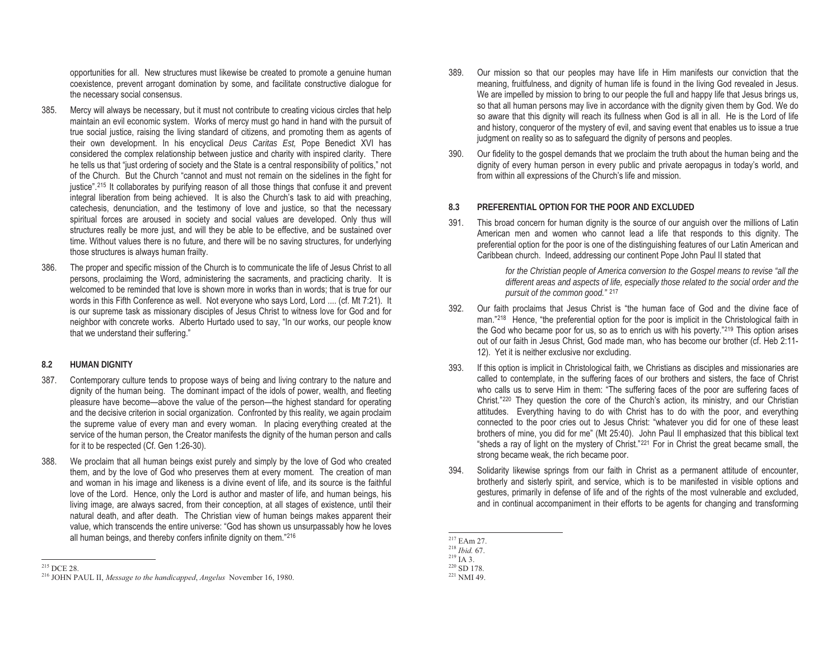opportunities for all. New structures must likewise be created to promote a genuine human coexistence, prevent arrogant domination by some, and facilitate constructive dialogue for the necessary social consensus.

- 385. Mercy will always be necessary, but it must not contribute to creating vicious circles that help maintain an evil economic system. Works of mercy must go hand in hand with the pursuit of true social justice, raising the living standard of citizens, and promoting them as agents of their own development. In his encyclical *Deus Caritas Est,* Pope Benedict XVI has considered the complex relationship between justice and charity with inspired clarity. There he tells us that "just ordering of society and the State is a central responsibility of politics," not of the Church. But the Church "cannot and must not remain on the sidelines in the fight for justice".<sup>215</sup> It collaborates by purifying reason of all those things that confuse it and prevent integral liberation from being achieved. It is also the Church's task to aid with preaching, catechesis, denunciation, and the testimony of love and justice, so that the necessary spiritual forces are aroused in society and social values are developed. Only thus will structures really be more just, and will they be able to be effective, and be sustained over time. Without values there is no future, and there will be no saving structures, for underlying those structures is always human frailty.
- 386. The proper and specific mission of the Church is to communicate the life of Jesus Christ to all persons, proclaiming the Word, administering the sacraments, and practicing charity. It is welcomed to be reminded that love is shown more in works than in words; that is true for our words in this Fifth Conference as well. Not everyone who says Lord, Lord .... (cf. Mt 7:21). It is our supreme task as missionary disciples of Jesus Christ to witness love for God and for neighbor with concrete works. Alberto Hurtado used to say, "In our works, our people know that we understand their suffering."

# **8.2 HUMAN DIGNITY**

- 387. Contemporary culture tends to propose ways of being and living contrary to the nature and dignity of the human being. The dominant impact of the idols of power, wealth, and fleeting pleasure have become—above the value of the person—the highest standard for operating and the decisive criterion in social organization. Confronted by this reality, we again proclaim the supreme value of every man and every woman. In placing everything created at the service of the human person, the Creator manifests the dignity of the human person and calls for it to be respected (Cf. Gen 1:26-30).
- 388. We proclaim that all human beings exist purely and simply by the love of God who created them, and by the love of God who preserves them at every moment. The creation of man and woman in his image and likeness is a divine event of life, and its source is the faithful love of the Lord. Hence, only the Lord is author and master of life, and human beings, his living image, are always sacred, from their conception, at all stages of existence, until their natural death, and after death. The Christian view of human beings makes apparent their value, which transcends the entire universe: "God has shown us unsurpassably how he loves all human beings, and thereby confers infinite dignity on them."216
- 389. Our mission so that our peoples may have life in Him manifests our conviction that the meaning, fruitfulness, and dignity of human life is found in the living God revealed in Jesus. We are impelled by mission to bring to our people the full and happy life that Jesus brings us, so that all human persons may live in accordance with the dignity given them by God. We do so aware that this dignity will reach its fullness when God is all in all. He is the Lord of life and history, conqueror of the mystery of evil, and saving event that enables us to issue a true judgment on reality so as to safeguard the dignity of persons and peoples.
- 390. Our fidelity to the gospel demands that we proclaim the truth about the human being and the dignity of every human person in every public and private aeropagus in today's world, and from within all expressions of the Church's life and mission.

# **8.3 PREFERENTIAL OPTION FOR THE POOR AND EXCLUDED**

391. This broad concern for human dignity is the source of our anguish over the millions of Latin American men and women who cannot lead a life that responds to this dignity. The preferential option for the poor is one of the distinguishing features of our Latin American and Caribbean church. Indeed, addressing our continent Pope John Paul II stated that

> *for the Christian people of America conversion to the Gospel means to revise "all the different areas and aspects of life, especially those related to the social order and the pursuit of the common good."* <sup>217</sup>

- 392. Our faith proclaims that Jesus Christ is "the human face of God and the divine face of man."<sup>218</sup> Hence, "the preferential option for the poor is implicit in the Christological faith in the God who became poor for us, so as to enrich us with his poverty."219 This option arises out of our faith in Jesus Christ, God made man, who has become our brother (cf. Heb 2:11- 12). Yet it is neither exclusive nor excluding.
- 393. If this option is implicit in Christological faith, we Christians as disciples and missionaries are called to contemplate, in the suffering faces of our brothers and sisters, the face of Christ who calls us to serve Him in them: "The suffering faces of the poor are suffering faces of Christ."220 They question the core of the Church's action, its ministry, and our Christian attitudes. Everything having to do with Christ has to do with the poor, and everything connected to the poor cries out to Jesus Christ: "whatever you did for one of these least brothers of mine, you did for me" (Mt 25:40). John Paul II emphasized that this biblical text "sheds a ray of light on the mystery of Christ."221 For in Christ the great became small, the strong became weak, the rich became poor.
- 394. Solidarity likewise springs from our faith in Christ as a permanent attitude of encounter, brotherly and sisterly spirit, and service, which is to be manifested in visible options and gestures, primarily in defense of life and of the rights of the most vulnerable and excluded, and in continual accompaniment in their efforts to be agents for changing and transforming

<sup>&</sup>lt;sup>215</sup> DCE 28.

216 JOHN PAUL II, *Message to the handicapped*, *Angelus* November 16, 1980.

<sup>217</sup> EAm 27.

218 *Ibid.* 67.

 $^{219}$  IA 3.

 $^{220}$  SD 178.

 $221$  NMI 49.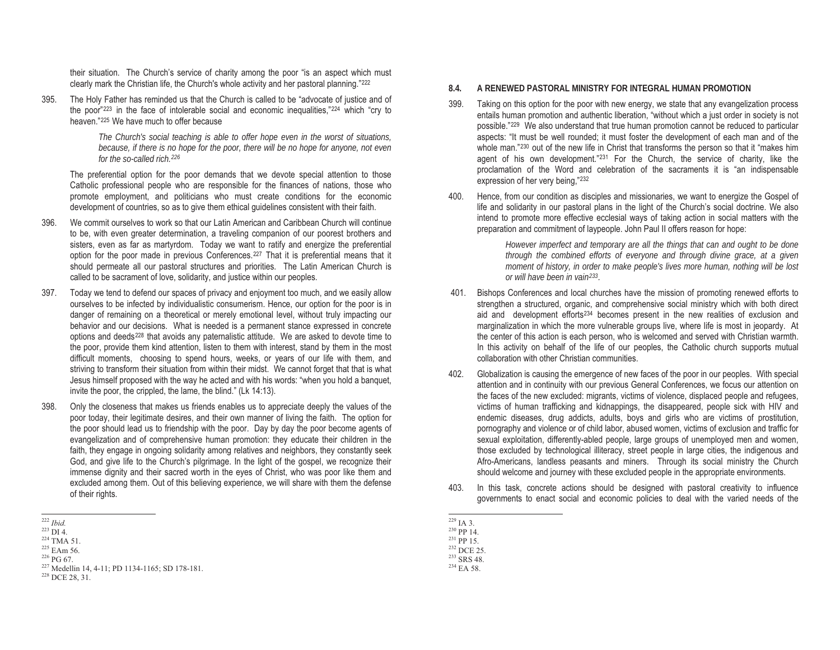their situation. The Church's service of charity among the poor "is an aspect which must clearly mark the Christian life, the Church's whole activity and her pastoral planning."222

395. The Holy Father has reminded us that the Church is called to be "advocate of justice and of the poor" $223$  in the face of intolerable social and economic inequalities," $224$  which "cry to heaven."225 We have much to offer because

> *The Church's social teaching is able to offer hope even in the worst of situations, because, if there is no hope for the poor, there will be no hope for anyone, not even for the so-called rich.226*

 The preferential option for the poor demands that we devote special attention to those Catholic professional people who are responsible for the finances of nations, those who promote employment, and politicians who must create conditions for the economic development of countries, so as to give them ethical guidelines consistent with their faith.

- 396. We commit ourselves to work so that our Latin American and Caribbean Church will continue to be, with even greater determination, a traveling companion of our poorest brothers and sisters, even as far as martyrdom. Today we want to ratify and energize the preferential option for the poor made in previous Conferences.227 That it is preferential means that it should permeate all our pastoral structures and priorities. The Latin American Church is called to be sacrament of love, solidarity, and justice within our peoples.
- 397. Today we tend to defend our spaces of privacy and enjoyment too much, and we easily allow ourselves to be infected by individualistic consumerism. Hence, our option for the poor is in danger of remaining on a theoretical or merely emotional level, without truly impacting our behavior and our decisions. What is needed is a permanent stance expressed in concrete options and deeds<sup>228</sup> that avoids any paternalistic attitude. We are asked to devote time to the poor, provide them kind attention, listen to them with interest, stand by them in the most difficult moments, choosing to spend hours, weeks, or years of our life with them, and striving to transform their situation from within their midst. We cannot forget that that is what Jesus himself proposed with the way he acted and with his words: "when you hold a banquet, invite the poor, the crippled, the lame, the blind." (Lk 14:13).
- 398. Only the closeness that makes us friends enables us to appreciate deeply the values of the poor today, their legitimate desires, and their own manner of living the faith. The option for the poor should lead us to friendship with the poor. Day by day the poor become agents of evangelization and of comprehensive human promotion: they educate their children in the faith, they engage in ongoing solidarity among relatives and neighbors, they constantly seek God, and give life to the Church's pilgrimage. In the light of the gospel, we recognize their immense dignity and their sacred worth in the eyes of Christ, who was poor like them and excluded among them. Out of this believing experience, we will share with them the defense of their rights.
- **8.4. A RENEWED PASTORAL MINISTRY FOR INTEGRAL HUMAN PROMOTION**
- 399. Taking on this option for the poor with new energy, we state that any evangelization process entails human promotion and authentic liberation, "without which a just order in society is not possible."229 We also understand that true human promotion cannot be reduced to particular aspects: "It must be well rounded; it must foster the development of each man and of the whole man."<sup>230</sup> out of the new life in Christ that transforms the person so that it "makes him agent of his own development."231 For the Church, the service of charity, like the proclamation of the Word and celebration of the sacraments it is "an indispensable expression of her very being,"232
- 400. Hence, from our condition as disciples and missionaries, we want to energize the Gospel of life and solidarity in our pastoral plans in the light of the Church's social doctrine. We also intend to promote more effective ecclesial ways of taking action in social matters with the preparation and commitment of laypeople. John Paul II offers reason for hope:

*However imperfect and temporary are all the things that can and ought to be done through the combined efforts of everyone and through divine grace, at a given moment of history, in order to make people's lives more human, nothing will be lost or will have been in vain233.*

- 401. Bishops Conferences and local churches have the mission of promoting renewed efforts to strengthen a structured, organic, and comprehensive social ministry which with both direct aid and development efforts<sup>234</sup> becomes present in the new realities of exclusion and marginalization in which the more vulnerable groups live, where life is most in jeopardy. At the center of this action is each person, who is welcomed and served with Christian warmth. In this activity on behalf of the life of our peoples, the Catholic church supports mutual collaboration with other Christian communities.
- 402. Globalization is causing the emergence of new faces of the poor in our peoples. With special attention and in continuity with our previous General Conferences, we focus our attention on the faces of the new excluded: migrants, victims of violence, displaced people and refugees, victims of human trafficking and kidnappings, the disappeared, people sick with HIV and endemic diseases, drug addicts, adults, boys and girls who are victims of prostitution, pornography and violence or of child labor, abused women, victims of exclusion and traffic for sexual exploitation, differently-abled people, large groups of unemployed men and women, those excluded by technological illiteracy, street people in large cities, the indigenous and Afro-Americans, landless peasants and miners. Through its social ministry the Church should welcome and journey with these excluded people in the appropriate environments.
- 403. In this task, concrete actions should be designed with pastoral creativity to influence governments to enact social and economic policies to deal with the varied needs of the
- $^{229}$  IA 3.

 $^{231}$  PP 15.

 $232$  DCE 25.

- $^{233}$  SRS 48.
- $^{234}$  EA 58.

<sup>222</sup> *Ibid.* 

 $^{223}$  DI 4.

 $^{224}$  TMA 51.

 $^{225}$  EAm 56.

 $226$  PG 67.

227 Medellin 14, 4-11; PD 1134-1165; SD 178-181.

<sup>228</sup> DCE 28, 31.

<sup>230</sup> PP 14.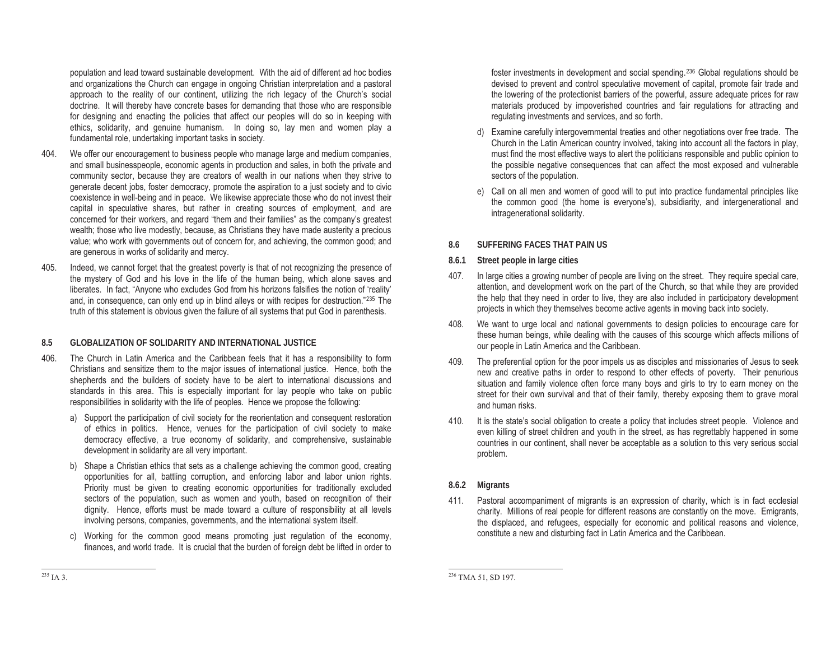population and lead toward sustainable development. With the aid of different ad hoc bodies and organizations the Church can engage in ongoing Christian interpretation and a pastoral approach to the reality of our continent, utilizing the rich legacy of the Church's social doctrine. It will thereby have concrete bases for demanding that those who are responsible for designing and enacting the policies that affect our peoples will do so in keeping with ethics, solidarity, and genuine humanism. In doing so, lay men and women play a fundamental role, undertaking important tasks in society.

- 404. We offer our encouragement to business people who manage large and medium companies, and small businesspeople, economic agents in production and sales, in both the private and community sector, because they are creators of wealth in our nations when they strive to generate decent jobs, foster democracy, promote the aspiration to a just society and to civic coexistence in well-being and in peace. We likewise appreciate those who do not invest their capital in speculative shares, but rather in creating sources of employment, and are concerned for their workers, and regard "them and their families" as the company's greatest wealth; those who live modestly, because, as Christians they have made austerity a precious value; who work with governments out of concern for, and achieving, the common good; and are generous in works of solidarity and mercy.
- 405. Indeed, we cannot forget that the greatest poverty is that of not recognizing the presence of the mystery of God and his love in the life of the human being, which alone saves and liberates. In fact, "Anyone who excludes God from his horizons falsifies the notion of 'reality' and, in consequence, can only end up in blind alleys or with recipes for destruction."235 The truth of this statement is obvious given the failure of all systems that put God in parenthesis.

# **8.5 GLOBALIZATION OF SOLIDARITY AND INTERNATIONAL JUSTICE**

- 406. The Church in Latin America and the Caribbean feels that it has a responsibility to form Christians and sensitize them to the major issues of international justice. Hence, both the shepherds and the builders of society have to be alert to international discussions and standards in this area. This is especially important for lay people who take on public responsibilities in solidarity with the life of peoples. Hence we propose the following:
	- a) Support the participation of civil society for the reorientation and consequent restoration of ethics in politics. Hence, venues for the participation of civil society to make democracy effective, a true economy of solidarity, and comprehensive, sustainable development in solidarity are all very important.
	- b) Shape a Christian ethics that sets as a challenge achieving the common good, creating opportunities for all, battling corruption, and enforcing labor and labor union rights. Priority must be given to creating economic opportunities for traditionally excluded sectors of the population, such as women and youth, based on recognition of their dignity. Hence, efforts must be made toward a culture of responsibility at all levels involving persons, companies, governments, and the international system itself.
	- c) Working for the common good means promoting just regulation of the economy, finances, and world trade. It is crucial that the burden of foreign debt be lifted in order to

foster investments in development and social spending.236 Global regulations should be devised to prevent and control speculative movement of capital, promote fair trade and the lowering of the protectionist barriers of the powerful, assure adequate prices for raw materials produced by impoverished countries and fair regulations for attracting and regulating investments and services, and so forth.

- d) Examine carefully intergovernmental treaties and other negotiations over free trade. The Church in the Latin American country involved, taking into account all the factors in play, must find the most effective ways to alert the politicians responsible and public opinion to the possible negative consequences that can affect the most exposed and vulnerable sectors of the population.
- e) Call on all men and women of good will to put into practice fundamental principles like the common good (the home is everyone's), subsidiarity, and intergenerational and intragenerational solidarity.

# **8.6 SUFFERING FACES THAT PAIN US**

- **8.6.1 Street people in large cities**
- 407. In large cities a growing number of people are living on the street. They require special care, attention, and development work on the part of the Church, so that while they are provided the help that they need in order to live, they are also included in participatory development projects in which they themselves become active agents in moving back into society.
- 408. We want to urge local and national governments to design policies to encourage care for these human beings, while dealing with the causes of this scourge which affects millions of our people in Latin America and the Caribbean.
- 409. The preferential option for the poor impels us as disciples and missionaries of Jesus to seek new and creative paths in order to respond to other effects of poverty. Their penurious situation and family violence often force many boys and girls to try to earn money on the street for their own survival and that of their family, thereby exposing them to grave moral and human risks.
- 410. It is the state's social obligation to create a policy that includes street people. Violence and even killing of street children and youth in the street, as has regrettably happened in some countries in our continent, shall never be acceptable as a solution to this very serious social problem.
- **8.6.2 Migrants**
- 411. Pastoral accompaniment of migrants is an expression of charity, which is in fact ecclesial charity. Millions of real people for different reasons are constantly on the move. Emigrants, the displaced, and refugees, especially for economic and political reasons and violence, constitute a new and disturbing fact in Latin America and the Caribbean.

<sup>&</sup>lt;sup>236</sup> TMA 51, SD 197.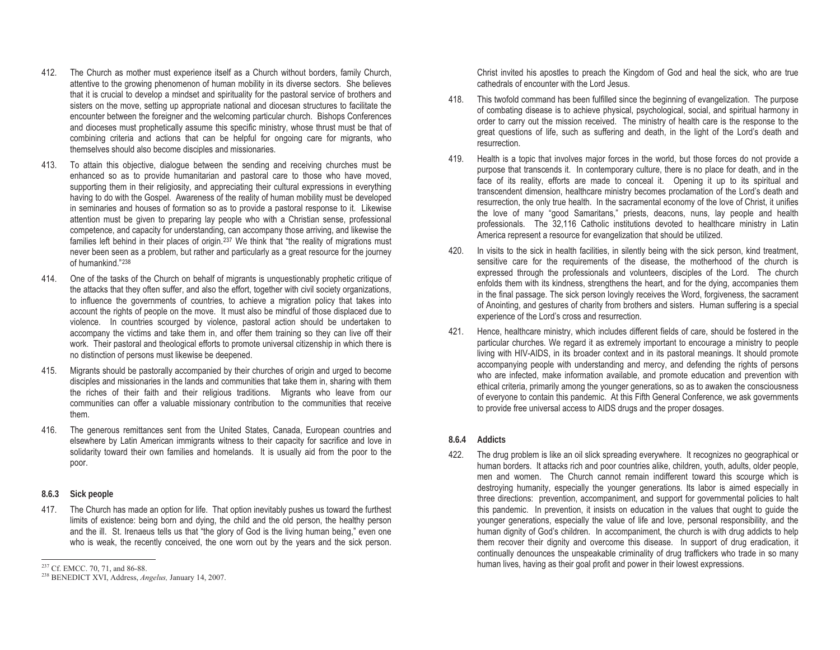- 412. The Church as mother must experience itself as a Church without borders, family Church, attentive to the growing phenomenon of human mobility in its diverse sectors. She believes that it is crucial to develop a mindset and spirituality for the pastoral service of brothers and sisters on the move, setting up appropriate national and diocesan structures to facilitate the encounter between the foreigner and the welcoming particular church. Bishops Conferences and dioceses must prophetically assume this specific ministry, whose thrust must be that of combining criteria and actions that can be helpful for ongoing care for migrants, who themselves should also become disciples and missionaries.
- 413. To attain this objective, dialogue between the sending and receiving churches must be enhanced so as to provide humanitarian and pastoral care to those who have moved, supporting them in their religiosity, and appreciating their cultural expressions in everything having to do with the Gospel. Awareness of the reality of human mobility must be developed in seminaries and houses of formation so as to provide a pastoral response to it. Likewise attention must be given to preparing lay people who with a Christian sense, professional competence, and capacity for understanding, can accompany those arriving, and likewise the families left behind in their places of origin.<sup>237</sup> We think that "the reality of migrations must never been seen as a problem, but rather and particularly as a great resource for the journey of humankind."238
- 414. One of the tasks of the Church on behalf of migrants is unquestionably prophetic critique of the attacks that they often suffer, and also the effort, together with civil society organizations, to influence the governments of countries, to achieve a migration policy that takes into account the rights of people on the move. It must also be mindful of those displaced due to violence. In countries scourged by violence, pastoral action should be undertaken to accompany the victims and take them in, and offer them training so they can live off their work. Their pastoral and theological efforts to promote universal citizenship in which there is no distinction of persons must likewise be deepened.
- 415. Migrants should be pastorally accompanied by their churches of origin and urged to become disciples and missionaries in the lands and communities that take them in, sharing with them the riches of their faith and their religious traditions. Migrants who leave from our communities can offer a valuable missionary contribution to the communities that receive them.
- 416. The generous remittances sent from the United States, Canada, European countries and elsewhere by Latin American immigrants witness to their capacity for sacrifice and love in solidarity toward their own families and homelands. It is usually aid from the poor to the poor.
- **8.6.3 Sick people**
- 417. The Church has made an option for life. That option inevitably pushes us toward the furthest limits of existence: being born and dying, the child and the old person, the healthy person and the ill. St. Irenaeus tells us that "the glory of God is the living human being," even one who is weak, the recently conceived, the one worn out by the vears and the sick person.

Christ invited his apostles to preach the Kingdom of God and heal the sick, who are true cathedrals of encounter with the Lord Jesus.

- 418. This twofold command has been fulfilled since the beginning of evangelization. The purpose of combating disease is to achieve physical, psychological, social, and spiritual harmony in order to carry out the mission received. The ministry of health care is the response to the great questions of life, such as suffering and death, in the light of the Lord's death and resurrection.
- 419. Health is a topic that involves major forces in the world, but those forces do not provide a purpose that transcends it. In contemporary culture, there is no place for death, and in the face of its reality, efforts are made to conceal it. Opening it up to its spiritual and transcendent dimension, healthcare ministry becomes proclamation of the Lord's death and resurrection, the only true health. In the sacramental economy of the love of Christ, it unifies the love of many "good Samaritans," priests, deacons, nuns, lay people and health professionals. The 32,116 Catholic institutions devoted to healthcare ministry in Latin America represent a resource for evangelization that should be utilized.
- 420. In visits to the sick in health facilities, in silently being with the sick person, kind treatment, sensitive care for the requirements of the disease, the motherhood of the church is expressed through the professionals and volunteers, disciples of the Lord. The church enfolds them with its kindness, strengthens the heart, and for the dying, accompanies them in the final passage. The sick person lovingly receives the Word, forgiveness, the sacrament of Anointing, and gestures of charity from brothers and sisters. Human suffering is a special experience of the Lord's cross and resurrection.
- 421. Hence, healthcare ministry, which includes different fields of care, should be fostered in the particular churches. We regard it as extremely important to encourage a ministry to people living with HIV-AIDS, in its broader context and in its pastoral meanings. It should promote accompanying people with understanding and mercy, and defending the rights of persons who are infected, make information available, and promote education and prevention with ethical criteria, primarily among the younger generations, so as to awaken the consciousness of everyone to contain this pandemic. At this Fifth General Conference, we ask governments to provide free universal access to AIDS drugs and the proper dosages.
- **8.6.4 Addicts**
- 422. The drug problem is like an oil slick spreading everywhere. It recognizes no geographical or human borders. It attacks rich and poor countries alike, children, youth, adults, older people, men and women. The Church cannot remain indifferent toward this scourge which is destroying humanity, especially the younger generations. Its labor is aimed especially in three directions: prevention, accompaniment, and support for governmental policies to halt this pandemic. In prevention, it insists on education in the values that ought to guide the younger generations, especially the value of life and love, personal responsibility, and the human dignity of God's children. In accompaniment, the church is with drug addicts to help them recover their dignity and overcome this disease. In support of drug eradication, it continually denounces the unspeakable criminality of drug traffickers who trade in so many human lives, having as their goal profit and power in their lowest expressions.

<sup>&</sup>lt;sup>237</sup> Cf. EMCC. 70, 71, and 86-88.

<sup>238</sup> BENEDICT XVI, Address, *Angelus,* January 14, 2007.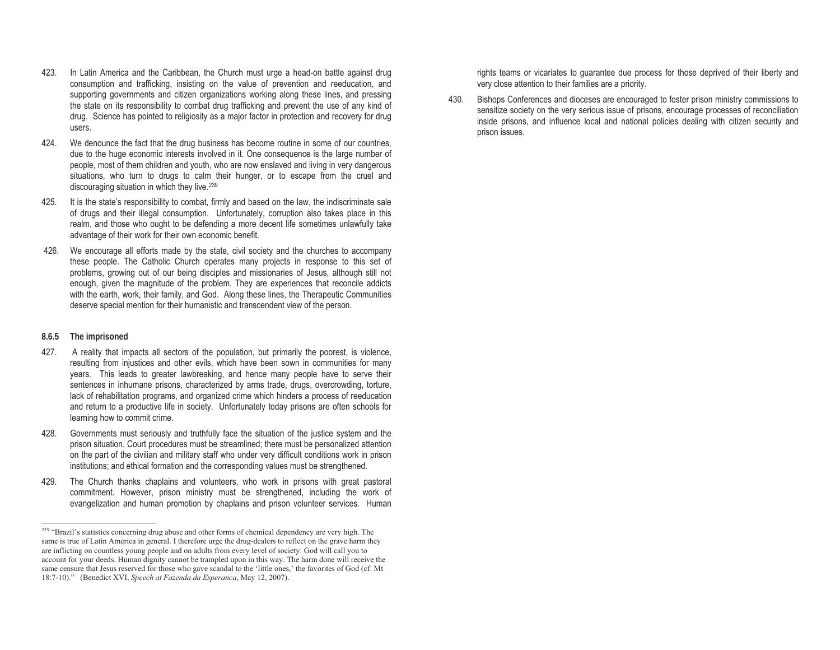- 423. In Latin America and the Caribbean, the Church must urge a head-on battle against drug consumption and trafficking, insisting on the value of prevention and reeducation, and supporting governments and citizen organizations working along these lines, and pressing the state on its responsibility to combat drug trafficking and prevent the use of any kind of drug. Science has pointed to religiosity as a major factor in protection and recovery for drug users.
- 424. We denounce the fact that the drug business has become routine in some of our countries, due to the huge economic interests involved in it. One consequence is the large number of people, most of them children and youth, who are now enslaved and living in very dangerous situations, who turn to drugs to calm their hunger, or to escape from the cruel and discouraging situation in which they live.<sup>239</sup>
- 425. It is the state's responsibility to combat, firmly and based on the law, the indiscriminate sale of drugs and their illegal consumption. Unfortunately, corruption also takes place in this realm, and those who ought to be defending a more decent life sometimes unlawfully take advantage of their work for their own economic benefit.
- 426. We encourage all efforts made by the state, civil society and the churches to accompany these people. The Catholic Church operates many projects in response to this set of problems, growing out of our being disciples and missionaries of Jesus, although still not enough, given the magnitude of the problem. They are experiences that reconcile addicts with the earth, work, their family, and God. Along these lines, the Therapeutic Communities deserve special mention for their humanistic and transcendent view of the person.

# **8.6.5 The imprisoned**

- 427. A reality that impacts all sectors of the population, but primarily the poorest, is violence, resulting from injustices and other evils, which have been sown in communities for many years. This leads to greater lawbreaking, and hence many people have to serve their sentences in inhumane prisons, characterized by arms trade, drugs, overcrowding, torture, lack of rehabilitation programs, and organized crime which hinders a process of reeducation and return to a productive life in society. Unfortunately today prisons are often schools for learning how to commit crime.
- 428. Governments must seriously and truthfully face the situation of the justice system and the prison situation. Court procedures must be streamlined; there must be personalized attention on the part of the civilian and military staff who under very difficult conditions work in prison institutions; and ethical formation and the corresponding values must be strengthened.
- 429. The Church thanks chaplains and volunteers, who work in prisons with great pastoral commitment. However, prison ministry must be strengthened, including the work of evangelization and human promotion by chaplains and prison volunteer services. Human

rights teams or vicariates to guarantee due process for those deprived of their liberty and very close attention to their families are a priority.

430. Bishops Conferences and dioceses are encouraged to foster prison ministry commissions to sensitize society on the very serious issue of prisons, encourage processes of reconciliation inside prisons, and influence local and national policies dealing with citizen security and prison issues.

<sup>&</sup>lt;sup>239</sup> "Brazil's statistics concerning drug abuse and other forms of chemical dependency are very high. The same is true of Latin America in general. I therefore urge the drug-dealers to reflect on the grave harm they are inflicting on countless young people and on adults from every level of society: God will call you to account for your deeds. Human dignity cannot be trampled upon in this way. The harm done will receive the same censure that Jesus reserved for those who gave scandal to the 'little ones,' the favorites of God (cf. Mt 18:7-10)." (Benedict XVI, *Speech at Fazenda da Esperanca*, May 12, 2007).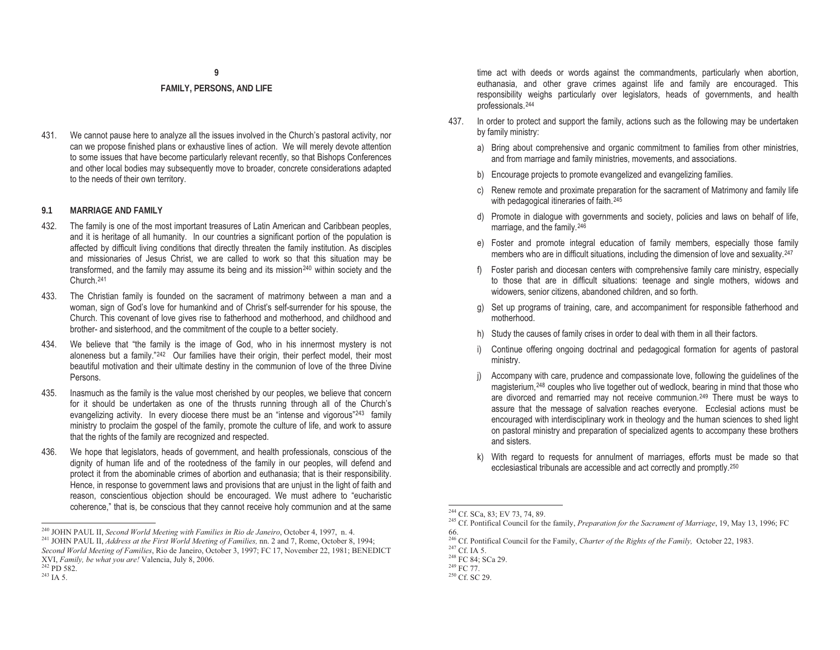#### **9**

#### **FAMILY, PERSONS, AND LIFE**

431. We cannot pause here to analyze all the issues involved in the Church's pastoral activity, nor can we propose finished plans or exhaustive lines of action. We will merely devote attention to some issues that have become particularly relevant recently, so that Bishops Conferences and other local bodies may subsequently move to broader, concrete considerations adapted to the needs of their own territory.

#### **9.1 MARRIAGE AND FAMILY**

- 432. The family is one of the most important treasures of Latin American and Caribbean peoples, and it is heritage of all humanity. In our countries a significant portion of the population is affected by difficult living conditions that directly threaten the family institution. As disciples and missionaries of Jesus Christ, we are called to work so that this situation may be transformed, and the family may assume its being and its mission<sup>240</sup> within society and the Church.241
- 433. The Christian family is founded on the sacrament of matrimony between a man and a woman, sign of God's love for humankind and of Christ's self-surrender for his spouse, the Church. This covenant of love gives rise to fatherhood and motherhood, and childhood and brother- and sisterhood, and the commitment of the couple to a better society.
- 434. We believe that "the family is the image of God, who in his innermost mystery is not aloneness but a family."242 Our families have their origin, their perfect model, their most beautiful motivation and their ultimate destiny in the communion of love of the three Divine Persons.
- 435. Inasmuch as the family is the value most cherished by our peoples, we believe that concern for it should be undertaken as one of the thrusts running through all of the Church's evangelizing activity. In every diocese there must be an "intense and vigorous"<sup>243</sup> family ministry to proclaim the gospel of the family, promote the culture of life, and work to assure that the rights of the family are recognized and respected.
- 436. We hope that legislators, heads of government, and health professionals, conscious of the dignity of human life and of the rootedness of the family in our peoples, will defend and protect it from the abominable crimes of abortion and euthanasia; that is their responsibility. Hence, in response to government laws and provisions that are unjust in the light of faith and reason, conscientious objection should be encouraged. We must adhere to "eucharistic coherence," that is, be conscious that they cannot receive holy communion and at the same

time act with deeds or words against the commandments, particularly when abortion, euthanasia, and other grave crimes against life and family are encouraged. This responsibility weighs particularly over legislators, heads of governments, and health professionals.244

- 437. In order to protect and support the family, actions such as the following may be undertaken by family ministry:
	- a) Bring about comprehensive and organic commitment to families from other ministries, and from marriage and family ministries, movements, and associations.
	- b) Encourage projects to promote evangelized and evangelizing families.
	- c) Renew remote and proximate preparation for the sacrament of Matrimony and family life with pedagogical itineraries of faith.<sup>245</sup>
	- d) Promote in dialogue with governments and society, policies and laws on behalf of life, marriage, and the family.246
	- e) Foster and promote integral education of family members, especially those family members who are in difficult situations, including the dimension of love and sexuality.<sup>247</sup>
	- f) Foster parish and diocesan centers with comprehensive family care ministry, especially to those that are in difficult situations: teenage and single mothers, widows and widowers, senior citizens, abandoned children, and so forth.
	- g) Set up programs of training, care, and accompaniment for responsible fatherhood and motherhood.
	- h) Study the causes of family crises in order to deal with them in all their factors.
	- i) Continue offering ongoing doctrinal and pedagogical formation for agents of pastoral ministry.
	- j) Accompany with care, prudence and compassionate love, following the guidelines of the magisterium,<sup>248</sup> couples who live together out of wedlock, bearing in mind that those who are divorced and remarried may not receive communion.249 There must be ways to assure that the message of salvation reaches everyone. Ecclesial actions must be encouraged with interdisciplinary work in theology and the human sciences to shed light on pastoral ministry and preparation of specialized agents to accompany these brothers and sisters.
	- k) With regard to requests for annulment of marriages, efforts must be made so that ecclesiastical tribunals are accessible and act correctly and promptly.250

<sup>240</sup> JOHN PAUL II, *Second World Meeting with Families in Rio de Janeiro*, October 4, 1997, n. 4.

<sup>&</sup>lt;sup>241</sup> JOHN PAUL II, *Address at the First World Meeting of Families*, nn. 2 and 7, Rome, October 8, 1994; *Second World Meeting of Families*, Rio de Janeiro, October 3, 1997; FC 17, November 22, 1981; BENEDICT XVI, *Family, be what you are!* Valencia, July 8, 2006.

 $242$  PD 582.

 $^{243}$  IA 5.

<sup>&</sup>lt;sup>244</sup> Cf. SCa, 83; EV 73, 74, 89.

<sup>245</sup> Cf. Pontifical Council for the family, *Preparation for the Sacrament of Marriage*, 19, May 13, 1996; FC 66.

246 Cf. Pontifical Council for the Family, *Charter of the Rights of the Family,* October 22, 1983.

 $^{247}$  Cf. IA 5.

<sup>&</sup>lt;sup>248</sup> FC 84; SCa 29.

<sup>249</sup> FC 77.

 $250$  Cf. SC 29.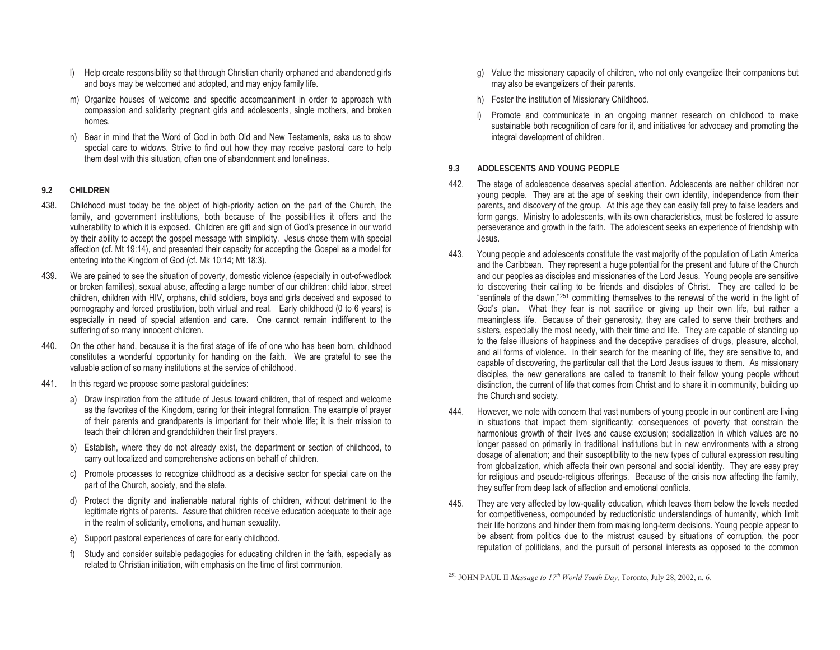- l) Help create responsibility so that through Christian charity orphaned and abandoned girls and boys may be welcomed and adopted, and may enjoy family life.
- m) Organize houses of welcome and specific accompaniment in order to approach with compassion and solidarity pregnant girls and adolescents, single mothers, and broken homes.
- n) Bear in mind that the Word of God in both Old and New Testaments, asks us to show special care to widows. Strive to find out how they may receive pastoral care to help them deal with this situation, often one of abandonment and loneliness.

# **9.2 CHILDREN**

- 438. Childhood must today be the object of high-priority action on the part of the Church, the family, and government institutions, both because of the possibilities it offers and the vulnerability to which it is exposed. Children are gift and sign of God's presence in our world by their ability to accept the gospel message with simplicity. Jesus chose them with special affection (cf. Mt 19:14), and presented their capacity for accepting the Gospel as a model for entering into the Kingdom of God (cf. Mk 10:14; Mt 18:3).
- 439. We are pained to see the situation of poverty, domestic violence (especially in out-of-wedlock or broken families), sexual abuse, affecting a large number of our children: child labor, street children, children with HIV, orphans, child soldiers, boys and girls deceived and exposed to pornography and forced prostitution, both virtual and real. Early childhood (0 to 6 years) is especially in need of special attention and care. One cannot remain indifferent to the suffering of so many innocent children.
- 440. On the other hand, because it is the first stage of life of one who has been born, childhood constitutes a wonderful opportunity for handing on the faith. We are grateful to see the valuable action of so many institutions at the service of childhood.
- 441. In this regard we propose some pastoral guidelines:
	- a) Draw inspiration from the attitude of Jesus toward children, that of respect and welcome as the favorites of the Kingdom, caring for their integral formation. The example of prayer of their parents and grandparents is important for their whole life; it is their mission to teach their children and grandchildren their first prayers.
	- b) Establish, where they do not already exist, the department or section of childhood, to carry out localized and comprehensive actions on behalf of children.
	- c) Promote processes to recognize childhood as a decisive sector for special care on the part of the Church, society, and the state.
	- d) Protect the dignity and inalienable natural rights of children, without detriment to the legitimate rights of parents. Assure that children receive education adequate to their age in the realm of solidarity, emotions, and human sexuality.
	- e) Support pastoral experiences of care for early childhood.
	- f) Study and consider suitable pedagogies for educating children in the faith, especially as related to Christian initiation, with emphasis on the time of first communion.
- g) Value the missionary capacity of children, who not only evangelize their companions but may also be evangelizers of their parents.
- h) Foster the institution of Missionary Childhood.
- i) Promote and communicate in an ongoing manner research on childhood to make sustainable both recognition of care for it, and initiatives for advocacy and promoting the integral development of children.

# **9.3 ADOLESCENTS AND YOUNG PEOPLE**

- 442. The stage of adolescence deserves special attention. Adolescents are neither children nor young people. They are at the age of seeking their own identity, independence from their parents, and discovery of the group. At this age they can easily fall prey to false leaders and form gangs. Ministry to adolescents, with its own characteristics, must be fostered to assure perseverance and growth in the faith. The adolescent seeks an experience of friendship with Jesus.
- 443. Young people and adolescents constitute the vast majority of the population of Latin America and the Caribbean. They represent a huge potential for the present and future of the Church and our peoples as disciples and missionaries of the Lord Jesus. Young people are sensitive to discovering their calling to be friends and disciples of Christ. They are called to be "sentinels of the dawn,"251 committing themselves to the renewal of the world in the light of God's plan. What they fear is not sacrifice or giving up their own life, but rather a meaningless life. Because of their generosity, they are called to serve their brothers and sisters, especially the most needy, with their time and life. They are capable of standing up to the false illusions of happiness and the deceptive paradises of drugs, pleasure, alcohol, and all forms of violence. In their search for the meaning of life, they are sensitive to, and capable of discovering, the particular call that the Lord Jesus issues to them. As missionary disciples, the new generations are called to transmit to their fellow young people without distinction, the current of life that comes from Christ and to share it in community, building up the Church and society.
- 444. However, we note with concern that vast numbers of young people in our continent are living in situations that impact them significantly: consequences of poverty that constrain the harmonious growth of their lives and cause exclusion; socialization in which values are no longer passed on primarily in traditional institutions but in new environments with a strong dosage of alienation; and their susceptibility to the new types of cultural expression resulting from globalization, which affects their own personal and social identity. They are easy prey for religious and pseudo-religious offerings. Because of the crisis now affecting the family, they suffer from deep lack of affection and emotional conflicts.
- 445. They are very affected by low-quality education, which leaves them below the levels needed for competitiveness, compounded by reductionistic understandings of humanity, which limit their life horizons and hinder them from making long-term decisions. Young people appear to be absent from politics due to the mistrust caused by situations of corruption, the poor reputation of politicians, and the pursuit of personal interests as opposed to the common

<sup>251</sup> JOHN PAUL II *Message to 17th World Youth Day,* Toronto, July 28, 2002, n. 6.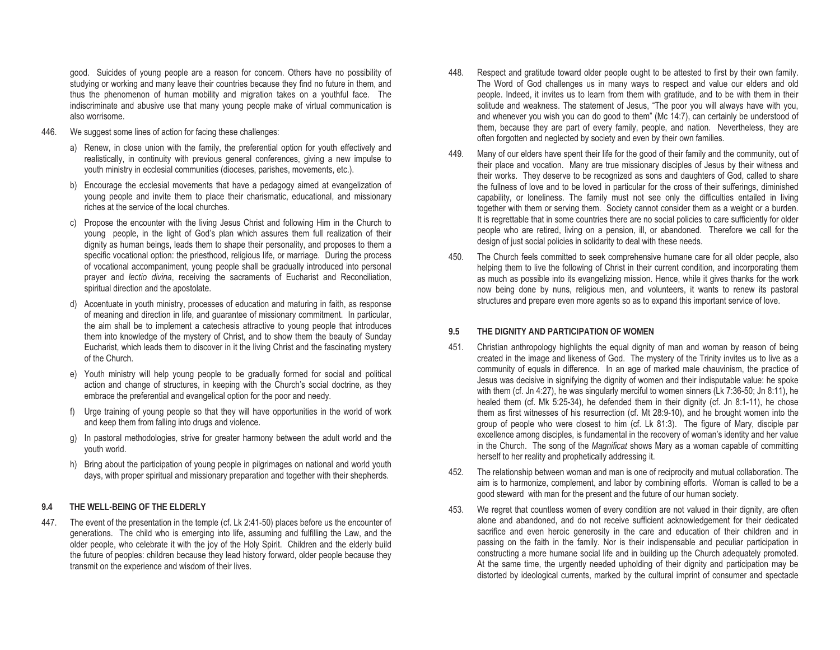good. Suicides of young people are a reason for concern. Others have no possibility of studying or working and many leave their countries because they find no future in them, and thus the phenomenon of human mobility and migration takes on a youthful face. The indiscriminate and abusive use that many young people make of virtual communication is also worrisome.

- 446. We suggest some lines of action for facing these challenges:
	- a) Renew, in close union with the family, the preferential option for youth effectively and realistically, in continuity with previous general conferences, giving a new impulse to youth ministry in ecclesial communities (dioceses, parishes, movements, etc.).
	- b) Encourage the ecclesial movements that have a pedagogy aimed at evangelization of young people and invite them to place their charismatic, educational, and missionary riches at the service of the local churches.
	- c) Propose the encounter with the living Jesus Christ and following Him in the Church to young people, in the light of God's plan which assures them full realization of their dignity as human beings, leads them to shape their personality, and proposes to them a specific vocational option: the priesthood, religious life, or marriage. During the process of vocational accompaniment, young people shall be gradually introduced into personal prayer and *lectio divina*, receiving the sacraments of Eucharist and Reconciliation, spiritual direction and the apostolate.
	- d) Accentuate in youth ministry, processes of education and maturing in faith, as response of meaning and direction in life, and guarantee of missionary commitment. In particular, the aim shall be to implement a catechesis attractive to young people that introduces them into knowledge of the mystery of Christ, and to show them the beauty of Sunday Eucharist, which leads them to discover in it the living Christ and the fascinating mystery of the Church.
	- e) Youth ministry will help young people to be gradually formed for social and political action and change of structures, in keeping with the Church's social doctrine, as they embrace the preferential and evangelical option for the poor and needy.
	- f) Urge training of young people so that they will have opportunities in the world of work and keep them from falling into drugs and violence.
	- g) In pastoral methodologies, strive for greater harmony between the adult world and the youth world.
	- h) Bring about the participation of young people in pilgrimages on national and world youth days, with proper spiritual and missionary preparation and together with their shepherds.

# **9.4 THE WELL-BEING OF THE ELDERLY**

447. The event of the presentation in the temple (cf. Lk 2:41-50) places before us the encounter of generations. The child who is emerging into life, assuming and fulfilling the Law, and the older people, who celebrate it with the joy of the Holy Spirit. Children and the elderly build the future of peoples: children because they lead history forward, older people because they transmit on the experience and wisdom of their lives.

- 448. Respect and gratitude toward older people ought to be attested to first by their own family. The Word of God challenges us in many ways to respect and value our elders and old people. Indeed, it invites us to learn from them with gratitude, and to be with them in their solitude and weakness. The statement of Jesus, "The poor you will always have with you, and whenever you wish you can do good to them" (Mc 14:7), can certainly be understood of them, because they are part of every family, people, and nation. Nevertheless, they are often forgotten and neglected by society and even by their own families.
- 449. Many of our elders have spent their life for the good of their family and the community, out of their place and vocation. Many are true missionary disciples of Jesus by their witness and their works. They deserve to be recognized as sons and daughters of God, called to share the fullness of love and to be loved in particular for the cross of their sufferings, diminished capability, or loneliness. The family must not see only the difficulties entailed in living together with them or serving them. Society cannot consider them as a weight or a burden. It is regrettable that in some countries there are no social policies to care sufficiently for older people who are retired, living on a pension, ill, or abandoned. Therefore we call for the design of just social policies in solidarity to deal with these needs.
- 450. The Church feels committed to seek comprehensive humane care for all older people, also helping them to live the following of Christ in their current condition, and incorporating them as much as possible into its evangelizing mission. Hence, while it gives thanks for the work now being done by nuns, religious men, and volunteers, it wants to renew its pastoral structures and prepare even more agents so as to expand this important service of love.

# **9.5 THE DIGNITY AND PARTICIPATION OF WOMEN**

- 451. Christian anthropology highlights the equal dignity of man and woman by reason of being created in the image and likeness of God. The mystery of the Trinity invites us to live as a community of equals in difference. In an age of marked male chauvinism, the practice of Jesus was decisive in signifying the dignity of women and their indisputable value: he spoke with them (cf. Jn 4:27), he was singularly merciful to women sinners (Lk 7:36-50; Jn 8:11), he healed them (cf. Mk 5:25-34), he defended them in their dignity (cf. Jn 8:1-11), he chose them as first witnesses of his resurrection (cf. Mt 28:9-10), and he brought women into the group of people who were closest to him (cf. Lk 81:3). The figure of Mary, disciple par excellence among disciples, is fundamental in the recovery of woman's identity and her value in the Church. The song of the *Magnificat* shows Mary as a woman capable of committing herself to her reality and prophetically addressing it.
- 452. The relationship between woman and man is one of reciprocity and mutual collaboration. The aim is to harmonize, complement, and labor by combining efforts. Woman is called to be a good steward with man for the present and the future of our human society.
- 453. We regret that countless women of every condition are not valued in their dignity, are often alone and abandoned, and do not receive sufficient acknowledgement for their dedicated sacrifice and even heroic generosity in the care and education of their children and in passing on the faith in the family. Nor is their indispensable and peculiar participation in constructing a more humane social life and in building up the Church adequately promoted. At the same time, the urgently needed upholding of their dignity and participation may be distorted by ideological currents, marked by the cultural imprint of consumer and spectacle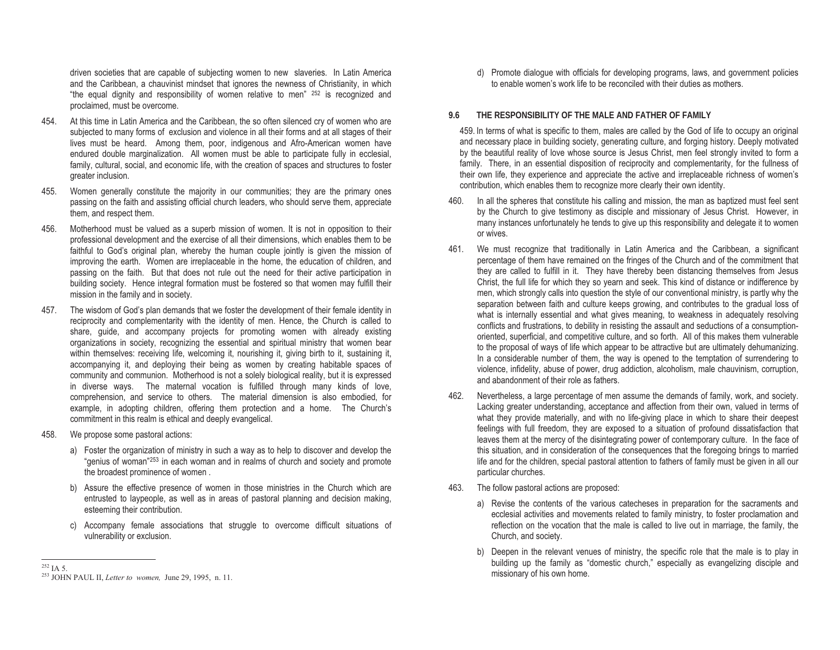driven societies that are capable of subjecting women to new slaveries. In Latin America and the Caribbean, a chauvinist mindset that ignores the newness of Christianity, in which "the equal dignity and responsibility of women relative to men" 252 is recognized and proclaimed, must be overcome.

- 454. At this time in Latin America and the Caribbean, the so often silenced cry of women who are subjected to many forms of exclusion and violence in all their forms and at all stages of their lives must be heard. Among them, poor, indigenous and Afro-American women have endured double marginalization. All women must be able to participate fully in ecclesial, family, cultural, social, and economic life, with the creation of spaces and structures to foster greater inclusion.
- 455. Women generally constitute the majority in our communities; they are the primary ones passing on the faith and assisting official church leaders, who should serve them, appreciate them, and respect them.
- 456. Motherhood must be valued as a superb mission of women. It is not in opposition to their professional development and the exercise of all their dimensions, which enables them to be faithful to God's original plan, whereby the human couple jointly is given the mission of improving the earth. Women are irreplaceable in the home, the education of children, and passing on the faith. But that does not rule out the need for their active participation in building society. Hence integral formation must be fostered so that women may fulfill their mission in the family and in society.
- 457. The wisdom of God's plan demands that we foster the development of their female identity in reciprocity and complementarity with the identity of men. Hence, the Church is called to share, guide, and accompany projects for promoting women with already existing organizations in society, recognizing the essential and spiritual ministry that women bear within themselves: receiving life, welcoming it, nourishing it, giving birth to it, sustaining it, accompanying it, and deploying their being as women by creating habitable spaces of community and communion. Motherhood is not a solely biological reality, but it is expressed in diverse ways. The maternal vocation is fulfilled through many kinds of love, comprehension, and service to others. The material dimension is also embodied, for example, in adopting children, offering them protection and a home. The Church's commitment in this realm is ethical and deeply evangelical.
- 458. We propose some pastoral actions:
	- a) Foster the organization of ministry in such a way as to help to discover and develop the "genius of woman"253 in each woman and in realms of church and society and promote the broadest prominence of women .
	- b) Assure the effective presence of women in those ministries in the Church which are entrusted to laypeople, as well as in areas of pastoral planning and decision making, esteeming their contribution.
	- c) Accompany female associations that struggle to overcome difficult situations of vulnerability or exclusion.

d) Promote dialogue with officials for developing programs, laws, and government policies to enable women's work life to be reconciled with their duties as mothers.

#### **9.6 THE RESPONSIBILITY OF THE MALE AND FATHER OF FAMILY**

459. In terms of what is specific to them, males are called by the God of life to occupy an original and necessary place in building society, generating culture, and forging history. Deeply motivated by the beautiful reality of love whose source is Jesus Christ, men feel strongly invited to form a family. There, in an essential disposition of reciprocity and complementarity, for the fullness of their own life, they experience and appreciate the active and irreplaceable richness of women's contribution, which enables them to recognize more clearly their own identity.

- 460. In all the spheres that constitute his calling and mission, the man as baptized must feel sent by the Church to give testimony as disciple and missionary of Jesus Christ. However, in many instances unfortunately he tends to give up this responsibility and delegate it to women or wives.
- 461. We must recognize that traditionally in Latin America and the Caribbean, a significant percentage of them have remained on the fringes of the Church and of the commitment that they are called to fulfill in it. They have thereby been distancing themselves from Jesus Christ, the full life for which they so yearn and seek. This kind of distance or indifference by men, which strongly calls into question the style of our conventional ministry, is partly why the separation between faith and culture keeps growing, and contributes to the gradual loss of what is internally essential and what gives meaning, to weakness in adequately resolving conflicts and frustrations, to debility in resisting the assault and seductions of a consumptionoriented, superficial, and competitive culture, and so forth. All of this makes them vulnerable to the proposal of ways of life which appear to be attractive but are ultimately dehumanizing. In a considerable number of them, the way is opened to the temptation of surrendering to violence, infidelity, abuse of power, drug addiction, alcoholism, male chauvinism, corruption, and abandonment of their role as fathers.
- 462. Nevertheless, a large percentage of men assume the demands of family, work, and society. Lacking greater understanding, acceptance and affection from their own, valued in terms of what they provide materially, and with no life-giving place in which to share their deepest feelings with full freedom, they are exposed to a situation of profound dissatisfaction that leaves them at the mercy of the disintegrating power of contemporary culture. In the face of this situation, and in consideration of the consequences that the foregoing brings to married life and for the children, special pastoral attention to fathers of family must be given in all our particular churches.
- 463. The follow pastoral actions are proposed:
	- a) Revise the contents of the various catecheses in preparation for the sacraments and ecclesial activities and movements related to family ministry, to foster proclamation and reflection on the vocation that the male is called to live out in marriage, the family, the Church, and society.
	- b) Deepen in the relevant venues of ministry, the specific role that the male is to play in building up the family as "domestic church," especially as evangelizing disciple and missionary of his own home.

 $252$  IA 5.

253 JOHN PAUL II, *Letter to women,* June 29, 1995, n. 11.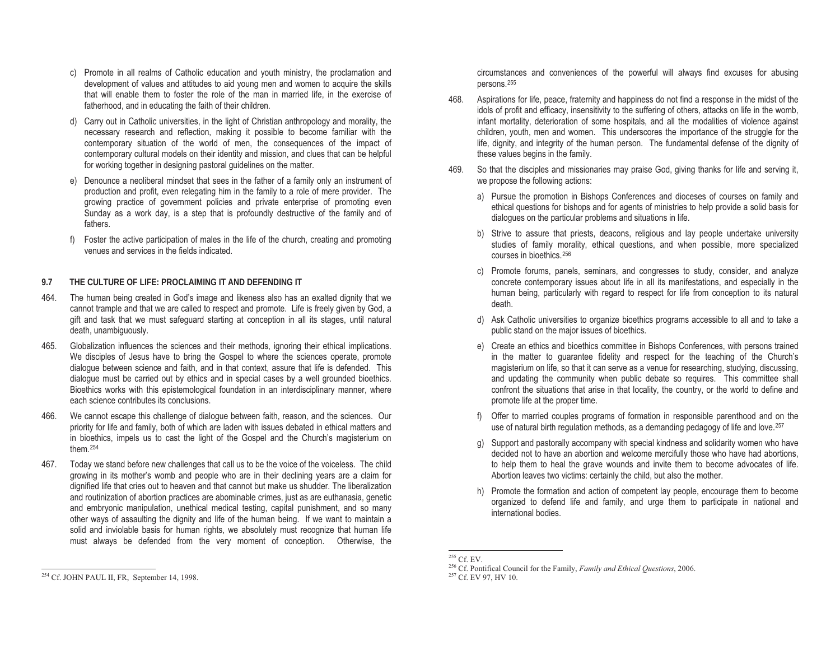- c) Promote in all realms of Catholic education and youth ministry, the proclamation and development of values and attitudes to aid young men and women to acquire the skills that will enable them to foster the role of the man in married life, in the exercise of fatherhood, and in educating the faith of their children.
- d) Carry out in Catholic universities, in the light of Christian anthropology and morality, the necessary research and reflection, making it possible to become familiar with the contemporary situation of the world of men, the consequences of the impact of contemporary cultural models on their identity and mission, and clues that can be helpful for working together in designing pastoral guidelines on the matter.
- e) Denounce a neoliberal mindset that sees in the father of a family only an instrument of production and profit, even relegating him in the family to a role of mere provider. The growing practice of government policies and private enterprise of promoting even Sunday as a work day, is a step that is profoundly destructive of the family and of fathers.
- f) Foster the active participation of males in the life of the church, creating and promoting venues and services in the fields indicated.

# **9.7 THE CULTURE OF LIFE: PROCLAIMING IT AND DEFENDING IT**

- 464. The human being created in God's image and likeness also has an exalted dignity that we cannot trample and that we are called to respect and promote. Life is freely given by God, a gift and task that we must safeguard starting at conception in all its stages, until natural death, unambiguously.
- 465. Globalization influences the sciences and their methods, ignoring their ethical implications. We disciples of Jesus have to bring the Gospel to where the sciences operate, promote dialogue between science and faith, and in that context, assure that life is defended. This dialogue must be carried out by ethics and in special cases by a well grounded bioethics. Bioethics works with this epistemological foundation in an interdisciplinary manner, where each science contributes its conclusions.
- 466. We cannot escape this challenge of dialogue between faith, reason, and the sciences. Our priority for life and family, both of which are laden with issues debated in ethical matters and in bioethics, impels us to cast the light of the Gospel and the Church's magisterium on them.254
- 467. Today we stand before new challenges that call us to be the voice of the voiceless. The child growing in its mother's womb and people who are in their declining years are a claim for dignified life that cries out to heaven and that cannot but make us shudder. The liberalization and routinization of abortion practices are abominable crimes, just as are euthanasia, genetic and embryonic manipulation, unethical medical testing, capital punishment, and so many other ways of assaulting the dignity and life of the human being. If we want to maintain a solid and inviolable basis for human rights, we absolutely must recognize that human life must always be defended from the very moment of conception. Otherwise, the

circumstances and conveniences of the powerful will always find excuses for abusing persons.<sup>255</sup>

- 468. Aspirations for life, peace, fraternity and happiness do not find a response in the midst of the idols of profit and efficacy, insensitivity to the suffering of others, attacks on life in the womb, infant mortality, deterioration of some hospitals, and all the modalities of violence against children, youth, men and women. This underscores the importance of the struggle for the life, dignity, and integrity of the human person. The fundamental defense of the dignity of these values begins in the family.
- 469. So that the disciples and missionaries may praise God, giving thanks for life and serving it, we propose the following actions:
	- a) Pursue the promotion in Bishops Conferences and dioceses of courses on family and ethical questions for bishops and for agents of ministries to help provide a solid basis for dialogues on the particular problems and situations in life.
	- b) Strive to assure that priests, deacons, religious and lay people undertake university studies of family morality, ethical questions, and when possible, more specialized courses in bioethics.256
	- c) Promote forums, panels, seminars, and congresses to study, consider, and analyze concrete contemporary issues about life in all its manifestations, and especially in the human being, particularly with regard to respect for life from conception to its natural death.
	- d) Ask Catholic universities to organize bioethics programs accessible to all and to take a public stand on the major issues of bioethics.
	- e) Create an ethics and bioethics committee in Bishops Conferences, with persons trained in the matter to guarantee fidelity and respect for the teaching of the Church's magisterium on life, so that it can serve as a venue for researching, studying, discussing, and updating the community when public debate so requires. This committee shall confront the situations that arise in that locality, the country, or the world to define and promote life at the proper time.
	- f) Offer to married couples programs of formation in responsible parenthood and on the use of natural birth regulation methods, as a demanding pedagogy of life and love.<sup>257</sup>
	- g) Support and pastorally accompany with special kindness and solidarity women who have decided not to have an abortion and welcome mercifully those who have had abortions, to help them to heal the grave wounds and invite them to become advocates of life. Abortion leaves two victims: certainly the child, but also the mother.
	- h) Promote the formation and action of competent lay people, encourage them to become organized to defend life and family, and urge them to participate in national and international bodies.

<sup>&</sup>lt;sup>254</sup> Cf. JOHN PAUL II, FR, September 14, 1998.

 $255$  Cf. EV.

256 Cf. Pontifical Council for the Family, *Family and Ethical Questions*, 2006.

<sup>&</sup>lt;sup>257</sup> Cf. EV 97, HV 10.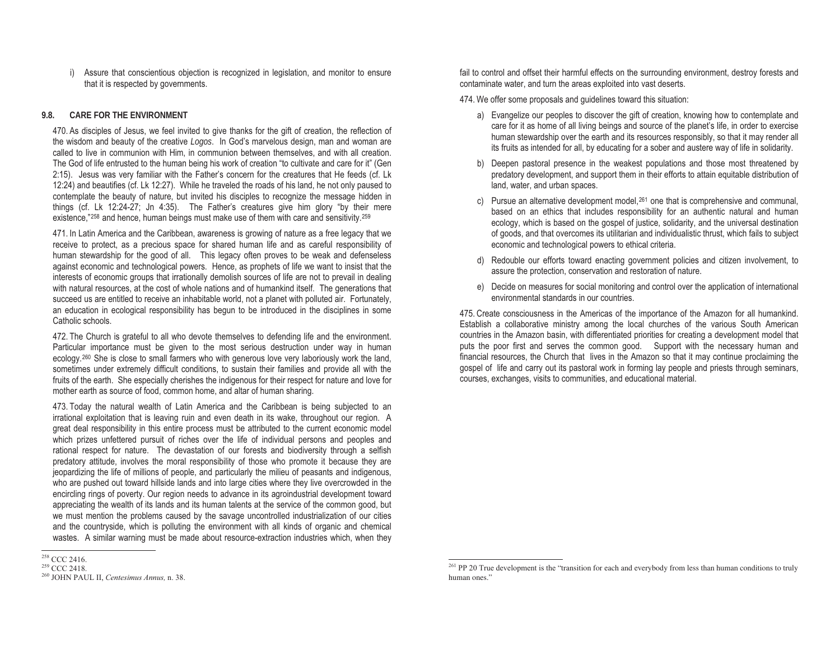i) Assure that conscientious objection is recognized in legislation, and monitor to ensure that it is respected by governments.

# **9.8. CARE FOR THE ENVIRONMENT**

470. As disciples of Jesus, we feel invited to give thanks for the gift of creation, the reflection of the wisdom and beauty of the creative *Logos*. In God's marvelous design, man and woman are called to live in communion with Him, in communion between themselves, and with all creation. The God of life entrusted to the human being his work of creation "to cultivate and care for it" (Gen 2:15). Jesus was very familiar with the Father's concern for the creatures that He feeds (cf. Lk 12:24) and beautifies (cf. Lk 12:27). While he traveled the roads of his land, he not only paused to contemplate the beauty of nature, but invited his disciples to recognize the message hidden in things (cf. Lk 12:24-27; Jn 4:35). The Father's creatures give him glory "by their mere existence,"<sup>258</sup> and hence, human beings must make use of them with care and sensitivity.<sup>259</sup>

471. In Latin America and the Caribbean, awareness is growing of nature as a free legacy that we receive to protect, as a precious space for shared human life and as careful responsibility of human stewardship for the good of all. This legacy often proves to be weak and defenseless against economic and technological powers. Hence, as prophets of life we want to insist that the interests of economic groups that irrationally demolish sources of life are not to prevail in dealing with natural resources, at the cost of whole nations and of humankind itself. The generations that succeed us are entitled to receive an inhabitable world, not a planet with polluted air. Fortunately, an education in ecological responsibility has begun to be introduced in the disciplines in some Catholic schools.

472. The Church is grateful to all who devote themselves to defending life and the environment. Particular importance must be given to the most serious destruction under way in human ecology.260 She is close to small farmers who with generous love very laboriously work the land, sometimes under extremely difficult conditions, to sustain their families and provide all with the fruits of the earth. She especially cherishes the indigenous for their respect for nature and love for mother earth as source of food, common home, and altar of human sharing.

473. Today the natural wealth of Latin America and the Caribbean is being subjected to an irrational exploitation that is leaving ruin and even death in its wake, throughout our region. A great deal responsibility in this entire process must be attributed to the current economic model which prizes unfettered pursuit of riches over the life of individual persons and peoples and rational respect for nature. The devastation of our forests and biodiversity through a selfish predatory attitude, involves the moral responsibility of those who promote it because they are jeopardizing the life of millions of people, and particularly the milieu of peasants and indigenous, who are pushed out toward hillside lands and into large cities where they live overcrowded in the encircling rings of poverty. Our region needs to advance in its agroindustrial development toward appreciating the wealth of its lands and its human talents at the service of the common good, but we must mention the problems caused by the savage uncontrolled industrialization of our cities and the countryside, which is polluting the environment with all kinds of organic and chemical wastes. A similar warning must be made about resource-extraction industries which, when they

fail to control and offset their harmful effects on the surrounding environment, destroy forests and contaminate water, and turn the areas exploited into vast deserts.

474. We offer some proposals and guidelines toward this situation:

- a) Evangelize our peoples to discover the gift of creation, knowing how to contemplate and care for it as home of all living beings and source of the planet's life, in order to exercise human stewardship over the earth and its resources responsibly, so that it may render all its fruits as intended for all, by educating for a sober and austere way of life in solidarity.
- b) Deepen pastoral presence in the weakest populations and those most threatened by predatory development, and support them in their efforts to attain equitable distribution of land, water, and urban spaces.
- c) Pursue an alternative development model,261 one that is comprehensive and communal, based on an ethics that includes responsibility for an authentic natural and human ecology, which is based on the gospel of justice, solidarity, and the universal destination of goods, and that overcomes its utilitarian and individualistic thrust, which fails to subject economic and technological powers to ethical criteria.
- d) Redouble our efforts toward enacting government policies and citizen involvement, to assure the protection, conservation and restoration of nature.
- e) Decide on measures for social monitoring and control over the application of international environmental standards in our countries.

475. Create consciousness in the Americas of the importance of the Amazon for all humankind. Establish a collaborative ministry among the local churches of the various South American countries in the Amazon basin, with differentiated priorities for creating a development model that puts the poor first and serves the common good. Support with the necessary human and financial resources, the Church that lives in the Amazon so that it may continue proclaiming the gospel of life and carry out its pastoral work in forming lay people and priests through seminars, courses, exchanges, visits to communities, and educational material.

 $258$  CCC 2416

<sup>&</sup>lt;sup>259</sup> CCC 2418.

<sup>260</sup> JOHN PAUL II, *Centesimus Annus,* n. 38.

<sup>&</sup>lt;sup>261</sup> PP 20 True development is the "transition for each and everybody from less than human conditions to truly human ones<sup>"</sup>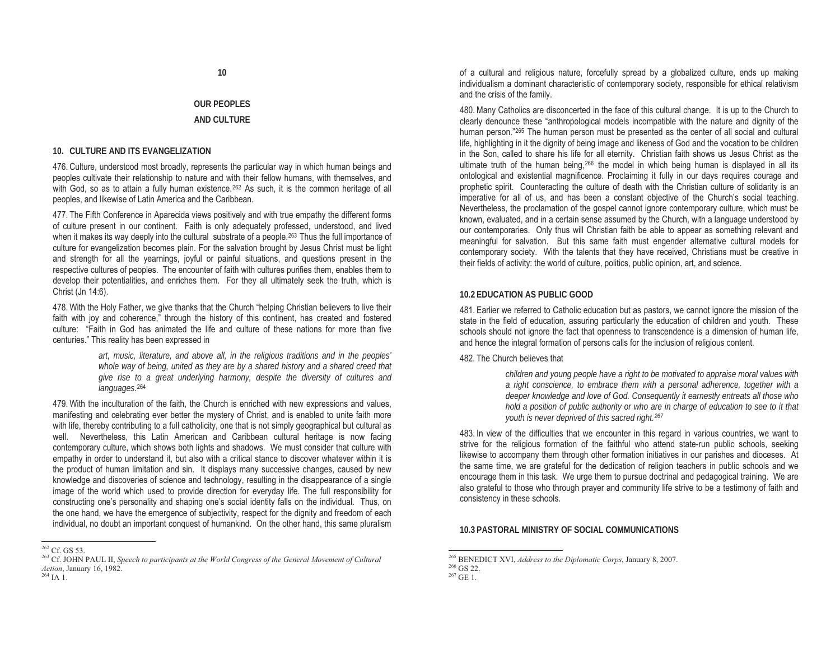# **10**

# **OUR PEOPLES AND CULTURE**

#### **10. CULTURE AND ITS EVANGELIZATION**

476. Culture, understood most broadly, represents the particular way in which human beings and peoples cultivate their relationship to nature and with their fellow humans, with themselves, and with God, so as to attain a fully human existence.<sup>262</sup> As such, it is the common heritage of all peoples, and likewise of Latin America and the Caribbean.

477. The Fifth Conference in Aparecida views positively and with true empathy the different forms of culture present in our continent. Faith is only adequately professed, understood, and lived when it makes its way deeply into the cultural substrate of a people.<sup>263</sup> Thus the full importance of culture for evangelization becomes plain. For the salvation brought by Jesus Christ must be light and strength for all the yearnings, joyful or painful situations, and questions present in the respective cultures of peoples. The encounter of faith with cultures purifies them, enables them to develop their potentialities, and enriches them. For they all ultimately seek the truth, which is Christ (Jn 14:6).

478. With the Holy Father, we give thanks that the Church "helping Christian believers to live their faith with joy and coherence." through the history of this continent, has created and fostered culture: "Faith in God has animated the life and culture of these nations for more than five centuries." This reality has been expressed in

> *art, music, literature, and above all, in the religious traditions and in the peoples' whole way of being, united as they are by a shared history and a shared creed that give rise to a great underlying harmony, despite the diversity of cultures and languages*.<sup>264</sup>

479. With the inculturation of the faith, the Church is enriched with new expressions and values, manifesting and celebrating ever better the mystery of Christ, and is enabled to unite faith more with life, thereby contributing to a full catholicity, one that is not simply geographical but cultural as well. Nevertheless, this Latin American and Caribbean cultural heritage is now facing contemporary culture, which shows both lights and shadows. We must consider that culture with empathy in order to understand it, but also with a critical stance to discover whatever within it is the product of human limitation and sin. It displays many successive changes, caused by new knowledge and discoveries of science and technology, resulting in the disappearance of a single image of the world which used to provide direction for everyday life. The full responsibility for constructing one's personality and shaping one's social identity falls on the individual. Thus, on the one hand, we have the emergence of subjectivity, respect for the dignity and freedom of each individual, no doubt an important conquest of humankind. On the other hand, this same pluralism

of a cultural and religious nature, forcefully spread by a globalized culture, ends up making individualism a dominant characteristic of contemporary society, responsible for ethical relativism and the crisis of the family.

480. Many Catholics are disconcerted in the face of this cultural change. It is up to the Church to clearly denounce these "anthropological models incompatible with the nature and dignity of the human person."<sup>265</sup> The human person must be presented as the center of all social and cultural life, highlighting in it the dignity of being image and likeness of God and the vocation to be children in the Son, called to share his life for all eternity. Christian faith shows us Jesus Christ as the ultimate truth of the human being,  $266$  the model in which being human is displayed in all its ontological and existential magnificence. Proclaiming it fully in our days requires courage and prophetic spirit. Counteracting the culture of death with the Christian culture of solidarity is an imperative for all of us, and has been a constant objective of the Church's social teaching. Nevertheless, the proclamation of the gospel cannot ignore contemporary culture, which must be known, evaluated, and in a certain sense assumed by the Church, with a language understood by our contemporaries. Only thus will Christian faith be able to appear as something relevant and meaningful for salvation. But this same faith must engender alternative cultural models for contemporary society. With the talents that they have received, Christians must be creative in their fields of activity: the world of culture, politics, public opinion, art, and science.

# **10.2 EDUCATION AS PUBLIC GOOD**

481. Earlier we referred to Catholic education but as pastors, we cannot ignore the mission of the state in the field of education, assuring particularly the education of children and youth. These schools should not ignore the fact that openness to transcendence is a dimension of human life, and hence the integral formation of persons calls for the inclusion of religious content.

# 482. The Church believes that

*children and young people have a right to be motivated to appraise moral values with a right conscience, to embrace them with a personal adherence, together with a deeper knowledge and love of God. Consequently it earnestly entreats all those who hold a position of public authority or who are in charge of education to see to it that youth is never deprived of this sacred right.267*

483. In view of the difficulties that we encounter in this regard in various countries, we want to strive for the religious formation of the faithful who attend state-run public schools, seeking likewise to accompany them through other formation initiatives in our parishes and dioceses. At the same time, we are grateful for the dedication of religion teachers in public schools and we encourage them in this task. We urge them to pursue doctrinal and pedagogical training. We are also grateful to those who through prayer and community life strive to be a testimony of faith and consistency in these schools.

**10.3 PASTORAL MINISTRY OF SOCIAL COMMUNICATIONS** 

<sup>262</sup> Cf. GS 53.

263 Cf. JOHN PAUL II, *Speech to participants at the World Congress of the General Movement of Cultural Action*, January 16, 1982.

 $^{264}$  IA 1.

<sup>265</sup> BENEDICT XVI, *Address to the Diplomatic Corps*, January 8, 2007.

 $266$  GS 22.

 $^{267}$  GE 1.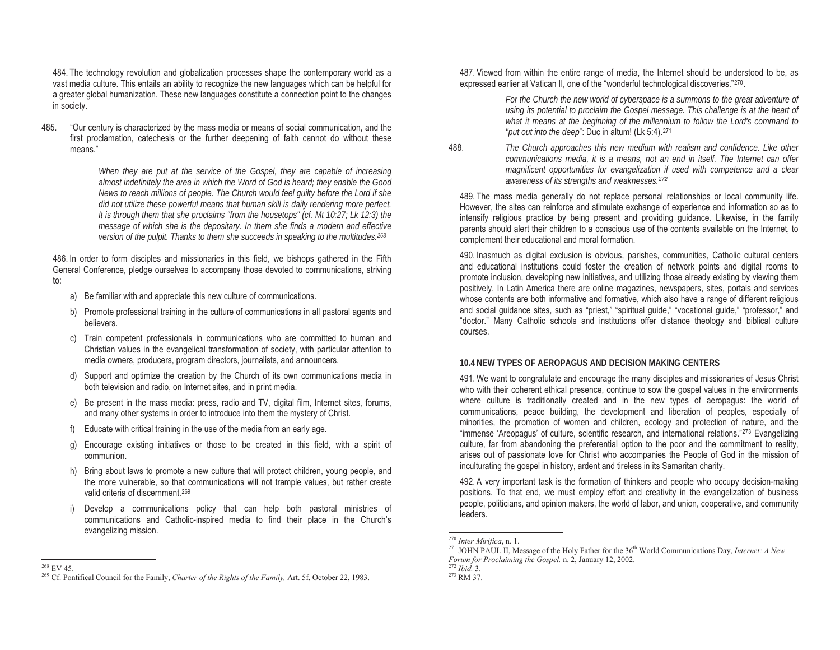484. The technology revolution and globalization processes shape the contemporary world as a vast media culture. This entails an ability to recognize the new languages which can be helpful for a greater global humanization. These new languages constitute a connection point to the changes in society.

485. "Our century is characterized by the mass media or means of social communication, and the first proclamation, catechesis or the further deepening of faith cannot do without these means."

> When they are put at the service of the Gospel, they are capable of increasing *almost indefinitely the area in which the Word of God is heard; they enable the Good News to reach millions of people. The Church would feel guilty before the Lord if she did not utilize these powerful means that human skill is daily rendering more perfect. It is through them that she proclaims "from the housetops" (cf. Mt 10:27; Lk 12:3) the message of which she is the depositary. In them she finds a modern and effective version of the pulpit. Thanks to them she succeeds in speaking to the multitudes.268*

486. In order to form disciples and missionaries in this field, we bishops gathered in the Fifth General Conference, pledge ourselves to accompany those devoted to communications, striving to:

- a) Be familiar with and appreciate this new culture of communications.
- b) Promote professional training in the culture of communications in all pastoral agents and believers.
- c) Train competent professionals in communications who are committed to human and Christian values in the evangelical transformation of society, with particular attention to media owners, producers, program directors, journalists, and announcers.
- d) Support and optimize the creation by the Church of its own communications media in both television and radio, on Internet sites, and in print media.
- e) Be present in the mass media: press, radio and TV, digital film, Internet sites, forums, and many other systems in order to introduce into them the mystery of Christ.
- f) Educate with critical training in the use of the media from an early age.
- g) Encourage existing initiatives or those to be created in this field, with a spirit of communion.
- h) Bring about laws to promote a new culture that will protect children, young people, and the more vulnerable, so that communications will not trample values, but rather create valid criteria of discernment.269
- i) Develop a communications policy that can help both pastoral ministries of communications and Catholic-inspired media to find their place in the Church's evangelizing mission.

487. Viewed from within the entire range of media, the Internet should be understood to be, as expressed earlier at Vatican II, one of the "wonderful technological discoveries."270.

> For the Church the new world of cyberspace is a summons to the great adventure of using its potential to proclaim the Gospel message. This challenge is at the heart of what it means at the beginning of the millennium to follow the Lord's command to *"put out into the deep*": Duc in altum! (Lk 5:4).271

488.The Church approaches this new medium with realism and confidence. Like other *communications media, it is a means, not an end in itself. The Internet can offer magnificent opportunities for evangelization if used with competence and a clear awareness of its strengths and weaknesses.272*

489. The mass media generally do not replace personal relationships or local community life. However, the sites can reinforce and stimulate exchange of experience and information so as to intensify religious practice by being present and providing guidance. Likewise, in the family parents should alert their children to a conscious use of the contents available on the Internet, to complement their educational and moral formation.

490. Inasmuch as digital exclusion is obvious, parishes, communities, Catholic cultural centers and educational institutions could foster the creation of network points and digital rooms to promote inclusion, developing new initiatives, and utilizing those already existing by viewing them positively. In Latin America there are online magazines, newspapers, sites, portals and services whose contents are both informative and formative, which also have a range of different religious and social guidance sites, such as "priest," "spiritual guide," "vocational guide," "professor," and "doctor." Many Catholic schools and institutions offer distance theology and biblical culture courses.

# **10.4 NEW TYPES OF AEROPAGUS AND DECISION MAKING CENTERS**

491. We want to congratulate and encourage the many disciples and missionaries of Jesus Christ who with their coherent ethical presence, continue to sow the gospel values in the environments where culture is traditionally created and in the new types of aeropagus: the world of communications, peace building, the development and liberation of peoples, especially of minorities, the promotion of women and children, ecology and protection of nature, and the "immense 'Areopagus' of culture, scientific research, and international relations."273 Evangelizing culture, far from abandoning the preferential option to the poor and the commitment to reality, arises out of passionate love for Christ who accompanies the People of God in the mission of inculturating the gospel in history, ardent and tireless in its Samaritan charity.

492. A very important task is the formation of thinkers and people who occupy decision-making positions. To that end, we must employ effort and creativity in the evangelization of business people, politicians, and opinion makers, the world of labor, and union, cooperative, and community leaders.

<sup>268</sup> EV 45.

269 Cf. Pontifical Council for the Family, *Charter of the Rights of the Family,* Art. 5f, October 22, 1983.

<sup>270</sup> *Inter Mirifica*, n. 1.

<sup>271</sup> JOHN PAUL II, Message of the Holy Father for the 36th World Communications Day, *Internet: A New Forum for Proclaiming the Gospel.* n. 2, January 12, 2002.

<sup>272</sup> *Ibid.* 3.

 $^{273}$  RM 37.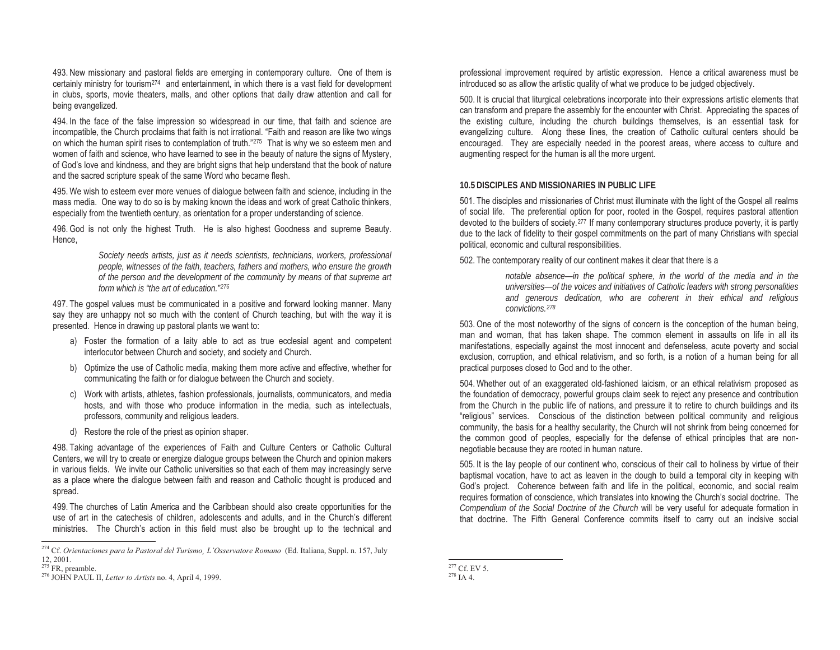493. New missionary and pastoral fields are emerging in contemporary culture. One of them is certainly ministry for tourism<sup>274</sup> and entertainment, in which there is a vast field for development in clubs, sports, movie theaters, malls, and other options that daily draw attention and call for being evangelized.

494. In the face of the false impression so widespread in our time, that faith and science are incompatible, the Church proclaims that faith is not irrational. "Faith and reason are like two wings on which the human spirit rises to contemplation of truth."275 That is why we so esteem men and women of faith and science, who have learned to see in the beauty of nature the signs of Mystery, of God's love and kindness, and they are bright signs that help understand that the book of nature and the sacred scripture speak of the same Word who became flesh.

495. We wish to esteem ever more venues of dialogue between faith and science, including in the mass media. One way to do so is by making known the ideas and work of great Catholic thinkers, especially from the twentieth century, as orientation for a proper understanding of science.

496. God is not only the highest Truth. He is also highest Goodness and supreme Beauty. Hence,

> *Society needs artists, just as it needs scientists, technicians, workers, professional people, witnesses of the faith, teachers, fathers and mothers, who ensure the growth of the person and the development of the community by means of that supreme art form which is "the art of education."276*

497. The gospel values must be communicated in a positive and forward looking manner. Many say they are unhappy not so much with the content of Church teaching, but with the way it is presented. Hence in drawing up pastoral plants we want to:

- a) Foster the formation of a laity able to act as true ecclesial agent and competent interlocutor between Church and society, and society and Church.
- b) Optimize the use of Catholic media, making them more active and effective, whether for communicating the faith or for dialogue between the Church and society.
- c) Work with artists, athletes, fashion professionals, journalists, communicators, and media hosts, and with those who produce information in the media, such as intellectuals, professors, community and religious leaders.
- d) Restore the role of the priest as opinion shaper.

498. Taking advantage of the experiences of Faith and Culture Centers or Catholic Cultural Centers, we will try to create or energize dialogue groups between the Church and opinion makers in various fields. We invite our Catholic universities so that each of them may increasingly serve as a place where the dialogue between faith and reason and Catholic thought is produced and spread.

499. The churches of Latin America and the Caribbean should also create opportunities for the use of art in the catechesis of children, adolescents and adults, and in the Church's different ministries. The Church's action in this field must also be brought up to the technical and

professional improvement required by artistic expression. Hence a critical awareness must be introduced so as allow the artistic quality of what we produce to be judged objectively.

500. It is crucial that liturgical celebrations incorporate into their expressions artistic elements that can transform and prepare the assembly for the encounter with Christ. Appreciating the spaces of the existing culture, including the church buildings themselves, is an essential task for evangelizing culture. Along these lines, the creation of Catholic cultural centers should be encouraged. They are especially needed in the poorest areas, where access to culture and augmenting respect for the human is all the more urgent.

# **10.5 DISCIPLES AND MISSIONARIES IN PUBLIC LIFE**

501. The disciples and missionaries of Christ must illuminate with the light of the Gospel all realms of social life. The preferential option for poor, rooted in the Gospel, requires pastoral attention devoted to the builders of society.277 If many contemporary structures produce poverty, it is partly due to the lack of fidelity to their gospel commitments on the part of many Christians with special political, economic and cultural responsibilities.

502. The contemporary reality of our continent makes it clear that there is a

*notable absence—in the political sphere, in the world of the media and in the universities—of the voices and initiatives of Catholic leaders with strong personalities and generous dedication, who are coherent in their ethical and religious convictions.278*

503. One of the most noteworthy of the signs of concern is the conception of the human being, man and woman, that has taken shape. The common element in assaults on life in all its manifestations, especially against the most innocent and defenseless, acute poverty and social exclusion, corruption, and ethical relativism, and so forth, is a notion of a human being for all practical purposes closed to God and to the other.

504. Whether out of an exaggerated old-fashioned laicism, or an ethical relativism proposed as the foundation of democracy, powerful groups claim seek to reject any presence and contribution from the Church in the public life of nations, and pressure it to retire to church buildings and its "religious" services. Conscious of the distinction between political community and religious community, the basis for a healthy secularity, the Church will not shrink from being concerned for the common good of peoples, especially for the defense of ethical principles that are nonnegotiable because they are rooted in human nature.

505. It is the lay people of our continent who, conscious of their call to holiness by virtue of their baptismal vocation, have to act as leaven in the dough to build a temporal city in keeping with God's project. Coherence between faith and life in the political, economic, and social realm requires formation of conscience, which translates into knowing the Church's social doctrine. The *Compendium of the Social Doctrine of the Church* will be very useful for adequate formation in that doctrine. The Fifth General Conference commits itself to carry out an incisive social

<sup>274</sup> Cf. *Orientaciones para la Pastoral del Turismo¸ L'Osservatore Romano* (Ed. Italiana, Suppl. n. 157, July 12, 2001.

 $275$  FR, preamble.

<sup>276</sup> JOHN PAUL II, *Letter to Artists* no. 4, April 4, 1999.

 $277 \text{ Cf. EV 5.}$  $^{278}$  IA 4.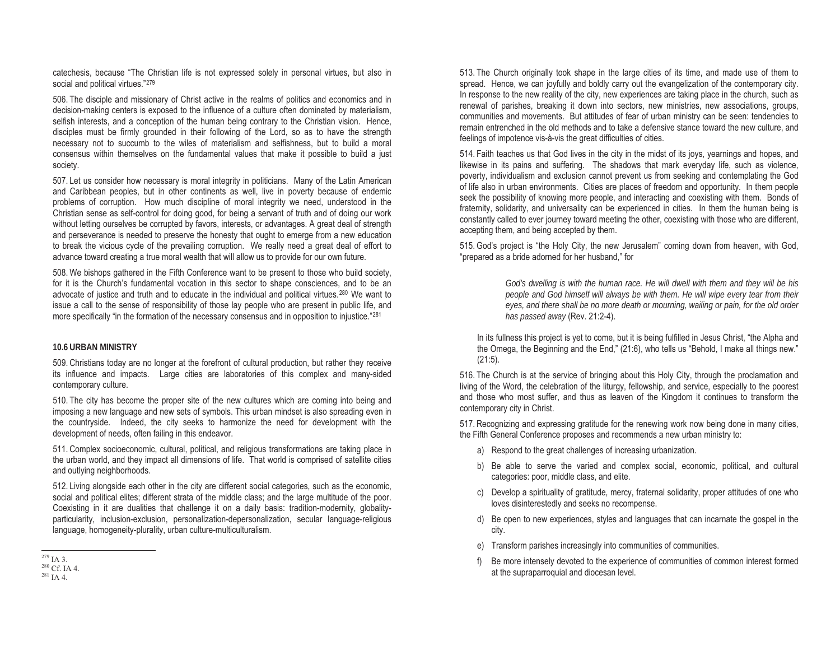catechesis, because "The Christian life is not expressed solely in personal virtues, but also in social and political virtues."279

506. The disciple and missionary of Christ active in the realms of politics and economics and in decision-making centers is exposed to the influence of a culture often dominated by materialism, selfish interests, and a conception of the human being contrary to the Christian vision. Hence, disciples must be firmly grounded in their following of the Lord, so as to have the strength necessary not to succumb to the wiles of materialism and selfishness, but to build a moral consensus within themselves on the fundamental values that make it possible to build a just society.

507. Let us consider how necessary is moral integrity in politicians. Many of the Latin American and Caribbean peoples, but in other continents as well, live in poverty because of endemic problems of corruption. How much discipline of moral integrity we need, understood in the Christian sense as self-control for doing good, for being a servant of truth and of doing our work without letting ourselves be corrupted by favors, interests, or advantages. A great deal of strength and perseverance is needed to preserve the honesty that ought to emerge from a new education to break the vicious cycle of the prevailing corruption. We really need a great deal of effort to advance toward creating a true moral wealth that will allow us to provide for our own future.

508. We bishops gathered in the Fifth Conference want to be present to those who build society, for it is the Church's fundamental vocation in this sector to shape consciences, and to be an advocate of justice and truth and to educate in the individual and political virtues.<sup>280</sup> We want to issue a call to the sense of responsibility of those lay people who are present in public life, and more specifically "in the formation of the necessary consensus and in opposition to injustice."<sup>281</sup>

#### **10.6 URBAN MINISTRY**

509. Christians today are no longer at the forefront of cultural production, but rather they receive its influence and impacts. Large cities are laboratories of this complex and many-sided contemporary culture.

510. The city has become the proper site of the new cultures which are coming into being and imposing a new language and new sets of symbols. This urban mindset is also spreading even in the countryside. Indeed, the city seeks to harmonize the need for development with the development of needs, often failing in this endeavor.

511. Complex socioeconomic, cultural, political, and religious transformations are taking place in the urban world, and they impact all dimensions of life. That world is comprised of satellite cities and outlying neighborhoods.

512. Living alongside each other in the city are different social categories, such as the economic, social and political elites; different strata of the middle class; and the large multitude of the poor. Coexisting in it are dualities that challenge it on a daily basis: tradition-modernity, globalityparticularity, inclusion-exclusion, personalization-depersonalization, secular language-religious language, homogeneity-plurality, urban culture-multiculturalism.

513. The Church originally took shape in the large cities of its time, and made use of them to spread. Hence, we can joyfully and boldly carry out the evangelization of the contemporary city. In response to the new reality of the city, new experiences are taking place in the church, such as renewal of parishes, breaking it down into sectors, new ministries, new associations, groups, communities and movements. But attitudes of fear of urban ministry can be seen: tendencies to remain entrenched in the old methods and to take a defensive stance toward the new culture, and feelings of impotence vis-à-vis the great difficulties of cities.

514. Faith teaches us that God lives in the city in the midst of its joys, yearnings and hopes, and likewise in its pains and suffering. The shadows that mark everyday life, such as violence, poverty, individualism and exclusion cannot prevent us from seeking and contemplating the God of life also in urban environments. Cities are places of freedom and opportunity. In them people seek the possibility of knowing more people, and interacting and coexisting with them. Bonds of fraternity, solidarity, and universality can be experienced in cities. In them the human being is constantly called to ever journey toward meeting the other, coexisting with those who are different, accepting them, and being accepted by them.

515. God's project is "the Holy City, the new Jerusalem" coming down from heaven, with God, "prepared as a bride adorned for her husband," for

> *God's dwelling is with the human race. He will dwell with them and they will be his people and God himself will always be with them. He will wipe every tear from their eyes, and there shall be no more death or mourning, wailing or pain, for the old order has passed away* (Rev. 21:2-4).

In its fullness this project is yet to come, but it is being fulfilled in Jesus Christ, "the Alpha and the Omega, the Beginning and the End," (21:6), who tells us "Behold, I make all things new." (21:5).

516. The Church is at the service of bringing about this Holy City, through the proclamation and living of the Word, the celebration of the liturgy, fellowship, and service, especially to the poorest and those who most suffer, and thus as leaven of the Kingdom it continues to transform the contemporary city in Christ.

517. Recognizing and expressing gratitude for the renewing work now being done in many cities, the Fifth General Conference proposes and recommends a new urban ministry to:

- a) Respond to the great challenges of increasing urbanization.
- b) Be able to serve the varied and complex social, economic, political, and cultural categories: poor, middle class, and elite.
- c) Develop a spirituality of gratitude, mercy, fraternal solidarity, proper attitudes of one who loves disinterestedly and seeks no recompense.
- d) Be open to new experiences, styles and languages that can incarnate the gospel in the city.
- e) Transform parishes increasingly into communities of communities.
- f) Be more intensely devoted to the experience of communities of common interest formed at the supraparroquial and diocesan level.

 $279$  IA 3.

280 Cf. IA 4.

 $^{281}$  IA 4.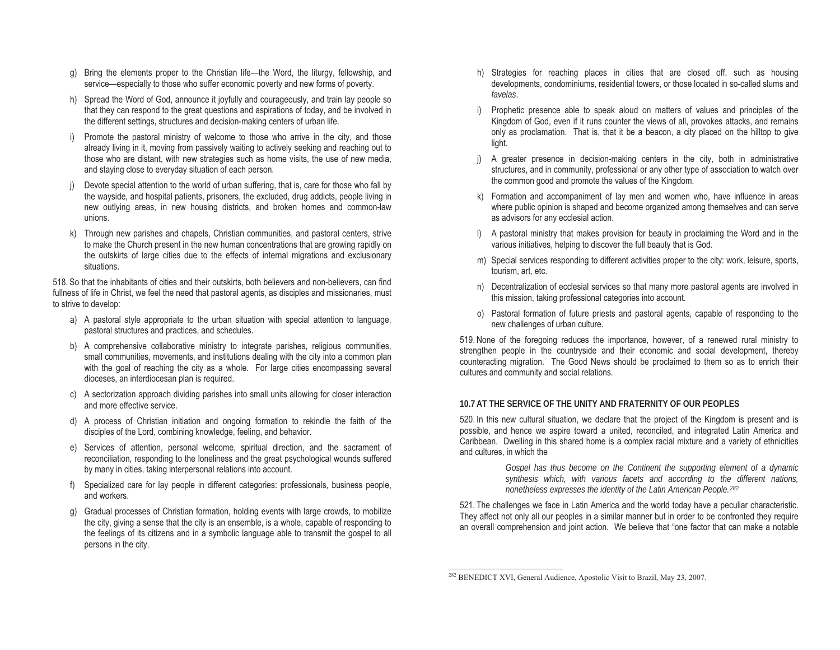- g) Bring the elements proper to the Christian life—the Word, the liturgy, fellowship, and service—especially to those who suffer economic poverty and new forms of poverty.
- h) Spread the Word of God, announce it joyfully and courageously, and train lay people so that they can respond to the great questions and aspirations of today, and be involved in the different settings, structures and decision-making centers of urban life.
- i) Promote the pastoral ministry of welcome to those who arrive in the city, and those already living in it, moving from passively waiting to actively seeking and reaching out to those who are distant, with new strategies such as home visits, the use of new media, and staying close to everyday situation of each person.
- j) Devote special attention to the world of urban suffering, that is, care for those who fall by the wayside, and hospital patients, prisoners, the excluded, drug addicts, people living in new outlying areas, in new housing districts, and broken homes and common-law unions.
- k) Through new parishes and chapels, Christian communities, and pastoral centers, strive to make the Church present in the new human concentrations that are growing rapidly on the outskirts of large cities due to the effects of internal migrations and exclusionary situations.

518. So that the inhabitants of cities and their outskirts, both believers and non-believers, can find fullness of life in Christ, we feel the need that pastoral agents, as disciples and missionaries, must to strive to develop:

- a) A pastoral style appropriate to the urban situation with special attention to language, pastoral structures and practices, and schedules.
- b) A comprehensive collaborative ministry to integrate parishes, religious communities, small communities, movements, and institutions dealing with the city into a common plan with the goal of reaching the city as a whole. For large cities encompassing several dioceses, an interdiocesan plan is required.
- c) A sectorization approach dividing parishes into small units allowing for closer interaction and more effective service.
- d) A process of Christian initiation and ongoing formation to rekindle the faith of the disciples of the Lord, combining knowledge, feeling, and behavior.
- e) Services of attention, personal welcome, spiritual direction, and the sacrament of reconciliation, responding to the loneliness and the great psychological wounds suffered by many in cities, taking interpersonal relations into account.
- f) Specialized care for lay people in different categories: professionals, business people, and workers.
- g) Gradual processes of Christian formation, holding events with large crowds, to mobilize the city, giving a sense that the city is an ensemble, is a whole, capable of responding to the feelings of its citizens and in a symbolic language able to transmit the gospel to all persons in the city.
- h) Strategies for reaching places in cities that are closed off, such as housing developments, condominiums, residential towers, or those located in so-called slums and *favelas*.
- i) Prophetic presence able to speak aloud on matters of values and principles of the Kingdom of God, even if it runs counter the views of all, provokes attacks, and remains only as proclamation. That is, that it be a beacon, a city placed on the hilltop to give light.
- j) A greater presence in decision-making centers in the city, both in administrative structures, and in community, professional or any other type of association to watch over the common good and promote the values of the Kingdom.
- k) Formation and accompaniment of lay men and women who, have influence in areas where public opinion is shaped and become organized among themselves and can serve as advisors for any ecclesial action.
- l) A pastoral ministry that makes provision for beauty in proclaiming the Word and in the various initiatives, helping to discover the full beauty that is God.
- m) Special services responding to different activities proper to the city: work, leisure, sports, tourism, art, etc.
- n) Decentralization of ecclesial services so that many more pastoral agents are involved in this mission, taking professional categories into account.
- o) Pastoral formation of future priests and pastoral agents, capable of responding to the new challenges of urban culture.

519. None of the foregoing reduces the importance, however, of a renewed rural ministry to strengthen people in the countryside and their economic and social development, thereby counteracting migration. The Good News should be proclaimed to them so as to enrich their cultures and community and social relations.

#### **10.7 AT THE SERVICE OF THE UNITY AND FRATERNITY OF OUR PEOPLES**

520. In this new cultural situation, we declare that the project of the Kingdom is present and is possible, and hence we aspire toward a united, reconciled, and integrated Latin America and Caribbean. Dwelling in this shared home is a complex racial mixture and a variety of ethnicities and cultures, in which the

> Gospel has thus become on the Continent the supporting element of a dynamic *synthesis which, with various facets and according to the different nations, nonetheless expresses the identity of the Latin American People.282*

521. The challenges we face in Latin America and the world today have a peculiar characteristic. They affect not only all our peoples in a similar manner but in order to be confronted they require an overall comprehension and joint action. We believe that "one factor that can make a notable

<sup>&</sup>lt;sup>282</sup> BENEDICT XVI, General Audience, Apostolic Visit to Brazil, May 23, 2007.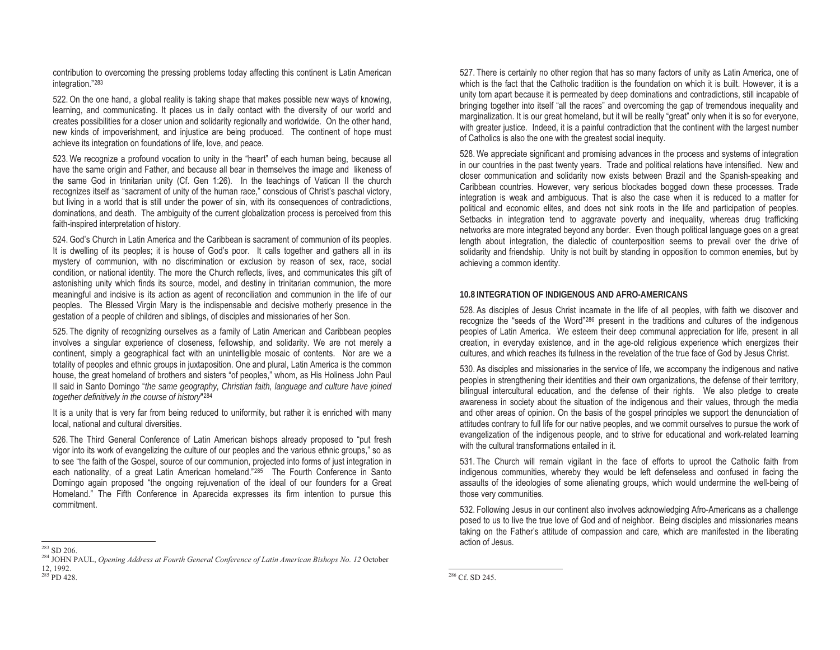contribution to overcoming the pressing problems today affecting this continent is Latin American integration."283

522. On the one hand, a global reality is taking shape that makes possible new ways of knowing, learning, and communicating. It places us in daily contact with the diversity of our world and creates possibilities for a closer union and solidarity regionally and worldwide. On the other hand, new kinds of impoverishment, and injustice are being produced. The continent of hope must achieve its integration on foundations of life, love, and peace.

523. We recognize a profound vocation to unity in the "heart" of each human being, because all have the same origin and Father, and because all bear in themselves the image and likeness of the same God in trinitarian unity (Cf. Gen 1:26). In the teachings of Vatican II the church recognizes itself as "sacrament of unity of the human race," conscious of Christ's paschal victory, but living in a world that is still under the power of sin, with its consequences of contradictions, dominations, and death. The ambiguity of the current globalization process is perceived from this faith-inspired interpretation of history.

524. God's Church in Latin America and the Caribbean is sacrament of communion of its peoples. It is dwelling of its peoples; it is house of God's poor. It calls together and gathers all in its mystery of communion, with no discrimination or exclusion by reason of sex, race, social condition, or national identity. The more the Church reflects, lives, and communicates this gift of astonishing unity which finds its source, model, and destiny in trinitarian communion, the more meaningful and incisive is its action as agent of reconciliation and communion in the life of our peoples. The Blessed Virgin Mary is the indispensable and decisive motherly presence in the gestation of a people of children and siblings, of disciples and missionaries of her Son.

525. The dignity of recognizing ourselves as a family of Latin American and Caribbean peoples involves a singular experience of closeness, fellowship, and solidarity. We are not merely a continent, simply a geographical fact with an unintelligible mosaic of contents. Nor are we a totality of peoples and ethnic groups in juxtaposition. One and plural, Latin America is the common house, the great homeland of brothers and sisters "of peoples," whom, as His Holiness John Paul II said in Santo Domingo "*the same geography, Christian faith, language and culture have joined together definitively in the course of history*"284

It is a unity that is very far from being reduced to uniformity, but rather it is enriched with many local, national and cultural diversities.

526. The Third General Conference of Latin American bishops already proposed to "put fresh vigor into its work of evangelizing the culture of our peoples and the various ethnic groups," so as to see "the faith of the Gospel, source of our communion, projected into forms of just integration in each nationality, of a great Latin American homeland."<sup>285</sup> The Fourth Conference in Santo Domingo again proposed "the ongoing rejuvenation of the ideal of our founders for a Great Homeland." The Fifth Conference in Aparecida expresses its firm intention to pursue this commitment.

527. There is certainly no other region that has so many factors of unity as Latin America, one of which is the fact that the Catholic tradition is the foundation on which it is built. However, it is a unity torn apart because it is permeated by deep dominations and contradictions, still incapable of bringing together into itself "all the races" and overcoming the gap of tremendous inequality and marginalization. It is our great homeland, but it will be really "great" only when it is so for everyone, with greater justice. Indeed, it is a painful contradiction that the continent with the largest number of Catholics is also the one with the greatest social inequity.

528. We appreciate significant and promising advances in the process and systems of integration in our countries in the past twenty years. Trade and political relations have intensified. New and closer communication and solidarity now exists between Brazil and the Spanish-speaking and Caribbean countries. However, very serious blockades bogged down these processes. Trade integration is weak and ambiguous. That is also the case when it is reduced to a matter for political and economic elites, and does not sink roots in the life and participation of peoples. Setbacks in integration tend to aggravate poverty and inequality, whereas drug trafficking networks are more integrated beyond any border. Even though political language goes on a great length about integration, the dialectic of counterposition seems to prevail over the drive of solidarity and friendship. Unity is not built by standing in opposition to common enemies, but by achieving a common identity.

# **10.8 INTEGRATION OF INDIGENOUS AND AFRO-AMERICANS**

528. As disciples of Jesus Christ incarnate in the life of all peoples, with faith we discover and recognize the "seeds of the Word"<sup>286</sup> present in the traditions and cultures of the indigenous peoples of Latin America. We esteem their deep communal appreciation for life, present in all creation, in everyday existence, and in the age-old religious experience which energizes their cultures, and which reaches its fullness in the revelation of the true face of God by Jesus Christ.

530. As disciples and missionaries in the service of life, we accompany the indigenous and native peoples in strengthening their identities and their own organizations, the defense of their territory, bilingual intercultural education, and the defense of their rights. We also pledge to create awareness in society about the situation of the indigenous and their values, through the media and other areas of opinion. On the basis of the gospel principles we support the denunciation of attitudes contrary to full life for our native peoples, and we commit ourselves to pursue the work of evangelization of the indigenous people, and to strive for educational and work-related learning with the cultural transformations entailed in it.

531. The Church will remain vigilant in the face of efforts to uproot the Catholic faith from indigenous communities, whereby they would be left defenseless and confused in facing the assaults of the ideologies of some alienating groups, which would undermine the well-being of those very communities.

532. Following Jesus in our continent also involves acknowledging Afro-Americans as a challenge posed to us to live the true love of God and of neighbor. Being disciples and missionaries means taking on the Father's attitude of compassion and care, which are manifested in the liberating action of Jesus.

 $286$  Cf. SD 245.

<sup>283</sup> SD 206.

284 JOHN PAUL, *Opening Address at Fourth General Conference of Latin American Bishops No. 12* October 12, 1992.

 $285$  PD 428.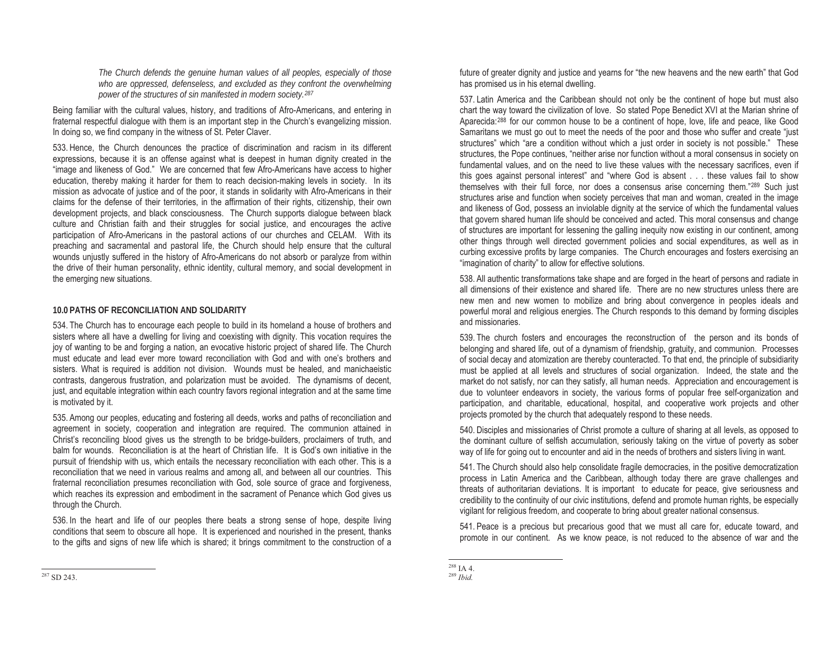*The Church defends the genuine human values of all peoples, especially of those*  who are oppressed, defenseless, and excluded as they confront the overwhelming *power of the structures of sin manifested in modern society.287*

Being familiar with the cultural values, history, and traditions of Afro-Americans, and entering in fraternal respectful dialogue with them is an important step in the Church's evangelizing mission. In doing so, we find company in the witness of St. Peter Claver.

533. Hence, the Church denounces the practice of discrimination and racism in its different expressions, because it is an offense against what is deepest in human dignity created in the "image and likeness of God." We are concerned that few Afro-Americans have access to higher education, thereby making it harder for them to reach decision-making levels in society. In its mission as advocate of justice and of the poor, it stands in solidarity with Afro-Americans in their claims for the defense of their territories, in the affirmation of their rights, citizenship, their own development projects, and black consciousness. The Church supports dialogue between black culture and Christian faith and their struggles for social justice, and encourages the active participation of Afro-Americans in the pastoral actions of our churches and CELAM. With its preaching and sacramental and pastoral life, the Church should help ensure that the cultural wounds unjustly suffered in the history of Afro-Americans do not absorb or paralyze from within the drive of their human personality, ethnic identity, cultural memory, and social development in the emerging new situations.

# **10.0 PATHS OF RECONCILIATION AND SOLIDARITY**

534. The Church has to encourage each people to build in its homeland a house of brothers and sisters where all have a dwelling for living and coexisting with dignity. This vocation requires the joy of wanting to be and forging a nation, an evocative historic project of shared life. The Church must educate and lead ever more toward reconciliation with God and with one's brothers and sisters. What is required is addition not division. Wounds must be healed, and manichaeistic contrasts, dangerous frustration, and polarization must be avoided. The dynamisms of decent, just, and equitable integration within each country favors regional integration and at the same time is motivated by it.

535. Among our peoples, educating and fostering all deeds, works and paths of reconciliation and agreement in society, cooperation and integration are required. The communion attained in Christ's reconciling blood gives us the strength to be bridge-builders, proclaimers of truth, and balm for wounds. Reconciliation is at the heart of Christian life. It is God's own initiative in the pursuit of friendship with us, which entails the necessary reconciliation with each other. This is a reconciliation that we need in various realms and among all, and between all our countries. This fraternal reconciliation presumes reconciliation with God, sole source of grace and forgiveness, which reaches its expression and embodiment in the sacrament of Penance which God gives us through the Church.

536. In the heart and life of our peoples there beats a strong sense of hope, despite living conditions that seem to obscure all hope. It is experienced and nourished in the present, thanks to the gifts and signs of new life which is shared; it brings commitment to the construction of a

future of greater dignity and justice and yearns for "the new heavens and the new earth" that God has promised us in his eternal dwelling.

537. Latin America and the Caribbean should not only be the continent of hope but must also chart the way toward the civilization of love. So stated Pope Benedict XVI at the Marian shrine of Aparecida:<sup>288</sup> for our common house to be a continent of hope, love, life and peace, like Good Samaritans we must go out to meet the needs of the poor and those who suffer and create "just structures" which "are a condition without which a just order in society is not possible." These structures, the Pope continues, "neither arise nor function without a moral consensus in society on fundamental values, and on the need to live these values with the necessary sacrifices, even if this goes against personal interest" and "where God is absent . . . these values fail to show themselves with their full force, nor does a consensus arise concerning them."289 Such just structures arise and function when society perceives that man and woman, created in the image and likeness of God, possess an inviolable dignity at the service of which the fundamental values that govern shared human life should be conceived and acted. This moral consensus and change of structures are important for lessening the galling inequity now existing in our continent, among other things through well directed government policies and social expenditures, as well as in curbing excessive profits by large companies. The Church encourages and fosters exercising an "imagination of charity" to allow for effective solutions.

538. All authentic transformations take shape and are forged in the heart of persons and radiate in all dimensions of their existence and shared life. There are no new structures unless there are new men and new women to mobilize and bring about convergence in peoples ideals and powerful moral and religious energies. The Church responds to this demand by forming disciples and missionaries.

539. The church fosters and encourages the reconstruction of the person and its bonds of belonging and shared life, out of a dynamism of friendship, gratuity, and communion. Processes of social decay and atomization are thereby counteracted. To that end, the principle of subsidiarity must be applied at all levels and structures of social organization. Indeed, the state and the market do not satisfy, nor can they satisfy, all human needs. Appreciation and encouragement is due to volunteer endeavors in society, the various forms of popular free self-organization and participation, and charitable, educational, hospital, and cooperative work projects and other projects promoted by the church that adequately respond to these needs.

540. Disciples and missionaries of Christ promote a culture of sharing at all levels, as opposed to the dominant culture of selfish accumulation, seriously taking on the virtue of poverty as sober way of life for going out to encounter and aid in the needs of brothers and sisters living in want.

541. The Church should also help consolidate fragile democracies, in the positive democratization process in Latin America and the Caribbean, although today there are grave challenges and threats of authoritarian deviations. It is important to educate for peace, give seriousness and credibility to the continuity of our civic institutions, defend and promote human rights, be especially vigilant for religious freedom, and cooperate to bring about greater national consensus.

541. Peace is a precious but precarious good that we must all care for, educate toward, and promote in our continent. As we know peace, is not reduced to the absence of war and the

<sup>287</sup> SD 243.

 $^{288}$  IA 4. 289 *Ibid.*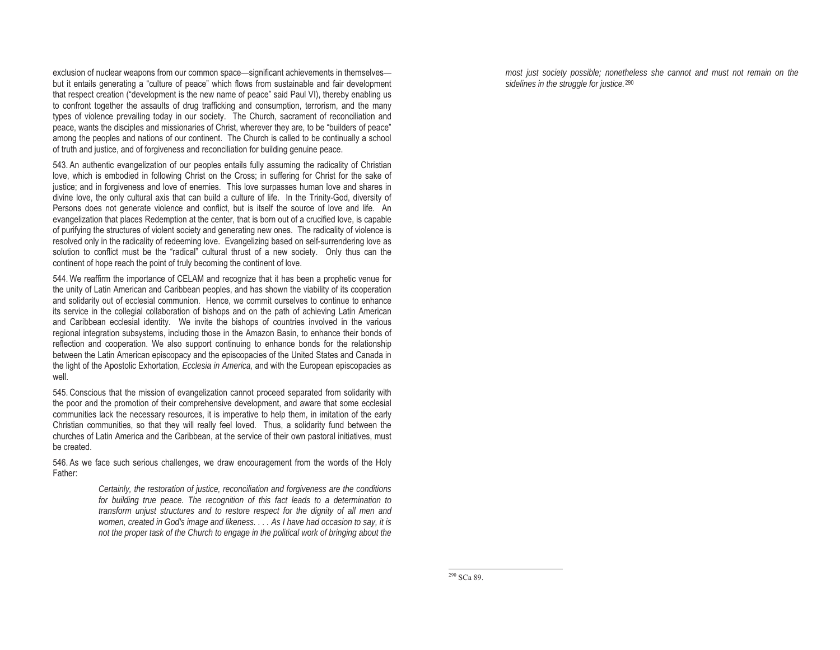exclusion of nuclear weapons from our common space—significant achievements in themselves but it entails generating a "culture of peace" which flows from sustainable and fair development that respect creation ("development is the new name of peace" said Paul VI), thereby enabling us to confront together the assaults of drug trafficking and consumption, terrorism, and the many types of violence prevailing today in our society. The Church, sacrament of reconciliation and peace, wants the disciples and missionaries of Christ, wherever they are, to be "builders of peace" among the peoples and nations of our continent. The Church is called to be continually a school of truth and justice, and of forgiveness and reconciliation for building genuine peace.

543. An authentic evangelization of our peoples entails fully assuming the radicality of Christian love, which is embodied in following Christ on the Cross; in suffering for Christ for the sake of justice; and in forgiveness and love of enemies. This love surpasses human love and shares in divine love, the only cultural axis that can build a culture of life. In the Trinity-God, diversity of Persons does not generate violence and conflict, but is itself the source of love and life. An evangelization that places Redemption at the center, that is born out of a crucified love, is capable of purifying the structures of violent society and generating new ones. The radicality of violence is resolved only in the radicality of redeeming love. Evangelizing based on self-surrendering love as solution to conflict must be the "radical" cultural thrust of a new society. Only thus can the continent of hope reach the point of truly becoming the continent of love.

544. We reaffirm the importance of CELAM and recognize that it has been a prophetic venue for the unity of Latin American and Caribbean peoples, and has shown the viability of its cooperation and solidarity out of ecclesial communion. Hence, we commit ourselves to continue to enhance its service in the collegial collaboration of bishops and on the path of achieving Latin American and Caribbean ecclesial identity. We invite the bishops of countries involved in the various regional integration subsystems, including those in the Amazon Basin, to enhance their bonds of reflection and cooperation. We also support continuing to enhance bonds for the relationship between the Latin American episcopacy and the episcopacies of the United States and Canada in the light of the Apostolic Exhortation, *Ecclesia in America,* and with the European episcopacies as well.

545. Conscious that the mission of evangelization cannot proceed separated from solidarity with the poor and the promotion of their comprehensive development, and aware that some ecclesial communities lack the necessary resources, it is imperative to help them, in imitation of the early Christian communities, so that they will really feel loved. Thus, a solidarity fund between the churches of Latin America and the Caribbean, at the service of their own pastoral initiatives, must be created.

546. As we face such serious challenges, we draw encouragement from the words of the Holy Father:

> *Certainly, the restoration of justice, reconciliation and forgiveness are the conditions*  for building true peace. The recognition of this fact leads to a determination to *transform unjust structures and to restore respect for the dignity of all men and women, created in God's image and likeness. . . . As I have had occasion to say, it is not the proper task of the Church to engage in the political work of bringing about the*

*most just society possible; nonetheless she cannot and must not remain on the sidelines in the struggle for justice.*<sup>290</sup>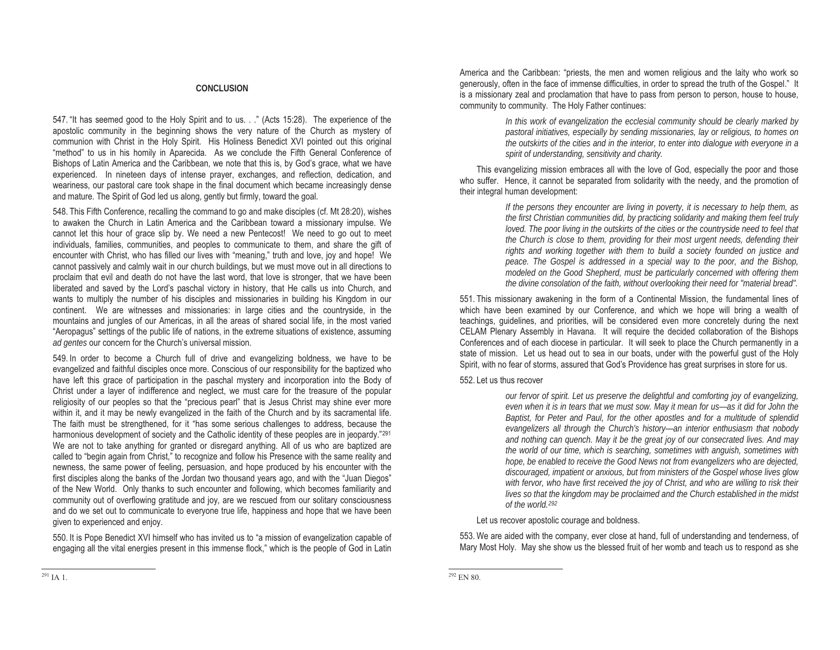#### **CONCLUSION**

547. "It has seemed good to the Holy Spirit and to us. . ." (Acts 15:28). The experience of the apostolic community in the beginning shows the very nature of the Church as mystery of communion with Christ in the Holy Spirit. His Holiness Benedict XVI pointed out this original "method" to us in his homily in Aparecida. As we conclude the Fifth General Conference of Bishops of Latin America and the Caribbean, we note that this is, by God's grace, what we have experienced. In nineteen days of intense prayer, exchanges, and reflection, dedication, and weariness, our pastoral care took shape in the final document which became increasingly dense and mature. The Spirit of God led us along, gently but firmly, toward the goal.

548. This Fifth Conference, recalling the command to go and make disciples (cf. Mt 28:20), wishes to awaken the Church in Latin America and the Caribbean toward a missionary impulse. We cannot let this hour of grace slip by. We need a new Pentecost! We need to go out to meet individuals, families, communities, and peoples to communicate to them, and share the gift of encounter with Christ, who has filled our lives with "meaning," truth and love, joy and hope! We cannot passively and calmly wait in our church buildings, but we must move out in all directions to proclaim that evil and death do not have the last word, that love is stronger, that we have been liberated and saved by the Lord's paschal victory in history, that He calls us into Church, and wants to multiply the number of his disciples and missionaries in building his Kingdom in our continent. We are witnesses and missionaries: in large cities and the countryside, in the mountains and jungles of our Americas, in all the areas of shared social life, in the most varied "Aeropagus" settings of the public life of nations, in the extreme situations of existence, assuming *ad gentes* our concern for the Church's universal mission.

549. In order to become a Church full of drive and evangelizing boldness, we have to be evangelized and faithful disciples once more. Conscious of our responsibility for the baptized who have left this grace of participation in the paschal mystery and incorporation into the Body of Christ under a layer of indifference and neglect, we must care for the treasure of the popular religiosity of our peoples so that the "precious pearl" that is Jesus Christ may shine ever more within it, and it may be newly evangelized in the faith of the Church and by its sacramental life. The faith must be strengthened, for it "has some serious challenges to address, because the harmonious development of society and the Catholic identity of these peoples are in jeopardy."291 We are not to take anything for granted or disregard anything. All of us who are baptized are called to "begin again from Christ," to recognize and follow his Presence with the same reality and newness, the same power of feeling, persuasion, and hope produced by his encounter with the first disciples along the banks of the Jordan two thousand years ago, and with the "Juan Diegos" of the New World. Only thanks to such encounter and following, which becomes familiarity and community out of overflowing gratitude and joy, are we rescued from our solitary consciousness and do we set out to communicate to everyone true life, happiness and hope that we have been given to experienced and enjoy.

550. It is Pope Benedict XVI himself who has invited us to "a mission of evangelization capable of engaging all the vital energies present in this immense flock," which is the people of God in Latin America and the Caribbean: "priests, the men and women religious and the laity who work so generously, often in the face of immense difficulties, in order to spread the truth of the Gospel." It is a missionary zeal and proclamation that have to pass from person to person, house to house, community to community. The Holy Father continues:

> *In this work of evangelization the ecclesial community should be clearly marked by pastoral initiatives, especially by sending missionaries, lay or religious, to homes on the outskirts of the cities and in the interior, to enter into dialogue with everyone in a spirit of understanding, sensitivity and charity.*

 This evangelizing mission embraces all with the love of God, especially the poor and those who suffer. Hence, it cannot be separated from solidarity with the needy, and the promotion of their integral human development:

> *If the persons they encounter are living in poverty, it is necessary to help them, as the first Christian communities did, by practicing solidarity and making them feel truly*  loved. The poor living in the outskirts of the cities or the countryside need to feel that *the Church is close to them, providing for their most urgent needs, defending their*  rights and working together with them to build a society founded on justice and *peace. The Gospel is addressed in a special way to the poor, and the Bishop, modeled on the Good Shepherd, must be particularly concerned with offering them the divine consolation of the faith, without overlooking their need for "material bread".*

551. This missionary awakening in the form of a Continental Mission, the fundamental lines of which have been examined by our Conference, and which we hope will bring a wealth of teachings, guidelines, and priorities, will be considered even more concretely during the next CELAM Plenary Assembly in Havana. It will require the decided collaboration of the Bishops Conferences and of each diocese in particular. It will seek to place the Church permanently in a state of mission. Let us head out to sea in our boats, under with the powerful gust of the Holy Spirit, with no fear of storms, assured that God's Providence has great surprises in store for us.

## 552. Let us thus recover

*our fervor of spirit. Let us preserve the delightful and comforting joy of evangelizing, even when it is in tears that we must sow. May it mean for us—as it did for John the Baptist, for Peter and Paul, for the other apostles and for a multitude of splendid evangelizers all through the Church's history—an interior enthusiasm that nobody and nothing can quench. May it be the great joy of our consecrated lives. And may the world of our time, which is searching, sometimes with anguish, sometimes with hope, be enabled to receive the Good News not from evangelizers who are dejected, discouraged, impatient or anxious, but from ministers of the Gospel whose lives glow*  with fervor, who have first received the joy of Christ, and who are willing to risk their *lives so that the kingdom may be proclaimed and the Church established in the midst of the world.292*

Let us recover apostolic courage and boldness.

553. We are aided with the company, ever close at hand, full of understanding and tenderness, of Mary Most Holy. May she show us the blessed fruit of her womb and teach us to respond as she

<sup>292</sup> EN 80.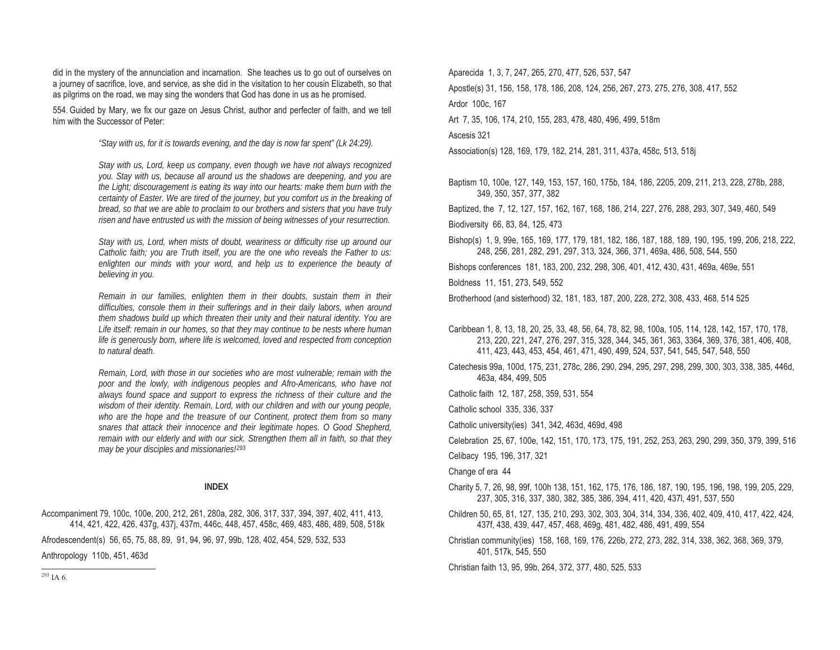did in the mystery of the annunciation and incarnation. She teaches us to go out of ourselves on a journey of sacrifice, love, and service, as she did in the visitation to her cousin Elizabeth, so that as pilgrims on the road, we may sing the wonders that God has done in us as he promised.

554. Guided by Mary, we fix our gaze on Jesus Christ, author and perfecter of faith, and we tell him with the Successor of Peter:

*"Stay with us, for it is towards evening, and the day is now far spent" (Lk 24:29).* 

*Stay with us, Lord, keep us company, even though we have not always recognized you. Stay with us, because all around us the shadows are deepening, and you are the Light; discouragement is eating its way into our hearts: make them burn with the certainty of Easter. We are tired of the journey, but you comfort us in the breaking of bread, so that we are able to proclaim to our brothers and sisters that you have truly risen and have entrusted us with the mission of being witnesses of your resurrection.*

*Stay with us, Lord, when mists of doubt, weariness or difficulty rise up around our Catholic faith; you are Truth itself, you are the one who reveals the Father to us:*  enlighten our minds with your word, and help us to experience the beauty of *believing in you.*

*Remain in our families, enlighten them in their doubts, sustain them in their difficulties, console them in their sufferings and in their daily labors, when around them shadows build up which threaten their unity and their natural identity. You are*  Life itself: remain in our homes, so that they may continue to be nests where human *life is generously born, where life is welcomed, loved and respected from conception to natural death.*

*Remain, Lord, with those in our societies who are most vulnerable; remain with the*  poor and the lowly, with indigenous peoples and Afro-Americans, who have not *always found space and support to express the richness of their culture and the wisdom of their identity. Remain, Lord, with our children and with our young people, who are the hope and the treasure of our Continent, protect them from so many snares that attack their innocence and their legitimate hopes. O Good Shepherd, remain with our elderly and with our sick. Strengthen them all in faith, so that they may be your disciples and missionaries!293*

### **INDEX**

Accompaniment 79, 100c, 100e, 200, 212, 261, 280a, 282, 306, 317, 337, 394, 397, 402, 411, 413, 414, 421, 422, 426, 437g, 437j, 437m, 446c, 448, 457, 458c, 469, 483, 486, 489, 508, 518k

Afrodescendent(s) 56, 65, 75, 88, 89, 91, 94, 96, 97, 99b, 128, 402, 454, 529, 532, 533

Anthropology 110b, 451, 463d

Aparecida 1, 3, 7, 247, 265, 270, 477, 526, 537, 547

Apostle(s) 31, 156, 158, 178, 186, 208, 124, 256, 267, 273, 275, 276, 308, 417, 552 Ardor 100c, 167

Art 7, 35, 106, 174, 210, 155, 283, 478, 480, 496, 499, 518m

Ascesis 321

Association(s) 128, 169, 179, 182, 214, 281, 311, 437a, 458c, 513, 518j

Baptism 10, 100e, 127, 149, 153, 157, 160, 175b, 184, 186, 2205, 209, 211, 213, 228, 278b, 288, 349, 350, 357, 377, 382

Baptized, the 7, 12, 127, 157, 162, 167, 168, 186, 214, 227, 276, 288, 293, 307, 349, 460, 549 Biodiversity 66, 83, 84, 125, 473

Bishop(s) 1, 9, 99e, 165, 169, 177, 179, 181, 182, 186, 187, 188, 189, 190, 195, 199, 206, 218, 222, 248, 256, 281, 282, 291, 297, 313, 324, 366, 371, 469a, 486, 508, 544, 550

Bishops conferences 181, 183, 200, 232, 298, 306, 401, 412, 430, 431, 469a, 469e, 551

Boldness 11, 151, 273, 549, 552

Brotherhood (and sisterhood) 32, 181, 183, 187, 200, 228, 272, 308, 433, 468, 514 525

Caribbean 1, 8, 13, 18, 20, 25, 33, 48, 56, 64, 78, 82, 98, 100a, 105, 114, 128, 142, 157, 170, 178, 213, 220, 221, 247, 276, 297, 315, 328, 344, 345, 361, 363, 3364, 369, 376, 381, 406, 408, 411, 423, 443, 453, 454, 461, 471, 490, 499, 524, 537, 541, 545, 547, 548, 550

Catechesis 99a, 100d, 175, 231, 278c, 286, 290, 294, 295, 297, 298, 299, 300, 303, 338, 385, 446d, 463a, 484, 499, 505

Catholic faith 12, 187, 258, 359, 531, 554

Catholic school 335, 336, 337

Catholic university(ies) 341, 342, 463d, 469d, 498

Celebration 25, 67, 100e, 142, 151, 170, 173, 175, 191, 252, 253, 263, 290, 299, 350, 379, 399, 516 Celibacy 195, 196, 317, 321

Change of era 44

- Charity 5, 7, 26, 98, 99f, 100h 138, 151, 162, 175, 176, 186, 187, 190, 195, 196, 198, 199, 205, 229, 237, 305, 316, 337, 380, 382, 385, 386, 394, 411, 420, 437l, 491, 537, 550
- Children 50, 65, 81, 127, 135, 210, 293, 302, 303, 304, 314, 334, 336, 402, 409, 410, 417, 422, 424, 437f, 438, 439, 447, 457, 468, 469g, 481, 482, 486, 491, 499, 554

Christian community(ies) 158, 168, 169, 176, 226b, 272, 273, 282, 314, 338, 362, 368, 369, 379, 401, 517k, 545, 550

Christian faith 13, 95, 99b, 264, 372, 377, 480, 525, 533

 $^{293}$  IA 6.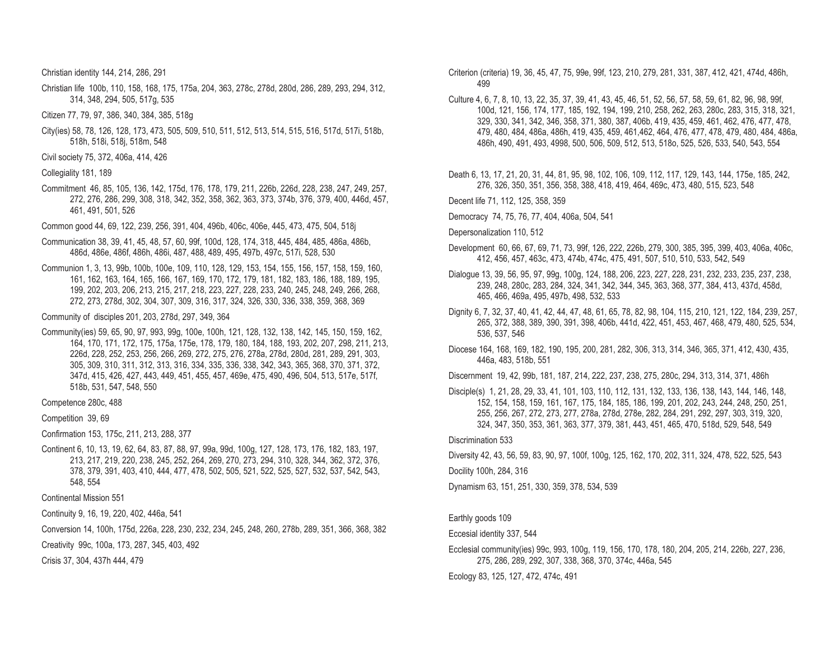Christian identity 144, 214, 286, 291

Christian life 100b, 110, 158, 168, 175, 175a, 204, 363, 278c, 278d, 280d, 286, 289, 293, 294, 312, 314, 348, 294, 505, 517g, 535

Citizen 77, 79, 97, 386, 340, 384, 385, 518g

City(ies) 58, 78, 126, 128, 173, 473, 505, 509, 510, 511, 512, 513, 514, 515, 516, 517d, 517i, 518b, 518h, 518i, 518j, 518m, 548

Civil society 75, 372, 406a, 414, 426

#### Collegiality 181, 189

- Commitment 46, 85, 105, 136, 142, 175d, 176, 178, 179, 211, 226b, 226d, 228, 238, 247, 249, 257, 272, 276, 286, 299, 308, 318, 342, 352, 358, 362, 363, 373, 374b, 376, 379, 400, 446d, 457, 461, 491, 501, 526
- Common good 44, 69, 122, 239, 256, 391, 404, 496b, 406c, 406e, 445, 473, 475, 504, 518j
- Communication 38, 39, 41, 45, 48, 57, 60, 99f, 100d, 128, 174, 318, 445, 484, 485, 486a, 486b, 486d, 486e, 486f, 486h, 486i, 487, 488, 489, 495, 497b, 497c, 517i, 528, 530
- Communion 1, 3, 13, 99b, 100b, 100e, 109, 110, 128, 129, 153, 154, 155, 156, 157, 158, 159, 160, 161, 162, 163, 164, 165, 166, 167, 169, 170, 172, 179, 181, 182, 183, 186, 188, 189, 195, 199, 202, 203, 206, 213, 215, 217, 218, 223, 227, 228, 233, 240, 245, 248, 249, 266, 268, 272, 273, 278d, 302, 304, 307, 309, 316, 317, 324, 326, 330, 336, 338, 359, 368, 369

Community of disciples 201, 203, 278d, 297, 349, 364

Community(ies) 59, 65, 90, 97, 993, 99g, 100e, 100h, 121, 128, 132, 138, 142, 145, 150, 159, 162, 164, 170, 171, 172, 175, 175a, 175e, 178, 179, 180, 184, 188, 193, 202, 207, 298, 211, 213, 226d, 228, 252, 253, 256, 266, 269, 272, 275, 276, 278a, 278d, 280d, 281, 289, 291, 303, 305, 309, 310, 311, 312, 313, 316, 334, 335, 336, 338, 342, 343, 365, 368, 370, 371, 372, 347d, 415, 426, 427, 443, 449, 451, 455, 457, 469e, 475, 490, 496, 504, 513, 517e, 517f, 518b, 531, 547, 548, 550

Competence 280c, 488

Competition 39, 69

Confirmation 153, 175c, 211, 213, 288, 377

- Continent 6, 10, 13, 19, 62, 64, 83, 87, 88, 97, 99a, 99d, 100g, 127, 128, 173, 176, 182, 183, 197, 213, 217, 219, 220, 238, 245, 252, 264, 269, 270, 273, 294, 310, 328, 344, 362, 372, 376, 378, 379, 391, 403, 410, 444, 477, 478, 502, 505, 521, 522, 525, 527, 532, 537, 542, 543, 548, 554
- Continental Mission 551

Continuity 9, 16, 19, 220, 402, 446a, 541

Conversion 14, 100h, 175d, 226a, 228, 230, 232, 234, 245, 248, 260, 278b, 289, 351, 366, 368, 382

Creativity 99c, 100a, 173, 287, 345, 403, 492

Crisis 37, 304, 437h 444, 479

- Criterion (criteria) 19, 36, 45, 47, 75, 99e, 99f, 123, 210, 279, 281, 331, 387, 412, 421, 474d, 486h, 499
- Culture 4, 6, 7, 8, 10, 13, 22, 35, 37, 39, 41, 43, 45, 46, 51, 52, 56, 57, 58, 59, 61, 82, 96, 98, 99f, 100d, 121, 156, 174, 177, 185, 192, 194, 199, 210, 258, 262, 263, 280c, 283, 315, 318, 321, 329, 330, 341, 342, 346, 358, 371, 380, 387, 406b, 419, 435, 459, 461, 462, 476, 477, 478, 479, 480, 484, 486a, 486h, 419, 435, 459, 461,462, 464, 476, 477, 478, 479, 480, 484, 486a, 486h, 490, 491, 493, 4998, 500, 506, 509, 512, 513, 518o, 525, 526, 533, 540, 543, 554
- Death 6, 13, 17, 21, 20, 31, 44, 81, 95, 98, 102, 106, 109, 112, 117, 129, 143, 144, 175e, 185, 242, 276, 326, 350, 351, 356, 358, 388, 418, 419, 464, 469c, 473, 480, 515, 523, 548

Decent life 71, 112, 125, 358, 359

Democracy 74, 75, 76, 77, 404, 406a, 504, 541

Depersonalization 110, 512

- Development 60, 66, 67, 69, 71, 73, 99f, 126, 222, 226b, 279, 300, 385, 395, 399, 403, 406a, 406c, 412, 456, 457, 463c, 473, 474b, 474c, 475, 491, 507, 510, 510, 533, 542, 549
- Dialogue 13, 39, 56, 95, 97, 99g, 100g, 124, 188, 206, 223, 227, 228, 231, 232, 233, 235, 237, 238, 239, 248, 280c, 283, 284, 324, 341, 342, 344, 345, 363, 368, 377, 384, 413, 437d, 458d, 465, 466, 469a, 495, 497b, 498, 532, 533
- Dignity 6, 7, 32, 37, 40, 41, 42, 44, 47, 48, 61, 65, 78, 82, 98, 104, 115, 210, 121, 122, 184, 239, 257, 265, 372, 388, 389, 390, 391, 398, 406b, 441d, 422, 451, 453, 467, 468, 479, 480, 525, 534, 536, 537, 546
- Diocese 164, 168, 169, 182, 190, 195, 200, 281, 282, 306, 313, 314, 346, 365, 371, 412, 430, 435, 446a, 483, 518b, 551

Discernment 19, 42, 99b, 181, 187, 214, 222, 237, 238, 275, 280c, 294, 313, 314, 371, 486h

Disciple(s) 1, 21, 28, 29, 33, 41, 101, 103, 110, 112, 131, 132, 133, 136, 138, 143, 144, 146, 148, 152, 154, 158, 159, 161, 167, 175, 184, 185, 186, 199, 201, 202, 243, 244, 248, 250, 251, 255, 256, 267, 272, 273, 277, 278a, 278d, 278e, 282, 284, 291, 292, 297, 303, 319, 320, 324, 347, 350, 353, 361, 363, 377, 379, 381, 443, 451, 465, 470, 518d, 529, 548, 549

# Discrimination 533

Diversity 42, 43, 56, 59, 83, 90, 97, 100f, 100g, 125, 162, 170, 202, 311, 324, 478, 522, 525, 543 Docility 100h, 284, 316

Dynamism 63, 151, 251, 330, 359, 378, 534, 539

Earthly goods 109

Eccesial identity 337, 544

Ecclesial community(ies) 99c, 993, 100g, 119, 156, 170, 178, 180, 204, 205, 214, 226b, 227, 236, 275, 286, 289, 292, 307, 338, 368, 370, 374c, 446a, 545

Ecology 83, 125, 127, 472, 474c, 491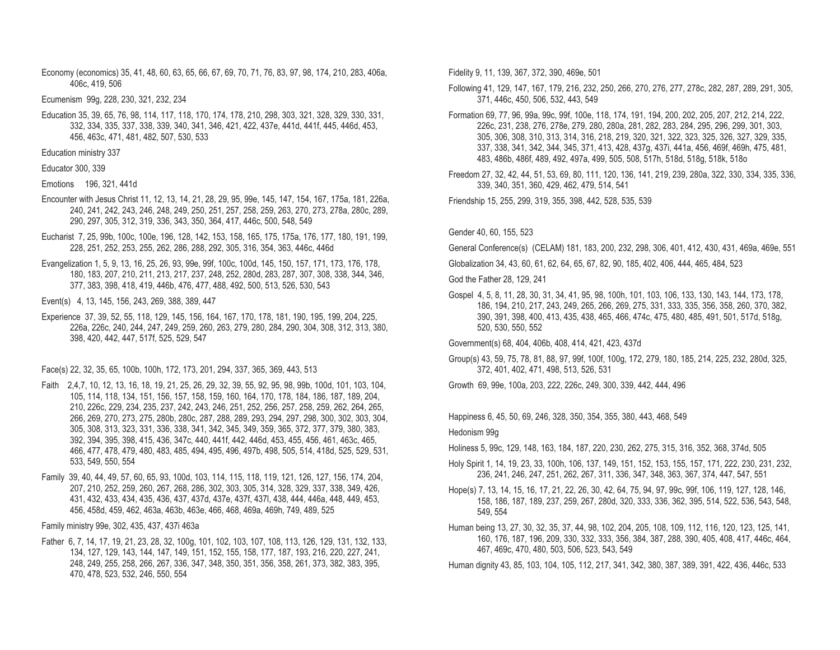Economy (economics) 35, 41, 48, 60, 63, 65, 66, 67, 69, 70, 71, 76, 83, 97, 98, 174, 210, 283, 406a, 406c, 419, 506

Ecumenism 99g, 228, 230, 321, 232, 234

Education 35, 39, 65, 76, 98, 114, 117, 118, 170, 174, 178, 210, 298, 303, 321, 328, 329, 330, 331, 332, 334, 335, 337, 338, 339, 340, 341, 346, 421, 422, 437e, 441d, 441f, 445, 446d, 453, 456, 463c, 471, 481, 482, 507, 530, 533

Education ministry 337

Educator 300, 339

- Emotions 196, 321, 441d
- Encounter with Jesus Christ 11, 12, 13, 14, 21, 28, 29, 95, 99e, 145, 147, 154, 167, 175a, 181, 226a, 240, 241, 242, 243, 246, 248, 249, 250, 251, 257, 258, 259, 263, 270, 273, 278a, 280c, 289, 290, 297, 305, 312, 319, 336, 343, 350, 364, 417, 446c, 500, 548, 549
- Eucharist 7, 25, 99b, 100c, 100e, 196, 128, 142, 153, 158, 165, 175, 175a, 176, 177, 180, 191, 199, 228, 251, 252, 253, 255, 262, 286, 288, 292, 305, 316, 354, 363, 446c, 446d
- Evangelization 1, 5, 9, 13, 16, 25, 26, 93, 99e, 99f, 100c, 100d, 145, 150, 157, 171, 173, 176, 178, 180, 183, 207, 210, 211, 213, 217, 237, 248, 252, 280d, 283, 287, 307, 308, 338, 344, 346, 377, 383, 398, 418, 419, 446b, 476, 477, 488, 492, 500, 513, 526, 530, 543
- Event(s) 4, 13, 145, 156, 243, 269, 388, 389, 447
- Experience 37, 39, 52, 55, 118, 129, 145, 156, 164, 167, 170, 178, 181, 190, 195, 199, 204, 225, 226a, 226c, 240, 244, 247, 249, 259, 260, 263, 279, 280, 284, 290, 304, 308, 312, 313, 380, 398, 420, 442, 447, 517f, 525, 529, 547

Face(s) 22, 32, 35, 65, 100b, 100h, 172, 173, 201, 294, 337, 365, 369, 443, 513

- Faith 2,4,7, 10, 12, 13, 16, 18, 19, 21, 25, 26, 29, 32, 39, 55, 92, 95, 98, 99b, 100d, 101, 103, 104, 105, 114, 118, 134, 151, 156, 157, 158, 159, 160, 164, 170, 178, 184, 186, 187, 189, 204, 210, 226c, 229, 234, 235, 237, 242, 243, 246, 251, 252, 256, 257, 258, 259, 262, 264, 265, 266, 269, 270, 273, 275, 280b, 280c, 287, 288, 289, 293, 294, 297, 298, 300, 302, 303, 304, 305, 308, 313, 323, 331, 336, 338, 341, 342, 345, 349, 359, 365, 372, 377, 379, 380, 383, 392, 394, 395, 398, 415, 436, 347c, 440, 441f, 442, 446d, 453, 455, 456, 461, 463c, 465, 466, 477, 478, 479, 480, 483, 485, 494, 495, 496, 497b, 498, 505, 514, 418d, 525, 529, 531, 533, 549, 550, 554
- Family 39, 40, 44, 49, 57, 60, 65, 93, 100d, 103, 114, 115, 118, 119, 121, 126, 127, 156, 174, 204, 207, 210, 252, 259, 260, 267, 268, 286, 302, 303, 305, 314, 328, 329, 337, 338, 349, 426, 431, 432, 433, 434, 435, 436, 437, 437d, 437e, 437f, 437l, 438, 444, 446a, 448, 449, 453, 456, 458d, 459, 462, 463a, 463b, 463e, 466, 468, 469a, 469h, 749, 489, 525

Family ministry 99e, 302, 435, 437, 437i 463a

Father 6, 7, 14, 17, 19, 21, 23, 28, 32, 100g, 101, 102, 103, 107, 108, 113, 126, 129, 131, 132, 133, 134, 127, 129, 143, 144, 147, 149, 151, 152, 155, 158, 177, 187, 193, 216, 220, 227, 241, 248, 249, 255, 258, 266, 267, 336, 347, 348, 350, 351, 356, 358, 261, 373, 382, 383, 395, 470, 478, 523, 532, 246, 550, 554

Fidelity 9, 11, 139, 367, 372, 390, 469e, 501

- Following 41, 129, 147, 167, 179, 216, 232, 250, 266, 270, 276, 277, 278c, 282, 287, 289, 291, 305, 371, 446c, 450, 506, 532, 443, 549
- Formation 69, 77, 96, 99a, 99c, 99f, 100e, 118, 174, 191, 194, 200, 202, 205, 207, 212, 214, 222, 226c, 231, 238, 276, 278e, 279, 280, 280a, 281, 282, 283, 284, 295, 296, 299, 301, 303, 305, 306, 308, 310, 313, 314, 316, 218, 219, 320, 321, 322, 323, 325, 326, 327, 329, 335, 337, 338, 341, 342, 344, 345, 371, 413, 428, 437g, 437i, 441a, 456, 469f, 469h, 475, 481, 483, 486b, 486f, 489, 492, 497a, 499, 505, 508, 517h, 518d, 518g, 518k, 518o
- Freedom 27, 32, 42, 44, 51, 53, 69, 80, 111, 120, 136, 141, 219, 239, 280a, 322, 330, 334, 335, 336, 339, 340, 351, 360, 429, 462, 479, 514, 541

Friendship 15, 255, 299, 319, 355, 398, 442, 528, 535, 539

Gender 40, 60, 155, 523

General Conference(s) (CELAM) 181, 183, 200, 232, 298, 306, 401, 412, 430, 431, 469a, 469e, 551

Globalization 34, 43, 60, 61, 62, 64, 65, 67, 82, 90, 185, 402, 406, 444, 465, 484, 523

God the Father 28, 129, 241

Gospel 4, 5, 8, 11, 28, 30, 31, 34, 41, 95, 98, 100h, 101, 103, 106, 133, 130, 143, 144, 173, 178, 186, 194, 210, 217, 243, 249, 265, 266, 269, 275, 331, 333, 335, 356, 358, 260, 370, 382, 390, 391, 398, 400, 413, 435, 438, 465, 466, 474c, 475, 480, 485, 491, 501, 517d, 518g, 520, 530, 550, 552

Government(s) 68, 404, 406b, 408, 414, 421, 423, 437d

Group(s) 43, 59, 75, 78, 81, 88, 97, 99f, 100f, 100g, 172, 279, 180, 185, 214, 225, 232, 280d, 325, 372, 401, 402, 471, 498, 513, 526, 531

Growth 69, 99e, 100a, 203, 222, 226c, 249, 300, 339, 442, 444, 496

Happiness 6, 45, 50, 69, 246, 328, 350, 354, 355, 380, 443, 468, 549

Hedonism 99g

Holiness 5, 99c, 129, 148, 163, 184, 187, 220, 230, 262, 275, 315, 316, 352, 368, 374d, 505

- Holy Spirit 1, 14, 19, 23, 33, 100h, 106, 137, 149, 151, 152, 153, 155, 157, 171, 222, 230, 231, 232, 236, 241, 246, 247, 251, 262, 267, 311, 336, 347, 348, 363, 367, 374, 447, 547, 551
- Hope(s) 7, 13, 14, 15, 16, 17, 21, 22, 26, 30, 42, 64, 75, 94, 97, 99c, 99f, 106, 119, 127, 128, 146, 158, 186, 187, 189, 237, 259, 267, 280d, 320, 333, 336, 362, 395, 514, 522, 536, 543, 548, 549, 554
- Human being 13, 27, 30, 32, 35, 37, 44, 98, 102, 204, 205, 108, 109, 112, 116, 120, 123, 125, 141, 160, 176, 187, 196, 209, 330, 332, 333, 356, 384, 387, 288, 390, 405, 408, 417, 446c, 464, 467, 469c, 470, 480, 503, 506, 523, 543, 549

Human dignity 43, 85, 103, 104, 105, 112, 217, 341, 342, 380, 387, 389, 391, 422, 436, 446c, 533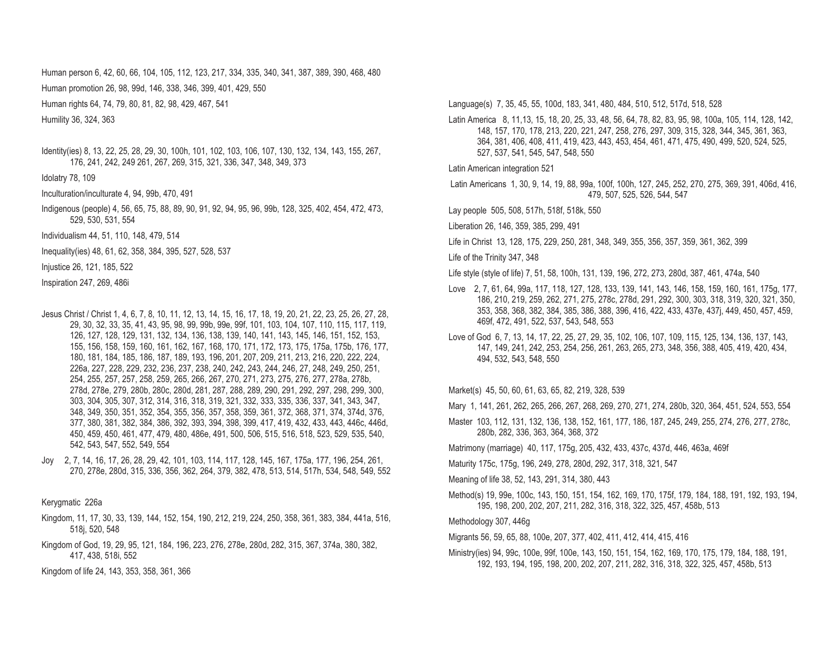Human person 6, 42, 60, 66, 104, 105, 112, 123, 217, 334, 335, 340, 341, 387, 389, 390, 468, 480

Human promotion 26, 98, 99d, 146, 338, 346, 399, 401, 429, 550

Human rights 64, 74, 79, 80, 81, 82, 98, 429, 467, 541

Humility 36, 324, 363

Identity(ies) 8, 13, 22, 25, 28, 29, 30, 100h, 101, 102, 103, 106, 107, 130, 132, 134, 143, 155, 267, 176, 241, 242, 249 261, 267, 269, 315, 321, 336, 347, 348, 349, 373

Idolatry 78, 109

Inculturation/inculturate 4, 94, 99b, 470, 491

Indigenous (people) 4, 56, 65, 75, 88, 89, 90, 91, 92, 94, 95, 96, 99b, 128, 325, 402, 454, 472, 473, 529, 530, 531, 554

Individualism 44, 51, 110, 148, 479, 514

Inequality(ies) 48, 61, 62, 358, 384, 395, 527, 528, 537

Injustice 26, 121, 185, 522

- Inspiration 247, 269, 486i
- Jesus Christ / Christ 1, 4, 6, 7, 8, 10, 11, 12, 13, 14, 15, 16, 17, 18, 19, 20, 21, 22, 23, 25, 26, 27, 28, 29, 30, 32, 33, 35, 41, 43, 95, 98, 99, 99b, 99e, 99f, 101, 103, 104, 107, 110, 115, 117, 119, 126, 127, 128, 129, 131, 132, 134, 136, 138, 139, 140, 141, 143, 145, 146, 151, 152, 153, 155, 156, 158, 159, 160, 161, 162, 167, 168, 170, 171, 172, 173, 175, 175a, 175b, 176, 177, 180, 181, 184, 185, 186, 187, 189, 193, 196, 201, 207, 209, 211, 213, 216, 220, 222, 224, 226a, 227, 228, 229, 232, 236, 237, 238, 240, 242, 243, 244, 246, 27, 248, 249, 250, 251, 254, 255, 257, 257, 258, 259, 265, 266, 267, 270, 271, 273, 275, 276, 277, 278a, 278b, 278d, 278e, 279, 280b, 280c, 280d, 281, 287, 288, 289, 290, 291, 292, 297, 298, 299, 300, 303, 304, 305, 307, 312, 314, 316, 318, 319, 321, 332, 333, 335, 336, 337, 341, 343, 347, 348, 349, 350, 351, 352, 354, 355, 356, 357, 358, 359, 361, 372, 368, 371, 374, 374d, 376, 377, 380, 381, 382, 384, 386, 392, 393, 394, 398, 399, 417, 419, 432, 433, 443, 446c, 446d, 450, 459, 450, 461, 477, 479, 480, 486e, 491, 500, 506, 515, 516, 518, 523, 529, 535, 540, 542, 543, 547, 552, 549, 554
- Joy 2, 7, 14, 16, 17, 26, 28, 29, 42, 101, 103, 114, 117, 128, 145, 167, 175a, 177, 196, 254, 261, 270, 278e, 280d, 315, 336, 356, 362, 264, 379, 382, 478, 513, 514, 517h, 534, 548, 549, 552
- Kerygmatic 226a
- Kingdom, 11, 17, 30, 33, 139, 144, 152, 154, 190, 212, 219, 224, 250, 358, 361, 383, 384, 441a, 516, 518j, 520, 548

Kingdom of God, 19, 29, 95, 121, 184, 196, 223, 276, 278e, 280d, 282, 315, 367, 374a, 380, 382, 417, 438, 518i, 552

Kingdom of life 24, 143, 353, 358, 361, 366

Language(s) 7, 35, 45, 55, 100d, 183, 341, 480, 484, 510, 512, 517d, 518, 528

Latin America 8, 11,13, 15, 18, 20, 25, 33, 48, 56, 64, 78, 82, 83, 95, 98, 100a, 105, 114, 128, 142, 148, 157, 170, 178, 213, 220, 221, 247, 258, 276, 297, 309, 315, 328, 344, 345, 361, 363, 364, 381, 406, 408, 411, 419, 423, 443, 453, 454, 461, 471, 475, 490, 499, 520, 524, 525, 527, 537, 541, 545, 547, 548, 550

Latin American integration 521

Latin Americans 1, 30, 9, 14, 19, 88, 99a, 100f, 100h, 127, 245, 252, 270, 275, 369, 391, 406d, 416, 479, 507, 525, 526, 544, 547

Lay people 505, 508, 517h, 518f, 518k, 550

Liberation 26, 146, 359, 385, 299, 491

Life in Christ 13, 128, 175, 229, 250, 281, 348, 349, 355, 356, 357, 359, 361, 362, 399

Life of the Trinity 347, 348

Life style (style of life) 7, 51, 58, 100h, 131, 139, 196, 272, 273, 280d, 387, 461, 474a, 540

- Love 2, 7, 61, 64, 99a, 117, 118, 127, 128, 133, 139, 141, 143, 146, 158, 159, 160, 161, 175g, 177, 186, 210, 219, 259, 262, 271, 275, 278c, 278d, 291, 292, 300, 303, 318, 319, 320, 321, 350, 353, 358, 368, 382, 384, 385, 386, 388, 396, 416, 422, 433, 437e, 437j, 449, 450, 457, 459, 469f, 472, 491, 522, 537, 543, 548, 553
- Love of God 6, 7, 13, 14, 17, 22, 25, 27, 29, 35, 102, 106, 107, 109, 115, 125, 134, 136, 137, 143, 147, 149, 241, 242, 253, 254, 256, 261, 263, 265, 273, 348, 356, 388, 405, 419, 420, 434, 494, 532, 543, 548, 550

Market(s) 45, 50, 60, 61, 63, 65, 82, 219, 328, 539

Mary 1, 141, 261, 262, 265, 266, 267, 268, 269, 270, 271, 274, 280b, 320, 364, 451, 524, 553, 554

Master 103, 112, 131, 132, 136, 138, 152, 161, 177, 186, 187, 245, 249, 255, 274, 276, 277, 278c, 280b, 282, 336, 363, 364, 368, 372

Matrimony (marriage) 40, 117, 175g, 205, 432, 433, 437c, 437d, 446, 463a, 469f

Maturity 175c, 175g, 196, 249, 278, 280d, 292, 317, 318, 321, 547

Meaning of life 38, 52, 143, 291, 314, 380, 443

Method(s) 19, 99e, 100c, 143, 150, 151, 154, 162, 169, 170, 175f, 179, 184, 188, 191, 192, 193, 194, 195, 198, 200, 202, 207, 211, 282, 316, 318, 322, 325, 457, 458b, 513

Methodology 307, 446g

- Migrants 56, 59, 65, 88, 100e, 207, 377, 402, 411, 412, 414, 415, 416
- Ministry(ies) 94, 99c, 100e, 99f, 100e, 143, 150, 151, 154, 162, 169, 170, 175, 179, 184, 188, 191, 192, 193, 194, 195, 198, 200, 202, 207, 211, 282, 316, 318, 322, 325, 457, 458b, 513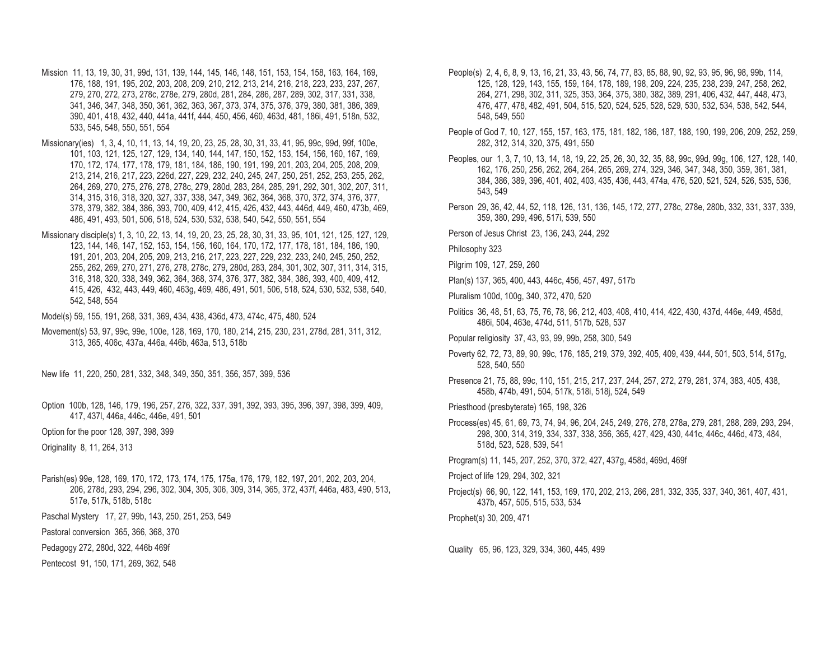- Mission 11, 13, 19, 30, 31, 99d, 131, 139, 144, 145, 146, 148, 151, 153, 154, 158, 163, 164, 169, 176, 188, 191, 195, 202, 203, 208, 209, 210, 212, 213, 214, 216, 218, 223, 233, 237, 267, 279, 270, 272, 273, 278c, 278e, 279, 280d, 281, 284, 286, 287, 289, 302, 317, 331, 338, 341, 346, 347, 348, 350, 361, 362, 363, 367, 373, 374, 375, 376, 379, 380, 381, 386, 389, 390, 401, 418, 432, 440, 441a, 441f, 444, 450, 456, 460, 463d, 481, 186i, 491, 518n, 532, 533, 545, 548, 550, 551, 554
- Missionary(ies) 1, 3, 4, 10, 11, 13, 14, 19, 20, 23, 25, 28, 30, 31, 33, 41, 95, 99c, 99d, 99f, 100e, 101, 103, 121, 125, 127, 129, 134, 140, 144, 147, 150, 152, 153, 154, 156, 160, 167, 169, 170, 172, 174, 177, 178, 179, 181, 184, 186, 190, 191, 199, 201, 203, 204, 205, 208, 209, 213, 214, 216, 217, 223, 226d, 227, 229, 232, 240, 245, 247, 250, 251, 252, 253, 255, 262, 264, 269, 270, 275, 276, 278, 278c, 279, 280d, 283, 284, 285, 291, 292, 301, 302, 207, 311, 314, 315, 316, 318, 320, 327, 337, 338, 347, 349, 362, 364, 368, 370, 372, 374, 376, 377, 378, 379, 382, 384, 386, 393, 700, 409, 412, 415, 426, 432, 443, 446d, 449, 460, 473b, 469, 486, 491, 493, 501, 506, 518, 524, 530, 532, 538, 540, 542, 550, 551, 554
- Missionary disciple(s) 1, 3, 10, 22, 13, 14, 19, 20, 23, 25, 28, 30, 31, 33, 95, 101, 121, 125, 127, 129, 123, 144, 146, 147, 152, 153, 154, 156, 160, 164, 170, 172, 177, 178, 181, 184, 186, 190, 191, 201, 203, 204, 205, 209, 213, 216, 217, 223, 227, 229, 232, 233, 240, 245, 250, 252, 255, 262, 269, 270, 271, 276, 278, 278c, 279, 280d, 283, 284, 301, 302, 307, 311, 314, 315, 316, 318, 320, 338, 349, 362, 364, 368, 374, 376, 377, 382, 384, 386, 393, 400, 409, 412, 415, 426, 432, 443, 449, 460, 463g, 469, 486, 491, 501, 506, 518, 524, 530, 532, 538, 540, 542, 548, 554

Model(s) 59, 155, 191, 268, 331, 369, 434, 438, 436d, 473, 474c, 475, 480, 524

Movement(s) 53, 97, 99c, 99e, 100e, 128, 169, 170, 180, 214, 215, 230, 231, 278d, 281, 311, 312, 313, 365, 406c, 437a, 446a, 446b, 463a, 513, 518b

New life 11, 220, 250, 281, 332, 348, 349, 350, 351, 356, 357, 399, 536

Option 100b, 128, 146, 179, 196, 257, 276, 322, 337, 391, 392, 393, 395, 396, 397, 398, 399, 409, 417, 437l, 446a, 446c, 446e, 491, 501

Option for the poor 128, 397, 398, 399

Originality 8, 11, 264, 313

Parish(es) 99e, 128, 169, 170, 172, 173, 174, 175, 175a, 176, 179, 182, 197, 201, 202, 203, 204, 206, 278d, 293, 294, 296, 302, 304, 305, 306, 309, 314, 365, 372, 437f, 446a, 483, 490, 513, 517e, 517k, 518b, 518c

Paschal Mystery 17, 27, 99b, 143, 250, 251, 253, 549

Pastoral conversion 365, 366, 368, 370

Pedagogy 272, 280d, 322, 446b 469f

Pentecost 91, 150, 171, 269, 362, 548

- People(s) 2, 4, 6, 8, 9, 13, 16, 21, 33, 43, 56, 74, 77, 83, 85, 88, 90, 92, 93, 95, 96, 98, 99b, 114, 125, 128, 129, 143, 155, 159, 164, 178, 189, 198, 209, 224, 235, 238, 239, 247, 258, 262, 264, 271, 298, 302, 311, 325, 353, 364, 375, 380, 382, 389, 291, 406, 432, 447, 448, 473, 476, 477, 478, 482, 491, 504, 515, 520, 524, 525, 528, 529, 530, 532, 534, 538, 542, 544, 548, 549, 550
- People of God 7, 10, 127, 155, 157, 163, 175, 181, 182, 186, 187, 188, 190, 199, 206, 209, 252, 259, 282, 312, 314, 320, 375, 491, 550
- Peoples, our 1, 3, 7, 10, 13, 14, 18, 19, 22, 25, 26, 30, 32, 35, 88, 99c, 99d, 99g, 106, 127, 128, 140, 162, 176, 250, 256, 262, 264, 264, 265, 269, 274, 329, 346, 347, 348, 350, 359, 361, 381, 384, 386, 389, 396, 401, 402, 403, 435, 436, 443, 474a, 476, 520, 521, 524, 526, 535, 536, 543, 549
- Person 29, 36, 42, 44, 52, 118, 126, 131, 136, 145, 172, 277, 278c, 278e, 280b, 332, 331, 337, 339, 359, 380, 299, 496, 517i, 539, 550

Person of Jesus Christ 23, 136, 243, 244, 292

Philosophy 323

- Pilgrim 109, 127, 259, 260
- Plan(s) 137, 365, 400, 443, 446c, 456, 457, 497, 517b

Pluralism 100d, 100g, 340, 372, 470, 520

- Politics 36, 48, 51, 63, 75, 76, 78, 96, 212, 403, 408, 410, 414, 422, 430, 437d, 446e, 449, 458d, 486i, 504, 463e, 474d, 511, 517b, 528, 537
- Popular religiosity 37, 43, 93, 99, 99b, 258, 300, 549
- Poverty 62, 72, 73, 89, 90, 99c, 176, 185, 219, 379, 392, 405, 409, 439, 444, 501, 503, 514, 517g, 528, 540, 550
- Presence 21, 75, 88, 99c, 110, 151, 215, 217, 237, 244, 257, 272, 279, 281, 374, 383, 405, 438, 458b, 474b, 491, 504, 517k, 518i, 518j, 524, 549

Priesthood (presbyterate) 165, 198, 326

- Process(es) 45, 61, 69, 73, 74, 94, 96, 204, 245, 249, 276, 278, 278a, 279, 281, 288, 289, 293, 294, 298, 300, 314, 319, 334, 337, 338, 356, 365, 427, 429, 430, 441c, 446c, 446d, 473, 484, 518d, 523, 528, 539, 541
- Program(s) 11, 145, 207, 252, 370, 372, 427, 437g, 458d, 469d, 469f

Project of life 129, 294, 302, 321

Project(s) 66, 90, 122, 141, 153, 169, 170, 202, 213, 266, 281, 332, 335, 337, 340, 361, 407, 431, 437b, 457, 505, 515, 533, 534

Prophet(s) 30, 209, 471

Quality 65, 96, 123, 329, 334, 360, 445, 499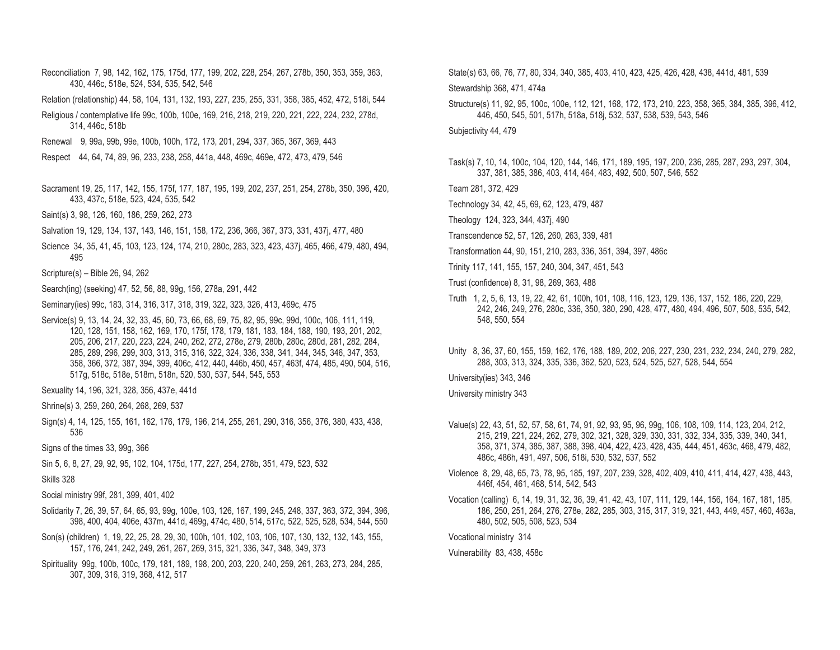- Reconciliation 7, 98, 142, 162, 175, 175d, 177, 199, 202, 228, 254, 267, 278b, 350, 353, 359, 363, 430, 446c, 518e, 524, 534, 535, 542, 546
- Relation (relationship) 44, 58, 104, 131, 132, 193, 227, 235, 255, 331, 358, 385, 452, 472, 518i, 544
- Religious / contemplative life 99c, 100b, 100e, 169, 216, 218, 219, 220, 221, 222, 224, 232, 278d, 314, 446c, 518b
- Renewal 9, 99a, 99b, 99e, 100b, 100h, 172, 173, 201, 294, 337, 365, 367, 369, 443
- Respect 44, 64, 74, 89, 96, 233, 238, 258, 441a, 448, 469c, 469e, 472, 473, 479, 546
- Sacrament 19, 25, 117, 142, 155, 175f, 177, 187, 195, 199, 202, 237, 251, 254, 278b, 350, 396, 420, 433, 437c, 518e, 523, 424, 535, 542
- Saint(s) 3, 98, 126, 160, 186, 259, 262, 273
- Salvation 19, 129, 134, 137, 143, 146, 151, 158, 172, 236, 366, 367, 373, 331, 437j, 477, 480
- Science 34, 35, 41, 45, 103, 123, 124, 174, 210, 280c, 283, 323, 423, 437j, 465, 466, 479, 480, 494, 495
- Scripture(s) Bible 26, 94, 262
- Search(ing) (seeking) 47, 52, 56, 88, 99g, 156, 278a, 291, 442
- Seminary(ies) 99c, 183, 314, 316, 317, 318, 319, 322, 323, 326, 413, 469c, 475
- Service(s) 9, 13, 14, 24, 32, 33, 45, 60, 73, 66, 68, 69, 75, 82, 95, 99c, 99d, 100c, 106, 111, 119, 120, 128, 151, 158, 162, 169, 170, 175f, 178, 179, 181, 183, 184, 188, 190, 193, 201, 202, 205, 206, 217, 220, 223, 224, 240, 262, 272, 278e, 279, 280b, 280c, 280d, 281, 282, 284, 285, 289, 296, 299, 303, 313, 315, 316, 322, 324, 336, 338, 341, 344, 345, 346, 347, 353, 358, 366, 372, 387, 394, 399, 406c, 412, 440, 446b, 450, 457, 463f, 474, 485, 490, 504, 516, 517g, 518c, 518e, 518m, 518n, 520, 530, 537, 544, 545, 553
- Sexuality 14, 196, 321, 328, 356, 437e, 441d
- Shrine(s) 3, 259, 260, 264, 268, 269, 537
- Sign(s) 4, 14, 125, 155, 161, 162, 176, 179, 196, 214, 255, 261, 290, 316, 356, 376, 380, 433, 438, 536
- Signs of the times 33, 99g, 366
- Sin 5, 6, 8, 27, 29, 92, 95, 102, 104, 175d, 177, 227, 254, 278b, 351, 479, 523, 532
- Skills 328
- Social ministry 99f, 281, 399, 401, 402
- Solidarity 7, 26, 39, 57, 64, 65, 93, 99g, 100e, 103, 126, 167, 199, 245, 248, 337, 363, 372, 394, 396, 398, 400, 404, 406e, 437m, 441d, 469g, 474c, 480, 514, 517c, 522, 525, 528, 534, 544, 550
- Son(s) (children) 1, 19, 22, 25, 28, 29, 30, 100h, 101, 102, 103, 106, 107, 130, 132, 132, 143, 155, 157, 176, 241, 242, 249, 261, 267, 269, 315, 321, 336, 347, 348, 349, 373
- Spirituality 99g, 100b, 100c, 179, 181, 189, 198, 200, 203, 220, 240, 259, 261, 263, 273, 284, 285, 307, 309, 316, 319, 368, 412, 517

State(s) 63, 66, 76, 77, 80, 334, 340, 385, 403, 410, 423, 425, 426, 428, 438, 441d, 481, 539

Stewardship 368, 471, 474a

Structure(s) 11, 92, 95, 100c, 100e, 112, 121, 168, 172, 173, 210, 223, 358, 365, 384, 385, 396, 412, 446, 450, 545, 501, 517h, 518a, 518j, 532, 537, 538, 539, 543, 546

Subjectivity 44, 479

Task(s) 7, 10, 14, 100c, 104, 120, 144, 146, 171, 189, 195, 197, 200, 236, 285, 287, 293, 297, 304, 337, 381, 385, 386, 403, 414, 464, 483, 492, 500, 507, 546, 552

Team 281, 372, 429

Technology 34, 42, 45, 69, 62, 123, 479, 487

Theology 124, 323, 344, 437j, 490

- Transcendence 52, 57, 126, 260, 263, 339, 481
- Transformation 44, 90, 151, 210, 283, 336, 351, 394, 397, 486c
- Trinity 117, 141, 155, 157, 240, 304, 347, 451, 543

Trust (confidence) 8, 31, 98, 269, 363, 488

- Truth 1, 2, 5, 6, 13, 19, 22, 42, 61, 100h, 101, 108, 116, 123, 129, 136, 137, 152, 186, 220, 229, 242, 246, 249, 276, 280c, 336, 350, 380, 290, 428, 477, 480, 494, 496, 507, 508, 535, 542, 548, 550, 554
- Unity 8, 36, 37, 60, 155, 159, 162, 176, 188, 189, 202, 206, 227, 230, 231, 232, 234, 240, 279, 282, 288, 303, 313, 324, 335, 336, 362, 520, 523, 524, 525, 527, 528, 544, 554

University(ies) 343, 346

University ministry 343

- Value(s) 22, 43, 51, 52, 57, 58, 61, 74, 91, 92, 93, 95, 96, 99g, 106, 108, 109, 114, 123, 204, 212, 215, 219, 221, 224, 262, 279, 302, 321, 328, 329, 330, 331, 332, 334, 335, 339, 340, 341, 358, 371, 374, 385, 387, 388, 398, 404, 422, 423, 428, 435, 444, 451, 463c, 468, 479, 482, 486c, 486h, 491, 497, 506, 518i, 530, 532, 537, 552
- Violence 8, 29, 48, 65, 73, 78, 95, 185, 197, 207, 239, 328, 402, 409, 410, 411, 414, 427, 438, 443, 446f, 454, 461, 468, 514, 542, 543
- Vocation (calling) 6, 14, 19, 31, 32, 36, 39, 41, 42, 43, 107, 111, 129, 144, 156, 164, 167, 181, 185, 186, 250, 251, 264, 276, 278e, 282, 285, 303, 315, 317, 319, 321, 443, 449, 457, 460, 463a, 480, 502, 505, 508, 523, 534

Vocational ministry 314

#### Vulnerability 83, 438, 458c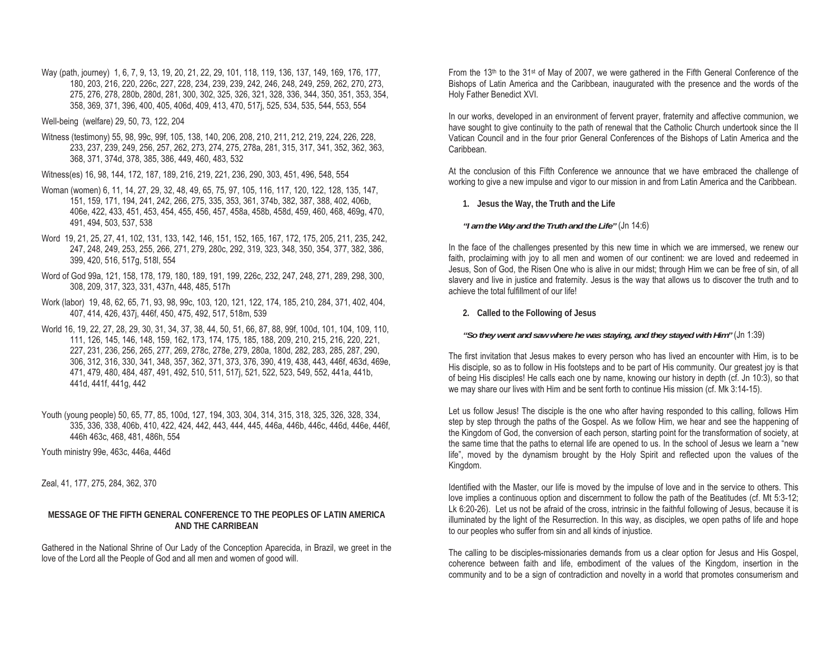Way (path, journey) 1, 6, 7, 9, 13, 19, 20, 21, 22, 29, 101, 118, 119, 136, 137, 149, 169, 176, 177, 180, 203, 216, 220, 226c, 227, 228, 234, 239, 239, 242, 246, 248, 249, 259, 262, 270, 273, 275, 276, 278, 280b, 280d, 281, 300, 302, 325, 326, 321, 328, 336, 344, 350, 351, 353, 354, 358, 369, 371, 396, 400, 405, 406d, 409, 413, 470, 517j, 525, 534, 535, 544, 553, 554

Well-being (welfare) 29, 50, 73, 122, 204

Witness (testimony) 55, 98, 99c, 99f, 105, 138, 140, 206, 208, 210, 211, 212, 219, 224, 226, 228, 233, 237, 239, 249, 256, 257, 262, 273, 274, 275, 278a, 281, 315, 317, 341, 352, 362, 363, 368, 371, 374d, 378, 385, 386, 449, 460, 483, 532

Witness(es) 16, 98, 144, 172, 187, 189, 216, 219, 221, 236, 290, 303, 451, 496, 548, 554

- Woman (women) 6, 11, 14, 27, 29, 32, 48, 49, 65, 75, 97, 105, 116, 117, 120, 122, 128, 135, 147, 151, 159, 171, 194, 241, 242, 266, 275, 335, 353, 361, 374b, 382, 387, 388, 402, 406b, 406e, 422, 433, 451, 453, 454, 455, 456, 457, 458a, 458b, 458d, 459, 460, 468, 469g, 470, 491, 494, 503, 537, 538
- Word 19, 21, 25, 27, 41, 102, 131, 133, 142, 146, 151, 152, 165, 167, 172, 175, 205, 211, 235, 242, 247, 248, 249, 253, 255, 266, 271, 279, 280c, 292, 319, 323, 348, 350, 354, 377, 382, 386, 399, 420, 516, 517g, 518l, 554
- Word of God 99a, 121, 158, 178, 179, 180, 189, 191, 199, 226c, 232, 247, 248, 271, 289, 298, 300, 308, 209, 317, 323, 331, 437n, 448, 485, 517h
- Work (labor) 19, 48, 62, 65, 71, 93, 98, 99c, 103, 120, 121, 122, 174, 185, 210, 284, 371, 402, 404, 407, 414, 426, 437j, 446f, 450, 475, 492, 517, 518m, 539
- World 16, 19, 22, 27, 28, 29, 30, 31, 34, 37, 38, 44, 50, 51, 66, 87, 88, 99f, 100d, 101, 104, 109, 110, 111, 126, 145, 146, 148, 159, 162, 173, 174, 175, 185, 188, 209, 210, 215, 216, 220, 221, 227, 231, 236, 256, 265, 277, 269, 278c, 278e, 279, 280a, 180d, 282, 283, 285, 287, 290, 306, 312, 316, 330, 341, 348, 357, 362, 371, 373, 376, 390, 419, 438, 443, 446f, 463d, 469e, 471, 479, 480, 484, 487, 491, 492, 510, 511, 517j, 521, 522, 523, 549, 552, 441a, 441b, 441d, 441f, 441g, 442
- Youth (young people) 50, 65, 77, 85, 100d, 127, 194, 303, 304, 314, 315, 318, 325, 326, 328, 334, 335, 336, 338, 406b, 410, 422, 424, 442, 443, 444, 445, 446a, 446b, 446c, 446d, 446e, 446f, 446h 463c, 468, 481, 486h, 554

Youth ministry 99e, 463c, 446a, 446d

Zeal, 41, 177, 275, 284, 362, 370

# **MESSAGE OF THE FIFTH GENERAL CONFERENCE TO THE PEOPLES OF LATIN AMERICA AND THE CARRIBEAN**

Gathered in the National Shrine of Our Lady of the Conception Aparecida, in Brazil, we greet in the love of the Lord all the People of God and all men and women of good will.

From the 13th to the 31st of May of 2007, we were gathered in the Fifth General Conference of the Bishops of Latin America and the Caribbean, inaugurated with the presence and the words of the Holy Father Benedict XVI.

In our works, developed in an environment of fervent prayer, fraternity and affective communion, we have sought to give continuity to the path of renewal that the Catholic Church undertook since the II Vatican Council and in the four prior General Conferences of the Bishops of Latin America and the Caribbean.

At the conclusion of this Fifth Conference we announce that we have embraced the challenge of working to give a new impulse and vigor to our mission in and from Latin America and the Caribbean.

**1. Jesus the Way, the Truth and the Life**

*"I am the Way and the Truth and the Life"* (Jn 14:6)

In the face of the challenges presented by this new time in which we are immersed, we renew our faith, proclaiming with joy to all men and women of our continent: we are loved and redeemed in Jesus, Son of God, the Risen One who is alive in our midst; through Him we can be free of sin, of all slavery and live in justice and fraternity. Jesus is the way that allows us to discover the truth and to achieve the total fulfillment of our life!

**2. Called to the Following of Jesus**

*"So they went and saw where he was staying, and they stayed with Him"* (Jn 1:39)

The first invitation that Jesus makes to every person who has lived an encounter with Him, is to be His disciple, so as to follow in His footsteps and to be part of His community. Our greatest joy is that of being His disciples! He calls each one by name, knowing our history in depth (cf. Jn 10:3), so that we may share our lives with Him and be sent forth to continue His mission (cf. Mk 3:14-15).

Let us follow Jesus! The disciple is the one who after having responded to this calling, follows Him step by step through the paths of the Gospel. As we follow Him, we hear and see the happening of the Kingdom of God, the conversion of each person, starting point for the transformation of society, at the same time that the paths to eternal life are opened to us. In the school of Jesus we learn a "new life", moved by the dynamism brought by the Holy Spirit and reflected upon the values of the Kingdom.

Identified with the Master, our life is moved by the impulse of love and in the service to others. This love implies a continuous option and discernment to follow the path of the Beatitudes (cf. Mt 5:3-12; Lk 6:20-26). Let us not be afraid of the cross, intrinsic in the faithful following of Jesus, because it is illuminated by the light of the Resurrection. In this way, as disciples, we open paths of life and hope to our peoples who suffer from sin and all kinds of injustice.

The calling to be disciples-missionaries demands from us a clear option for Jesus and His Gospel, coherence between faith and life, embodiment of the values of the Kingdom, insertion in the community and to be a sign of contradiction and novelty in a world that promotes consumerism and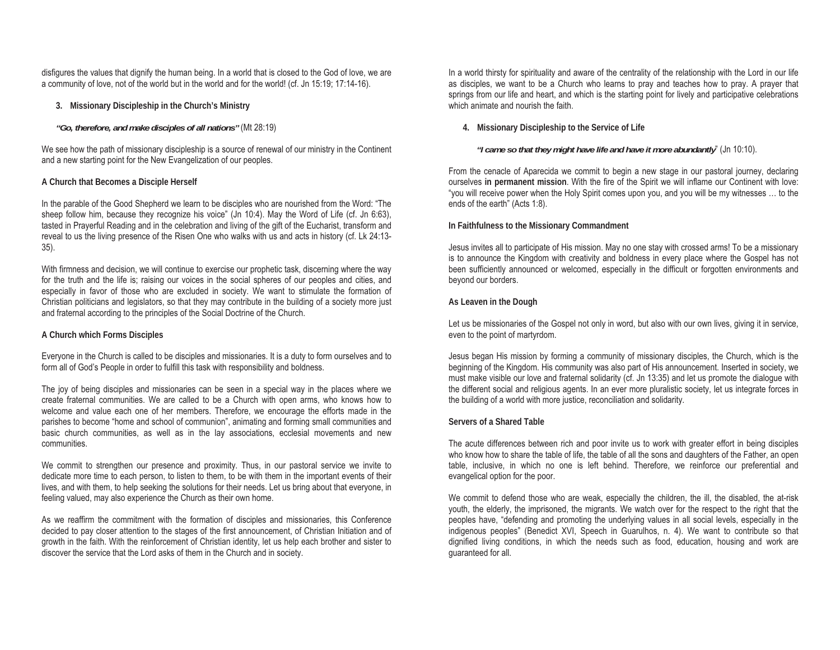disfigures the values that dignify the human being. In a world that is closed to the God of love, we are a community of love, not of the world but in the world and for the world! (cf. Jn 15:19; 17:14-16).

**3. Missionary Discipleship in the Church's Ministry**

*"Go, therefore, and make disciples of all nations"* (Mt 28:19)

We see how the path of missionary discipleship is a source of renewal of our ministry in the Continent and a new starting point for the New Evangelization of our peoples.

## **A Church that Becomes a Disciple Herself**

In the parable of the Good Shepherd we learn to be disciples who are nourished from the Word: "The sheep follow him, because they recognize his voice" (Jn 10:4). May the Word of Life (cf. Jn 6:63), tasted in Prayerful Reading and in the celebration and living of the gift of the Eucharist, transform and reveal to us the living presence of the Risen One who walks with us and acts in history (cf. Lk 24:13- 35).

With firmness and decision, we will continue to exercise our prophetic task, discerning where the way for the truth and the life is; raising our voices in the social spheres of our peoples and cities, and especially in favor of those who are excluded in society. We want to stimulate the formation of Christian politicians and legislators, so that they may contribute in the building of a society more just and fraternal according to the principles of the Social Doctrine of the Church.

## **A Church which Forms Disciples**

Everyone in the Church is called to be disciples and missionaries. It is a duty to form ourselves and to form all of God's People in order to fulfill this task with responsibility and boldness.

The joy of being disciples and missionaries can be seen in a special way in the places where we create fraternal communities. We are called to be a Church with open arms, who knows how to welcome and value each one of her members. Therefore, we encourage the efforts made in the parishes to become "home and school of communion", animating and forming small communities and basic church communities, as well as in the lay associations, ecclesial movements and new communities.

We commit to strengthen our presence and proximity. Thus, in our pastoral service we invite to dedicate more time to each person, to listen to them, to be with them in the important events of their lives, and with them, to help seeking the solutions for their needs. Let us bring about that everyone, in feeling valued, may also experience the Church as their own home.

As we reaffirm the commitment with the formation of disciples and missionaries, this Conference decided to pay closer attention to the stages of the first announcement, of Christian Initiation and of growth in the faith. With the reinforcement of Christian identity, let us help each brother and sister to discover the service that the Lord asks of them in the Church and in society.

In a world thirsty for spirituality and aware of the centrality of the relationship with the Lord in our life as disciples, we want to be a Church who learns to pray and teaches how to pray. A prayer that springs from our life and heart, and which is the starting point for lively and participative celebrations which animate and nourish the faith.

**4. Missionary Discipleship to the Service of Life** 

*"I came so that they might have life and have it more abundantly*" (Jn 10:10).

From the cenacle of Aparecida we commit to begin a new stage in our pastoral journey, declaring ourselves **in permanent mission**. With the fire of the Spirit we will inflame our Continent with love: "you will receive power when the Holy Spirit comes upon you, and you will be my witnesses … to the ends of the earth" (Acts 1:8).

## **In Faithfulness to the Missionary Commandment**

Jesus invites all to participate of His mission. May no one stay with crossed arms! To be a missionary is to announce the Kingdom with creativity and boldness in every place where the Gospel has not been sufficiently announced or welcomed, especially in the difficult or forgotten environments and beyond our borders.

### **As Leaven in the Dough**

Let us be missionaries of the Gospel not only in word, but also with our own lives, giving it in service, even to the point of martyrdom.

Jesus began His mission by forming a community of missionary disciples, the Church, which is the beginning of the Kingdom. His community was also part of His announcement. Inserted in society, we must make visible our love and fraternal solidarity (cf. Jn 13:35) and let us promote the dialogue with the different social and religious agents. In an ever more pluralistic society, let us integrate forces in the building of a world with more justice, reconciliation and solidarity.

## **Servers of a Shared Table**

The acute differences between rich and poor invite us to work with greater effort in being disciples who know how to share the table of life, the table of all the sons and daughters of the Father, an open table, inclusive, in which no one is left behind. Therefore, we reinforce our preferential and evangelical option for the poor.

We commit to defend those who are weak, especially the children, the ill, the disabled, the at-risk youth, the elderly, the imprisoned, the migrants. We watch over for the respect to the right that the peoples have, "defending and promoting the underlying values in all social levels, especially in the indigenous peoples" (Benedict XVI, Speech in Guarulhos, n. 4). We want to contribute so that dignified living conditions, in which the needs such as food, education, housing and work are guaranteed for all.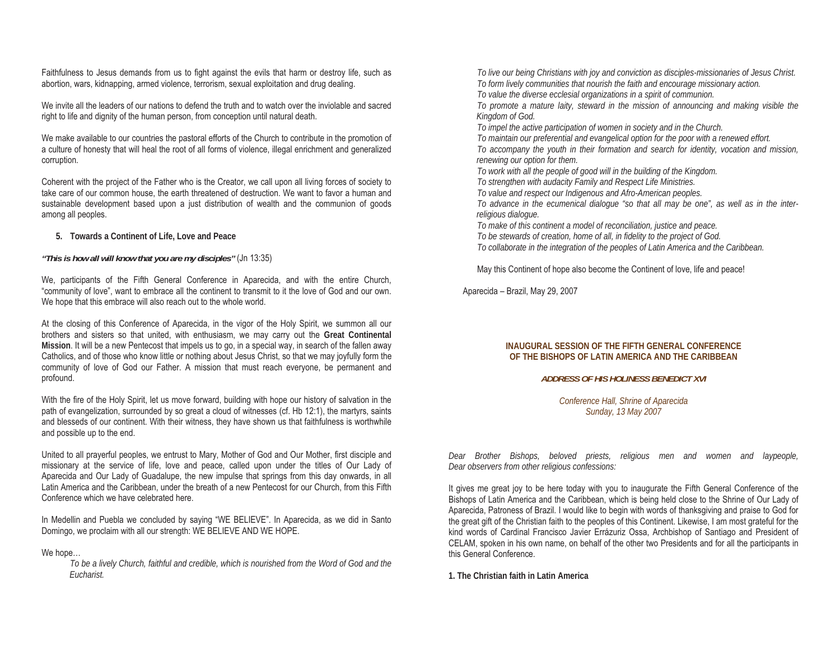Faithfulness to Jesus demands from us to fight against the evils that harm or destroy life, such as abortion, wars, kidnapping, armed violence, terrorism, sexual exploitation and drug dealing.

We invite all the leaders of our nations to defend the truth and to watch over the inviolable and sacred right to life and dignity of the human person, from conception until natural death.

We make available to our countries the pastoral efforts of the Church to contribute in the promotion of a culture of honesty that will heal the root of all forms of violence, illegal enrichment and generalized corruption.

Coherent with the project of the Father who is the Creator, we call upon all living forces of society to take care of our common house, the earth threatened of destruction. We want to favor a human and sustainable development based upon a just distribution of wealth and the communion of goods among all peoples.

**5. Towards a Continent of Life, Love and Peace** 

*"This is how all will know that you are my disciples"* (Jn 13:35)

We, participants of the Fifth General Conference in Aparecida, and with the entire Church, "community of love", want to embrace all the continent to transmit to it the love of God and our own. We hope that this embrace will also reach out to the whole world.

At the closing of this Conference of Aparecida, in the vigor of the Holy Spirit, we summon all our brothers and sisters so that united, with enthusiasm, we may carry out the **Great Continental Mission**. It will be a new Pentecost that impels us to go, in a special way, in search of the fallen away Catholics, and of those who know little or nothing about Jesus Christ, so that we may joyfully form the community of love of God our Father. A mission that must reach everyone, be permanent and profound.

With the fire of the Holy Spirit, let us move forward, building with hope our history of salvation in the path of evangelization, surrounded by so great a cloud of witnesses (cf. Hb 12:1), the martyrs, saints and blesseds of our continent. With their witness, they have shown us that faithfulness is worthwhile and possible up to the end.

United to all prayerful peoples, we entrust to Mary, Mother of God and Our Mother, first disciple and missionary at the service of life, love and peace, called upon under the titles of Our Lady of Aparecida and Our Lady of Guadalupe, the new impulse that springs from this day onwards, in all Latin America and the Caribbean, under the breath of a new Pentecost for our Church, from this Fifth Conference which we have celebrated here.

In Medellin and Puebla we concluded by saying "WE BELIEVE". In Aparecida, as we did in Santo Domingo, we proclaim with all our strength: WE BELIEVE AND WE HOPE.

#### We hope…

*To be a lively Church, faithful and credible, which is nourished from the Word of God and the Eucharist.*

*To live our being Christians with joy and conviction as disciples-missionaries of Jesus Christ. To form lively communities that nourish the faith and encourage missionary action. To value the diverse ecclesial organizations in a spirit of communion. To promote a mature laity, steward in the mission of announcing and making visible the Kingdom of God. To impel the active participation of women in society and in the Church. To maintain our preferential and evangelical option for the poor with a renewed effort. To accompany the youth in their formation and search for identity, vocation and mission, renewing our option for them. To work with all the people of good will in the building of the Kingdom. To strengthen with audacity Family and Respect Life Ministries. To value and respect our Indigenous and Afro-American peoples. To advance in the ecumenical dialogue "so that all may be one", as well as in the interreligious dialogue. To make of this continent a model of reconciliation, justice and peace. To be stewards of creation, home of all, in fidelity to the project of God. To collaborate in the integration of the peoples of Latin America and the Caribbean.* 

May this Continent of hope also become the Continent of love, life and peace!

Aparecida – Brazil, May 29, 2007

## **INAUGURAL SESSION OF THE FIFTH GENERAL CONFERENCE OF THE BISHOPS OF LATIN AMERICA AND THE CARIBBEAN**

# *ADDRESS OF HIS HOLINESS BENEDICT XVI*

*Conference Hall, Shrine of Aparecida Sunday, 13 May 2007*

*Dear Brother Bishops, beloved priests, religious men and women and laypeople, Dear observers from other religious confessions:*

It gives me great joy to be here today with you to inaugurate the Fifth General Conference of the Bishops of Latin America and the Caribbean, which is being held close to the Shrine of Our Lady of Aparecida, Patroness of Brazil. I would like to begin with words of thanksgiving and praise to God for the great gift of the Christian faith to the peoples of this Continent. Likewise, I am most grateful for the kind words of Cardinal Francisco Javier Errázuriz Ossa, Archbishop of Santiago and President of CELAM, spoken in his own name, on behalf of the other two Presidents and for all the participants in this General Conference.

**1. The Christian faith in Latin America**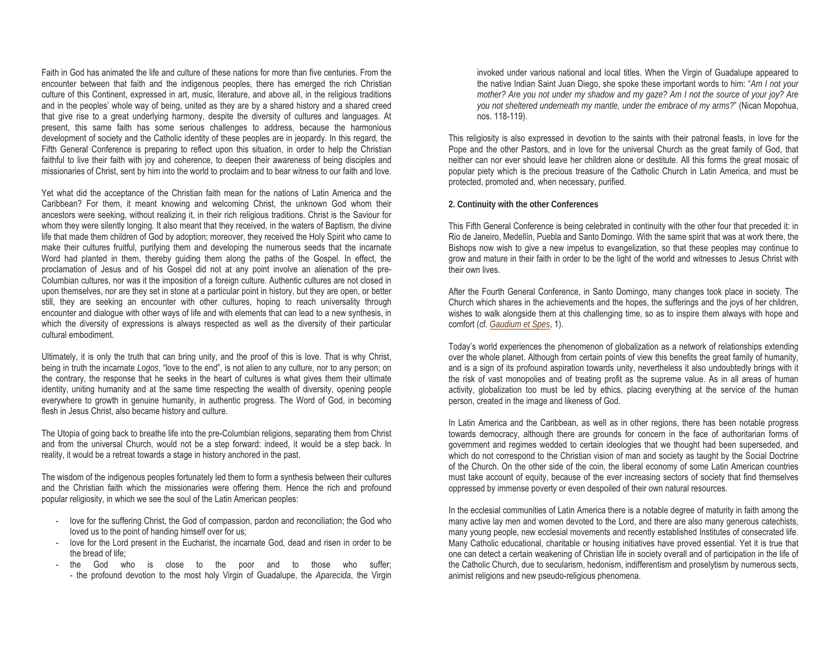Faith in God has animated the life and culture of these nations for more than five centuries. From the encounter between that faith and the indigenous peoples, there has emerged the rich Christian culture of this Continent, expressed in art, music, literature, and above all, in the religious traditions and in the peoples' whole way of being, united as they are by a shared history and a shared creed that give rise to a great underlying harmony, despite the diversity of cultures and languages. At present, this same faith has some serious challenges to address, because the harmonious development of society and the Catholic identity of these peoples are in jeopardy. In this regard, the Fifth General Conference is preparing to reflect upon this situation, in order to help the Christian faithful to live their faith with joy and coherence, to deepen their awareness of being disciples and missionaries of Christ, sent by him into the world to proclaim and to bear witness to our faith and love.

Yet what did the acceptance of the Christian faith mean for the nations of Latin America and the Caribbean? For them, it meant knowing and welcoming Christ, the unknown God whom their ancestors were seeking, without realizing it, in their rich religious traditions. Christ is the Saviour for whom they were silently longing. It also meant that they received, in the waters of Baptism, the divine life that made them children of God by adoption; moreover, they received the Holy Spirit who came to make their cultures fruitful, purifying them and developing the numerous seeds that the incarnate Word had planted in them, thereby guiding them along the paths of the Gospel. In effect, the proclamation of Jesus and of his Gospel did not at any point involve an alienation of the pre-Columbian cultures, nor was it the imposition of a foreign culture. Authentic cultures are not closed in upon themselves, nor are they set in stone at a particular point in history, but they are open, or better still, they are seeking an encounter with other cultures, hoping to reach universality through encounter and dialogue with other ways of life and with elements that can lead to a new synthesis, in which the diversity of expressions is always respected as well as the diversity of their particular cultural embodiment.

Ultimately, it is only the truth that can bring unity, and the proof of this is love. That is why Christ, being in truth the incarnate *Logos*, "love to the end", is not alien to any culture, nor to any person; on the contrary, the response that he seeks in the heart of cultures is what gives them their ultimate identity, uniting humanity and at the same time respecting the wealth of diversity, opening people everywhere to growth in genuine humanity, in authentic progress. The Word of God, in becoming flesh in Jesus Christ, also became history and culture.

The Utopia of going back to breathe life into the pre-Columbian religions, separating them from Christ and from the universal Church, would not be a step forward: indeed, it would be a step back. In reality, it would be a retreat towards a stage in history anchored in the past.

The wisdom of the indigenous peoples fortunately led them to form a synthesis between their cultures and the Christian faith which the missionaries were offering them. Hence the rich and profound popular religiosity, in which we see the soul of the Latin American peoples:

- love for the suffering Christ, the God of compassion, pardon and reconciliation; the God who loved us to the point of handing himself over for us;
- love for the Lord present in the Eucharist, the incarnate God, dead and risen in order to be the bread of life;
- the God who is close to the poor and to those who suffer; - the profound devotion to the most holy Virgin of Guadalupe, the *Aparecida*, the Virgin

invoked under various national and local titles. When the Virgin of Guadalupe appeared to the native Indian Saint Juan Diego, she spoke these important words to him: "*Am I not your mother? Are you not under my shadow and my gaze? Am I not the source of your joy? Are you not sheltered underneath my mantle, under the embrace of my arms?*" (Nican Mopohua, nos. 118-119).

This religiosity is also expressed in devotion to the saints with their patronal feasts, in love for the Pope and the other Pastors, and in love for the universal Church as the great family of God, that neither can nor ever should leave her children alone or destitute. All this forms the great mosaic of popular piety which is the precious treasure of the Catholic Church in Latin America, and must be protected, promoted and, when necessary, purified.

## **2. Continuity with the other Conferences**

This Fifth General Conference is being celebrated in continuity with the other four that preceded it: in Rio de Janeiro, Medellín, Puebla and Santo Domingo. With the same spirit that was at work there, the Bishops now wish to give a new impetus to evangelization, so that these peoples may continue to grow and mature in their faith in order to be the light of the world and witnesses to Jesus Christ with their own lives.

After the Fourth General Conference, in Santo Domingo, many changes took place in society. The Church which shares in the achievements and the hopes, the sufferings and the joys of her children, wishes to walk alongside them at this challenging time, so as to inspire them always with hope and comfort (cf. *Gaudium et Spes*, 1).

Today's world experiences the phenomenon of globalization as a network of relationships extending over the whole planet. Although from certain points of view this benefits the great family of humanity, and is a sign of its profound aspiration towards unity, nevertheless it also undoubtedly brings with it the risk of vast monopolies and of treating profit as the supreme value. As in all areas of human activity, globalization too must be led by ethics, placing everything at the service of the human person, created in the image and likeness of God.

In Latin America and the Caribbean, as well as in other regions, there has been notable progress towards democracy, although there are grounds for concern in the face of authoritarian forms of government and regimes wedded to certain ideologies that we thought had been superseded, and which do not correspond to the Christian vision of man and society as taught by the Social Doctrine of the Church. On the other side of the coin, the liberal economy of some Latin American countries must take account of equity, because of the ever increasing sectors of society that find themselves oppressed by immense poverty or even despoiled of their own natural resources.

In the ecclesial communities of Latin America there is a notable degree of maturity in faith among the many active lay men and women devoted to the Lord, and there are also many generous catechists, many young people, new ecclesial movements and recently established Institutes of consecrated life. Many Catholic educational, charitable or housing initiatives have proved essential. Yet it is true that one can detect a certain weakening of Christian life in society overall and of participation in the life of the Catholic Church, due to secularism, hedonism, indifferentism and proselytism by numerous sects, animist religions and new pseudo-religious phenomena.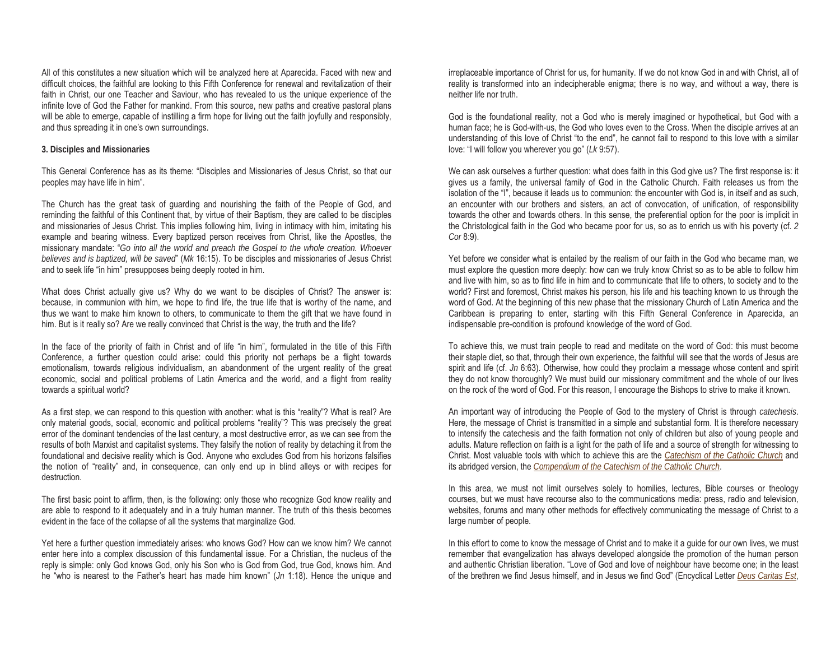All of this constitutes a new situation which will be analyzed here at Aparecida. Faced with new and difficult choices, the faithful are looking to this Fifth Conference for renewal and revitalization of their faith in Christ, our one Teacher and Saviour, who has revealed to us the unique experience of the infinite love of God the Father for mankind. From this source, new paths and creative pastoral plans will be able to emerge, capable of instilling a firm hope for living out the faith joyfully and responsibly, and thus spreading it in one's own surroundings.

## **3. Disciples and Missionaries**

This General Conference has as its theme: "Disciples and Missionaries of Jesus Christ, so that our peoples may have life in him".

The Church has the great task of guarding and nourishing the faith of the People of God, and reminding the faithful of this Continent that, by virtue of their Baptism, they are called to be disciples and missionaries of Jesus Christ. This implies following him, living in intimacy with him, imitating his example and bearing witness. Every baptized person receives from Christ, like the Apostles, the missionary mandate: "*Go into all the world and preach the Gospel to the whole creation. Whoever believes and is baptized, will be saved*" (*Mk* 16:15). To be disciples and missionaries of Jesus Christ and to seek life "in him" presupposes being deeply rooted in him.

What does Christ actually give us? Why do we want to be disciples of Christ? The answer is: because, in communion with him, we hope to find life, the true life that is worthy of the name, and thus we want to make him known to others, to communicate to them the gift that we have found in him. But is it really so? Are we really convinced that Christ is the way, the truth and the life?

In the face of the priority of faith in Christ and of life "in him", formulated in the title of this Fifth Conference, a further question could arise: could this priority not perhaps be a flight towards emotionalism, towards religious individualism, an abandonment of the urgent reality of the great economic, social and political problems of Latin America and the world, and a flight from reality towards a spiritual world?

As a first step, we can respond to this question with another: what is this "reality"? What is real? Are only material goods, social, economic and political problems "reality"? This was precisely the great error of the dominant tendencies of the last century, a most destructive error, as we can see from the results of both Marxist and capitalist systems. They falsify the notion of reality by detaching it from the foundational and decisive reality which is God. Anyone who excludes God from his horizons falsifies the notion of "reality" and, in consequence, can only end up in blind alleys or with recipes for destruction.

The first basic point to affirm, then, is the following: only those who recognize God know reality and are able to respond to it adequately and in a truly human manner. The truth of this thesis becomes evident in the face of the collapse of all the systems that marginalize God.

Yet here a further question immediately arises: who knows God? How can we know him? We cannot enter here into a complex discussion of this fundamental issue. For a Christian, the nucleus of the reply is simple: only God knows God, only his Son who is God from God, true God, knows him. And he "who is nearest to the Father's heart has made him known" (*Jn* 1:18). Hence the unique and

irreplaceable importance of Christ for us, for humanity. If we do not know God in and with Christ, all of reality is transformed into an indecipherable enigma; there is no way, and without a way, there is neither life nor truth.

God is the foundational reality, not a God who is merely imagined or hypothetical, but God with a human face; he is God-with-us, the God who loves even to the Cross. When the disciple arrives at an understanding of this love of Christ "to the end", he cannot fail to respond to this love with a similar love: "I will follow you wherever you go" (*Lk* 9:57).

We can ask ourselves a further question: what does faith in this God give us? The first response is: it gives us a family, the universal family of God in the Catholic Church. Faith releases us from the isolation of the "I", because it leads us to communion: the encounter with God is, in itself and as such, an encounter with our brothers and sisters, an act of convocation, of unification, of responsibility towards the other and towards others. In this sense, the preferential option for the poor is implicit in the Christological faith in the God who became poor for us, so as to enrich us with his poverty (cf. *2 Cor* 8:9).

Yet before we consider what is entailed by the realism of our faith in the God who became man, we must explore the question more deeply: how can we truly know Christ so as to be able to follow him and live with him, so as to find life in him and to communicate that life to others, to society and to the world? First and foremost, Christ makes his person, his life and his teaching known to us through the word of God. At the beginning of this new phase that the missionary Church of Latin America and the Caribbean is preparing to enter, starting with this Fifth General Conference in Aparecida, an indispensable pre-condition is profound knowledge of the word of God.

To achieve this, we must train people to read and meditate on the word of God: this must become their staple diet, so that, through their own experience, the faithful will see that the words of Jesus are spirit and life (cf. *Jn* 6:63). Otherwise, how could they proclaim a message whose content and spirit they do not know thoroughly? We must build our missionary commitment and the whole of our lives on the rock of the word of God. For this reason, I encourage the Bishops to strive to make it known.

An important way of introducing the People of God to the mystery of Christ is through *catechesis*. Here, the message of Christ is transmitted in a simple and substantial form. It is therefore necessary to intensify the catechesis and the faith formation not only of children but also of young people and adults. Mature reflection on faith is a light for the path of life and a source of strength for witnessing to Christ. Most valuable tools with which to achieve this are the *Catechism of the Catholic Church* and its abridged version, the *Compendium of the Catechism of the Catholic Church*.

In this area, we must not limit ourselves solely to homilies, lectures, Bible courses or theology courses, but we must have recourse also to the communications media: press, radio and television, websites, forums and many other methods for effectively communicating the message of Christ to a large number of people.

In this effort to come to know the message of Christ and to make it a guide for our own lives, we must remember that evangelization has always developed alongside the promotion of the human person and authentic Christian liberation. "Love of God and love of neighbour have become one; in the least of the brethren we find Jesus himself, and in Jesus we find God" (Encyclical Letter *Deus Caritas Est*,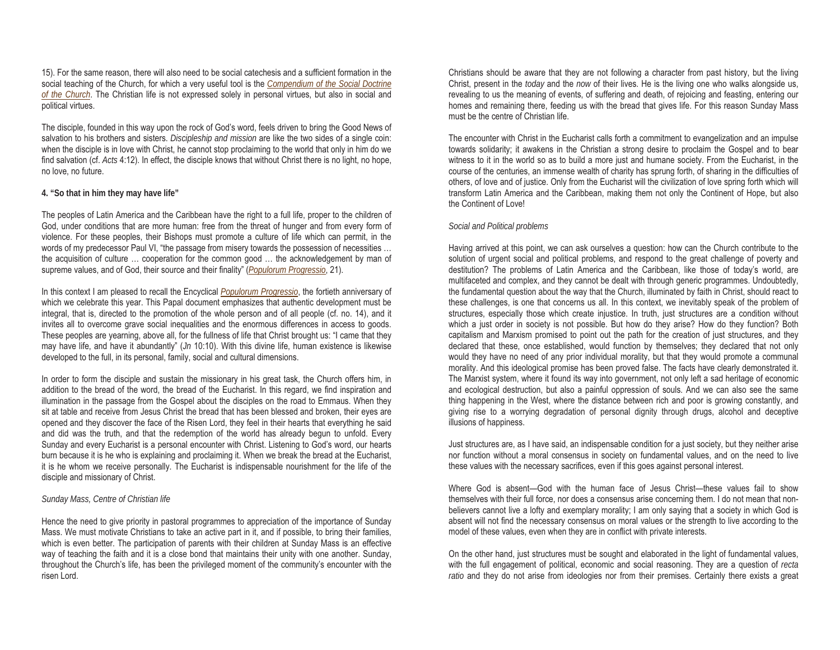15). For the same reason, there will also need to be social catechesis and a sufficient formation in the social teaching of the Church, for which a very useful tool is the *Compendium of the Social Doctrine of the Church*. The Christian life is not expressed solely in personal virtues, but also in social and political virtues.

The disciple, founded in this way upon the rock of God's word, feels driven to bring the Good News of salvation to his brothers and sisters. *Discipleship and mission* are like the two sides of a single coin: when the disciple is in love with Christ, he cannot stop proclaiming to the world that only in him do we find salvation (cf. *Acts* 4:12). In effect, the disciple knows that without Christ there is no light, no hope, no love, no future.

## **4. "So that in him they may have life"**

The peoples of Latin America and the Caribbean have the right to a full life, proper to the children of God, under conditions that are more human: free from the threat of hunger and from every form of violence. For these peoples, their Bishops must promote a culture of life which can permit, in the words of my predecessor Paul VI, "the passage from misery towards the possession of necessities … the acquisition of culture … cooperation for the common good … the acknowledgement by man of supreme values, and of God, their source and their finality" (*Populorum Progressio*, 21).

In this context I am pleased to recall the Encyclical *Populorum Progressio*, the fortieth anniversary of which we celebrate this year. This Papal document emphasizes that authentic development must be integral, that is, directed to the promotion of the whole person and of all people (cf. no. 14), and it invites all to overcome grave social inequalities and the enormous differences in access to goods. These peoples are yearning, above all, for the fullness of life that Christ brought us: "I came that they may have life, and have it abundantly" (*Jn* 10:10). With this divine life, human existence is likewise developed to the full, in its personal, family, social and cultural dimensions.

In order to form the disciple and sustain the missionary in his great task, the Church offers him, in addition to the bread of the word, the bread of the Eucharist. In this regard, we find inspiration and illumination in the passage from the Gospel about the disciples on the road to Emmaus. When they sit at table and receive from Jesus Christ the bread that has been blessed and broken, their eyes are opened and they discover the face of the Risen Lord, they feel in their hearts that everything he said and did was the truth, and that the redemption of the world has already begun to unfold. Every Sunday and every Eucharist is a personal encounter with Christ. Listening to God's word, our hearts burn because it is he who is explaining and proclaiming it. When we break the bread at the Eucharist, it is he whom we receive personally. The Eucharist is indispensable nourishment for the life of the disciple and missionary of Christ.

### *Sunday Mass, Centre of Christian life*

Hence the need to give priority in pastoral programmes to appreciation of the importance of Sunday Mass. We must motivate Christians to take an active part in it, and if possible, to bring their families, which is even better. The participation of parents with their children at Sunday Mass is an effective way of teaching the faith and it is a close bond that maintains their unity with one another. Sunday, throughout the Church's life, has been the privileged moment of the community's encounter with the risen Lord.

Christians should be aware that they are not following a character from past history, but the living Christ, present in the *today* and the *now* of their lives. He is the living one who walks alongside us, revealing to us the meaning of events, of suffering and death, of rejoicing and feasting, entering our homes and remaining there, feeding us with the bread that gives life. For this reason Sunday Mass must be the centre of Christian life.

The encounter with Christ in the Eucharist calls forth a commitment to evangelization and an impulse towards solidarity; it awakens in the Christian a strong desire to proclaim the Gospel and to bear witness to it in the world so as to build a more just and humane society. From the Eucharist, in the course of the centuries, an immense wealth of charity has sprung forth, of sharing in the difficulties of others, of love and of justice. Only from the Eucharist will the civilization of love spring forth which will transform Latin America and the Caribbean, making them not only the Continent of Hope, but also the Continent of Love!

## *Social and Political problems*

Having arrived at this point, we can ask ourselves a question: how can the Church contribute to the solution of urgent social and political problems, and respond to the great challenge of poverty and destitution? The problems of Latin America and the Caribbean, like those of today's world, are multifaceted and complex, and they cannot be dealt with through generic programmes. Undoubtedly, the fundamental question about the way that the Church, illuminated by faith in Christ, should react to these challenges, is one that concerns us all. In this context, we inevitably speak of the problem of structures, especially those which create injustice. In truth, just structures are a condition without which a just order in society is not possible. But how do they arise? How do they function? Both capitalism and Marxism promised to point out the path for the creation of just structures, and they declared that these, once established, would function by themselves; they declared that not only would they have no need of any prior individual morality, but that they would promote a communal morality. And this ideological promise has been proved false. The facts have clearly demonstrated it. The Marxist system, where it found its way into government, not only left a sad heritage of economic and ecological destruction, but also a painful oppression of souls. And we can also see the same thing happening in the West, where the distance between rich and poor is growing constantly, and giving rise to a worrying degradation of personal dignity through drugs, alcohol and deceptive illusions of happiness.

Just structures are, as I have said, an indispensable condition for a just society, but they neither arise nor function without a moral consensus in society on fundamental values, and on the need to live these values with the necessary sacrifices, even if this goes against personal interest.

Where God is absent—God with the human face of Jesus Christ—these values fail to show themselves with their full force, nor does a consensus arise concerning them. I do not mean that nonbelievers cannot live a lofty and exemplary morality; I am only saying that a society in which God is absent will not find the necessary consensus on moral values or the strength to live according to the model of these values, even when they are in conflict with private interests.

On the other hand, just structures must be sought and elaborated in the light of fundamental values, with the full engagement of political, economic and social reasoning. They are a question of *recta ratio* and they do not arise from ideologies nor from their premises. Certainly there exists a great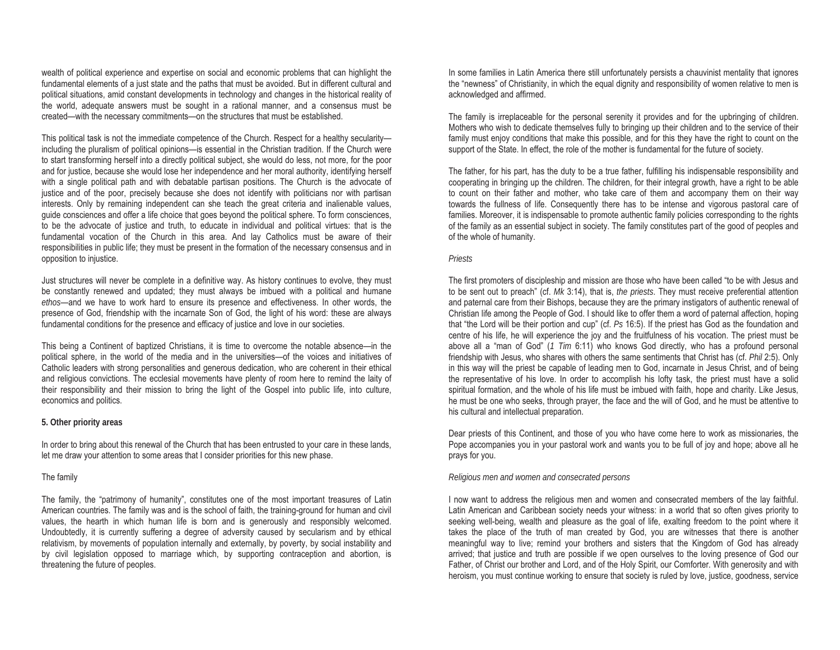wealth of political experience and expertise on social and economic problems that can highlight the fundamental elements of a just state and the paths that must be avoided. But in different cultural and political situations, amid constant developments in technology and changes in the historical reality of the world, adequate answers must be sought in a rational manner, and a consensus must be created—with the necessary commitments—on the structures that must be established.

This political task is not the immediate competence of the Church. Respect for a healthy secularity including the pluralism of political opinions—is essential in the Christian tradition. If the Church were to start transforming herself into a directly political subject, she would do less, not more, for the poor and for justice, because she would lose her independence and her moral authority, identifying herself with a single political path and with debatable partisan positions. The Church is the advocate of justice and of the poor, precisely because she does not identify with politicians nor with partisan interests. Only by remaining independent can she teach the great criteria and inalienable values, guide consciences and offer a life choice that goes beyond the political sphere. To form consciences, to be the advocate of justice and truth, to educate in individual and political virtues: that is the fundamental vocation of the Church in this area. And lay Catholics must be aware of their responsibilities in public life; they must be present in the formation of the necessary consensus and in opposition to injustice.

Just structures will never be complete in a definitive way. As history continues to evolve, they must be constantly renewed and updated; they must always be imbued with a political and humane *ethos*—and we have to work hard to ensure its presence and effectiveness. In other words, the presence of God, friendship with the incarnate Son of God, the light of his word: these are always fundamental conditions for the presence and efficacy of justice and love in our societies.

This being a Continent of baptized Christians, it is time to overcome the notable absence—in the political sphere, in the world of the media and in the universities—of the voices and initiatives of Catholic leaders with strong personalities and generous dedication, who are coherent in their ethical and religious convictions. The ecclesial movements have plenty of room here to remind the laity of their responsibility and their mission to bring the light of the Gospel into public life, into culture, economics and politics.

# **5. Other priority areas**

In order to bring about this renewal of the Church that has been entrusted to your care in these lands, let me draw your attention to some areas that I consider priorities for this new phase.

#### The family

The family, the "patrimony of humanity", constitutes one of the most important treasures of Latin American countries. The family was and is the school of faith, the training-ground for human and civil values, the hearth in which human life is born and is generously and responsibly welcomed. Undoubtedly, it is currently suffering a degree of adversity caused by secularism and by ethical relativism, by movements of population internally and externally, by poverty, by social instability and by civil legislation opposed to marriage which, by supporting contraception and abortion, is threatening the future of peoples.

In some families in Latin America there still unfortunately persists a chauvinist mentality that ignores the "newness" of Christianity, in which the equal dignity and responsibility of women relative to men is acknowledged and affirmed.

The family is irreplaceable for the personal serenity it provides and for the upbringing of children. Mothers who wish to dedicate themselves fully to bringing up their children and to the service of their family must enjoy conditions that make this possible, and for this they have the right to count on the support of the State. In effect, the role of the mother is fundamental for the future of society.

The father, for his part, has the duty to be a true father, fulfilling his indispensable responsibility and cooperating in bringing up the children. The children, for their integral growth, have a right to be able to count on their father and mother, who take care of them and accompany them on their way towards the fullness of life. Consequently there has to be intense and vigorous pastoral care of families. Moreover, it is indispensable to promote authentic family policies corresponding to the rights of the family as an essential subject in society. The family constitutes part of the good of peoples and of the whole of humanity.

#### *Priests*

The first promoters of discipleship and mission are those who have been called "to be with Jesus and to be sent out to preach" (cf. *Mk* 3:14), that is, *the priests*. They must receive preferential attention and paternal care from their Bishops, because they are the primary instigators of authentic renewal of Christian life among the People of God. I should like to offer them a word of paternal affection, hoping that "the Lord will be their portion and cup" (cf. *Ps* 16:5). If the priest has God as the foundation and centre of his life, he will experience the joy and the fruitfulness of his vocation. The priest must be above all a "man of God" (*1 Tim* 6:11) who knows God directly, who has a profound personal friendship with Jesus, who shares with others the same sentiments that Christ has (cf. *Phil* 2:5). Only in this way will the priest be capable of leading men to God, incarnate in Jesus Christ, and of being the representative of his love. In order to accomplish his lofty task, the priest must have a solid spiritual formation, and the whole of his life must be imbued with faith, hope and charity. Like Jesus, he must be one who seeks, through prayer, the face and the will of God, and he must be attentive to his cultural and intellectual preparation.

Dear priests of this Continent, and those of you who have come here to work as missionaries, the Pope accompanies you in your pastoral work and wants you to be full of joy and hope; above all he prays for you.

### *Religious men and women and consecrated persons*

I now want to address the religious men and women and consecrated members of the lay faithful. Latin American and Caribbean society needs your witness: in a world that so often gives priority to seeking well-being, wealth and pleasure as the goal of life, exalting freedom to the point where it takes the place of the truth of man created by God, you are witnesses that there is another meaningful way to live; remind your brothers and sisters that the Kingdom of God has already arrived; that justice and truth are possible if we open ourselves to the loving presence of God our Father, of Christ our brother and Lord, and of the Holy Spirit, our Comforter. With generosity and with heroism, you must continue working to ensure that society is ruled by love, justice, goodness, service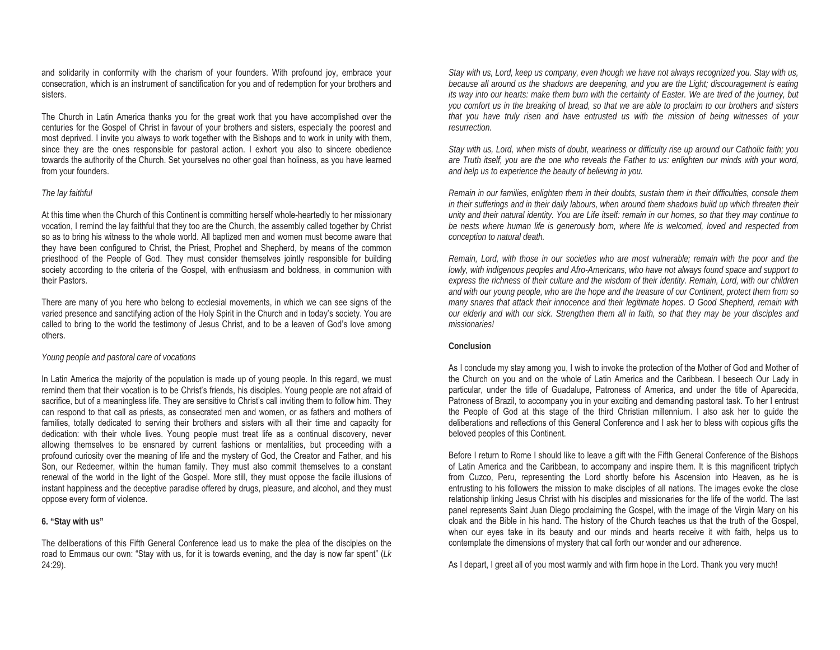and solidarity in conformity with the charism of your founders. With profound joy, embrace your consecration, which is an instrument of sanctification for you and of redemption for your brothers and sisters.

The Church in Latin America thanks you for the great work that you have accomplished over the centuries for the Gospel of Christ in favour of your brothers and sisters, especially the poorest and most deprived. I invite you always to work together with the Bishops and to work in unity with them, since they are the ones responsible for pastoral action. I exhort you also to sincere obedience towards the authority of the Church. Set yourselves no other goal than holiness, as you have learned from your founders.

#### *The lay faithful*

At this time when the Church of this Continent is committing herself whole-heartedly to her missionary vocation, I remind the lay faithful that they too are the Church, the assembly called together by Christ so as to bring his witness to the whole world. All baptized men and women must become aware that they have been configured to Christ, the Priest, Prophet and Shepherd, by means of the common priesthood of the People of God. They must consider themselves jointly responsible for building society according to the criteria of the Gospel, with enthusiasm and boldness, in communion with their Pastors.

There are many of you here who belong to ecclesial movements, in which we can see signs of the varied presence and sanctifying action of the Holy Spirit in the Church and in today's society. You are called to bring to the world the testimony of Jesus Christ, and to be a leaven of God's love among others.

#### *Young people and pastoral care of vocations*

In Latin America the majority of the population is made up of young people. In this regard, we must remind them that their vocation is to be Christ's friends, his disciples. Young people are not afraid of sacrifice, but of a meaningless life. They are sensitive to Christ's call inviting them to follow him. They can respond to that call as priests, as consecrated men and women, or as fathers and mothers of families, totally dedicated to serving their brothers and sisters with all their time and capacity for dedication: with their whole lives. Young people must treat life as a continual discovery, never allowing themselves to be ensnared by current fashions or mentalities, but proceeding with a profound curiosity over the meaning of life and the mystery of God, the Creator and Father, and his Son, our Redeemer, within the human family. They must also commit themselves to a constant renewal of the world in the light of the Gospel. More still, they must oppose the facile illusions of instant happiness and the deceptive paradise offered by drugs, pleasure, and alcohol, and they must oppose every form of violence.

#### **6. "Stay with us"**

The deliberations of this Fifth General Conference lead us to make the plea of the disciples on the road to Emmaus our own: "Stay with us, for it is towards evening, and the day is now far spent" (*Lk* 24:29).

*Stay with us, Lord, keep us company, even though we have not always recognized you. Stay with us, because all around us the shadows are deepening, and you are the Light; discouragement is eating its way into our hearts: make them burn with the certainty of Easter. We are tired of the journey, but you comfort us in the breaking of bread, so that we are able to proclaim to our brothers and sisters that you have truly risen and have entrusted us with the mission of being witnesses of your resurrection.*

*Stay with us, Lord, when mists of doubt, weariness or difficulty rise up around our Catholic faith; you are Truth itself, you are the one who reveals the Father to us: enlighten our minds with your word, and help us to experience the beauty of believing in you.*

*Remain in our families, enlighten them in their doubts, sustain them in their difficulties, console them in their sufferings and in their daily labours, when around them shadows build up which threaten their unity and their natural identity. You are Life itself: remain in our homes, so that they may continue to be nests where human life is generously born, where life is welcomed, loved and respected from conception to natural death.*

*Remain, Lord, with those in our societies who are most vulnerable; remain with the poor and the lowly, with indigenous peoples and Afro-Americans, who have not always found space and support to express the richness of their culture and the wisdom of their identity. Remain, Lord, with our children and with our young people, who are the hope and the treasure of our Continent, protect them from so many snares that attack their innocence and their legitimate hopes. O Good Shepherd, remain with our elderly and with our sick. Strengthen them all in faith, so that they may be your disciples and missionaries!*

## **Conclusion**

As I conclude my stay among you, I wish to invoke the protection of the Mother of God and Mother of the Church on you and on the whole of Latin America and the Caribbean. I beseech Our Lady in particular, under the title of Guadalupe, Patroness of America, and under the title of Aparecida, Patroness of Brazil, to accompany you in your exciting and demanding pastoral task. To her I entrust the People of God at this stage of the third Christian millennium. I also ask her to guide the deliberations and reflections of this General Conference and I ask her to bless with copious gifts the beloved peoples of this Continent.

Before I return to Rome I should like to leave a gift with the Fifth General Conference of the Bishops of Latin America and the Caribbean, to accompany and inspire them. It is this magnificent triptych from Cuzco, Peru, representing the Lord shortly before his Ascension into Heaven, as he is entrusting to his followers the mission to make disciples of all nations. The images evoke the close relationship linking Jesus Christ with his disciples and missionaries for the life of the world. The last panel represents Saint Juan Diego proclaiming the Gospel, with the image of the Virgin Mary on his cloak and the Bible in his hand. The history of the Church teaches us that the truth of the Gospel, when our eyes take in its beauty and our minds and hearts receive it with faith, helps us to contemplate the dimensions of mystery that call forth our wonder and our adherence.

As I depart, I greet all of you most warmly and with firm hope in the Lord. Thank you very much!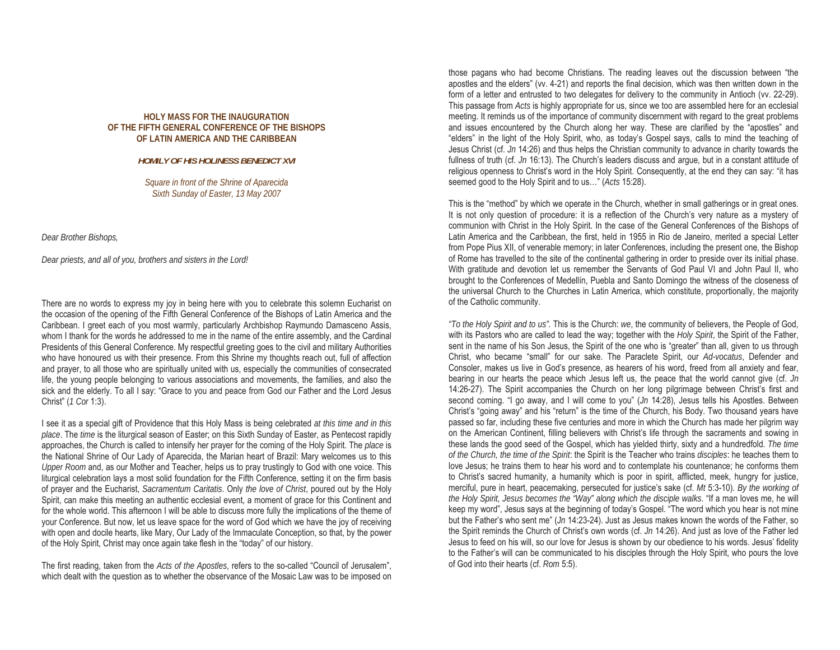# **HOLY MASS FOR THE INAUGURATIONOF THE FIFTH GENERAL CONFERENCE OF THE BISHOPS OF LATIN AMERICA AND THE CARIBBEAN**

# *HOMILY OF HIS HOLINESS BENEDICT XVI*

*Square in front of the Shrine of Aparecida Sixth Sunday of Easter, 13 May 2007*

*Dear Brother Bishops,*

*Dear priests, and all of you, brothers and sisters in the Lord!* 

There are no words to express my joy in being here with you to celebrate this solemn Eucharist on the occasion of the opening of the Fifth General Conference of the Bishops of Latin America and the Caribbean. I greet each of you most warmly, particularly Archbishop Raymundo Damasceno Assis, whom I thank for the words he addressed to me in the name of the entire assembly, and the Cardinal Presidents of this General Conference. My respectful greeting goes to the civil and military Authorities who have honoured us with their presence. From this Shrine my thoughts reach out, full of affection and prayer, to all those who are spiritually united with us, especially the communities of consecrated life, the young people belonging to various associations and movements, the families, and also the sick and the elderly. To all I say: "Grace to you and peace from God our Father and the Lord Jesus Christ" (*1 Cor* 1:3).

I see it as a special gift of Providence that this Holy Mass is being celebrated *at this time and in this place*. The *time* is the liturgical season of Easter; on this Sixth Sunday of Easter, as Pentecost rapidly approaches, the Church is called to intensify her prayer for the coming of the Holy Spirit. The *place* is the National Shrine of Our Lady of Aparecida, the Marian heart of Brazil: Mary welcomes us to this *Upper Room* and, as our Mother and Teacher, helps us to pray trustingly to God with one voice. This liturgical celebration lays a most solid foundation for the Fifth Conference, setting it on the firm basis of prayer and the Eucharist, *Sacramentum Caritatis*. Only *the love of Christ*, poured out by the Holy Spirit, can make this meeting an authentic ecclesial event, a moment of grace for this Continent and for the whole world. This afternoon I will be able to discuss more fully the implications of the theme of your Conference. But now, let us leave space for the word of God which we have the joy of receiving with open and docile hearts, like Mary, Our Lady of the Immaculate Conception, so that, by the power of the Holy Spirit, Christ may once again take flesh in the "today" of our history.

The first reading, taken from the *Acts of the Apostles*, refers to the so-called "Council of Jerusalem", which dealt with the question as to whether the observance of the Mosaic Law was to be imposed on those pagans who had become Christians. The reading leaves out the discussion between "the apostles and the elders" (vv. 4-21) and reports the final decision, which was then written down in the form of a letter and entrusted to two delegates for delivery to the community in Antioch (vv. 22-29). This passage from *Acts* is highly appropriate for us, since we too are assembled here for an ecclesial meeting. It reminds us of the importance of community discernment with regard to the great problems and issues encountered by the Church along her way. These are clarified by the "apostles" and "elders" in the light of the Holy Spirit, who, as today's Gospel says, calls to mind the teaching of Jesus Christ (cf. *Jn* 14:26) and thus helps the Christian community to advance in charity towards the fullness of truth (cf. *Jn* 16:13). The Church's leaders discuss and argue, but in a constant attitude of religious openness to Christ's word in the Holy Spirit. Consequently, at the end they can say: "it has seemed good to the Holy Spirit and to us…" (*Acts* 15:28).

This is the "method" by which we operate in the Church, whether in small gatherings or in great ones. It is not only question of procedure: it is a reflection of the Church's very nature as a mystery of communion with Christ in the Holy Spirit. In the case of the General Conferences of the Bishops of Latin America and the Caribbean, the first, held in 1955 in Rio de Janeiro, merited a special Letter from Pope Pius XII, of venerable memory; in later Conferences, including the present one, the Bishop of Rome has travelled to the site of the continental gathering in order to preside over its initial phase. With gratitude and devotion let us remember the Servants of God Paul VI and John Paul II, who brought to the Conferences of Medellín, Puebla and Santo Domingo the witness of the closeness of the universal Church to the Churches in Latin America, which constitute, proportionally, the majority of the Catholic community.

*"To the Holy Spirit and to us".* This is the Church: *we*, the community of believers, the People of God, with its Pastors who are called to lead the way; together with the *Holy Spirit*, the Spirit of the Father, sent in the name of his Son Jesus, the Spirit of the one who is "greater" than all, given to us through Christ, who became "small" for our sake. The Paraclete Spirit, our *Ad-vocatus*, Defender and Consoler, makes us live in God's presence, as hearers of his word, freed from all anxiety and fear, bearing in our hearts the peace which Jesus left us, the peace that the world cannot give (cf. *Jn* 14:26-27). The Spirit accompanies the Church on her long pilgrimage between Christ's first and second coming. "I go away, and I will come to you" (*Jn* 14:28), Jesus tells his Apostles. Between Christ's "going away" and his "return" is the time of the Church, his Body. Two thousand years have passed so far, including these five centuries and more in which the Church has made her pilgrim way on the American Continent, filling believers with Christ's life through the sacraments and sowing in these lands the good seed of the Gospel, which has yielded thirty, sixty and a hundredfold. *The time of the Church, the time of the Spirit*: the Spirit is the Teacher who trains *disciples*: he teaches them to love Jesus; he trains them to hear his word and to contemplate his countenance; he conforms them to Christ's sacred humanity, a humanity which is poor in spirit, afflicted, meek, hungry for justice, merciful, pure in heart, peacemaking, persecuted for justice's sake (cf. *Mt* 5:3-10). *By the working of the Holy Spirit, Jesus becomes the "Way" along which the disciple walks*. "If a man loves me, he will keep my word", Jesus says at the beginning of today's Gospel. "The word which you hear is not mine but the Father's who sent me" (*Jn* 14:23-24). Just as Jesus makes known the words of the Father, so the Spirit reminds the Church of Christ's own words (cf. *Jn* 14:26). And just as love of the Father led Jesus to feed on his will, so our love for Jesus is shown by our obedience to his words. Jesus' fidelity to the Father's will can be communicated to his disciples through the Holy Spirit, who pours the love of God into their hearts (cf. *Rom* 5:5).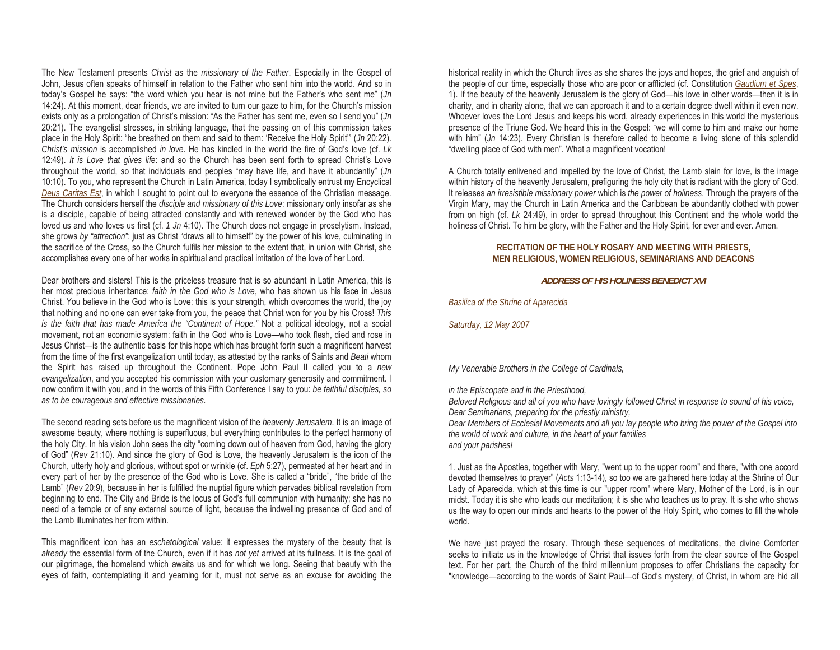The New Testament presents *Christ* as the *missionary of the Father*. Especially in the Gospel of John, Jesus often speaks of himself in relation to the Father who sent him into the world. And so in today's Gospel he says: "the word which you hear is not mine but the Father's who sent me" (*Jn* 14:24). At this moment, dear friends, we are invited to turn our gaze to him, for the Church's mission exists only as a prolongation of Christ's mission: "As the Father has sent me, even so I send you" (*Jn* 20:21). The evangelist stresses, in striking language, that the passing on of this commission takes place in the Holy Spirit: "he breathed on them and said to them: 'Receive the Holy Spirit'" (*Jn* 20:22). *Christ's mission* is accomplished *in love*. He has kindled in the world the fire of God's love (cf. *Lk* 12:49). *It is Love that gives life*: and so the Church has been sent forth to spread Christ's Love throughout the world, so that individuals and peoples "may have life, and have it abundantly" (*Jn* 10:10). To you, who represent the Church in Latin America, today I symbolically entrust my Encyclical *Deus Caritas Est*, in which I sought to point out to everyone the essence of the Christian message. The Church considers herself the *disciple and missionary of this Love*: missionary only insofar as she is a disciple, capable of being attracted constantly and with renewed wonder by the God who has loved us and who loves us first (cf. *1 Jn* 4:10). The Church does not engage in proselytism. Instead, she grows *by "attraction"*: just as Christ "draws all to himself" by the power of his love, culminating in the sacrifice of the Cross, so the Church fulfils her mission to the extent that, in union with Christ, she accomplishes every one of her works in spiritual and practical imitation of the love of her Lord.

Dear brothers and sisters! This is the priceless treasure that is so abundant in Latin America, this is her most precious inheritance: *faith in the God who is Love*, who has shown us his face in Jesus Christ. You believe in the God who is Love: this is your strength, which overcomes the world, the joy that nothing and no one can ever take from you, the peace that Christ won for you by his Cross! *This is the faith that has made America the "Continent of Hope."* Not a political ideology, not a social movement, not an economic system: faith in the God who is Love—who took flesh, died and rose in Jesus Christ—is the authentic basis for this hope which has brought forth such a magnificent harvest from the time of the first evangelization until today, as attested by the ranks of Saints and *Beati* whom the Spirit has raised up throughout the Continent. Pope John Paul II called you to a *new evangelization*, and you accepted his commission with your customary generosity and commitment. I now confirm it with you, and in the words of this Fifth Conference I say to you: *be faithful disciples, so as to be courageous and effective missionaries.*

The second reading sets before us the magnificent vision of the *heavenly Jerusalem*. It is an image of awesome beauty, where nothing is superfluous, but everything contributes to the perfect harmony of the holy City. In his vision John sees the city "coming down out of heaven from God, having the glory of God" (*Rev* 21:10). And since the glory of God is Love, the heavenly Jerusalem is the icon of the Church, utterly holy and glorious, without spot or wrinkle (cf. *Eph* 5:27), permeated at her heart and in every part of her by the presence of the God who is Love. She is called a "bride", "the bride of the Lamb" (*Rev* 20:9), because in her is fulfilled the nuptial figure which pervades biblical revelation from beginning to end. The City and Bride is the locus of God's full communion with humanity; she has no need of a temple or of any external source of light, because the indwelling presence of God and of the Lamb illuminates her from within.

This magnificent icon has an *eschatological* value: it expresses the mystery of the beauty that is *already* the essential form of the Church, even if it has *not yet* arrived at its fullness. It is the goal of our pilgrimage, the homeland which awaits us and for which we long. Seeing that beauty with the eyes of faith, contemplating it and yearning for it, must not serve as an excuse for avoiding the

historical reality in which the Church lives as she shares the joys and hopes, the grief and anguish of the people of our time, especially those who are poor or afflicted (cf. Constitution *Gaudium et Spes*, 1). If the beauty of the heavenly Jerusalem is the glory of God—his love in other words—then it is in charity, and in charity alone, that we can approach it and to a certain degree dwell within it even now. Whoever loves the Lord Jesus and keeps his word, already experiences in this world the mysterious presence of the Triune God. We heard this in the Gospel: "we will come to him and make our home with him" (*Jn* 14:23). Every Christian is therefore called to become a living stone of this splendid "dwelling place of God with men". What a magnificent vocation!

A Church totally enlivened and impelled by the love of Christ, the Lamb slain for love, is the image within history of the heavenly Jerusalem, prefiguring the holy city that is radiant with the glory of God. It releases *an irresistible missionary power* which is *the power of holiness*. Through the prayers of the Virgin Mary, may the Church in Latin America and the Caribbean be abundantly clothed with power from on high (cf. *Lk* 24:49), in order to spread throughout this Continent and the whole world the holiness of Christ. To him be glory, with the Father and the Holy Spirit, for ever and ever. Amen.

# **RECITATION OF THE HOLY ROSARY AND MEETING WITH PRIESTS, MEN RELIGIOUS, WOMEN RELIGIOUS, SEMINARIANS AND DEACONS**

# *ADDRESS OF HIS HOLINESS BENEDICT XVI*

*Basilica of the Shrine of Aparecida* 

*Saturday, 12 May 2007*

*My Venerable Brothers in the College of Cardinals,* 

*in the Episcopate and in the Priesthood,* 

*Beloved Religious and all of you who have lovingly followed Christ in response to sound of his voice, Dear Seminarians, preparing for the priestly ministry,* 

*Dear Members of Ecclesial Movements and all you lay people who bring the power of the Gospel into the world of work and culture, in the heart of your families and your parishes!*

1. Just as the Apostles, together with Mary, "went up to the upper room" and there, "with one accord devoted themselves to prayer" (*Acts* 1:13-14), so too we are gathered here today at the Shrine of Our Lady of Aparecida, which at this time is our "upper room" where Mary, Mother of the Lord, is in our midst. Today it is she who leads our meditation; it is she who teaches us to pray. It is she who shows us the way to open our minds and hearts to the power of the Holy Spirit, who comes to fill the whole world.

We have just prayed the rosary. Through these sequences of meditations, the divine Comforter seeks to initiate us in the knowledge of Christ that issues forth from the clear source of the Gospel text. For her part, the Church of the third millennium proposes to offer Christians the capacity for "knowledge—according to the words of Saint Paul—of God's mystery, of Christ, in whom are hid all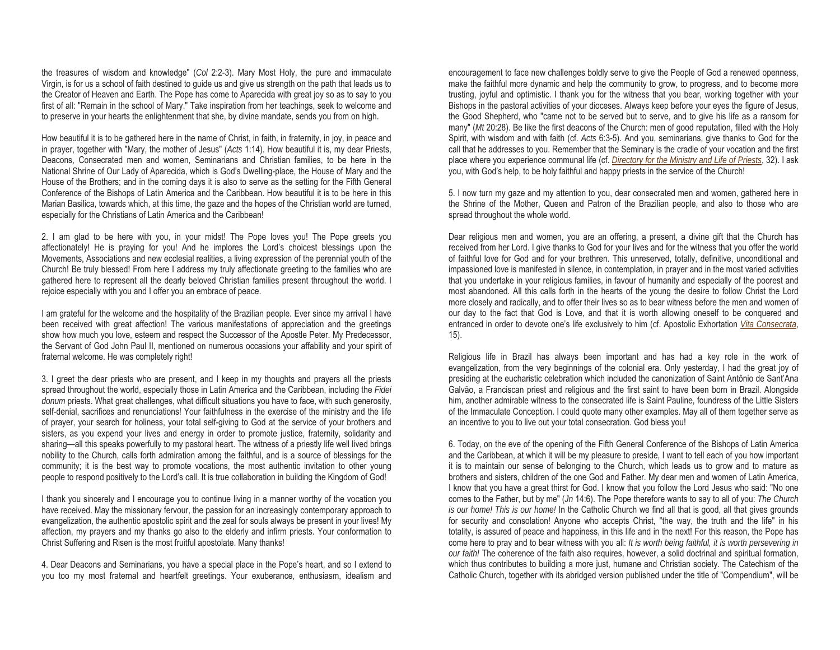the treasures of wisdom and knowledge" (*Col* 2:2-3). Mary Most Holy, the pure and immaculate Virgin, is for us a school of faith destined to guide us and give us strength on the path that leads us to the Creator of Heaven and Earth. The Pope has come to Aparecida with great joy so as to say to you first of all: "Remain in the school of Mary." Take inspiration from her teachings, seek to welcome and to preserve in your hearts the enlightenment that she, by divine mandate, sends you from on high.

How beautiful it is to be gathered here in the name of Christ, in faith, in fraternity, in joy, in peace and in prayer, together with "Mary, the mother of Jesus" (*Acts* 1:14). How beautiful it is, my dear Priests, Deacons, Consecrated men and women, Seminarians and Christian families, to be here in the National Shrine of Our Lady of Aparecida, which is God's Dwelling-place, the House of Mary and the House of the Brothers; and in the coming days it is also to serve as the setting for the Fifth General Conference of the Bishops of Latin America and the Caribbean. How beautiful it is to be here in this Marian Basilica, towards which, at this time, the gaze and the hopes of the Christian world are turned, especially for the Christians of Latin America and the Caribbean!

2. I am glad to be here with you, in your midst! The Pope loves you! The Pope greets you affectionately! He is praying for you! And he implores the Lord's choicest blessings upon the Movements, Associations and new ecclesial realities, a living expression of the perennial youth of the Church! Be truly blessed! From here I address my truly affectionate greeting to the families who are gathered here to represent all the dearly beloved Christian families present throughout the world. I rejoice especially with you and I offer you an embrace of peace.

I am grateful for the welcome and the hospitality of the Brazilian people. Ever since my arrival I have been received with great affection! The various manifestations of appreciation and the greetings show how much you love, esteem and respect the Successor of the Apostle Peter. My Predecessor, the Servant of God John Paul II, mentioned on numerous occasions your affability and your spirit of fraternal welcome. He was completely right!

3. I greet the dear priests who are present, and I keep in my thoughts and prayers all the priests spread throughout the world, especially those in Latin America and the Caribbean, including the *Fidei donum* priests. What great challenges, what difficult situations you have to face, with such generosity, self-denial, sacrifices and renunciations! Your faithfulness in the exercise of the ministry and the life of prayer, your search for holiness, your total self-giving to God at the service of your brothers and sisters, as you expend your lives and energy in order to promote justice, fraternity, solidarity and sharing—all this speaks powerfully to my pastoral heart. The witness of a priestly life well lived brings nobility to the Church, calls forth admiration among the faithful, and is a source of blessings for the community; it is the best way to promote vocations, the most authentic invitation to other young people to respond positively to the Lord's call. It is true collaboration in building the Kingdom of God!

I thank you sincerely and I encourage you to continue living in a manner worthy of the vocation you have received. May the missionary fervour, the passion for an increasingly contemporary approach to evangelization, the authentic apostolic spirit and the zeal for souls always be present in your lives! My affection, my prayers and my thanks go also to the elderly and infirm priests. Your conformation to Christ Suffering and Risen is the most fruitful apostolate. Many thanks!

4. Dear Deacons and Seminarians, you have a special place in the Pope's heart, and so I extend to you too my most fraternal and heartfelt greetings. Your exuberance, enthusiasm, idealism and

encouragement to face new challenges boldly serve to give the People of God a renewed openness, make the faithful more dynamic and help the community to grow, to progress, and to become more trusting, joyful and optimistic. I thank you for the witness that you bear, working together with your Bishops in the pastoral activities of your dioceses. Always keep before your eyes the figure of Jesus, the Good Shepherd, who "came not to be served but to serve, and to give his life as a ransom for many" (*Mt* 20:28). Be like the first deacons of the Church: men of good reputation, filled with the Holy Spirit, with wisdom and with faith (cf. *Acts* 6:3-5). And you, seminarians, give thanks to God for the call that he addresses to you. Remember that the Seminary is the cradle of your vocation and the first place where you experience communal life (cf. *Directory for the Ministry and Life of Priests*, 32). I ask you, with God's help, to be holy faithful and happy priests in the service of the Church!

5. I now turn my gaze and my attention to you, dear consecrated men and women, gathered here in the Shrine of the Mother, Queen and Patron of the Brazilian people, and also to those who are spread throughout the whole world.

Dear religious men and women, you are an offering, a present, a divine gift that the Church has received from her Lord. I give thanks to God for your lives and for the witness that you offer the world of faithful love for God and for your brethren. This unreserved, totally, definitive, unconditional and impassioned love is manifested in silence, in contemplation, in prayer and in the most varied activities that you undertake in your religious families, in favour of humanity and especially of the poorest and most abandoned. All this calls forth in the hearts of the young the desire to follow Christ the Lord more closely and radically, and to offer their lives so as to bear witness before the men and women of our day to the fact that God is Love, and that it is worth allowing oneself to be conquered and entranced in order to devote one's life exclusively to him (cf. Apostolic Exhortation *Vita Consecrata*, 15).

Religious life in Brazil has always been important and has had a key role in the work of evangelization, from the very beginnings of the colonial era. Only yesterday, I had the great joy of presiding at the eucharistic celebration which included the canonization of Saint Antônio de Sant'Ana Galvão, a Franciscan priest and religious and the first saint to have been born in Brazil. Alongside him, another admirable witness to the consecrated life is Saint Pauline, foundress of the Little Sisters of the Immaculate Conception. I could quote many other examples. May all of them together serve as an incentive to you to live out your total consecration. God bless you!

6. Today, on the eve of the opening of the Fifth General Conference of the Bishops of Latin America and the Caribbean, at which it will be my pleasure to preside, I want to tell each of you how important it is to maintain our sense of belonging to the Church, which leads us to grow and to mature as brothers and sisters, children of the one God and Father. My dear men and women of Latin America, I know that you have a great thirst for God. I know that you follow the Lord Jesus who said: "No one comes to the Father, but by me" (*Jn* 14:6). The Pope therefore wants to say to all of you: *The Church is our home! This is our home!* In the Catholic Church we find all that is good, all that gives grounds for security and consolation! Anyone who accepts Christ, "the way, the truth and the life" in his totality, is assured of peace and happiness, in this life and in the next! For this reason, the Pope has come here to pray and to bear witness with you all: *It is worth being faithful, it is worth persevering in our faith!* The coherence of the faith also requires, however, a solid doctrinal and spiritual formation, which thus contributes to building a more just, humane and Christian society. The Catechism of the Catholic Church, together with its abridged version published under the title of "Compendium", will be